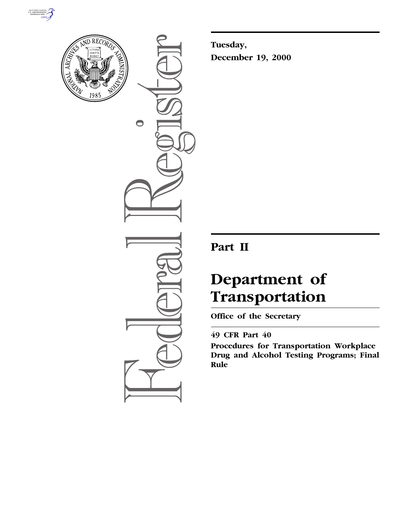



 $\bigcirc$ 

**Tuesday, December 19, 2000**

## **Part II**

# **Department of Transportation**

**Office of the Secretary**

## **49 CFR Part 40**

**Procedures for Transportation Workplace Drug and Alcohol Testing Programs; Final Rule**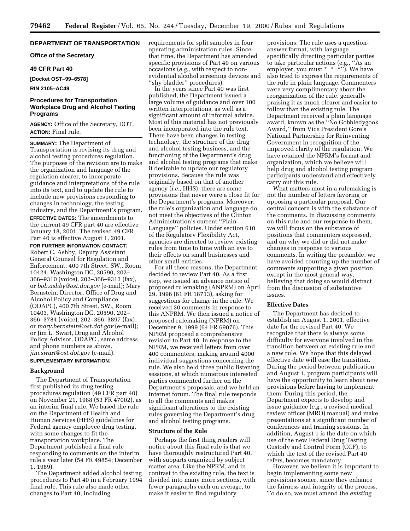#### **DEPARTMENT OF TRANSPORTATION**

**Office of the Secretary**

#### **49 CFR Part 40**

**[Docket OST–99–6578]**

**RIN 2105–AC49**

#### **Procedures for Transportation Workplace Drug and Alcohol Testing Programs**

**AGENCY:** Office of the Secretary, DOT. **ACTION:** Final rule.

**SUMMARY:** The Department of Transportation is revising its drug and alcohol testing procedures regulation. The purposes of the revision are to make the organization and language of the regulation clearer, to incorporate guidance and interpretations of the rule into its text, and to update the rule to include new provisions responding to changes in technology, the testing industry, and the Department's program. **EFFECTIVE DATES:** The amendments to the current 49 CFR part 40 are effective January 18, 2001. The revised 49 CFR Part 40 is effective August 1, 2001.

**FOR FURTHER INFORMATION CONTACT:** Robert C. Ashby, Deputy Assistant General Counsel for Regulation and Enforcement, 400 7th Street, SW., Room 10424, Washington DC, 20590, 202– 366–9310 (voice), 202–366–9313 (fax), or *bob.ashby@ost.dot.gov* (e-mail); Mary Bernstein, Director, Office of Drug and Alcohol Policy and Compliance (ODAPC), 400 7th Street, SW., Room 10403, Washington DC, 20590, 202– 366–3784 (voice), 202–366–3897 (fax), or *mary.bernstein@ost.dot.gov* (e-mail); or Jim L. Swart, Drug and Alcohol Policy Advisor, ODAPC , same address and phone numbers as above, *jim.swart@ost.dot.gov* (e-mail).

## **SUPPLEMENTARY INFORMATION:**

#### **Background**

The Department of Transportation first published its drug testing procedures regulation (49 CFR part 40) on November 21, 1988 (53 FR 47002), as an interim final rule. We based the rule on the Department of Health and Human Services (HHS) guidelines for Federal agency employee drug testing, with some changes to fit the transportation workplace. The Department published a final rule responding to comments on the interim rule a year later (54 FR 49854; December 1, 1989).

The Department added alcohol testing procedures to Part 40 in a February 1994 final rule. This rule also made other changes to Part 40, including

requirements for split samples in four operating administration rules. Since that time, the Department has amended specific provisions of Part 40 on various occasions (*e.g.,* with respect to nonevidential alcohol screening devices and ''shy bladder'' procedures).

In the years since Part 40 was first published, the Department issued a large volume of guidance and over 100 written interpretations, as well as a significant amount of informal advice. Most of this material has not previously been incorporated into the rule text. There have been changes in testing technology, the structure of the drug and alcohol testing business, and the functioning of the Department's drug and alcohol testing programs that make it desirable to update our regulatory provisions. Because the rule was originally based on that of another agency (*i.e.,* HHS), there are some provisions that never were a close fit for the Department's programs. Moreover, the rule's organization and language do not meet the objectives of the Clinton Administration's current ''Plain Language'' policies. Under section 610 of the Regulatory Flexibility Act, agencies are directed to review existing rules from time to time with an eye to their effects on small businesses and other small entities.

For all these reasons, the Department decided to review Part 40. As a first step, we issued an advance notice of proposed rulemaking (ANPRM) on April 29, 1996 (61 FR 18713), asking for suggestions for change in the rule. We received 30 comments in response to this ANPRM. We then issued a notice of proposed rulemaking (NPRM) on December 9, 1999 (64 FR 69076). This NPRM proposed a comprehensive revision to Part 40. In response to the NPRM, we received letters from over 400 commenters, making around 4000 individual suggestions concerning the rule. We also held three public listening sessions, at which numerous interested parties commented further on the Department's proposals, and we held an internet forum. The final rule responds to all the comments and makes significant alterations to the existing rules governing the Department's drug and alcohol testing programs.

#### **Structure of the Rule**

Perhaps the first thing readers will notice about this final rule is that we have thoroughly restructured Part 40, with subparts organized by subject matter area. Like the NPRM, and in contrast to the existing rule, the text is divided into many more sections, with fewer paragraphs each on average, to make it easier to find regulatory

provisions. The rule uses a questionanswer format, with language specifically directing particular parties to take particular actions (e.g., ''As an employer, you must \* \* \* \* "). We have also tried to express the requirements of the rule in plain language. Commenters were very complimentary about the reorganization of the rule, generally praising it as much clearer and easier to follow than the existing rule. The Department received a plain language award, known as the ''No Gobbledygook Award,'' from Vice President Gore's National Partnership for Reinventing Government in recognition of the improved clarity of the regulation. We have retained the NPRM's format and organization, which we believe will help drug and alcohol testing program participants understand and effectively carry out this rule.

What matters most in a rulemaking is not the number of letters favoring or opposing a particular proposal. Our central concern is with the substance of the comments. In discussing comments on this rule and our response to them, we will focus on the substance of positions that commenters expressed, and on why we did or did not make changes in response to various comments. In writing the preamble, we have avoided counting up the number of comments supporting a given position except in the most general way, believing that doing so would distract from the discussion of substantive issues.

#### **Effective Dates**

The Department has decided to establish an August 1, 2001, effective date for the revised Part 40. We recognize that there is always some difficulty for everyone involved in the transition between an existing rule and a new rule. We hope that this delayed effective date will ease the transition. During the period between publication and August 1, program participants will have the opportunity to learn about new provisions before having to implement them. During this period, the Department expects to develop and issue guidance (*e.g.*, a revised medical review officer (MRO) manual) and make presentations at a significant number of conferences and training sessions. In addition, August 1 is the date on which use of the new Federal Drug Testing Custody and Control Form (CCF), to which the text of the revised Part 40 refers, becomes mandatory.

However, we believe it is important to begin implementing some new provisions sooner, since they enhance the fairness and integrity of the process. To do so, we must amend the *existing*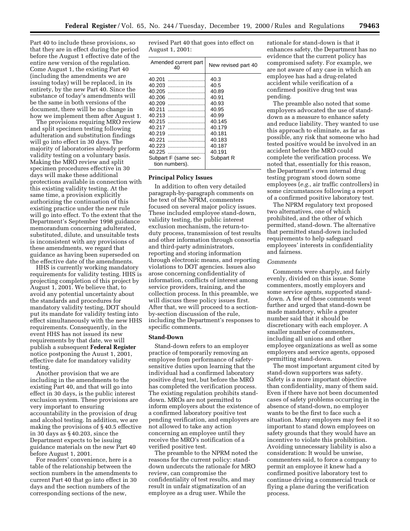Part 40 to include these provisions, so that they are in effect during the period before the August 1 effective date of the entire new version of the regulation. Come August 1, the existing Part 40 (including the amendments we are issuing today) will be replaced, in its entirety, by the new Part 40. Since the substance of today's amendments will be the same in both versions of the document, there will be no change in how we implement them after August 1.

The provisions requiring MRO review and split specimen testing following adulteration and substitution findings will go into effect in 30 days. The majority of laboratories already perform validity testing on a voluntary basis. Making the MRO review and split specimen procedures effective in 30 days will make these additional protections available in connection with this existing validity testing. At the same time, a provision explicitly authorizing the continuation of this existing practice under the new rule will go into effect. To the extent that the Department's September 1998 guidance memorandum concerning adulterated, substituted, dilute, and unsuitable tests is inconsistent with any provisions of these amendments, we regard that guidance as having been superseded on the effective date of the amendments.

HHS is currently working mandatory requirements for validity testing. HHS is projecting completion of this project by August 1, 2001. We believe that, to avoid any potential uncertainty about the standards and procedures for mandatory validity testing, DOT should put its mandate for validity testing into effect simultaneously with the new HHS requirements. Consequently, in the event HHS has not issued its new requirements by that date, we will publish a subsequent **Federal Register** notice postponing the Auust 1, 2001, effective date for mandatory validity testing.

Another provision that we are including in the amendments to the existing Part 40, and that will go into effect in 30 days, is the public interest exclusion system. These provisions are very important to ensuring accountability in the provision of drug and alcohol testing. In addition, we are making the provisions of § 40.5 effective in 30 days as § 40.203, since the Department expects to be issuing guidance materials on the new Part 40 before August 1, 2001.

For readers' convenience, here is a table of the relationship between the section numbers in the amendments to current Part 40 that go into effect in 30 days and the section numbers of the corresponding sections of the new,

revised Part 40 that goes into effect on August 1, 2001:

| Amended current part<br>40                                                                                                                                               | New revised part 40                                                                                                                |
|--------------------------------------------------------------------------------------------------------------------------------------------------------------------------|------------------------------------------------------------------------------------------------------------------------------------|
| 40.201<br>40.203<br>40.205<br>40.206<br>40.209<br>40.211<br>40.213<br>40.215<br>40.217<br>40.219<br>40.221<br>40.223<br>40.225<br>Subpart F (same sec-<br>tion numbers). | 40.3<br>40.5<br>40.89<br>40.91<br>40.93<br>40.95<br>40.99<br>40.145<br>40.179<br>40.181<br>40.183<br>40.187<br>40.191<br>Subpart R |
|                                                                                                                                                                          |                                                                                                                                    |

#### **Principal Policy Issues**

In addition to often very detailed paragraph-by-paragraph comments on the text of the NPRM, commenters focused on several major policy issues. These included employee stand-down, validity testing, the public interest exclusion mechanism, the return-toduty process, transmission of test results and other information through consortia and third-party administrators, reporting and storing information through electronic means, and reporting violations to DOT agencies. Issues also arose concerning confidentiality of information, conflicts of interest among service providers, training, and the collection process. In this preamble, we will discuss these policy issues first. After that, we will proceed to a sectionby-section discussion of the rule, including the Department's responses to specific comments.

#### **Stand-Down**

Stand-down refers to an employer practice of temporarily removing an employee from performance of safetysensitive duties upon learning that the individual had a confirmed laboratory positive drug test, but before the MRO has completed the verification process. The existing regulation prohibits standdown. MROs are not permitted to inform employers about the existence of a confirmed laboratory positive test pending verification, and employers are not allowed to take any action concerning an employee until they receive the MRO's notification of a verified positive test.

The preamble to the NPRM noted the reasons for the current policy: standdown undercuts the rationale for MRO review, can compromise the confidentiality of test results, and may result in unfair stigmatization of an employee as a drug user. While the

rationale for stand-down is that it enhances safety, the Department has no evidence that the current policy has compromised safety. For example, we are not aware of any case in which an employee has had a drug-related accident while verification of a confirmed positive drug test was pending.

The preamble also noted that some employers advocated the use of standdown as a measure to enhance safety and reduce liability. They wanted to use this approach to eliminate, as far as possible, any risk that someone who had tested positive would be involved in an accident before the MRO could complete the verification process. We noted that, essentially for this reason, the Department's own internal drug testing program stood down some employees (*e.g.*, air traffic controllers) in some circumstances following a report of a confirmed positive laboratory test.

The NPRM regulatory text proposed two alternatives, one of which prohibited, and the other of which permitted, stand-down. The alternative that permitted stand-down included requirements to help safeguard employees' interests in confidentiality and fairness.

#### *Comments*

Comments were sharply, and fairly evenly, divided on this issue. Some commenters, mostly employers and some service agents, supported standdown. A few of these comments went further and urged that stand-down be made mandatory, while a greater number said that it should be discretionary with each employer. A smaller number of commenters, including all unions and other employee organizations as well as some employers and service agents, opposed permitting stand-down.

The most important argument cited by stand-down supporters was safety. Safety is a more important objective than confidentiality, many of them said. Even if there have not been documented cases of safety problems occurring in the absence of stand-down, no employer wants to be the first to face such a situation. Many employers may feel it so important to stand down employees on safety grounds that they would have an incentive to violate this prohibition. Avoiding unnecessary liability is also a consideration: It would be unwise, commenters said, to force a company to permit an employee it knew had a confirmed positive laboratory test to continue driving a commercial truck or flying a plane during the verification process.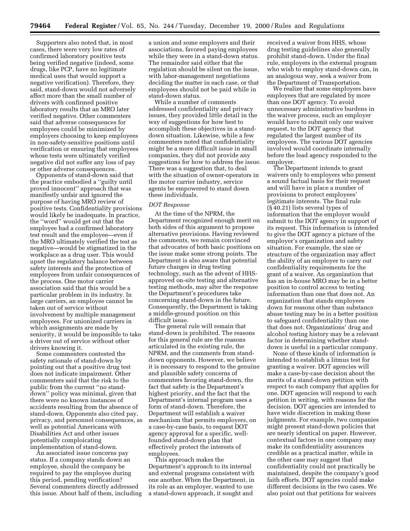Supporters also noted that, in most cases, there were very low rates of confirmed laboratory positive tests being verified negative (indeed, some drugs, like PCP, have no legitimate medical uses that would support a negative verification). Therefore, they said, stand-down would not adversely affect more than the small number of drivers with confirmed positive laboratory results that an MRO later verified negative. Other commenters said that adverse consequences for employees could be minimized by employers choosing to keep employees in non-safety-sensitive positions until verification or ensuring that employees whose tests were ultimately verified negative did not suffer any loss of pay or other adverse consequences.

Opponents of stand-down said that the practice embodied a ''guilty until proved innocent'' approach that was manifestly unfair and ignored the purpose of having MRO review of positive tests. Confidentiality provisions would likely be inadequate. In practice, the ''word'' would get out that the employee had a confirmed laboratory test result and the employee—even if the MRO ultimately verified the test as negative—would be stigmatized in the workplace as a drug user. This would upset the regulatory balance between safety interests and the protection of employees from unfair consequences of the process. One motor carrier association said that this would be a particular problem in its industry. In large carriers, an employee cannot be taken out of service without involvement by multiple management employees. For unionized carriers in which assignments are made by seniority, it would be impossible to take a driver out of service without other drivers knowing it.

Some commenters contested the safety rationale of stand-down by pointing out that a positive drug test does not indicate impairment. Other commenters said that the risk to the public from the current ''no standdown'' policy was minimal, given that there were no known instances of accidents resulting from the absence of stand-down. Opponents also cited pay, privacy, and personnel consequences, as well as potential Americans with Disabilities Act and other issues potentially comploicating implementation of stand-down.

An associated issue concerns pay status. If a company stands down an employee, should the company be required to pay the employee during this period, pending verification? Several commenters directly addressed this issue. About half of them, including

a union and some employers and their associations, favored paying employees while they were in a stand-down status. The remainder said either that the regulation should be silent on the issue, with labor-management negotiations deciding the matter in each case, or that employees should not be paid while in stand-down status.

While a number of comments addressed confidentiality and privacy issues, they provided little detail in the way of suggestions for how best to accomplish these objectives in a standdown situation. Likewise, while a few commenters noted that confidentiality might be a more difficult issue in small companies, they did not provide any suggestions for how to address the issue. There was a suggestion that, to deal with the situation of owner-operators in the motor carrier industry, service agents be empowered to stand down these individuals.

#### *DOT Response*

At the time of the NPRM, the Department recognized enough merit on both sides of this argument to propose alternative provisions. Having reviewed the comments, we remain convinced that advocates of both basic positions on the issue make some strong points. The Department is also aware that potential future changes in drug testing technology, such as the advent of HHSapproved on-site testing and alternative testing methods, may alter the response the Department's procedures take concerning stand-down in the future. Consequently, the Department is taking a middle-ground position on this difficult issue.

The general rule will remain that stand-down is prohibited. The reasons for this general rule are the reasons articulated in the existing rule, the NPRM, and the comments from standdown opponents. However, we believe it is necessary to respond to the genuine and plausible safety concerns of commenters favoring stand-down, the fact that safety is the Department's highest priority, and the fact that the Department's internal program uses a form of stand-down. Therefore, the Department will establish a waiver mechanism that permits employers, on a case-by-case basis, to request DOT agency approval for a specific, wellfounded stand-down plan that effectively protect the interests of employees.

This approach makes the Department's approach to its internal and external programs consistent with one another. When the Department, in its role as an employer, wanted to use a stand-down approach, it sought and

received a waiver from HHS, whose drug testing guidelines also generally prohibit stand-down. Under the final rule, employers in the external program who wish to employ stand-down can, in an analogous way, seek a waiver from the Department of Transportation.

We realize that some employers have employees that are regulated by more than one DOT agency. To avoid unnecessary administrative burdens in the waiver process, such an employer would have to submit only one waiver request, to the DOT agency that regulated the largest number of its employees. The various DOT agencies involved would coordinate internally before the lead agency responded to the employer.

The Department intends to grant waivers only to employers who present a sound factual basis for their request and will have in place a number of provisions to protect employees' legitimate interests. The final rule (§ 40.21) lists several types of information that the employer would submit to the DOT agency in support of its request. This information is intended to give the DOT agency a picture of the employer's organization and safety situation. For example, the size or structure of the organization may affect the ability of an employer to carry out confidentiality requirements for the grant of a waiver. An organization that has an in-house MRO may be in a better position to control access to testing information than one that does not. An organization that stands employees down for reasons other than substance abuse testing may be in a better position to safeguard confidentiality than one that does not. Organizations' drug and alcohol testing history may be a relevant factor in determining whether standdown is useful in a particular company.

None of these kinds of information is intended to establish a litmus test for granting a waiver. DOT agencies will make a case-by-case decision about the merits of a stand-down petition with respect to each company that applies for one. DOT agencies will respond to each petition in writing, with reasons for the decision. DOT agencies are intended to have wide discretion in making these judgments. For example, two companies might present stand-down policies that are nearly identical on paper. However, contextual factors in one company may make its confidentiality assurances credible as a practical matter, while in the other case may suggest that confidentiality could not practically be maintained, despite the company's good faith efforts. DOT agencies could make different decisions in the two cases. We also point out that petitions for waivers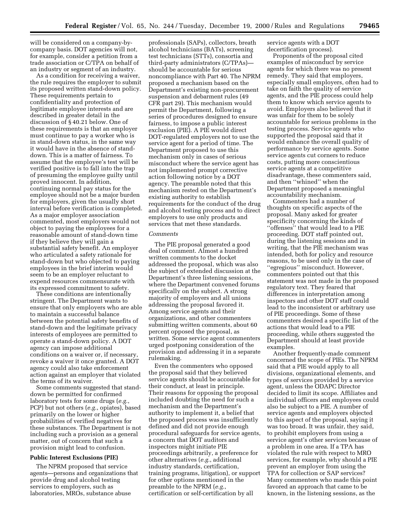will be considered on a company-bycompany basis. DOT agencies will not, for example, consider a petition from a trade association or C/TPA on behalf of an industry or segment of an industry.

As a condition for receiving a waiver, the rule requires the employer to submit its proposed written stand-down policy. These requirements pertain to confidentiality and protection of legitimate employee interests and are described in greater detail in the discussion of § 40.21 below. One of these requirements is that an employer must continue to pay a worker who is in stand-down status, in the same way it would have in the absence of standdown. This is a matter of fairness. To assume that the employee's test will be verified positive is to fall into the trap of presuming the employee guilty until proved innocent. In addition, continuing normal pay status for the employee should not be a major burden for employers, given the usually short interval before verification is completed. As a major employer association commented, most employers would not object to paying the employees for a reasonable amount of stand-down time if they believe they will gain a substantial safety benefit. An employer who articulated a safety rationale for stand-down but who objected to paying employees in the brief interim would seem to be an employer reluctant to expend resources commensurate with its expressed commitment to safety.

These conditions are intentionally stringent. The Department wants to ensure that only employers who are able to maintain a successful balance between the potential safety benefits of stand-down and the legitimate privacy interests of employees are permitted to operate a stand-down policy. A DOT agency can impose additional conditions on a waiver or, if necessary, revoke a waiver it once granted. A DOT agency could also take enforcement action against an employer that violated the terms of its waiver.

Some comments suggested that standdown be permitted for confirmed laboratory tests for some drugs (*e.g.*, PCP) but not others (*e.g.*, opiates), based primarily on the lower or higher probabilities of verified negatives for these substances. The Department is not including such a provision as a general matter, out of concern that such a provision might lead to confusion.

#### **Public Interest Exclusions (PIE)**

The NPRM proposed that service agents—persons and organizations that provide drug and alcohol testing services to employers, such as laboratories, MROs, substance abuse

professionals (SAPs), collectors, breath alcohol technicians (BATs), screening test technicians (STTs), consortia and third-party administrators (C/TPAs) should be accountable for serious noncompliance with Part 40. The NPRM proposed a mechanism based on the Department's existing non-procurement suspension and debarment rules (49 CFR part 29). This mechanism would permit the Department, following a series of procedures designed to ensure fairness, to impose a public interest exclusion (PIE). A PIE would direct DOT-regulated employers not to use the service agent for a period of time. The Department proposed to use this mechanism only in cases of serious misconduct where the service agent has not implemented prompt corrective action following notice by a DOT agency. The preamble noted that this mechanism rested on the Department's existing authority to establish requirements for the conduct of the drug and alcohol testing process and to direct employers to use only products and services that met these standards.

#### *Comments*

The PIE proposal generated a good deal of comment. Almost a hundred written comments to the docket addressed the proposal, which was also the subject of extended discussion at the Department's three listening sessions, where the Department convened forums specifically on the subject. A strong majority of employers and all unions addressing the proposal favored it. Among service agents and their organizations, and other commenters submitting written comments, about 60 percent opposed the proposal, as written. Some service agent commenters urged postponing consideration of the provision and addressing it in a separate rulemaking.

Even the commenters who opposed the proposal said that they believed service agents should be accountable for their conduct, at least in principle. Their reasons for opposing the proposal included doubting the need for such a mechanism and the Department's authority to implement it, a belief that the proposed process was insufficiently defined and did not provide enough procedural safeguards for service agents, a concern that DOT auditors and inspectors might initiate PIE proceedings arbitrarily, a preference for other alternatives (*e.g.*, additional industry standards, certification, training programs, litigation), or support for other options mentioned in the preamble to the NPRM (*e.g.*, certification or self-certification by all

service agents with a DOT decertification process).

Proponents of the proposal cited examples of misconduct by service agents for which there was no present remedy. They said that employers, especially small employers, often had to take on faith the quality of service agents, and the PIE process could help them to know which service agents to avoid. Employers also believed that it was unfair for them to be solely accountable for serious problems in the testing process. Service agents who supported the proposal said that it would enhance the overall quality of performance by service agents. Some service agents cut corners to reduce costs, putting more conscientious service agents at a competitive disadvantage, these commenters said, and then ''whined'' when the Department proposed a meaningful accountability mechanism.

Commenters had a number of thoughts on specific aspects of the proposal. Many asked for greater specificity concerning the kinds of ''offenses'' that would lead to a PIE proceeding. DOT staff pointed out, during the listening sessions and in writing, that the PIE mechanism was intended, both for policy and resource reasons, to be used only in the case of ''egregious'' misconduct. However, commenters pointed out that this statement was not made in the proposed regulatory text. They feared that differences in interpretation among inspectors and other DOT staff could lead to the inconsistent or arbitrary use of PIE proceedings. Some of these commenters desired a specific list of the actions that would lead to a PIE proceeding, while others suggested the Department should at least provide examples.

Another frequently-made comment concerned the scope of PIEs. The NPRM said that a PIE would apply to all divisions, organizational elements, and types of services provided by a service agent, unless the ODAPC Director decided to limit its scope. Affiliates and individual officers and employees could also be subject to a PIE. A number of service agents and employers objected to this aspect of the proposal, saying it was too broad. It was unfair, they said, to prohibit employers from using a service agent's other services because of a problem in one area. If a TPA has violated the rule with respect to MRO services, for example, why should a PIE prevent an employer from using the TPA for collection or SAP services? Many commenters who made this point favored an approach that came to be known, in the listening sessions, as the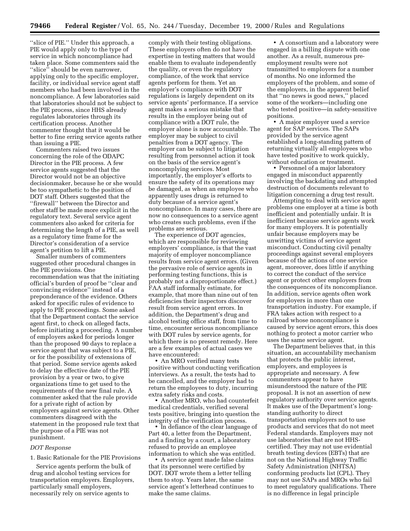''slice of PIE.'' Under this approach, a PIE would apply only to the type of service in which noncompliance had taken place. Some commenters said the ''slice'' should be even narrower, applying only to the specific employer, facility, or individual service agent staff members who had been involved in the noncompliance. A few laboratories said that laboratories should not be subject to the PIE process, since HHS already regulates laboratories through its certification process. Another commenter thought that it would be better to fine erring service agents rather than issuing a PIE.

Commenters raised two issues concerning the role of the ODAPC Director in the PIE process. A few service agents suggested that the Director would not be an objective decisionmaker, because he or she would be too sympathetic to the position of DOT staff. Others suggested that the ''firewall'' between the Director and other staff be made more explicit in the regulatory text. Several service agent commenters also asked for criteria for determining the length of a PIE, as well as a regulatory time frame for the Director's consideration of a service agent's petition to lift a PIE.

Smaller numbers of commenters suggested other procedural changes in the PIE provisions. One recommendation was that the initiating official's burden of proof be ''clear and convincing evidence'' instead of a preponderance of the evidence. Others asked for specific rules of evidence to apply to PIE proceedings. Some asked that the Department contact the service agent first, to check on alleged facts, before initiating a proceeding. A number of employers asked for periods longer than the proposed 90 days to replace a service agent that was subject to a PIE, or for the possibility of extensions of that period. Some service agents asked to delay the effective date of the PIE provision by a year or two, to give organizations time to get used to the requirements of the new final rule. A commenter asked that the rule provide for a private right of action by employers against service agents. Other commenters disagreed with the statement in the proposed rule text that the purpose of a PIE was not punishment.

#### *DOT Response*

1. Basic Rationale for the PIE Provisions

Service agents perform the bulk of drug and alcohol testing services for transportation employers. Employers, particularly small employers, necessarily rely on service agents to

comply with their testing obligations. These employers often do not have the expertise in testing matters that would enable them to evaluate independently the quality, or even the regulatory compliance, of the work that service agents perform for them. Yet an employer's compliance with DOT regulations is largely dependent on its service agents' performance. If a service agent makes a serious mistake that results in the employer being out of compliance with a DOT rule, the employer alone is now accountable. The employer may be subject to civil penalties from a DOT agency. The employer can be subject to litigation resulting from personnel action it took on the basis of the service agent's noncomplying services. Most importantly, the employer's efforts to ensure the safety of its operations may be damaged, as when an employee who apparently uses drugs is returned to duty because of a service agent's noncompliance. In many cases, there are now no consequences to a service agent who creates such problems, even if the problems are serious.

The experience of DOT agencies, which are responsible for reviewing employers' compliance, is that the vast majority of employer noncompliance results from service agent errors. (Given the pervasive role of service agents in performing testing functions, this is probably not a disproportionate effect.) FAA staff informally estimate, for example, that more than nine out of ten deficiencies their inspectors discover result from service agent errors. In addition, the Department's drug and alcohol testing office staff, from time to time, encounter serious noncompliance with DOT rules by service agents, for which there is no present remedy. Here are a few examples of actual cases we have encountered:

• An MRO verified many tests positive without conducting verification interviews. As a result, the tests had to be cancelled, and the employer had to return the employees to duty, incurring extra safety risks and costs.

• Another MRO, who had counterfeit medical credentials, verified several tests positive, bringing into question the integrity of the verification process.

• In defiance of the clear language of Part 40, a letter from the Department, and a finding by a court, a laboratory refused to provide an employee information to which she was entitled.

• A service agent made false claims that its personnel were certified by DOT. DOT wrote them a letter telling them to stop. Years later, the same service agent's letterhead continues to make the same claims.

• A consortium and a laboratory were engaged in a billing dispute with one another. As a result, numerous preemployment results were not transmitted to employers for a number of months. No one informed the employers of the problem, and some of the employers, in the apparent belief that ''no news is good news,'' placed some of the workers—including one who tested positive—in safety-sensitive positions.

• A major employer used a service agent for SAP services. The SAPs provided by the service agent established a long-standing pattern of returning virtually all employees who have tested positive to work quickly, without education or treatment.

• Personnel of a major laboratory engaged in misconduct apparently involving the backdating and attempted destruction of documents relevant to litigation concerning a drug test result.

Attempting to deal with service agent problems one employer at a time is both inefficient and potentially unfair. It is inefficient because service agents work for many employers. It is potentially unfair because employers may be unwitting victims of service agent misconduct. Conducting civil penalty proceedings against several employers because of the actions of one service agent, moreover, does little if anything to correct the conduct of the service agent or protect other employers from the consequences of its noncompliance. In addition, service agents often work for employers in more than one transportation industry. For example, if FRA takes action with respect to a railroad whose noncompliance is caused by service agent errors, this does nothing to protect a motor carrier who uses the same service agent.

The Department believes that, in this situation, an accountability mechanism that protects the public interest, employers, and employees is appropriate and necessary. A few commenters appear to have misunderstood the nature of the PIE proposal. It is not an assertion of new regulatory authority over service agents. It makes use of the Department's longstanding authority to direct transportation employers not to use products and services that do not meet Federal standards. Employers may not use laboratories that are not HHScertified. They may not use evidential breath testing devices (EBTs) that are not on the National Highway Traffic Safety Administration (NHTSA) conforming products list (CPL). They may not use SAPs and MROs who fail to meet regulatory qualifications. There is no difference in legal principle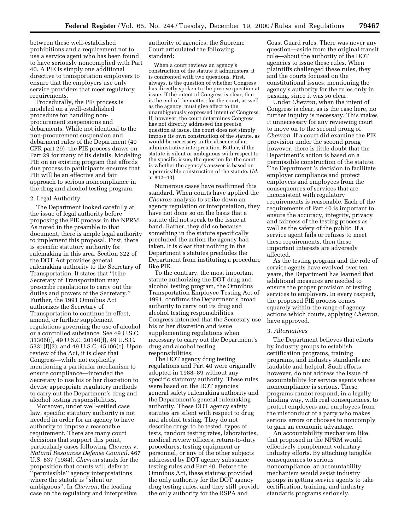between these well-established prohibitions and a requirement not to use a service agent who has been found to have seriously noncomplied with Part 40. A PIE is simply one additional directive to transportation employers to ensure that the employers use only service providers that meet regulatory requirements.

Procedurally, the PIE process is modeled on a well-established procedure for handling nonprocurement suspensions and debarments. While not identical to the non-procurement suspension and debarment rules of the Department (49 CFR part 29), the PIE process draws on Part 29 for many of its details. Modeling PIE on an existing program that affords due process to participants ensures that PIE will be an effective and fair approach to serious noncompliance in the drug and alcohol testing program.

#### 2. Legal Authority

The Department looked carefully at the issue of legal authority before proposing the PIE process in the NPRM. As noted in the preamble to that document, there is ample legal authority to implement this proposal. First, there is specific statutory authority for rulemaking in this area. Section 322 of the DOT Act provides general rulemaking authority to the Secretary of Transportation. It states that ''[t]he Secretary of Transportation may prescribe regulations to carry out the duties and powers of the Secretary.'' Further, the 1991 Omnibus Act authorizes the Secretary of Transportation to continue in effect, amend, or further supplement regulations governing the use of alcohol or a controlled substance. See 49 U.S.C. 31306(i), 49 U.S.C. 20140(f), 49 U.S.C. 5331(f)(3), and 49 U.S.C. 45106(c). Upon review of the Act, it is clear that Congress—while not explicitly mentioning a particular mechanism to ensure compliance—intended the Secretary to use his or her discretion to devise appropriate regulatory methods to carry out the Department's drug and alcohol testing responsibilities.

Moreover, under well-settled case law, specific statutory authority is not needed in order for an agency to have authority to impose a reasonable requirement. There are many court decisions that support this point, particularly cases following *Chevron* v. *Natural Resources Defense Council*, 467 U.S. 837 (1984). *Chevron* stands for the proposition that courts will defer to 'permissible" agency interpretations where the statute is ''silent or ambiguous''. In *Chevron*, the leading case on the regulatory and interpretive

authority of agencies, the Supreme Court articulated the following standard:

When a court reviews an agency's construction of the statute it administers, it is confronted with two questions. First, always, is the question of whether Congress has directly spoken to the precise question at issue. If the intent of Congress is clear, that is the end of the matter; for the court, as well as the agency, must give effect to the unambiguously expressed intent of Congress. If, however, the court determines Congress has not directly addressed the precise question at issue, the court does not simply impose its own construction of the statute, as would be necessary in the absence of an administrative interpretation. Rather, if the statute is silent or ambiguous with respect to the specific issue, the question for the court is whether the agency's answer is based on a permissible construction of the statute. (*Id.* at 842–43).

Numerous cases have reaffirmed this standard. When courts have applied the *Chevron* analysis to strike down an agency regulation or interpretation, they have not done so on the basis that a statute did not speak to the issue at hand. Rather, they did so because something in the statute specifically precluded the action the agency had taken. It is clear that nothing in the Department's statutes precludes the Department from instituting a procedure like PIE.

To the contrary, the most important statute authorizing the DOT drug and alcohol testing program, the Omnibus Transportation Employee Testing Act of 1991, confirms the Department's broad authority to carry out its drug and alcohol testing responsibilities. Congress intended that the Secretary use his or her discretion and issue supplementing regulations when necessary to carry out the Department's drug and alcohol testing responsibilities.

The DOT agency drug testing regulations and Part 40 were originally adopted in 1988–89 without any specific statutory authority. These rules were based on the DOT agencies' general safety rulemaking authority and the Department's general rulemaking authority. These DOT agency safety statutes are silent with respect to drug and alcohol testing. They do not describe drugs to be tested, types of tests, random testing rates, laboratories, medical review officers, return-to-duty procedures, testing equipment or personnel, or any of the other subjects addressed by DOT agency substance testing rules and Part 40. Before the Omnibus Act, these statutes provided the only authority for the DOT agency drug testing rules, and they still provide the only authority for the RSPA and

Coast Guard rules. There was never any question—aside from the original transit rule—about the authority of the DOT agencies to issue these rules. When plaintiffs challenged these rules, they and the courts focused on the constitutional issues, mentioning the agency's authority for the rules only in passing, since it was so clear.

Under *Chevron*, when the intent of Congress is clear, as is the case here, no further inquiry is necessary. This makes it unnecessary for any reviewing court to move on to the second prong of *Chevron*. If a court did examine the PIE provision under the second prong however, there is little doubt that the Department's action is based on a permissible construction of the statute. The Department 's decision to facilitate employer compliance and protect employers and employees from the consequences of services that are inconsistent with regulatory requirements is reasonable. Each of the requirements of Part 40 is important to ensure the accuracy, integrity, privacy and fairness of the testing process as well as the safety of the public. If a service agent fails or refuses to meet these requirements, then these important interests are adversely affected.

As the testing program and the role of service agents have evolved over ten years, the Department has learned that additional measures are needed to ensure the proper provision of testing services to employers. In every respect, the proposed PIE process comes squarely within the range of agency actions which courts, applying *Chevron*, have approved.

#### 3. *Alternatives*

The Department believes that efforts by industry groups to establish certification programs, training programs, and industry standards are laudable and helpful. Such efforts, however, do not address the issue of accountability for service agents whose noncompliance is serious. These programs cannot respond, in a legally binding way, with real consequences, to protect employers and employees from the misconduct of a party who makes serious errors or chooses to noncomply to gain an economic advantage.

An accountability mechanism like that proposed in the NPRM would effectively complement voluntary industry efforts. By attaching tangible consequences to serious noncompliance, an accountability mechanism would assist industry groups in getting service agents to take certification, training, and industry standards programs seriously.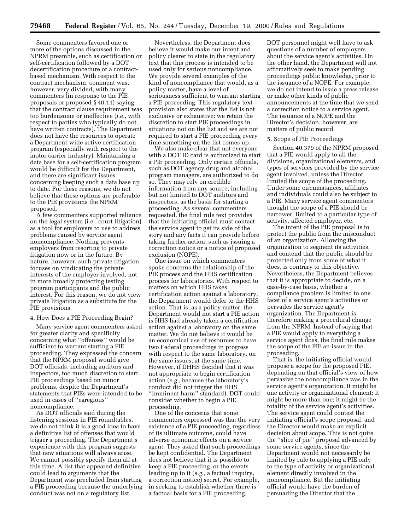Some commenters favored one or more of the options discussed in the NPRM preamble, such as certification or self-certification followed by a DOT decertification procedure or a contractbased mechanism. With respect to the contract mechanism, comment was, however, very divided, with many commenters (in response to the PIE proposals or proposed § 40.11) saying that the contract clause requirement was too burdensome or ineffective (*i.e.*, with respect to parties who typically do not have written contracts). The Department does not have the resources to operate a Department-wide active certification program (especially with respect to the motor carrier industry). Maintaining a data base for a self-certification program would be difficult for the Department, and there are significant issues concerning keeping such a data base up to date. For these reasons, we do not believe that these options are preferable to the PIE provisions the NPRM proposed.

A few commenters supported reliance on the legal system (i.e., court litigation) as a tool for employers to use to address problems caused by service agent noncompliance. Nothing prevents employers from resorting to private litigation now or in the future. By nature, however, such private litigation focuses on vindicating the private interests of the employer involved, not in more broadly protecting testing program participants and the public interest. For this reason, we do not view private litigation as a substitute for the PIE provisions.

#### 4. How Does a PIE Proceeding Begin?

Many service agent commenters asked for greater clarity and specificity concerning what ''offenses'' would be sufficient to warrant starting a PIE proceeding. They expressed the concern that the NPRM proposal would give DOT officials, including auditors and inspectors, too much discretion to start PIE proceedings based on minor problems, despite the Department's statements that PIEs were intended to be used in cases of ''egregious'' noncompliance.

As DOT officials said during the listening sessions in PIE roundtables, we do not think it is a good idea to have a definitive list of offenses that would trigger a proceeding. The Department's experience with this program suggests that new situations will always arise. We cannot possibly specify them all at this time. A list that appeared definitive could lead to arguments that the Department was precluded from starting a PIE proceeding because the underlying conduct was not on a regulatory list.

Nevertheless, the Department does believe it would make our intent and policy clearer to state in the regulatory text that this process is intended to be used only for serious noncompliance. We provide several examples of the kind of noncompliance that would, as a policy matter, have a level of seriousness sufficient to warrant starting a PIE proceeding. This regulatory text provision also states that the list is not exclusive or exhaustive: we retain the discretion to start PIE proceedings in situations not on the list and we are not required to start a PIE proceeding every time something on the list comes up.

We also make clear that not everyone with a DOT ID card is authorized to start a PIE proceeding. Only certain officials, such as DOT agency drug and alcohol program managers, are authorized to do so. They may rely on credible information from any source, including but not limited to DOT auditors and inspectors, as the basis for starting a proceeding. As several commenters requested, the final rule text provides that the initiating official must contact the service agent to get its side of the story and any facts it can provide before taking further action, such as issuing a correction notice or a notice of proposed exclusion (NOPE).

One issue on which commenters spoke concerns the relationship of the PIE process and the HHS certification process for laboratories. With respect to matters on which HHS takes certification action against a laboratory, the Department would defer to the HHS action. That is, as a policy matter, the Department would not start a PIE action is HHS had already taken a certification action against a laboratory on the same matter. We do not believe it would be an economical use of resources to have two Federal proceedings in progress with respect to the same laboratory, on the same issues, at the same time. However, if DHHS decided that it was not appropriate to begin certification action (*e.g.,* because the laboratory's conduct did not trigger the HHS ''imminent harm'' standard), DOT could consider whether to begin a PIE proceeding.

One of the concerns that some commenters expressed was that the very existence of a PIE proceeding, regardless of its ultimate outcome, could have adverse economic effects on a service agent. They asked that such proceedings be kept confidential. The Department does not believe that it is possible to keep a PIE proceeding, or the events leading up to it (*e.g.,* a factual inquiry, a correction notice) secret. For example, in seeking to establish whether there is a factual basis for a PIE proceeding,

DOT personnel might well have to ask questions of a number of employers about the service agent's activities. On the other hand, the Department will not affirmatively seek to make pending proceedings public knowledge, prior to the issuance of a NOPE. For example, we do not intend to issue a press release or make other kinds of public announcements at the time that we send a correction notice to a service agent. The issuance of a NOPE and the Director's decision, however, are matters of public record.

#### 5. Scope of PIE Proceedings

Section 40.379 of the NPRM proposed that a PIE would apply to all the divisions, organizational elements, and types of services provided by the service agent involved, unless the Director limited the scope of the proceeding. Under some circumstances, affiliates and individuals could also be subject to a PIE. Many service agent commenters thought the scope of a PIE should be narrower, limited to a particular type of activity, affected employer, etc.

The intent of the PIE proposal is to protect the public from the misconduct of an organization. Allowing the organization to segment its activities, and contend that the public should be protected only from some of what it does, is contrary to this objective. Nevertheless, the Department believes that it is appropriate to decide, on a case-by-case basis, whether a compliance problem is limited to one facet of a service agent's activities or pervades the service agent's organization. The Department is therefore making a procedural change from the NPRM. Instead of saying that a PIE would apply to everything a service agent does, the final rule makes the scope of the PIE an issue in the proceeding.

That is, the initiating official would propose a scope for the proposed PIE, depending on that official's view of how pervasive the noncompliance was in the service agent's organization. It might be one activity or organizational element; it might be more than one; it might be the totality of the service agent's activities. The service agent could contest the initiating official's scope proposal, and the Director would make an explicit decision about scope. This is not quite the ''slice of pie'' proposal advanced by some service agents, since the Department would not necessarily be limited by rule to applying a PIE only to the type of activity or organizational element directly involved in the noncompliance. But the initiating official would have the burden of persuading the Director that the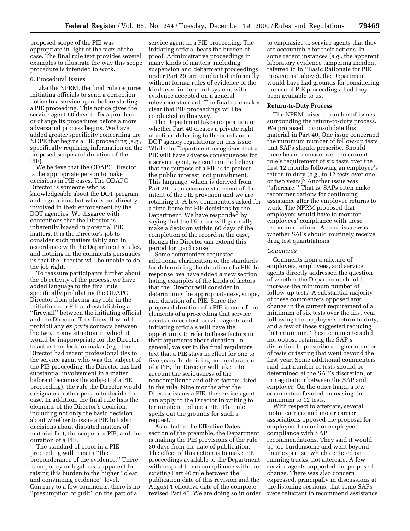proposed scope of the PIE was appropriate in light of the facts of the case. The final rule text provides several examples to illustrate the way this scope procedure is intended to work.

#### 6. Procedural Issues

Like the NPRM, the final rule requires initiating officials to send a correction notice to a service agent before starting a PIE proceeding. This notice gives the service agent 60 days to fix a problem or change its procedures before a more adversarial process begins. We have added greater specificity concerning the NOPE that begins a PIE proceeding (*e.g.,* specifically requiring information on the proposed scope and duration of the PIE).

We believe that the ODAPC Director is the appropriate person to make decisions in PIE cases. The ODAPC Director is someone who is knowledgeable about the DOT program and regulations but who is not directly involved in their enforcement by the DOT agencies. We disagree with contentions that the Director is inherently biased in potential PIE matters. It is the Director's job to consider such matters fairly and in accordance with the Department's rules, and nothing in the comments persuades us that the Director will be unable to do the job right.

To reassure participants further about the objectivity of the process, we have added language to the final rule specifically prohibiting the ODAPC Director from playing any role in the initiation of a PIE and establishing a ''firewall'' between the initiating official and the Director. This firewall would prohibit any *ex parte* contacts between the two. In any situation in which it would be inappropriate for the Director to act as the decisionmaker (*e.g.,* the Director had recent professional ties to the service agent who was the subject of the PIE proceeding, the Director has had substantial involvement in a matter before it becomes the subject of a PIE proceeding), the rule the Director would designate another person to decide the case. In addition, the final rule lists the elements of the Director's decision, including not only the basic decision about whether to issue a PIE but also decisions about disputed matters of material fact, the scope of a PIE, and the duration of a PIE.

The standard of proof in a PIE proceeding will remain ''the preponderance of the evidence.'' There is no policy or legal basis apparent for raising this burden to the higher ''clear and convincing evidence" level. Contrary to a few comments, there is no ''presumption of guilt'' on the part of a

service agent in a PIE proceeding. The initiating official bears the burden of proof. Administrative proceedings in many kinds of matters, including suspension and debarment proceedings under Part 29, are conducted informally, without formal rules of evidence of the kind used in the court system, with evidence accepted on a general relevance standard. The final rule makes clear that PIE proceedings will be conducted in this way.

The Department takes no position on whether Part 40 creates a private right of action, deferring to the courts or to DOT agency regulations on this issue. While the Department recognizes that a PIE will have adverse consequences for a service agent, we continue to believe that the purpose of a PIE is to protect the public interest, not punishment. This language, which is derived from Part 29, is an accurate statement of the intent of the PIE provision and we are retaining it. A few commenters asked for a time frame for PIE decisions by the Department. We have responded by saying that the Director will generally make a decision within 60 days of the completion of the record in the case, though the Director can extend this period for good cause.

Some commenters requested additional clarification of the standards for determining the duration of a PIE. In response, we have added a new section listing examples of the kinds of factors that the Director will consider in determining the appropriateness, scope, and duration of a PIE. Since the proposed duration of a PIE is one of the elements of a proceeding that service agents can contest, service agents and initiating officials will have the opportunity to refer to these factors in their arguments about duration. In general, we say in the final regulatory text that a PIE stays in effect for one to five years. In deciding on the duration of a PIE, the Director will take into account the seriousness of the noncompliance and other factors listed in the rule. Nine months after the Director issues a PIE, the service agent can apply to the Director in writing to terminate or reduce a PIE. The rule spells out the grounds for such a request.

As noted in the **Effective Dates** section of the preamble, the Department is making the PIE provisions of the rule 30 days from the date of publication. The effect of this action is to make PIE proceedings available to the Department with respect to noncompliance with the existing Part 40 rule between the publication date of this revision and the August 1 effective date of the complete revised Part 40. We are doing so in order

to emphasize to service agents that they are accountable for their actions. In some recent instances (*e.g.,* the apparent laboratory evidence tampering incident referred to in ''Basic Rationale for PIE Provisions'' above), the Department would have had grounds for considering the use of PIE proceedings, had they been available to us.

#### **Return-to-Duty Process**

The NPRM raised a number of issues surrounding the return-to-duty process. We proposed to consolidate this material in Part 40. One issue concerned the minimum number of follow-up tests that SAPs should prescribe. Should there be an increase over the current rule's requirement of six tests over the first 12 months following an employee's return to duty (*e.g.,* to 12 tests over one or two years)? Another issue was ''aftercare.'' That is, SAPs often make recommendations for continuing assistance after the employee returns to work. The NPRM proposed that employers would have to monitor employees' compliance with these recommendations. A third issue was whether SAPs should routinely receive drug test quantitations.

#### *Comments*

Comments from a mixture of employers, employees, and service agents directly addressed the question of whether the Department should increase the minimum number of follow-up tests. A substantial majority of these commenters opposed any change in the current requirement of a minimum of six tests over the first year following the employee's return to duty, and a few of these suggested reducing that minimum. These commenters did not oppose retaining the SAP's discretion to prescribe a higher number of tests or testing that went beyond the first year. Some additional commenters said that number of tests should be determined at the SAP's discretion, or in negotiation between the SAP and employer. On the other hand, a few commenters favored increasing the minimum to 12 tests.

With respect to aftercare, several motor carriers and motor carrier associations opposed the proposal for employers to monitor employee compliance with SAP recommendations. They said it would be too burdensome and went beyond their expertise, which centered on running trucks, not aftercare. A few service agents supported the proposed change. There was also concern expressed, principally in discussions at the listening sessions, that some SAPs were reluctant to recommend assistance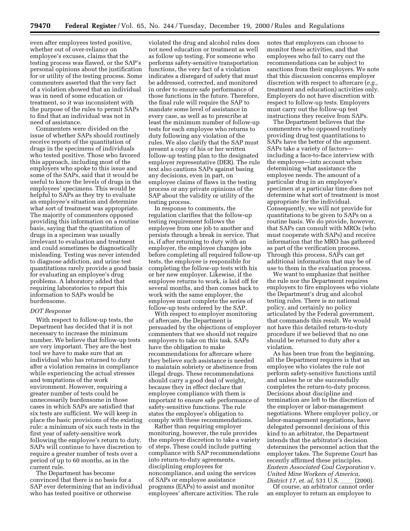even after employees tested positive, whether out of over-reliance on employee's excuses, claims that the testing process was flawed, or the SAP's personal opinions about the justification for or utility of the testing process. Some commenters asserted that the very fact of a violation showed that an individual was in need of some education or treatment, so it was inconsistent with the purpose of the rules to permit SAPs to find that an individual was not in need of assistance.

Commenters were divided on the issue of whether SAPs should routinely receive reports of the quantitation of drugs in the specimens of individuals who tested positive. Those who favored this approach, including most of the employers who spoke to this issue and some of the SAPs, said that it would be useful to know the levels of drugs in the employees' specimens. This would be helpful to SAPs as they try to evaluate an employee's situation and determine what sort of treatment was appropriate. The majority of commenters opposed providing this information on a routine basis, saying that the quantitation of drugs in a specimen was usually irrelevant to evaluation and treatment and could sometimes be diagnostically misleading. Testing was never intended to diagnose addiction, and urine test quantitations rarely provide a good basis for evaluating an employee's drug problems. A laboratory added that requiring laboratories to report this information to SAPs would be burdensome.

#### *DOT Response*

With respect to follow-up tests, the Department has decided that it is not necessary to increase the minimum number. We believe that follow-up tests are very important. They are the best tool we have to make sure that an individual who has returned to duty after a violation remains in compliance while experiencing the actual stresses and temptations of the work environment. However, requiring a greater number of tests could be unnecessarily burdensome in those cases in which SAPs are satisfied that six tests are sufficient. We will keep in place the basic provisions of the existing rule: a minimum of six such tests in the first year of safety-sensitive work following the employee's return to duty. SAPs will continue to have discretion to require a greater number of tests over a period of up to 60 months, as in the current rule.

The Department has become convinced that there is no basis for a SAP ever determining that an individual who has tested positive or otherwise

violated the drug and alcohol rules does not need education or treatment as well as follow up testing. For someone who performs safety-sensitive transportation functions, the very fact of a violation indicates a disregard of safety that must be addressed, corrected, and monitored in order to ensure safe performance of those functions in the future. Therefore, the final rule will require the SAP to mandate some level of assistance in every case, as well as to prescribe at least the minimum number of follow-up tests for each employee who returns to duty following any violation of the rules. We also clarify that the SAP must present a copy of his or her written follow-up testing plan to the designated employer representative (DER). The rule text also cautions SAPs against basing any decisions, even in part, on employee claims of flaws in the testing process or any private opinions of the SAP about the validity or utility of the testing process.

In response to comments, the regulation clarifies that the follow-up testing requirement follows the employee from one job to another and persists through a break in service. That is, if after returning to duty with an employer, the employee changes jobs before completing all required follow-up tests, the employee is responsible for completing the follow-up tests with his or her new employer. Likewise, if the employee returns to work, is laid off for several months, and then comes back to work with the same employer, the employee must complete the series of follow-up tests ordered by the SAP.

With respect to employer monitoring of aftercare, the Department is persuaded by the objections of employer commenters that we should not require employers to take on this task. SAPs have the obligation to make recommendations for aftercare where they believe such assistance is needed to maintain sobriety or abstinence from illegal drugs. These recommendations should carry a good deal of weight, because they in effect declare that employee compliance with them is important to ensure safe performance of safety-sensitive functions. The rule states the employee's obligation to comply with these recommendations.

Rather than requiring employer monitoring, however, the rule provides the employer discretion to take a variety of steps. These could include putting compliance with SAP recommendations into return-to-duty agreements, disciplining employees for noncompliance, and using the services of SAPs or employee assistance programs (EAPs) to assist and monitor employees' aftercare activities. The rule

notes that employers can choose to monitor these activities, and that employees who fail to carry out the recommendations can be subject to sanctions from their employers. We note that this discussion concerns employer discretion with respect to aftercare (*e.g.,* treatment and education) activities only. Employers do not have discretion with respect to follow-up tests. Employers must carry out the follow-up test instructions they receive from SAPs.

The Department believes that the commenters who opposed routinely providing drug test quantitations to SAPs have the better of the argument. SAPs take a variety of factors including a face-to-face interview with the employee—into account when determining what assistance the employee needs. The amount of a particular drug in an employee's specimen at a particular time does not determine what sort of treatment is most appropriate for the individual. Consequently, we will not provide for quantitations to be given to SAPs on a routine basis. We do provide, however, that SAPs can consult with MROs (who must cooperate with SAPs) and receive information that the MRO has gathered as part of the verification process. Through this process, SAPs can get additional information that may be of use to them in the evaluation process.

We want to emphasize that neither the rule nor the Department requires employers to fire employees who violate the Department's drug and alcohol testing rules. There is no national policy, and certainly no policy articulated by the Federal government, that commands this result. We would not have this detailed return-to-duty procedure if we believed that no one should be returned to duty after a violation.

As has been true from the beginning, all the Department requires is that an employee who violates the rule not perform safety-sensitive functions until and unless he or she successfully completes the return-to-duty process. Decisions about discipline and termination are left to the discretion of the employer or labor-management negotiations. Where employer policy, or labor-management negotiations, have delegated personnel decisions of this kind to an arbitrator, the Department intends that the arbitrator's decision determines the personnel action that the employer takes. The Supreme Court has recently affirmed these principles. *Eastern Associated Coal Corporation* v. *United Mine Workers of America, District 17, et. al,* 531 U.S. \_\_\_\_ (2000).

Of course, an arbitrator cannot order an employer to return an employee to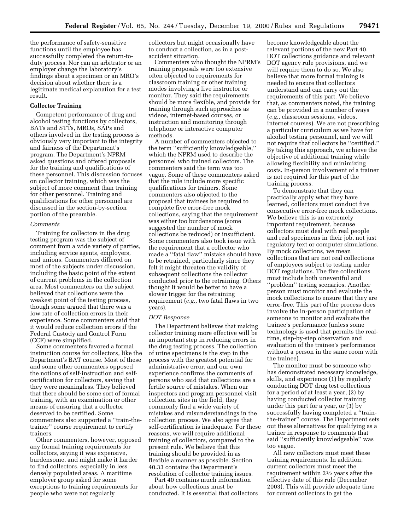the performance of safety-sensitive functions until the employee has successfully completed the return-toduty process. Nor can an arbitrator or an employer change the laboratory's findings about a specimen or an MRO's decision about whether there is a legitimate medical explanation for a test result.

#### **Collector Training**

Competent performance of drug and alcohol testing functions by collectors, BATs and STTs, MROs, SAPs and others involved in the testing process is obviously very important to the integrity and fairness of the Department's program. The Department's NPRM asked questions and offered proposals for the training and qualifications of these personnel. This discussion focuses on collector training, which was the subject of more comment than training for other personnel. Training and qualifications for other personnel are discussed in the section-by-section portion of the preamble.

#### *Comments*

Training for collectors in the drug testing program was the subject of comment from a wide variety of parties, including service agents, employers, and unions. Commenters differed on most of the subjects under discussion, including the basic point of the extent of current problems in the collection area. Most commenters on the subject believed that collections were the weakest point of the testing process, though some argued that there was a low rate of collection errors in their experience. Some commenters said that it would reduce collection errors if the Federal Custody and Control Form (CCF) were simplified.

Some commenters favored a formal instruction course for collectors, like the Department's BAT course. Most of these and some other commenters opposed the notions of self-instruction and selfcertification for collectors, saying that they were meaningless. They believed that there should be some sort of formal training, with an examination or other means of ensuring that a collector deserved to be certified. Some commenters also supported a ''train-thetrainer'' course requirement to certify trainers.

Other commenters, however, opposed any formal training requirements for collectors, saying it was expensive, burdensome, and might make it harder to find collectors, especially in less densely populated areas. A maritime employer group asked for some exceptions to training requirements for people who were not regularly

collectors but might occasionally have to conduct a collection, as in a postaccident situation.

Commenters who thought the NPRM's training proposals were too extensive often objected to requirements for classroom training or other training modes involving a live instructor or monitor. They said the requirements should be more flexible, and provide for training through such approaches as videos, internet-based courses, or instruction and monitoring through telephone or interactive computer methods.

A number of commenters objected to the term ''sufficiently knowledgeable,'' which the NPRM used to describe the personnel who trained collectors. The commenters said the term was too vague. Some of these commenters asked that the rule include more specific qualifications for trainers. Some commenters also objected to the proposal that trainees be required to complete five error-free mock collections, saying that the requirement was either too burdensome (some suggested the number of mock collections be reduced) or insufficient. Some commenters also took issue with the requirement that a collector who made a ''fatal flaw'' mistake should have to be retrained, particularly since they felt it might threaten the validity of subsequent collections the collector conducted prior to the retraining. Others thought it would be better to have a slower trigger for the retraining requirement (*e.g.,* two fatal flaws in two years).

#### *DOT Response*

The Department believes that making collector training more effective will be an important step in reducing errors in the drug testing process. The collection of urine specimens is the step in the process with the greatest potential for administrative error, and our own experience confirms the comments of persons who said that collections are a fertile source of mistakes. When our inspectors and program personnel visit collection sites in the field, they commonly find a wide variety of mistakes and misunderstandings in the collection process. We also agree that self-certification is inadequate. For these reasons, we will require additional training of collectors, compared to the present rule. We believe that this training should be provided in as flexible a manner as possible. Section 40.33 contains the Department's resolution of collector training issues.

Part 40 contains much information about how collections must be conducted. It is essential that collectors

become knowledgeable about the relevant portions of the new Part 40, DOT collections guidance and relevant DOT agency rule provisions, and we will require them to do so. We also believe that more formal training is needed to ensure that collectors understand and can carry out the requirements of this part. We believe that, as commenters noted, the training can be provided in a number of ways (*e.g.,* classroom sessions, videos, internet courses). We are not prescribing a particular curriculum as we have for alcohol testing personnel, and we will not require that collectors be ''certified.'' By taking this approach, we achieve the objective of additional training while allowing flexibility and minimizing costs. In-person involvement of a trainer is not required for this part of the training process.

To demonstrate that they can practically apply what they have learned, collectors must conduct five consecutive error-free mock collections. We believe this is an extremely important requirement, because collectors must deal with real people and real specimens in their job, not just regulatory text or computer simulations. By mock collections, we mean collections that are not real collections of employees subject to testing under DOT regulations. The five collections must include both uneventful and ''problem'' testing scenarios. Another person must monitor and evaluate the mock collections to ensure that they are error-free. This part of the process does involve the in-person participation of someone to monitor and evaluate the trainee's performance (unless some technology is used that permits the realtime, step-by-step observation and evaluation of the trainee's performance without a person in the same room with the trainee).

The monitor must be someone who has demonstrated necessary knowledge, skills, and experience (1) by regularly conducting DOT drug test collections for a period of at least a year, (2) by having conducted collector training under this part for a year, or (3) by successfully having completed a ''trainthe-trainer'' course. The Department sets out these alternatives for qualifying as a trainer in response to comments that said ''sufficiently knowledgeable'' was too vague.

All new collectors must meet these training requirements. In addition, current collectors must meet the requirement within 21⁄2 years after the effective date of this rule (December 2003). This will provide adequate time for current collectors to get the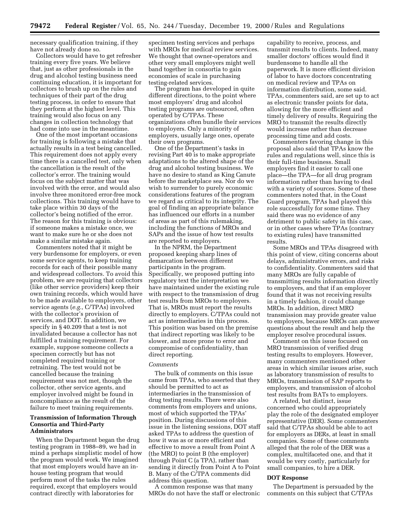necessary qualification training, if they have not already done so.

Collectors would have to get refresher training every five years. We believe that, just as other professionals in the drug and alcohol testing business need continuing education, it is important for collectors to brush up on the rules and techniques of their part of the drug testing process, in order to ensure that they perform at the highest level. This training would also focus on any changes in collection technology that had come into use in the meantime.

One of the most important occasions for training is following a mistake that actually results in a test being cancelled. This requirement does not apply every time there is a cancelled test, only when the cancellation is the result of the collector's error. The training would focus on the subject matter that was involved with the error, and would also involve three monitored error-free mock collections. This training would have to take place within 30 days of the collector's being notified of the error. The reason for this training is obvious: if someone makes a mistake once, we want to make sure he or she does not make a similar mistake again.

Commenters noted that it might be very burdensome for employers, or even some service agents, to keep training records for each of their possible many and widespread collectors. To avoid this problem, we are requiring that collectors (like other service providers) keep their own training records, which would have to be made available to employers, other service agents (*e.g.,* C/TPAs) involved with the collector's provision of services, and DOT. In addition, we specify in § 40.209 that a test is not invalidated because a collector has not fulfilled a training requirement. For example, suppose someone collects a specimen correctly but has not completed required training or retraining. The test would not be cancelled because the training requirement was not met, though the collector, other service agents, and employer involved might be found in noncompliance as the result of the failure to meet training requirements.

#### **Transmission of Information Through Consortia and Third-Party Administrators**

When the Department began the drug testing program in 1988–89, we had in mind a perhaps simplistic model of how the program would work. We imagined that most employers would have an inhouse testing program that would perform most of the tasks the rules required, except that employers would contract directly with laboratories for

specimen testing services and perhaps with MROs for medical review services. We thought that owner-operators and other very small employers might well band together in consortia to gain economies of scale in purchasing testing-related services.

The program has developed in quite different directions, to the point where most employers' drug and alcohol testing programs are outsourced, often operated by C/TPAs. These organizations often bundle their services to employers. Only a minority of employers, usually large ones, operate their own programs.

One of the Department's tasks in revising Part 40 is to make appropriate adaptations to the altered shape of the drug and alcohol testing business. We have no desire to stand as King Canute before the marketplace sea. Nor do we wish to surrender to purely economic considerations features of the program we regard as critical to its integrity. The goal of finding an appropriate balance has influenced our efforts in a number of areas as part of this rulemaking, including the functions of MROs and SAPs and the issue of how test results are reported to employers.

In the NPRM, the Department proposed keeping sharp lines of demarcation between different participants in the program. Specifically, we proposed putting into regulatory text the interpretation we have maintained under the existing rule with respect to the transmission of drug test results from MROs to employers. That is, MROs must report the results directly to employers. C/TPAs could not act as intermediaries in this process. This position was based on the premise that indirect reporting was likely to be slower, and more prone to error and compromise of confidentiality, than direct reporting.

#### *Comments*

The bulk of comments on this issue came from TPAs, who asserted that they should be permitted to act as intermediaries in the transmission of drug testing results. There were also comments from employers and unions, most of which supported the TPAs' position. During discussions of this issue in the listening sessions, DOT staff asked TPAs to address the question of how it was as or more efficient and effective to move a result from Point A (the MRO) to point B (the employer) through Point C (a TPA), rather than sending it directly from Point A to Point B. Many of the C/TPA comments did address this question.

A common response was that many MROs do not have the staff or electronic

capability to receive, process, and transmit results to clients. Indeed, many smaller doctors' offices would find it burdensome to handle all the paperwork. It is more efficient division of labor to have doctors concentrating on medical review and TPAs on information distribution, some said. TPAs, commenters said, are set up to act as electronic transfer points for data, allowing for the more efficient and timely delivery of results. Requiring the MRO to transmit the results directly would increase rather than decrease processing time and add costs.

Commenters favoring change in this proposal also said that TPAs know the rules and regulations well, since this is their full-time business. Small employers find it easier to call one place—the TPA—for all drug program information rather than having to deal with a variety of sources. Some of these commenters noted that, in the Coast Guard program, TPAs had played this role successfully for some time. They said there was no evidence of any detriment to public safety in this case, or in other cases where TPAs (contrary to existing rules) have transmitted results.

Some MROs and TPAs disagreed with this point of view, citing concerns about delays, administrative errors, and risks to confidentiality. Commenters said that many MROs are fully capable of transmitting results information directly to employers, and that if an employer found that it was not receiving results in a timely fashion, it could change MROs. In addition, direct MRO transmission may provide greater value to employers, because MROs can answer questions about the result and help the employer resolve procedural issues.

Comment on this issue focused on MRO transmission of verified drug testing results to employers. However, many commenters mentioned other areas in which similar issues arise, such as laboratory transmission of results to MROs, transmission of SAP reports to employers, and transmission of alcohol test results from BATs to employers.

A related, but distinct, issue concerned who could appropriately play the role of the designated employer representative (DER). Some commenters said that C/TPAs should be able to act for employers as DERs, at least in small companies. Some of these comments alleged that the role of the DER was a complex, multifaceted one, and that it would be very costly, particularly for small companies, to hire a DER.

#### **DOT Response**

The Department is persuaded by the comments on this subject that C/TPAs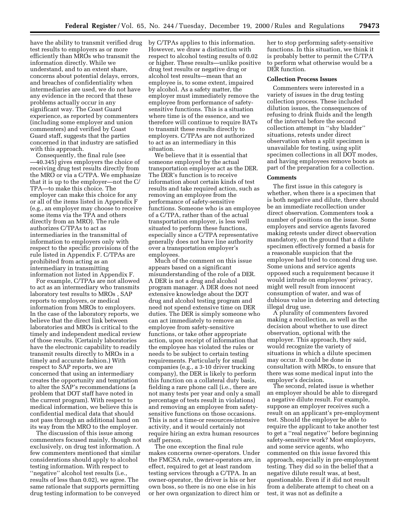have the ability to transmit verified drug test results to employers as or more efficiently than MROs who transmit the information directly. While we understand, and to an extent share, concerns about potential delays, errors, and breaches of confidentiality when intermediaries are used, we do not have any evidence in the record that these problems actually occur in any significant way. The Coast Guard experience, as reported by commenters (including some employer and union commenters) and verified by Coast Guard staff, suggests that the parties concerned in that industry are satisfied with this approach.

Consequently, the final rule (see —40.345) gives employers the choice of receiving drug test results directly from the MRO or via a C/TPA. We emphasize that it is up to the employer—not the C/ TPA—to make this choice. The employer can make this choice for any or all of the items listed in Appendix F (e.g., an employer may choose to receive some items via the TPA and others directly from an MRO). The rule authorizes C/TPAs to act as intermediaries in the transmittal of information to employers only with respect to the specific provisions of the rule listed in Appendix F. C/TPAs are prohibited from acting as an intermediary in transmitting information not listed in Appendix F.

For example, C/TPAs are not allowed to act as an intermediary who transmits laboratory test results to MROs , SAP reports to employers, or medical information from MROs to employers. In the case of the laboratory reports, we believe that the direct link between laboratories and MROs is critical to the timely and independent medical review of those results. (Certainly laboratories have the electronic capability to readily transmit results directly to MROs in a timely and accurate fashion.) With respect to SAP reports, we are concerned that using an intermediary creates the opportunity and temptation to alter the SAP's recommendations (a problem that DOT staff have noted in the current program). With respect to medical information, we believe this is confidential medical data that should not pass through an additional hand on its way from the MRO to the employer.

The discussion of this issue among commenters focused mainly, though not exclusively, on drug test information. A few commenters mentioned that similar considerations should apply to alcohol testing information. With respect to ''negative'' alcohol test results (i.e., results of less than 0.02), we agree. The same rationale that supports permitting drug testing information to be conveyed

by C/TPAs applies to this information. However, we draw a distinction with respect to alcohol testing results of 0.02 or higher. These results—unlike positive drug test results or negative drug or alcohol test results—mean that an employee is, to some extent, impaired by alcohol. As a safety matter, the employer must immediately remove the employee from performance of safetysensitive functions. This is a situation where time is of the essence, and we therefore will continue to require BATs to transmit these results directly to employers. C/TPAs are not authorized to act as an intermediary in this situation.

We believe that it is essential that someone employed by the actual transportation employer act as the DER. The DER's function is to receive information about certain kinds of test results and take required action, such as removing an employee from the performance of safety-sensitive functions. Someone who is an employee of a C/TPA, rather than of the actual transportation employer, is less well situated to perform these functions, especially since a C/TPA representative generally does not have line authority over a transportation employer's employees.

Much of the comment on this issue appears based on a significant misunderstanding of the role of a DER. A DER is not a drug and alcohol program manager. A DER does not need extensive knowledge about the DOT drug and alcohol testing program and need not spend extensive time on DER duties. The DER is simply someone who can act immediately to remove an employee from safety-sensitive functions, or take other appropriate action, upon receipt of information that the employee has violated the rules or needs to be subject to certain testing requirements. Particularly for small companies (e.g., a 3-10 driver trucking company), the DER is likely to perform this function on a collateral duty basis, fielding a rare phone call (i.e., there are not many tests per year and only a small percentage of tests result in violations) and removing an employee from safetysensitive functions on those occasions. This is not a time-or resources-intensive activity, and it would certainly not require hiring an extra human resources staff person.

The one exception the final rule makes concerns owner-operators. Under the FMCSA rule, owner-operators are, in effect, required to get at least random testing services through a C/TPA. In an owner-operator, the driver is his or her own boss, so there is no one else in his or her own organization to direct him or

her to stop performing safety-sensitive functions. In this situation, we think it is probably better to permit the C/TPA to perform what otherwise would be a DER function.

#### **Collection Process Issues**

Commenters were interested in a variety of issues in the drug testing collection process. These included dilution issues, the consequences of refusing to drink fluids and the length of the interval before the second collection attempt in ''shy bladder'' situations, retests under direct observation when a split specimen is unavailable for testing, using split specimen collections in all DOT modes, and having employees remove boots as part of the preparation for a collection.

#### **Comments**

The first issue in this category is whether, when there is a specimen that is both negative and dilute, there should be an immediate recollection under direct observation. Commenters took a number of positions on the issue. Some employers and service agents favored making retests under direct observation mandatory, on the ground that a dilute specimen effectively formed a basis for a reasonable suspicion that the employee had tried to conceal drug use. Some unions and service agents opposed such a requirement because it would intrude on employees' privacy, might well result from innocent consumption of water, and was of dubious value in deterring and detecting illegal drug use.

A plurality of commenters favored making a recollection, as well as the decision about whether to use direct observation, optional with the employer. This approach, they said, would recognize the variety of situations in which a dilute specimen may occur. It could be done in consultation with MROs, to ensure that there was some medical input into the employer's decision.

The second, related issue is whether an employer should be able to disregard a negative dilute result. For example, suppose an employer receives such a result on an applicant's pre-employment test. Should the employer be able to require the applicant to take another test to get a ''real negative'' before beginning safety-sensitive work? Most employers, and some service agents, who commented on this issue favored this approach, especially in pre-employment testing. They did so in the belief that a negative dilute result was, at best, questionable. Even if it did not result from a deliberate attempt to cheat on a test, it was not as definite a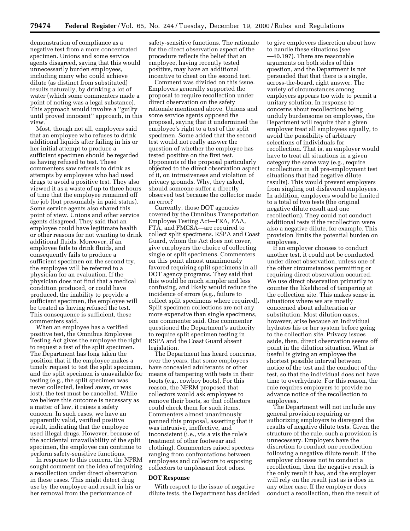demonstration of compliance as a negative test from a more concentrated specimen. Unions and some service agents disagreed, saying that this would unnecessarily burden employees, including many who could achieve dilute (as distinct from substituted) results naturally, by drinking a lot of water (which some commenters made a point of noting was a legal substance). This approach would involve a ''guilty until proved innocent'' approach, in this view.

Most, though not all, employers said that an employee who refuses to drink additional liquids after failing in his or her initial attempt to produce a sufficient specimen should be regarded as having refused to test. These commenters saw refusals to drink as attempts by employees who had used drugs to avoid a positive test. They also viewed it as a waste of up to three hours of time that the employee remained off the job (but presumably in paid status). Some service agents also shared this point of view. Unions and other service agents disagreed. They said that an employee could have legitimate health or other reasons for not wanting to drink additional fluids. Moreover, if an employee fails to drink fluids, and consequently fails to produce a sufficient specimen on the second try, the employee will be referred to a physician for an evaluation. If the physician does not find that a medical condition produced, or could have produced, the inability to provide a sufficient specimen, the employee will be treated as having refused the test. This consequence is sufficient, these commenters said.

When an employee has a verified positive test, the Omnibus Employee Testing Act gives the employee the right to request a test of the split specimen. The Department has long taken the position that if the employee makes a timely request to test the split specimen, and the split specimen is unavailable for testing (e.g., the split specimen was never collected, leaked away, or was lost), the test must be cancelled. While we believe this outcome is necessary as a matter of law, it raises a safety concern. In such cases, we have an apparently valid, verified positive result, indicating that the employee used illegal drugs. However, because of the accidental unavailability of the split specimen, the employee can continue to perform safety-sensitive functions.

In response to this concern, the NPRM sought comment on the idea of requiring a recollection under direct observation in these cases. This might detect drug use by the employee and result in his or her removal from the performance of

safety-sensitive functions. The rationale for the direct observation aspect of the procedure reflects the belief that an employee, having recently tested positive, may have an additional incentive to cheat on the second test.

Comment was divided on this issue. Employers generally supported the proposal to require recollection under direct observation on the safety rationale mentioned above. Unions and some service agents opposed the proposal, saying that it undermined the employee's right to a test of the split specimen. Some added that the second test would not really answer the question of whether the employee has tested positive on the first test. Opponents of the proposal particularly objected to the direct observation aspect of it, on intrusiveness and violation of privacy grounds. Why, they asked, should someone suffer a directly observed test because the collector made an error?

Currently, those DOT agencies covered by the Omnibus Transportation Employee Testing Act—FRA, FAA, FTA, and FMCSA—are required to collect split specimens. RSPA and Coast Guard, whom the Act does not cover, give employers the choice of collecting single or split specimens. Commenters on this point almost unanimously favored requiring split specimens in all DOT agency programs. They said that this would be much simpler and less confusing, and likely would reduce the incidence of errors (e.g., failure to collect split specimens where required). Split specimen collections are not any more expensive than single specimens, one commenter said. One commenter questioned the Department's authority to require split specimen testing in RSPA and the Coast Guard absent legislation.

The Department has heard concerns, over the years, that some employees have concealed adulterants or other means of tampering with tests in their boots (e.g., cowboy boots). For this reason, the NPRM proposed that collectors would ask employees to remove their boots, so that collectors could check them for such items. Commenters almost unanimously panned this proposal, asserting that it was intrusive, ineffective, and inconsistent (i.e., vis a vis the rule's treatment of other footwear and clothing). Commenters raised specters ranging from confrontations between employees and collectors to exposing collectors to unpleasant foot odors.

#### **DOT Response**

With respect to the issue of negative dilute tests, the Department has decided

to give employers discretion about how to handle these situations (see —40.197). There are reasonable arguments on both sides of this question, and the Department is not persuaded that that there is a single, across-the-board, right answer. The variety of circumstances among employers appears too wide to permit a unitary solution. In response to concerns about recollections being unduly burdensome on employees, the Department will require that a given employer treat all employees equally, to avoid the possibility of arbitrary selections of individuals for recollection. That is, an employer would have to treat all situations in a given category the same way (e.g., require recollections in all pre-employment test situations that had negative dilute results). This would prevent employers from singling out disfavored employees. In addition, employers would be limited to a total of two tests (the original negative dilute result and one recollection). They could not conduct additional tests if the recollection were also a negative dilute, for example. This provision limits the potential burden on employees.

If an employer chooses to conduct another test, it could not be conducted under direct observation, unless one of the other circumstances permitting or requiring direct observation occurred. We use direct observation primarily to counter the likelihood of tampering at the collection site. This makes sense in situations where we are mostly concerned about adulteration or substitution. Most dilution cases, however, arise because an individual hydrates his or her system before going to the collection site. Privacy issues aside, then, direct observation seems off point in the dilution situation. What is useful is giving an employee the shortest possible interval between notice of the test and the conduct of the test, so that the individual does not have time to overhydrate. For this reason, the rule requires employers to provide no advance notice of the recollection to employees.

The Department will not include any general provision requiring or authorizing employers to disregard the results of negative dilute tests. Given the structure of the rule, such a provision is unnecessary. Employers have the discretion to conduct one recollection following a negative dilute result. If the employer chooses not to conduct a recollection, then the negative result is the only result it has, and the employer will rely on the result just as is does in any other case. If the employer does conduct a recollection, then the result of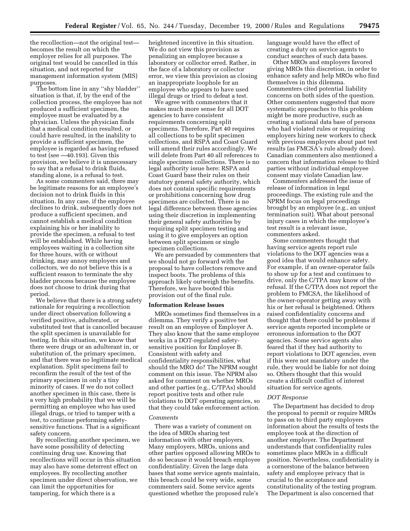the recollection—not the original test becomes the result on which the employer relies for all purposes. The original test would be cancelled in this situation, and not reported for management information system (MIS) purposes.

The bottom line in any ''shy bladder'' situation is that, if, by the end of the collection process, the employee has not produced a sufficient specimen, the employee must be evaluated by a physician. Unless the physician finds that a medical condition resulted, or could have resulted, in the inability to provide a sufficient specimen, the employee is regarded as having refused to test (see —40.193). Given this provision, we believe it is unnecessary to say that a refusal to drink fluids, standing alone, is a refusal to test.

As some commenters said, there may be legitimate reasons for an employee's decision not to drink fluids in this situation. In any case, if the employee declines to drink, subsequently does not produce a sufficient specimen, and cannot establish a medical condition explaining his or her inability to provide the specimen, a refusal to test will be established. While having employees waiting in a collection site for three hours, with or without drinking, may annoy employers and collectors, we do not believe this is a sufficient reason to terminate the shy bladder process because the employee does not choose to drink during that period.

We believe that there is a strong safety rationale for requiring a recollection under direct observation following a verified positive, adulterated, or substituted test that is cancelled because the split specimen is unavailable for testing. In this situation, we know that there were drugs or an adulterant in, or substitution of, the primary specimen, and that there was no legitimate medical explanation. Split specimens fail to reconfirm the result of the test of the primary specimen in only a tiny minority of cases. If we do not collect another specimen in this case, there is a very high probability that we will be permitting an employee who has used illegal drugs, or tried to tamper with a test, to continue performing safetysensitive functions. That is a significant safety concern.

By recollecting another specimen, we have some possibility of detecting continuing drug use. Knowing that recollections will occur in this situation may also have some deterrent effect on employees. By recollecting another specimen under direct observation, we can limit the opportunities for tampering, for which there is a

heightened incentive in this situation. We do not view this provision as penalizing an employee because a laboratory or collector erred. Rather, in the face of a laboratory or collector error, we view this provision as closing an inappropriate loophole for an employee who appears to have used illegal drugs or tried to defeat a test.

We agree with commenters that it makes much more sense for all DOT agencies to have consistent requirements concerning split specimens. Therefore, Part 40 requires all collections to be split specimen collections, and RSPA and Coast Guard will amend their rules accordingly. We will delete from Part 40 all references to single specimen collections. There is no legal authority issue here: RSPA and Coast Guard base their rules on their statutory general safety authority, which does not contain specific requirements or prohibitions concerning how drug specimens are collected. There is no legal difference between these agencies using their discretion in implementing their general safety authorities by requiring split specimen testing and using it to give employers an option between split specimen or single specimen collections.

We are persuaded by commenters that we should not go forward with the proposal to have collectors remove and inspect boots. The problems of this approach likely outweigh the benefits. Therefore, we have booted this provision out of the final rule.

#### **Information Release Issues**

MROs sometimes find themselves in a dilemma. They verify a positive test result on an employee of Employer A. They also know that the same employee works in a DOT-regulated safetysensitive position for Employer B. Consistent with safety and confidentiality responsibilities, what should the MRO do? The NPRM sought comment on this issue. The NPRM also asked for comment on whether MROs and other parties (e.g., C/TPAs) should report positive tests and other rule violations to DOT operating agencies, so that they could take enforcement action.

#### *Comments*

There was a variety of comment on the idea of MROs sharing test information with other employers. Many employers, MROs, unions and other parties opposed allowing MROs to do so because it would breach employee confidentiality. Given the large data bases that some service agents maintain, this breach could be very wide, some commenters said. Some service agents questioned whether the proposed rule's

language would have the effect of creating a duty on service agents to conduct searches of such data bases.

Other MROs and employers favored giving MROs this discretion, in order to enhance safety and help MROs who find themselves in this dilemma. Commenters cited potential liability concerns on both sides of the question. Other commenters suggested that more systematic approaches to this problem might be more productive, such as creating a national data base of persons who had violated rules or requiring employers hiring new workers to check with previous employers about past test results (as FMCSA's rule already does). Canadian commenters also mentioned a concern that information release to third parties without individual employee consent may violate Canadian law.

Commenters addressed the issue of release of information in legal proceedings. The existing rule and the NPRM focus on legal proceedings brought by an employee (e.g., an unjust termination suit). What about personal injury cases in which the employee's test result is a relevant issue, commenters asked.

Some commenters thought that having service agents report rule violations to the DOT agencies was a good idea that would enhance safety. For example, if an owner-operator fails to show up for a test and continues to drive, only the C/TPA may know of the refusal. If the C/TPA does not report the problem to FMCSA, the likelihood of the owner-operator getting away with his or her refusal is heightened. Others raised confidentiality concerns and thought that there could be problems if service agents reported incomplete or erroneous information to the DOT agencies. Some service agents also feared that if they had authority to report violations to DOT agencies, even if this were not mandatory under the rule, they would be liable for not doing so. Others thought that this would create a difficult conflict of interest situation for service agents.

#### *DOT Response*

The Department has decided to drop the proposal to permit or require MROs to pass on to third party employers information about the results of tests the employee took at the direction of another employer. The Department understands that confidentiality rules sometimes place MROs in a difficult position. Nevertheless, confidentiality is a cornerstone of the balance between safety and employee privacy that is crucial to the acceptance and constitutionality of the testing program. The Department is also concerned that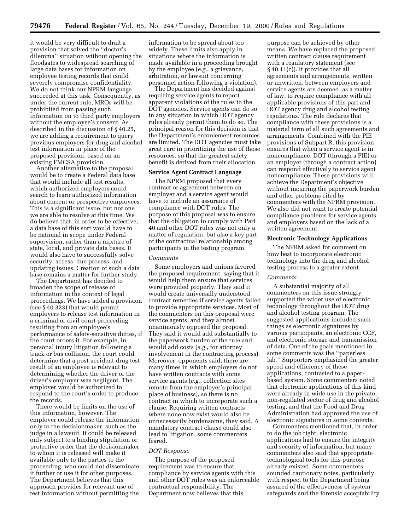it would be very difficult to draft a provision that solved the ''doctor's dilemma'' situation without opening the floodgates to widespread searching of large data bases for information on employee testing records that could severely compromise confidentiality. We do not think our NPRM language succeeded at this task. Consequently, as under the current rule, MROs will be prohibited from passing such information on to third party employers without the employee's consent. As described in the discussion of § 40.25, we are adding a requirement to query previous employers for drug and alcohol test information in place of the proposed provision, based on an existing FMCSA provision.

Another alternative to the proposal would be to create a Federal data base that would include all test results, which authorized employers could search to learn authorized information about current or prospective employees. This is a significant issue, but not one we are able to resolve at this time. We do believe that, in order to be effective, a data base of this sort would have to be national in scope under Federal supervision, rather than a mixture of state, local, and private data bases. It would also have to successfully solve security, access, due process, and updating issues. Creation of such a data base remains a matter for further study.

The Department has decided to broaden the scope of release of information in the context of legal proceedings. We have added a provision (see § 40.323) that would permit employers to release test information in a criminal or civil court proceeding resulting from an employee's performance of safety-sensitive duties, if the court orders it. For example, in personal injury litigation following a truck or bus collision, the court could determine that a post-accident drug test result of an employee is relevant to determining whether the driver or the driver's employer was negligent. The employer would be authorized to respond to the court's order to produce the records.

There would be limits on the use of this information, however. The employer could release the information only to the decisionmaker, such as the judge in a lawsuit. It could be released only subject to a binding stipulation or protective order that the decisionmaker to whom it is released will make it available only to the parties to the proceeding, who could not disseminate it further or use it for other purposes. The Department believes that this approach provides for relevant use of test information without permitting the

information to be spread about too widely. These limits also apply in situations where the information is made available in a proceeding brought by the employee (*e.g.*, a grievance, arbitration, or lawsuit concerning personnel action following a violation).

The Department has decided against requiring service agents to report apparent violations of the rules to the DOT agencies. Service agents can do so in any situation in which DOT agency rules already permit them to do so. The principal reason for this decision is that the Department's enforcement resources are limited. The DOT agencies must take great care in prioritizing the use of those resources, so that the greatest safety benefit is derived from their allocation.

#### **Service Agent Contract Language**

The NPRM proposed that every contract or agreement between an employer and a service agent would have to include an assurance of compliance with DOT rules. The purpose of this proposal was to ensure that the obligation to comply with Part 40 and other DOT rules was not only a matter of regulation, but also a key part of the contractual relationship among participants in the testing program.

#### *Comments*

Some employers and unions favored the proposed requirement, saying that it would help them ensure that services were provided properly. They said it would create universally understood contract remedies if service agents failed to provide appropriate services. Most of the commenters on this proposal were service agents, and they almost unanimously opposed the proposal. They said it would add substantially to the paperwork burden of the rule and would add costs (*e.g.*, for attorney involvement in the contracting process). Moreover, opponents said, there are many times in which employers do not have written contracts with some service agents (*e.g.*, collection sites remote from the employer's principal place of business), so there is no contract in which to incorporate such a clause. Requiring written contracts where none now exist would also be unnecessarily burdensome, they said. A mandatory contract clause could also lead to litigation, some commenters feared.

#### *DOT Response*

The purpose of the proposed requirement was to ensure that compliance by service agents with this and other DOT rules was an enforceable contractual responsibility. The Department now believes that this

purpose can be achieved by other means. We have replaced the proposed written contract clause requirement with a regulatory statement (see § 40.11(c)). It provides that all agreements and arrangements, written or unwritten, between employers and service agents are deemed, as a matter of law, to require compliance with all applicable provisions of this part and DOT agency drug and alcohol testing regulations. The rule declares that compliance with these provisions is a material term of all such agreements and arrangements. Combined with the PIE provisions of Subpart R, this provision ensures that when a service agent is in noncompliance, DOT (through a PIE) or an employer (through a contract action) can respond effectively to service agent noncompliance. These provisions will achieve the Department's objective without incurring the paperwork burden and other problems cited by commenters with the NPRM provision. We also did not want to create potential compliance problems for service agents and employers based on the lack of a written agreement.

#### **Electronic Technology Applications**

The NPRM asked for comment on how best to incorporate electronic technology into the drug and alcohol testing process to a greater extent.

#### *Comments*

A substantial majority of all commenters on this issue strongly supported the wider use of electronic technology throughout the DOT drug and alcohol testing program. The suggested applications included such things as electronic signatures by various participants, an electronic CCF, and electronic storage and transmission of data. One of the goals mentioned in some comments was the ''paperless lab.'' Supporters emphasized the greater speed and efficiency of these applications, contrasted to a paperbased system. Some commenters noted that electronic applications of this kind were already in wide use in the private, non-regulated sector of drug and alcohol testing, and that the Food and Drug Administration had approved the use of electronic signatures in some contexts.

Commenters mentioned that, in order to do the job right, electronic applications had to ensure the integrity and security of information, but many commenters also said that appropriate technological tools for this purpose already existed. Some commenters sounded cautionary notes, particularly with respect to the Department being assured of the effectiveness of system safeguards and the forensic acceptability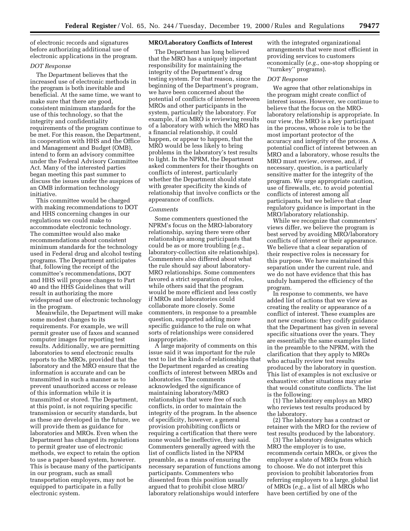of electronic records and signatures before authorizing additional use of electronic applications in the program.

#### *DOT Response*

The Department believes that the increased use of electronic methods in the program is both inevitable and beneficial. At the same time, we want to make sure that there are good, consistent minimum standards for the use of this technology, so that the integrity and confidentiality requirements of the program continue to be met. For this reason, the Department, in cooperation with HHS and the Office and Management and Budget (OMB), intend to form an advisory committee under the Federal Advisory Committee Act. Many of the interested parties began meeting this past summer to discuss the issues under the auspices of an OMB information technology initiative.

This committee would be charged with making recommendations to DOT and HHS concerning changes in our regulations we could make to accommodate electronic technology. The committee would also make recommendations about consistent minimum standards for the technology used in Federal drug and alcohol testing programs. The Department anticipates that, following the receipt of the committee's recommendations, DOT and HHS will propose changes to Part 40 and the HHS Guidelines that will result in authorizing the more widespread use of electronic technology in the program.

Meanwhile, the Department will make some modest changes to its requirements. For example, we will permit greater use of faxes and scanned computer images for reporting test results. Additionally, we are permitting laboratories to send electronic results reports to the MROs, provided that the laboratory and the MRO ensure that the information is accurate and can be transmitted in such a manner as to prevent unauthorized access or release of this information while it is transmitted or stored. The Department, at this point, is not requiring specific transmission or security standards, but as these are developed in the future, we will provide them as guidance for laboratories and MROs. Even when the Department has changed its regulations to permit greater use of electronic methods, we expect to retain the option to use a paper-based system, however. This is because many of the participants in our program, such as small transportation employers, may not be equipped to participate in a fully electronic system.

#### **MRO/Laboratory Conflicts of Interest**

The Department has long believed that the MRO has a uniquely important responsibility for maintaining the integrity of the Department's drug testing system. For that reason, since the beginning of the Department's program, we have been concerned about the potential of conflicts of interest between MROs and other participants in the system, particularly the laboratory. For example, if an MRO is reviewing results of a laboratory with which the MRO has a financial relationship, it could happen, or appear to happen, that the MRO would be less likely to bring problems in the laboratory's test results to light. In the NPRM, the Department asked commenters for their thoughts on conflicts of interest, particularly whether the Department should state with greater specificity the kinds of relationship that involve conflicts or the appearance of conflicts.

#### *Comments*

Some commenters questioned the NPRM's focus on the MRO-laboratory relationship, saying there were other relationships among participants that could be as or more troubling (*e.g.*, laboratory-collection site relationships). Commenters also differed about what the rule should say about laboratory-MRO relationships. Some commenters favored a strict separation of roles, while others said that the program would be more efficient and less costly if MROs and laboratories could collaborate more closely. Some commenters, in response to a preamble question, supported adding more specific guidance to the rule on what sorts of relationships were considered inappropriate.

A large majority of comments on this issue said it was important for the rule text to list the kinds of relationships that the Department regarded as creating conflicts of interest between MROs and laboratories. The comments acknowledged the significance of maintaining laboratory/MRO relationships that were free of such conflicts, in order to maintain the integrity of the program. In the absence of specificity, however, a general provision prohibiting conflicts or requiring a certification that there were none would be ineffective, they said. Commenters generally agreed with the list of conflicts listed in the NPRM preamble, as a means of ensuring the necessary separation of functions among participants. Commenters who dissented from this position usually argued that to prohibit close MRO/ laboratory relationships would interfere

with the integrated organizational arrangements that were most efficient in providing services to customers economically (*e.g.*, one-stop shopping or ''turnkey'' programs).

#### *DOT Response*

We agree that other relationships in the program might create conflict of interest issues. However, we continue to believe that the focus on the MROlaboratory relationship is appropriate. In our view, the MRO is a key participant in the process, whose role is to be the most important protector of the accuracy and integrity of the process. A potential conflict of interest between an MRO and a laboratory, whose results the MRO must review, oversee, and, if necessary, question, is a particularly sensitive matter for the integrity of the program. We urge appropriate caution, use of firewalls, etc. to avoid potential conflicts of interest among all participants, but we believe that clear regulatory guidance is important in the MRO/laboratory relationship.

While we recognize that commenters' views differ, we believe the program is best served by avoiding MRO/laboratory conflicts of interest or their appearance. We believe that a clear separation of their respective roles is necessary for this purpose. We have maintained this separation under the current rule, and we do not have evidence that this has unduly hampered the efficiency of the program.

In response to comments, we have added list of actions that we view as creating the reality or appearance of a conflict of interest. These examples are not new creations: they codify guidance that the Department has given in several specific situations over the years. They are essentially the same examples listed in the preamble to the NPRM, with the clarification that they apply to MROs who actually review test results produced by the laboratory in question. This list of examples is not exclusive or exhaustive: other situations may arise that would constitute conflicts. The list is the following:

(1) The laboratory employs an MRO who reviews test results produced by the laboratory.

(2) The laboratory has a contract or retainer with the MRO for the review of test results produced by the laboratory.

(3) The laboratory designates which MRO the employer is to use, recommends certain MROs, or gives the employer a slate of MROs from which to choose. We do not interpret this provision to prohibit laboratories from referring employers to a large, global list of MROs (*e.g.*, a list of all MROs who have been certified by one of the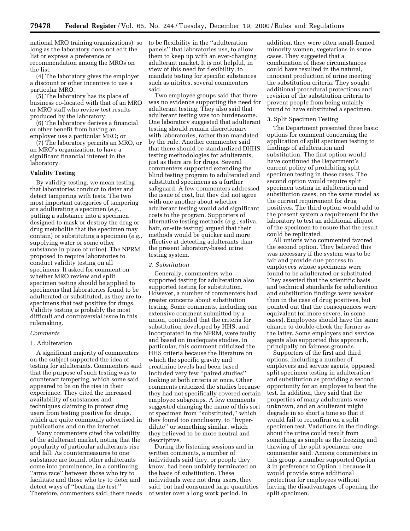national MRO training organizations), so long as the laboratory does not edit the list or express a preference or recommendation among the MROs on the list.

(4) The laboratory gives the employer a discount or other incentive to use a particular MRO.

(5) The laboratory has its place of business co-located with that of an MRO or MRO staff who review test results produced by the laboratory;

(6) The laboratory derives a financial or other benefit from having an employer use a particular MRO; or

(7) The laboratory permits an MRO, or an MRO's organization, to have a significant financial interest in the laboratory.

#### **Validity Testing**

By validity testing, we mean testing that laboratories conduct to deter and detect tampering with tests. The two most important categories of tampering are adulterating a specimen (*e.g.*, putting a substance into a specimen designed to mask or destroy the drug or drug metabolite that the specimen may contain) or substituting a specimen (*e.g.*, supplying water or some other substance in place of urine). The NPRM proposed to require laboratories to conduct validity testing on all specimens. It asked for comment on whether MRO review and split specimen testing should be applied to specimens that laboratories found to be adulterated or substituted, as they are to specimens that test positive for drugs. Validity testing is probably the most difficult and controversial issue in this rulemaking.

#### *Comments*

#### 1. Adulteration

A significant majority of commenters on the subject supported the idea of testing for adulterants. Commenters said that the purpose of such testing was to counteract tampering, which some said appeared to be on the rise in their experience. They cited the increased availability of substances and techniques claiming to protect drug users from testing positive for drugs, which are quite commonly advertised in publications and on the internet.

Many commenters cited the volatility of the adulterant market, noting that the popularity of particular adulterants rise and fall. As countermeasures to one substance are found, other adulterants come into prominence, in a continuing "arms race" between those who try to facilitate and those who try to deter and detect ways of ''beating the test.'' Therefore, commenters said, there needs to be flexibility in the ''adulteration panels'' that laboratories use, to allow them to keep up with an ever-changing adulterant market. It is not helpful, in view of this need for flexibility, to mandate testing for specific substances such as nitrites, several commenters said.

Two employee groups said that there was no evidence supporting the need for adulterant testing. They also said that adulterant testing was too burdensome. One laboratory suggested that adulterant testing should remain discretionary with laboratories, rather than mandated by the rule. Another commenter said that there should be standardized DHHS testing methodologies for adulterants, just as there are for drugs. Several commenters supported extending the blind testing program to adulterated and substituted specimens as a further safeguard. A few commenters addressed the issue of cost, but they did not agree with one another about whether adulterant testing would add significant costs to the program. Supporters of alternative testing methods (*e.g.*, saliva, hair, on-site testing) argued that their methods would be quicker and more effective at detecting adulterants than the present laboratory-based urine testing system.

#### *2. Substitution*

Generally, commenters who supported testing for adulteration also supported testing for substitution. However, a number of commenters had greater concerns about substitution testing. Some comments, including one extensive comment submitted by a union, contended that the criteria for substitution developed by HHS, and incorporated in the NPRM, were faulty and based on inadequate studies. In particular, this comment criticized the HHS criteria because the literature on which the specific gravity and creatinine levels had been based included very few ''paired studies'' looking at both criteria at once. Other comments criticized the studies because they had not specifically covered certain employee subgroups. A few comments suggested changing the name of this sort of specimen from ''substituted,'' which they found too conclusory, to ''hyperdilute'' or something similar, which they believed to be more neutral and descriptive.

During the listening sessions and in written comments, a number of individuals said they, or people they know, had been unfairly terminated on the basis of substitution. These individuals were not drug users, they said, but had consumed large quantities of water over a long work period. In

addition, they were often small-framed minority women, vegetarians in some cases. They suggested that a combination of these circumstances could have resulted in the natural, innocent production of urine meeting the substitution criteria. They sought additional procedural protections and revision of the substitution criteria to prevent people from being unfairly found to have substituted a specimen.

#### 3. Split Specimen Testing

The Department presented three basic options for comment concerning the application of split specimen testing to findings of adulteration and substitution. The first option would have continued the Department's current policy of prohibiting split specimen testing in these cases. The second option would require split specimen testing in adulteration and substitution cases, on the same model as the current requirement for drug positives. The third option would add to the present system a requirement for the laboratory to test an additional aliquot of the specimen to ensure that the result could be replicated.

All unions who commented favored the second option. They believed this was necessary if the system was to be fair and provide due process to employees whose specimens were found to be adulterated or substituted. They asserted that the scientific basis and technical standards for adulteration and substitution findings were weaker than in the case of drug positives, but pointed out that the consequences were equivalent (or more severe, in some cases). Employees should have the same chance to double-check the former as the latter. Some employers and service agents also supported this approach, principally on fairness grounds.

Supporters of the first and third options, including a number of employers and service agents, opposed split specimen testing in adulteration and substitution as providing a second opportunity for an employee to beat the test. In addition, they said that the properties of many adulterants were unknown, and an adulterant might degrade in so short a time so that it would fail to reconfirm on a split specimen test. Variations in the findings about the urine could result from something as simple as the freezing and thawing of the split specimen, one commenter said. Among commenters in this group, a number supported Option 3 in preference to Option 1 because it would provide some additional protection for employees without having the disadvantages of opening the split specimen.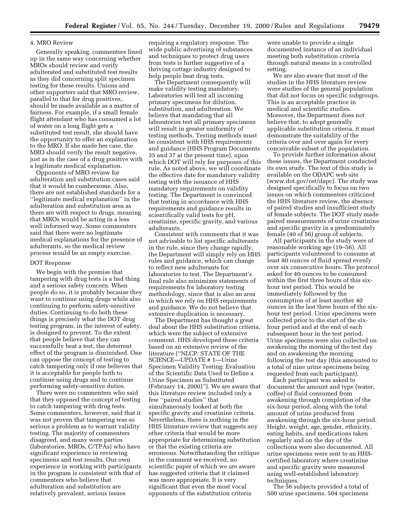#### 4. MRO Review

Generally speaking, commenters lined up in the same way concerning whether MROs should review and verify adulterated and substituted test results as they did concerning split specimen testing for these results. Unions and other supporters said that MRO review, parallel to that for drug positives, should be made available as a matter of fairness. For example, if a small female flight attendant who has consumed a lot of water on a long flight gets a substituted test result, she should have the opportunity to offer an explanation to the MRO. If she made her case, the MRO should verify the result negative, just as in the case of a drug positive with a legitimate medical explanation.

Opponents of MRO review for adulteration and substitution cases said that it would be cumbersome. Also, there are not established standards for a ''legitimate medical explanation'' in the adulteration and substitution area as there are with respect to drugs, meaning that MROs would be acting in a less well informed way. Some commenters said that there were no legitimate medical explanations for the presence of adulterants, so the medical review process would be an empty exercise.

#### DOT Response

We begin with the premise that tampering with drug tests is a bad thing and a serious safety concern. When people do so, it is probably because they want to continue using drugs while also continuing to perform safety-sensitive duties. Continuing to do both these things is precisely what the DOT drug testing program, in the interest of safety, is designed to prevent. To the extent that people believe that they can successfully beat a test, the deterrent effect of the program is diminished. One can oppose the concept of testing to catch tampering only if one believes that it is acceptable for people both to continue using drugs and to continue performing safety-sensitive duties.

There were no commenters who said that they opposed the concept of testing to catch tampering with drug tests. Some commenters, however, said that it was not proven that tampering was so serious a problem as to warrant validity testing. The majority of commenters disagreed, and many were parties (laboratories, MROs, C/TPAs) who have significant experience in reviewing specimens and test results. Our own experience in working with participants in the program is consistent with that of commenters who believe that adulteration and substitution are relatively prevalent, serious issues

requiring a regulatory response. The wide public advertising of substances and techniques to protect drug users from tests is further suggestive of a thriving cottage industry designed to help people beat drug tests.

The Department consequently will make validity testing mandatory. Laboratories will test all incoming primary specimens for dilution, substitution, and adulteration. We believe that mandating that all laboratories test all primary specimens will result in greater uniformity of testing methods. Testing methods must be consistent with HHS requirements and guidance (HHS Program Documents 35 and 37 at the present time), upon which DOT will rely for purposes of this rule. As noted above, we will coordinate the effective date for mandatory validity testing with the issuance of HHS mandatory requirements on validity testing. The Department is convinced that testing in accordance with HHS requirements and guidance results in scientifically valid tests for pH, creatinine, specific gravity, and various adulterants.

Consistent with comments that it was not advisable to list specific adulterants in the rule, since they change rapidly, the Department will simply rely on HHS rules and guidance, which can change to reflect new adulterants for laboratories to test. The Department's final rule also minimizes statements of requirements for laboratory testing methodology, since that is also an area in which we rely on HHS requirements and guidance. We do not believe that extensive duplication is necessary.

The Department has thought a great deal about the HHS substitution criteria, which were the subject of extensive comment. HHS developed these criteria based on an extensive review of the literature (''NLCP: STATE OF THE SCIENCE—UPDATE # 1—Urine Specimen Validity Testing: Evaluation of the Scientific Data Used to Define a Urine Specimen as Substituted (February 14, 2000)''). We are aware that this literature review included only a few ''paired studies'' that simultaneously looked at both the specific gravity and creatinine criteria. Nevertheless, there is nothing in the HHS literature review that suggests any other criteria that would be more appropriate for determining substitution or that the existing criteria are erroneous. Notwithstanding the critique in the comment we received, no scientific paper of which we are aware has suggested criteria that it claimed was more appropriate. It is very significant that even the most vocal opponents of the substitution criteria

were unable to provide a single documented instance of an individual meeting both substitution criteria through natural means in a controlled setting.

We are also aware that most of the studies in the HHS literature review were studies of the general population that did not focus on specific subgroups. This is an acceptable practice in medical and scientific studies. Moreover, the Department does not believe that, to adopt generally applicable substitution criteria, it must demonstrate the suitability of the criteria over and over again for every conceivable subset of the population.

To provide further information about these issues, the Department conducted its own study. The text of this study is available on the ODAPC web site (www.dot.gov/ost/dapc). The study was designed specifically to focus on two issues on which commenters criticized the HHS literature review, the absence of paired studies and insufficient study of female subjects. The DOT study made paired measurements of urine creatinine and specific gravity in a predominately female (40 of 56) group of subjects.

All participants in the study were of reasonable working age (19–56). All participants volunteered to consume at least 80 ounces of fluid spread evenly over six consecutive hours. The protocol asked for 40 ounces to be consumed within the first three hours of this sixhour test period. This would be immediately followed by the consumption of at least another 40 ounces in the last three hours of the sixhour test period. Urine specimens were collected prior to the start of the sixhour period and at the end of each subsequent hour in the test period. Urine specimens were also collected on awakening the morning of the test day and on awakening the morning following the test day (this amounted to a total of nine urine specimens being requested from each participant).

Each participant was asked to document the amount and type (water, coffee) of fluid consumed from awakening through completion of the six-hour period, along with the total amount of urine produced from awakening through the six-hour period. Height, weight, age, gender, ethnicity, eating habits, and medications taken regularly and on the day of the collections were also documented. All urine specimens were sent to an HHScertified laboratory where creatinine and specific gravity were measured using well-established laboratory techniques.

The 56 subjects provided a total of 500 urine specimens. 504 specimens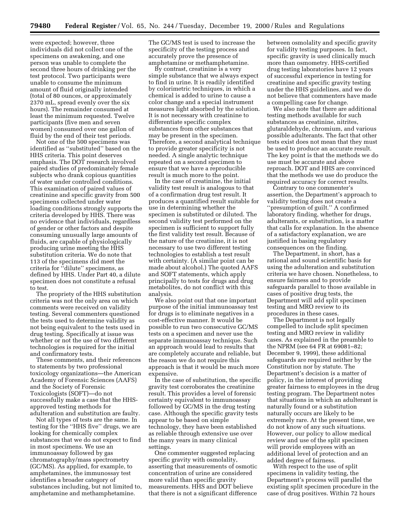were expected; however, three individuals did not collect one of the specimens on awakening, and one person was unable to complete the second three hours of drinking per the test protocol. Two participants were unable to consume the minimum amount of fluid originally intended (total of 80 ounces, or approximately 2370 mL, spread evenly over the six hours). The remainder consumed at least the minimum requested. Twelve participants (five men and seven women) consumed over one gallon of fluid by the end of their test periods.

Not one of the 500 specimens was identified as ''substituted'' based on the HHS criteria. This point deserves emphasis. The DOT research involved paired studies of predominately female subjects who drank copious quantities of water under controlled conditions. This examination of paired values of creatinine and specific gravity from 500 specimens collected under water loading conditions strongly supports the criteria developed by HHS. There was no evidence that individuals, regardless of gender or other factors and despite consuming unusually large amounts of fluids, are capable of physiologically producing urine meeting the HHS substitution criteria. We do note that 113 of the specimens did meet the criteria for "dilute" specimens, as defined by HHS. Under Part 40, a dilute specimen does not constitute a refusal to test.

The propriety of the HHS substitution criteria was not the only area on which comments were received on validity testing. Several commenters questioned the tests used to determine validity as not being equivalent to the tests used in drug testing. Specifically at issue was whether or not the use of two different technologies is required for the initial and confirmatory tests.

These comments, and their references to statements by two professional toxicology organizations—the American Academy of Forensic Sciences (AAFS) and the Society of Forensic Toxicologists (SOFT)—do not successfully make a case that the HHSapproved testing methods for adulteration and substitution are faulty.

Not all types of tests are the same. In testing for the ''HHS five'' drugs, we are looking for chemically complex substances that we do not expect to find in most specimens. We use an immunoassay followed by gas chromatography/mass spectrometry (GC/MS). As applied, for example, to amphetamines, the immunossay test identifies a broader category of substances including, but not limited to, amphetamine and methamphetamine.

The GC/MS test is used to increase the specificity of the testing process and accurately prove the presence of amphetamine or methamphetamine.

By contrast, creatinine is a very simple substance that we always expect to find in urine. It is readily identified by colorimetric techniques, in which a chemical is added to urine to cause a color change and a special instrument measures light absorbed by the solution. It is not necessary with creatinine to differentiate specific complex substances from other substances that may be present in the specimen. Therefore, a second analytical technique to provide greater specificity is not needed. A single analytic technique repeated on a second specimen to ensure that we have a reproducible result is much more to the point.

In the case of creatinine, the initial validity test result is analogous to that of a confirmation drug test result. It produces a quantified result suitable for use in determining whether the specimen is substituted or diluted. The second validity test performed on the specimen is sufficient to support fully the first validity test result. Because of the nature of the creatinine, it is not necessary to use two different testing technologies to establish a test result with certainty. (A similar point can be made about alcohol.) The quoted AAFS and SOFT statements, which apply principally to tests for drugs and drug metabolites, do not conflict with this analysis.

We also point out that one important purpose of the initial immunoassay test for drugs is to eliminate negatives in a cost-effective manner. It would be possible to run two consecutive GC/MS tests on a specimen and never use the separate immunoassay technique. Such an approach would lead to results that are completely accurate and reliable, but the reason we do not require this approach is that it would be much more expensive.

In the case of substitution, the specific gravity test corroborates the creatinine result. This provides a level of forensic certainty equivalent to immunoassay followed by GC/MS in the drug testing case. Although the specific gravity tests appear to be based on simple technology, they have been established as reliable through extensive use over the many years in many clinical settings.

One commenter suggested replacing specific gravity with osmolality, asserting that measurements of osmotic concentration of urine are considered more valid than specific gravity measurements. HHS and DOT believe that there is not a significant difference

between osmolality and specific gravity for validity testing purposes. In fact, specific gravity is used clinically much more than osmometry. HHS-certified drug testing laboratories have 12 years of successful experience in testing for creatinine and specific gravity testing under the HHS guidelines, and we do not believe that commenters have made a compelling case for change.

We also note that there are additional testing methods available for such substances as creatinine, nitrites, glutaraldehyde, chromium, and various possible adulterants. The fact that other tests exist does not mean that they must be used to produce an accurate result. The key point is that the methods we do use must be accurate and above reproach. DOT and HHS are convinced that the methods we use do produce the required accuracy for correct results.

Contrary to one commenter's assertion, the Department's approach to validity testing does not create a ''presumption of guilt.'' A confirmed laboratory finding, whether for drugs, adulterants, or substitution, is a matter that calls for explanation. In the absence of a satisfactory explanation, we are justified in basing regulatory consequences on the finding.

The Department, in short, has a rational and sound scientific basis for using the adulteration and substitution criteria we have chosen. Nonetheless, to ensure fairness and to provide safeguards parallel to those available in cases of positive drug tests, the Department will add split specimen testing and MRO review to its procedures in these cases.

The Department is not legally compelled to include split specimen testing and MRO review in validity cases. As explained in the preamble to the NPRM (see 64 FR at 69081–82; December 9, 1999), these additional safeguards are required neither by the Constitution nor by statute. The Department's decision is a matter of policy, in the interest of providing greater fairness to employees in the drug testing program. The Department notes that situations in which an adulterant is naturally found or a substitution naturally occurs are likely to be extremely rare. At the present time, we do not know of any such situations. However, our policy to allow medical review and use of the split specimen will provide employees with an additional level of protection and an added degree of fairness.

With respect to the use of split specimens in validity testing, the Department's process will parallel the existing split specimen procedure in the case of drug positives. Within 72 hours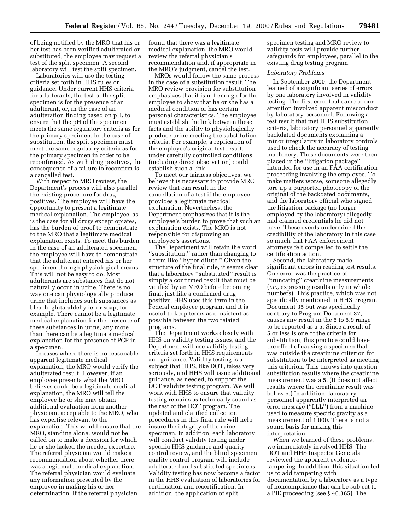of being notified by the MRO that his or her test has been verified adulterated or substituted, the employee may request a test of the split specimen. A second laboratory will test the split specimen.

Laboratories will use the testing criteria set forth in HHS rules or guidance. Under current HHS criteria for adulterants, the test of the split specimen is for the presence of an adulterant, or, in the case of an adulteration finding based on pH, to ensure that the pH of the specimen meets the same regulatory criteria as for the primary specimen. In the case of substitution, the split specimen must meet the same regulatory criteria as for the primary specimen in order to be reconfirmed. As with drug positives, the consequence of a failure to reconfirm is a cancelled test.

With respect to MRO review, the Department's process will also parallel the existing procedure for drug positives. The employee will have the opportunity to present a legitimate medical explanation. The employee, as is the case for all drugs except opiates, has the burden of proof to demonstrate to the MRO that a legitimate medical explanation exists. To meet this burden in the case of an adulterated specimen, the employee will have to demonstrate that the adulterant entered his or her specimen through physiological means. This will not be easy to do. Most adulterants are substances that do not naturally occur in urine. There is no way one can physiologically produce urine that includes such substances as bleach, glutaraldehyde, or soap, for example. There cannot be a legitimate medical explanation for the presence of these substances in urine, any more than there can be a legitimate medical explanation for the presence of PCP in a specimen.

In cases where there is no reasonable apparent legitimate medical explanation, the MRO would verify the adulterated result. However, if an employee presents what the MRO believes could be a legitimate medical explanation, the MRO will tell the employee he or she may obtain additional evaluation from another physician, acceptable to the MRO, who has expertise relevant to the explanation. This would ensure that the MRO, standing alone, would not be called on to make a decision for which he or she lacked the needed expertise. The referral physician would make a recommendation about whether there was a legitimate medical explanation. The referral physician would evaluate any information presented by the employee in making his or her determination. If the referral physician

found that there was a legitimate medical explanation, the MRO would review the referral physician's recommendation and, if appropriate in the MRO's judgment, cancel the test.

MROs would follow the same process in the case of a substitution result. The MRO review provision for substitution emphasizes that it is not enough for the employee to show that he or she has a medical condition or has certain personal characteristics. The employee must establish the link between these facts and the ability to physiologically produce urine meeting the substitution criteria. For example, a replication of the employee's original test result, under carefully controlled conditions (including direct observation) could establish such a link.

To meet our fairness objectives, we believe it is necessary to provide MRO review that can result in the cancellation of a test if the employee provides a legitimate medical explanation. Nevertheless, the Department emphasizes that it is the employee's burden to prove that such an explanation exists. The MRO is not responsible for disproving an employee's assertions.

The Department will retain the word ''substitution,'' rather than changing to a term like ''hyper-dilute.'' Given the structure of the final rule, it seems clear that a laboratory ''substituted'' result is simply a confirmed result that must be verified by an MRO before becoming final, just like a confirmed drug positive. HHS uses this term in the Federal employee program, and it is useful to keep terms as consistent as possible between the two related programs.

The Department works closely with HHS on validity testing issues, and the Department will use validity testing criteria set forth in HHS requirements and guidance. Validity testing is a subject that HHS, like DOT, takes very seriously, and HHS will issue additional guidance, as needed, to support the DOT validity testing program. We will work with HHS to ensure that validity testing remains as technically sound as the rest of the DOT program. The updated and clarified collection procedures in this final rule will help insure the integrity of the urine specimen. In addition, each laboratory will conduct validity testing under specific HHS guidance and quality control review, and the blind specimen quality control program will include adulterated and substituted specimens. Validity testing has now become a factor in the HHS evaluation of laboratories for certification and recertification. In addition, the application of split

specimen testing and MRO review to validity tests will provide further safeguards for employees, parallel to the existing drug testing program.

#### *Laboratory Problems*

In September 2000, the Department learned of a significant series of errors by one laboratory involved in validity testing. The first error that came to our attention involved apparent misconduct by laboratory personnel. Following a test result that met HHS substitution criteria, laboratory personnel apparently backdated documents explaining a minor irregularity in laboratory controls used to check the accuracy of testing machinery. These documents were then placed in the ''litigation package'' intended for use in an FAA certification proceeding involving the employee. To make matters worse, someone allegedly tore up a purported photocopy of the original of the backdated documents, and the laboratory official who signed the litigation package (no longer employed by the laboratory) allegedly had claimed credentials he did not have. These events undermined the credibility of the laboratory in this case so much that FAA enforcement attorneys felt compelled to settle the certification action.

Second, the laboratory made significant errors in reading test results. One error was the practice of ''truncating'' creatinine measurements (*i.e.,* expressing results only in whole numbers). This practice, which was not specifically mentioned in HHS Program Document 35 but was specifically contrary to Program Document 37, causes any result in the 5 to 5.9 range to be reported as a 5. Since a result of 5 or less is one of the criteria for substitution, this practice could have the effect of causing a specimen that was outside the creatinine criterion for substitution to be interpreted as meeting this criterion. This throws into question substitution results where the creatinine measurement was a 5. (It does not affect results where the creatinine result was below 5.) In addition, laboratory personnel apparently interpreted an error message (''LLL'') from a machine used to measure specific gravity as a measurement of 1.000. There is not a sound basis for making this interpretation.

When we learned of these problems, we immediately involved HHS. The DOT and HHS Inspector Generals reviewed the apparent evidencetampering. In addition, this situation led us to add tampering with documentation by a laboratory as a type of noncompliance that can be subject to a PIE proceeding (see § 40.365). The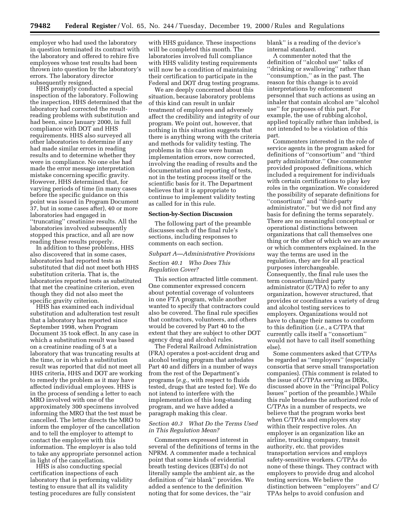employer who had used the laboratory in question terminated its contract with the laboratory and offered to rehire five employees whose test results had been thrown into question by the laboratory's errors. The laboratory director subsequently resigned.

HHS promptly conducted a special inspection of the laboratory. Following the inspection, HHS determined that the laboratory had corrected the resultreading problems with substitution and had been, since January 2000, in full compliance with DOT and HHS requirements. HHS also surveyed all other laboratories to determine if any had made similar errors in reading results and to determine whether they were in compliance. No one else had made the error message interpretation mistake concerning specific gravity. However, HHS determined that, for varying periods of time (in many cases before the specific guidance on this point was issued in Program Document 37, but in some cases after), 40 or more laboratories had engaged in ''truncating'' creatinine results. All the laboratories involved subsequently stopped this practice, and all are now reading these results properly.

In addition to these problems, HHS also discovered that in some cases, laboratories had reported tests as substituted that did not meet both HHS substitution criteria. That is, the laboratories reported tests as substituted that met the creatinine criterion, even though they did not also meet the specific gravity criterion.

HHS has examined each individual substitution and adulteration test result that a laboratory has reported since September 1998, when Program Document 35 took effect. In any case in which a substitution result was based on a creatinine reading of 5 at a laboratory that was truncating results at the time, or in which a substitution result was reported that did not meet all HHS criteria, HHS and DOT are working to remedy the problem as it may have affected individual employees. HHS is in the process of sending a letter to each MRO involved with one of the approximately 300 specimens involved informing the MRO that the test must be cancelled. The letter directs the MRO to inform the employer of the cancellation and to tell the employer to attempt to contact the employee with this information. The employer is also told to take any appropriate personnel action in light of the cancellation.

HHS is also conducting special certification inspections of each laboratory that is performing validity testing to ensure that all its validity testing procedures are fully consistent

with HHS guidance. These inspections will be completed this month. The laboratories involved full compliance with HHS validity testing requirements will now be a condition of maintaining their certification to participate in the Federal and DOT drug testing programs.

We are deeply concerned about this situation, because laboratory problems of this kind can result in unfair treatment of employees and adversely affect the credibility and integrity of our program. We point out, however, that nothing in this situation suggests that there is anything wrong with the criteria and methods for validity testing. The problems in this case were human implementation errors, now corrected, involving the reading of results and the documentation and reporting of tests, not in the testing process itself or the scientific basis for it. The Department believes that it is appropriate to continue to implement validity testing as called for in this rule.

#### **Section-by-Section Discussion**

The following part of the preamble discusses each of the final rule's sections, including responses to comments on each section.

### *Subpart A—Administrative Provisions Section 40.1 Who Does This Regulation Cover?*

This section attracted little comment. One commenter expressed concern about potential coverage of volunteers in one FTA program, while another wanted to specify that contractors could also be covered. The final rule specifies that contractors, volunteers, and others would be covered by Part 40 to the extent that they are subject to other DOT agency drug and alcohol rules.

The Federal Railroad Administration (FRA) operates a post-accident drug and alcohol testing program that antedates Part 40 and differs in a number of ways from the rest of the Department's programs (*e.g.,* with respect to fluids tested, drugs that are tested for). We do not intend to interfere with the implementation of this long-standing program, and we have added a paragraph making this clear.

#### *Section 40.3 What Do the Terms Used in This Regulation Mean?*

Commenters expressed interest in several of the definitions of terms in the NPRM. A commenter made a technical point that some kinds of evidential breath testing devices (EBTs) do not literally sample the ambient air, as the definition of ''air blank'' provides. We added a sentence to the definition noting that for some devices, the ''air

blank'' is a reading of the device's internal standard.

A commenter noted that the definition of ''alcohol use'' talks of ''drinking or swallowing'' rather than ''consumption,'' as in the past. The reason for this change is to avoid interpretations by enforcement personnel that such actions as using an inhaler that contain alcohol are ''alcohol use'' for purposes of this part. For example, the use of rubbing alcohol, applied topically rather than imbibed, is not intended to be a violation of this part.

Commenters interested in the role of service agents in the program asked for definitions of ''consortium'' and ''third party administrator.'' One commenter provided proposed definitions, which included a requirement for individuals with certain certifications to play key roles in the organization. We considered the possibility of separate definitions for ''consortium'' and ''third-party administrator,'' but we did not find any basis for defining the terms separately. There are no meaningful conceptual or operational distinctions between organizations that call themselves one thing or the other of which we are aware or which commenters explained. In the way the terms are used in the regulation, they are for all practical purposes interchangeable. Consequently, the final rule uses the term consortium/third party administrator (C/TPA) to refer to any organization, however structured, that provides or coordinates a variety of drug and alcohol testing services to employers. Organizations would not have to change their names to conform to this definition (*i.e.,* a C/TPA that currently calls itself a ''consortium'' would not have to call itself something else).

Some commenters asked that C/TPAs be regarded as ''employers'' (especially consortia that serve small transportation companies). (This comment is related to the issue of C/TPAs serving as DERs, discussed above in the ''Principal Policy Issues'' portion of the preamble.) While this rule broadens the authorized role of C/TPAs in a number of respects, we believe that the program works best when C/TPAs and employers stay within their respective roles. An employer is an organization like an airline, trucking company, transit authority, etc. that provides transportation services and employs safety-sensitive workers. C/TPAs do none of these things. They contract with employers to provide drug and alcohol testing services. We believe the distinction between ''employers'' and C/ TPAs helps to avoid confusion and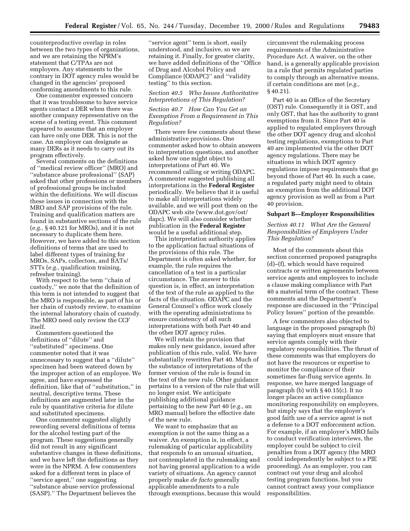counterproductive overlap in roles between the two types of organizations, and we are retaining the NPRM's statement that C/TPAs are not employers. Any statements to the contrary in DOT agency rules would be changed in the agencies' proposed conforming amendments to this rule.

One commenter expressed concern that it was troublesome to have service agents contact a DER when there was another company representative on the scene of a testing event. This comment appeared to assume that an employer can have only one DER. This is not the case. An employer can designate as many DERs as it needs to carry out its program effectively.

Several comments on the definitions of ''medical review officer'' (MRO) and ''substance abuse professional'' (SAP) asked that other professions or members of professional groups be included within the definitions. We will discuss these issues in connection with the MRO and SAP provisions of the rule. Training and qualification matters are found in substantive sections of the rule (*e.g.,* § 40.121 for MROs), and it is not necessary to duplicate them here. However, we have added to this section definitions of terms that are used to label different types of training for MROs, SAPs, collectors, and BATs/ STTs (*e.g.,* qualification training, refresher training).

With respect to the term ''chain of custody,'' we note that the definition of this term is not intended to suggest that the MRO is responsible, as part of his or her chain of custody review, to examine the internal laboratory chain of custody. The MRO need only review the CCF itself.

Commenters questioned the definitions of ''dilute'' and ''substituted'' specimens. One commenter noted that it was unnecessary to suggest that a ''dilute'' specimen had been watered down by the improper action of an employee. We agree, and have expressed the definition, like that of ''substitution,'' in neutral, descriptive terms. These definitions are augmented later in the rule by quantitative criteria for dilute and substituted specimens.

One commenter suggested slightly rewording several definitions of terms for the alcohol testing part of the program. These suggestions generally did not result in any significant substantive changes in these definitions, and we have left the definitions as they were in the NPRM. A few commenters asked for a different term in place of ''service agent,'' one suggesting ''substance abuse service professional (SASP).'' The Department believes the

''service agent'' term is short, easily understood, and inclusive, so we are retaining it. Finally, for greater clarity, we have added definitions of the ''Office of Drug and Alcohol Policy and Compliance (ODAPC)'' and ''validity testing'' to this section.

*Section 40.5 Who Issues Authoritative Interpretations of This Regulation?*

*Section 40.7 How Can You Get an Exemption From a Requirement in This Regulation?*

There were few comments about these administrative provisions. One commenter asked how to obtain answers to interpretation questions, and another asked how one might object to interpretations of Part 40. We recommend calling or writing ODAPC. A commenter suggested publishing all interpretations in the **Federal Register** periodically. We believe that it is useful to make all interpretations widely available, and we will post them on the ODAPC web site (www.dot.gov/ost/ dapc). We will also consider whether publication in the **Federal Register** would be a useful additional step.

This interpretation authority applies to the application factual situations of the provisions of this rule. The Department is often asked whether, for example, the rule requires the cancellation of a test in a particular circumstance. The answer to this question is, in effect, an interpretation of the text of the rule as applied to the facts of the situation. ODAPC and the General Counsel's office work closely with the operating administrations to ensure consistency of all such interpretations with both Part 40 and the other DOT agency rules.

We will retain the provision that makes only new guidance, issued after publication of this rule, valid. We have substantially rewritten Part 40. Much of the substance of interpretations of the former version of the rule is found in the text of the new rule. Other guidance pertains to a version of the rule that will no longer exist. We anticipate publishing additional guidance pertaining to the new Part 40 (*e.g.,* an MRO manual) before the effective date of the new rule.

We want to emphasize that an exemption is not the same thing as a waiver. An exemption is, in effect, a rulemaking of particular applicability that responds to an unusual situation, not contemplated in the rulemaking and not having general application to a wide variety of situations. An agency cannot properly make *de facto* generally applicable amendments to a rule through exemptions, because this would circumvent the rulemaking process requirements of the Administrative Procedure Act. A waiver, on the other hand, is a generally applicable provision in a rule that permits regulated parties to comply through an alternative means, if certain conditions are met (*e.g.,* § 40.21).

Part 40 is an Office of the Secretary (OST) rule. Consequently it is OST, and only OST, that has the authority to grant exemptions from it. Since Part 40 is applied to regulated employers through the other DOT agency drug and alcohol testing regulations, exemptions to Part 40 are implemented via the other DOT agency regulations. There may be situations in which DOT agency regulations impose requirements that go beyond those of Part 40. In such a case, a regulated party might need to obtain an exemption from the additional DOT agency provision as well as from a Part 40 provision.

#### **Subpart B—Employer Responsibilities**

*Section 40.11 What Are the General Responsibilities of Employers Under This Regulation?*

Most of the comments about this section concerned proposed paragraphs (d)–(f), which would have required contracts or written agreements between service agents and employers to include a clause making compliance with Part 40 a material term of the contract. These comments and the Department's response are discussed in the ''Principal Policy Issues'' portion of the preamble.

A few commenters also objected to language in the proposed paragraph (b) saying that employers must ensure that service agents comply with their regulatory responsibilities. The thrust of these comments was that employers do not have the resources or expertise to monitor the compliance of their sometimes far-flung service agents. In response, we have merged language of paragraph (b) with § 40.15(c). It no longer places an active compliance monitoring responsibility on employers, but simply says that the employer's good faith use of a service agent is not a defense to a DOT enforcement action. For example, if an employer's MRO fails to conduct verification interviews, the employer could be subject to civil penalties from a DOT agency (the MRO could independently be subject to a PIE proceeding). As an employer, you can contract out your drug and alcohol testing program functions, but you cannot contract away your compliance responsibilities.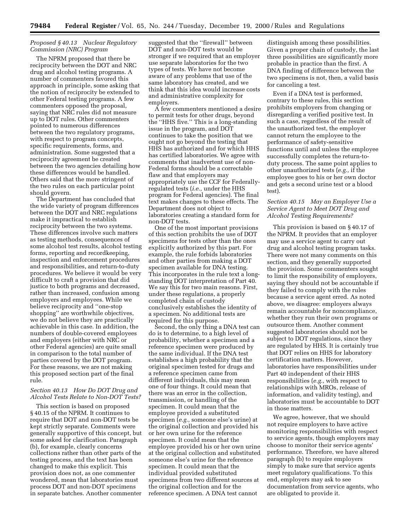#### *Proposed § 40.13 Nuclear Regulatory Commission (NRC) Program*

The NPRM proposed that there be reciprocity between the DOT and NRC drug and alcohol testing programs. A number of commenters favored this approach in principle, some asking that the notion of reciprocity be extended to other Federal testing programs. A few commenters opposed the proposal, saying that NRC rules did not measure up to DOT rules. Other commenters pointed to numerous differences between the two regulatory programs, with respect to program concepts, specific requirements, forms, and administration. Some suggested that a reciprocity agreement be created between the two agencies detailing how these differences would be handled. Others said that the more stringent of the two rules on each particular point should govern.

The Department has concluded that the wide variety of program differences between the DOT and NRC regulations make it impractical to establish reciprocity between the two systems. These differences involve such matters as testing methods, consequences of some alcohol test results, alcohol testing forms, reporting and recordkeeping, inspection and enforcement procedures and responsibilities, and return-to-duty procedures. We believe it would be very difficult to craft a provision that did justice to both programs and decreased, rather than increased, confusion among employers and employees. While we believe reciprocity and ''one-stop shopping'' are worthwhile objectives, we do not believe they are practically achievable in this case. In addition, the numbers of double-covered employees and employers (either with NRC or other Federal agencies) are quite small in comparison to the total number of parties covered by the DOT program. For these reasons, we are not making this proposed section part of the final rule.

#### *Section 40.13 How Do DOT Drug and Alcohol Tests Relate to Non-DOT Tests?*

This section is based on proposed § 40.15 of the NPRM. It continues to require that DOT and non-DOT tests be kept strictly separate. Comments were generally supportive of this concept, but some asked for clarification. Paragraph (b), for example, clearly concerns collections rather than other parts of the testing process, and the text has been changed to make this explicit. This provision does not, as one commenter wondered, mean that laboratories must process DOT and non-DOT specimens in separate batches. Another commenter

suggested that the ''firewall'' between DOT and non-DOT tests would be stronger if we required that an employer use separate laboratories for the two types of tests. We have not become aware of any problems that use of the same laboratory has created, and we think that this idea would increase costs and administrative complexity for employers.

A few commenters mentioned a desire to permit tests for other drugs, beyond the ''HHS five.'' This is a long-standing issue in the program, and DOT continues to take the position that we ought not go beyond the testing that HHS has authorized and for which HHS has certified laboratories. We agree with comments that inadvertent use of non-Federal forms should be a correctable flaw and that employers may appropriately use the CCF for Federallyregulated tests (*i.e.,* under the HHS program for Federal agencies). The final text makes changes to these effects. The Department does not object to laboratories creating a standard form for non-DOT tests.

One of the most important provisions of this section prohibits the use of DOT specimens for tests other than the ones explicitly authorized by this part. For example, the rule forbids laboratories and other parties from making a DOT specimen available for DNA testing. This incorporates in the rule text a longstanding DOT interpretation of Part 40. We say this for two main reasons. First, under these regulations, a properly completed chain of custody conclusively establishes the identity of a specimen. No additional tests are required for this purpose.

Second, the only thing a DNA test can do is to determine, to a high level of probability, whether a specimen and a reference specimen were produced by the same individual. If the DNA test establishes a high probability that the original specimen tested for drugs and a reference specimen came from different individuals, this may mean one of four things. It could mean that there was an error in the collection, transmission, or handling of the specimen. It could mean that the employee provided a substituted specimen (*e.g.,* someone else's urine) at the original collection and provided his or her own urine for the reference specimen. It could mean that the employee provided his or her own urine at the original collection and substituted someone else's urine for the reference specimen. It could mean that the individual provided substituted specimens from two different sources at the original collection and for the reference specimen. A DNA test cannot

distinguish among these possibilities. Given a proper chain of custody, the last three possibilities are significantly more probable in practice than the first. A DNA finding of difference between the two specimens is not, then, a valid basis for canceling a test.

Even if a DNA test is performed, contrary to these rules, this section prohibits employers from changing or disregarding a verified positive test. In such a case, regardless of the result of the unauthorized test, the employer cannot return the employee to the performance of safety-sensitive functions until and unless the employee successfully completes the return-toduty process. The same point applies to other unauthorized tests (*e.g.,* if the employee goes to his or her own doctor and gets a second urine test or a blood test).

#### *Section 40.15 May an Employer Use a Service Agent to Meet DOT Drug and Alcohol Testing Requirements?*

This provision is based on § 40.17 of the NPRM. It provides that an employer may use a service agent to carry out drug and alcohol testing program tasks. There were not many comments on this section, and they generally supported the provision. Some commenters sought to limit the responsibility of employers, saying they should not be accountable if they failed to comply with the rules because a service agent erred. As noted above, we disagree: employers always remain accountable for noncompliance, whether they run their own programs or outsource them. Another comment suggested laboratories should not be subject to DOT regulations, since they are regulated by HHS. It is certainly true that DOT relies on HHS for laboratory certification matters. However, laboratories have responsibilities under Part 40 independent of their HHS responsibilities (*e.g.,* with respect to relationships with MROs, release of information, and validity testing), and laboratories must be accountable to DOT in those matters.

We agree, however, that we should not require employers to have active monitoring responsibilities with respect to service agents, though employers may choose to monitor their service agents' performance. Therefore, we have altered paragraph (b) to require employers simply to make sure that service agents meet regulatory qualifications. To this end, employers may ask to see documentation from service agents, who are obligated to provide it.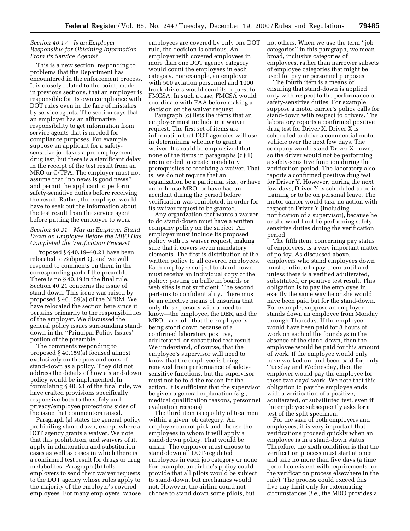#### *Section 40.17 Is an Employer Responsible for Obtaining Information From its Service Agents?*

This is a new section, responding to problems that the Department has encountered in the enforcement process. It is closely related to the point, made in previous sections, that an employer is responsible for its own compliance with DOT rules even in the face of mistakes by service agents. The section says that an employer has an affirmative responsibility to get information from service agents that is needed for compliance purposes. For example, suppose an applicant for a safetysensitive job takes a pre-employment drug test, but there is a significant delay in the receipt of the test result from an MRO or C/TPA. The employer must not assume that ''no news is good news'' and permit the applicant to perform safety-sensitive duties before receiving the result. Rather, the employer would have to seek out the information about the test result from the service agent before putting the employee to work.

#### *Section 40.21 May an Employer Stand Down an Employee Before the MRO Has Completed the Verification Process?*

Proposed §§ 40.19–40.21 have been relocated to Subpart Q, and we will respond to comments on them in the corresponding part of the preamble. There is no § 40.19 in the final rule. Section 40.21 concerns the issue of stand-down. This issue was raised by proposed § 40.159(a) of the NPRM. We have relocated the section here since it pertains primarily to the responsibilities of the employer. We discussed the general policy issues surrounding standdown in the ''Principal Policy Issues'' portion of the preamble.

The comments responding to proposed § 40.159(a) focused almost exclusively on the pros and cons of stand-down as a policy. They did not address the details of how a stand-down policy would be implemented. In formulating § 40. 21 of the final rule, we have crafted provisions specifically responsive both to the safely and privacy/employee protections sides of the issue that commenters raised.

Paragraph (a) states the general policy prohibiting stand-down, except where a DOT agency grants a waiver. We note that this prohibition, and waivers of it, apply in adulteration and substitution cases as well as cases in which there is a confirmed test result for drugs or drug metabolites. Paragraph (b) tells employers to send their waiver requests to the DOT agency whose rules apply to the majority of the employer's covered employees. For many employers, whose employees are covered by only one DOT rule, the decision is obvious. An employer with covered employees in more than one DOT agency category would count the employees in each category. For example, an employer with 500 aviation personnel and 1000 truck drivers would send its request to FMCSA. In such a case, FMCSA would coordinate with FAA before making a decision on the waiver request.

Paragraph (c) lists the items that an employer must include in a waiver request. The first set of items are information that DOT agencies will use in determining whether to grant a waiver. It should be emphasized that none of the items in paragraphs (d)(1) are intended to create mandatory prerequisites to receiving a waiver. That is, we do not require that an organization be a particular size, or have an in-house MRO, or have had an accident during the period before verification was completed, in order for its waiver request to be granted.

Any organization that wants a waiver to do stand-down must have a written company policy on the subject. An employer must include its proposed policy with its waiver request, making sure that it covers seven mandatory elements. The first is distribution of the written policy to all covered employees. Each employee subject to stand-down must receive an individual copy of the policy: posting on bulletin boards or web sites is not sufficient. The second pertains to confidentiality. There must be an effective means of ensuring that only those persons with a need to know—the employee, the DER, and the MRO—are told that the employee is being stood down because of a confirmed laboratory positive, adulterated, or substituted test result. We understand, of course, that the employee's supervisor will need to know that the employee is being removed from performance of safetysensitive functions, but the supervisor must not be told the reason for the action. It is sufficient that the supervisor be given a general explanation (*e.g.,* medical qualification reasons, personnel evaluation reasons).

The third item is equality of treatment within a given job category. An employer cannot pick and choose the employees to whom it will apply a stand-down policy. That would be unfair. The employer must choose to stand-down all DOT-regulated employees in each job category or none. For example, an airline's policy could provide that all pilots would be subject to stand-down, but mechanics would not. However, the airline could not choose to stand down some pilots, but

not others. When we use the term ''job categories'' in this paragraph, we mean broad, inclusive categories of employees, rather than narrower subsets of employee categories that might be used for pay or personnel purposes.

The fourth item is a means of ensuring that stand-down is applied only with respect to the performance of safety-sensitive duties. For example, suppose a motor carrier's policy calls for stand-down with respect to drivers. The laboratory reports a confirmed positive drug test for Driver X. Driver X is scheduled to drive a commercial motor vehicle over the next few days. The company would stand Driver X down, so the driver would not be performing a safety-sensitive function during the verification period. The laboratory also reports a confirmed positive drug test for Driver Y. However, during the next few days, Driver Y is scheduled to be in training or to be on personal leave. The motor carrier would take no action with respect to Driver Y (including notification of a supervisor), because he or she would not be performing safetysensitive duties during the verification period.

The fifth item, concerning pay status of employees, is a very important matter of policy. As discussed above, employers who stand employees down must continue to pay them until and unless there is a verified adulterated, substituted, or positive test result. This obligation is to pay the employee in exactly the same way he or she would have been paid but for the stand-down. For example, suppose an employer stands down an employee from Monday through Thursday. If the employee would have been paid for 8 hours of work on each of the four days in the absence of the stand-down, then the employee would be paid for this amount of work. If the employee would only have worked on, and been paid for, only Tuesday and Wednesday, then the employer would pay the employee for these two days' work. We note that this obligation to pay the employee ends with a verification of a positive, adulterated, or substituted test, even if the employee subsequently asks for a test of the split specimen.

For the sake of both employers and employees, it is very important that verifications proceed quickly when an employee is in a stand-down status. Therefore, the sixth condition is that the verification process must start at once and take no more than five days (a time period consistent with requirements for the verification process elsewhere in the rule). The process could exceed this five-day limit only for extenuating circumstances (*i.e.,* the MRO provides a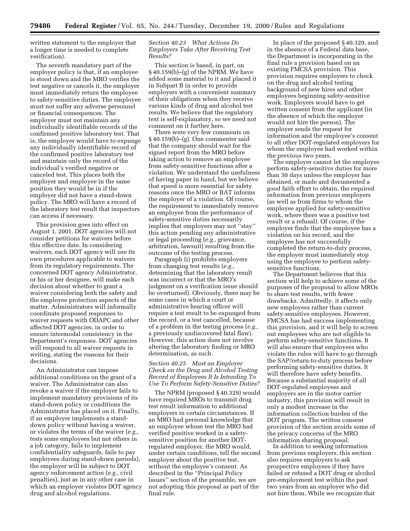written statement to the employer that a longer time is needed to complete verification).

The seventh mandatory part of the employer policy is that, if an employee is stood down and the MRO verifies the test negative or cancels it, the employer must immediately return the employee to safety-sensitive duties. The employee must not suffer any adverse personnel or financial consequences. The employer must not maintain any individually identifiable records of the confirmed positive laboratory test. That is, the employer would have to expunge any individually identifiable record of the confirmed positive laboratory test and maintain only the record of the individual's verified negative or canceled test. This places both the employer and employee in the same position they would be in if the employer did not have a stand-down policy. The MRO will have a record of the laboratory test result that inspectors can access if necessary.

This provision goes into effect on August 1, 2001. DOT agencies will not consider petitions for waivers before this effective date. In considering waivers, each DOT agency will use its own procedures applicable to waivers from its regulatory requirements. The concerned DOT agency Administrator, or his or her designee, will make each decision about whether to grant a waiver considering both the safety and the employee protection aspects of the matter. Administrators will informally coordinate proposed responses to waiver requests with ODAPC and other affected DOT agencies, in order to ensure intermodal consistency in the Department's responses. DOT agencies will respond to all waiver requests in writing, stating the reasons for their decisions.

An Administrator can impose additional conditions on the grant of a waiver. The Administrator can also revoke a waiver if the employer fails to implement mandatory provisions of its stand-down policy or conditions the Administrator has placed on it. Finally, if an employer implements a standdown policy without having a waiver, or violates the terms of the waiver (*e.g.,* tests some employees but not others in a job category, fails to implement confidentiality safeguards, fails to pay employees during stand-down periods), the employer will be subject to DOT agency enforcement action (*e.g.,* civil penalties), just as in any other case in which an employer violates DOT agency drug and alcohol regulations.

#### *Section 40.23 What Actions Do Employers Take After Receiving Test Results?*

This section is based, in part, on  $§$  40.159(b)–(g) of the NPRM. We have added some material to it and placed it in Subpart B in order to provide employers with a convenient summary of their obligations when they receive various kinds of drug and alcohol test results. We believe that the regulatory text is self-explanatory, so we need not comment on it further here.

There were very few comments on § 40.159(b)–(g). One commenter said that the company should wait for the signed report from the MRO before taking action to remove an employee from safety-sensitive functions after a violation. We understand the usefulness of having paper in hand, but we believe that speed is more essential for safety reasons once the MRO or BAT informs the employer of a violation. Of course, the requirement to immediately remove an employee from the performance of safety-sensitive duties necessarily implies that employers may not ''stay'' this action pending any administrative or legal proceeding (*e.g.,* grievance, arbitration, lawsuit) resulting from the outcome of the testing process.

Paragraph (i) prohibits employers from changing test results (*e.g.,* determining that the laboratory result was incorrect or that the MRO's judgment on a verification issue should be overturned). Obviously, there may be some cases in which a court or administrative hearing officer will require a test result to be expunged from the record, or a test cancelled, because of a problem in the testing process (*e.g.,* a previously undiscovered fatal flaw). However, this action does not involve altering the laboratory finding or MRO determination, as such.

#### *Section 40.25 Must an Employer Check on the Drug and Alcohol Testing Record of Employees It Is Intending To Use To Perform Safety-Sensitive Duties?*

The NPRM (proposed § 40.329) would have required MROs to transmit drug test result information to additional employers in certain circumstances. If an MRO had personal knowledge that an employee whose test the MRO had verified positive worked in a safetysensitive position for another DOTregulated employer, the MRO would, under certain conditions, tell the second employer about the positive test, without the employee's consent. As described in the ''Principal Policy Issues'' section of the preamble, we are not adopting this proposal as part of the final rule.

In place of the proposed § 40.329, and in the absence of a Federal data base, the Department is incorporating in the final rule a provision based on an existing FMCSA provision. This provision requires employers to check on the drug and alcohol testing background of new hires and other employees beginning safety-sensitive work. Employers would have to get written consent from the applicant (in the absence of which the employer would not hire the person). The employer sends the request for information and the employee's consent to all other DOT-regulated employers for whom the employee had worked within the previous two years.

The employer cannot let the employee perform safety-sensitive duties for more than 30 days unless the employer has obtained, or made and documented a good faith effort to obtain, the required information from previous employers (as well as from firms to whom the employee applied for safety-sensitive work, where there was a positive test result or a refusal). Of course, if the employer finds that the employee has a violation on his record, and the employee has not successfully completed the return-to-duty process, the employer must immediately stop using the employee to perform safetysensitive functions.

The Department believes that this section will help to achieve some of the purposes of the proposal to allow MROs to share test results, with fewer drawbacks. Admittedly, it affects only new employees rather than current safety-sensitive employees. However, FMCSA has had success implementing this provision, and it will help to screen out employees who are not eligible to perform safety-sensitive functions. It will also ensure that employees who violate the rules will have to go through the SAP/return-to-duty process before performing safety-sensitive duties. It will therefore have safety benefits. Because a substantial majority of all DOT-regulated employees and employers are in the motor carrier industry, this provision will result in only a modest increase in the information collection burden of the DOT program. The written consent provision of the section avoids some of the privacy concerns of the MRO information sharing proposal.

In addition to seeking information from previous employers, this section also requires employers to ask prospective employees if they have failed or refused a DOT drug or alcohol pre-employment test within the past two years from an employer who did not hire them. While we recognize that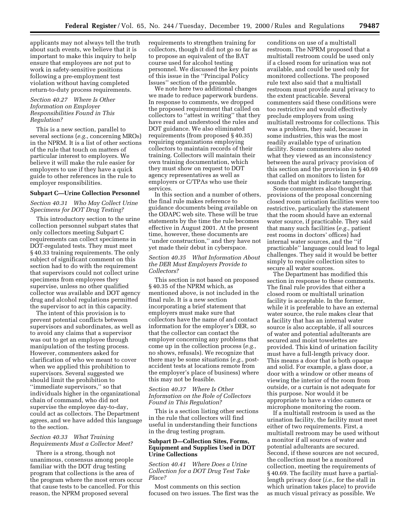applicants may not always tell the truth about such events, we believe that it is important to make this inquiry to help ensure that employees are not put to work in safety-sensitive positions following a pre-employment test violation without having completed return-to-duty process requirements.

#### *Section 40.27 Where Is Other Information on Employer Responsibilities Found in This Regulation?*

This is a new section, parallel to several sections (*e.g.*, concerning MROs) in the NPRM. It is a list of other sections of the rule that touch on matters of particular interest to employers. We believe it will make the rule easier for employers to use if they have a quick guide to other references in the rule to employer responsibilities.

#### **Subpart C—Urine Collection Personnel**

#### *Section 40.31 Who May Collect Urine Specimens for DOT Drug Testing?*

This introductory section to the urine collection personnel subpart states that only collectors meeting Subpart C requirements can collect specimens in DOT-regulated tests. They must meet § 40.33 training requirements. The only subject of significant comment on this section had to do with the requirement that supervisors could not collect urine specimens from employees they supervise, unless no other qualified collector was available and DOT agency drug and alcohol regulations permitted the supervisor to act in this capacity.

The intent of this provision is to prevent potential conflicts between supervisors and subordinates, as well as to avoid any claims that a supervisor was out to get an employee through manipulation of the testing process. However, commenters asked for clarification of who we meant to cover when we applied this prohibition to supervisors. Several suggested we should limit the prohibition to ''immediate supervisors,'' so that individuals higher in the organizational chain of command, who did not supervise the employee day-to-day, could act as collectors. The Department agrees, and we have added this language to the section.

#### *Section 40.33 What Training Requirements Must a Collector Meet?*

There is a strong, though not unanimous, consensus among people familiar with the DOT drug testing program that collections is the area of the program where the most errors occur that cause tests to be cancelled. For this reason, the NPRM proposed several

requirements to strengthen training for collectors, though it did not go so far as to propose an equivalent of the BAT course used for alcohol testing personnel. We discussed the key points of this issue in the ''Principal Policy Issues'' section of the preamble.

We note here two additional changes we made to reduce paperwork burdens. In response to comments, we dropped the proposed requirement that called on collectors to ''attest in writing'' that they have read and understood the rules and DOT guidance. We also eliminated requirements (from proposed § 40.35) requiring organizations employing collectors to maintain records of their training. Collectors will maintain their own training documentation, which they must show on request to DOT agency representatives as well as employers or C/TPAs who use their services.

In this section and a number of others, the final rule makes reference to guidance documents being available on the ODAPC web site. These will be true statements by the time the rule becomes effective in August 2001. At the present time, however, these documents are ''under construction,'' and they have not yet made their debut in cyberspace.

#### *Section 40.35 What Information About the DER Must Employers Provide to Collectors?*

This section is not based on proposed § 40.35 of the NPRM which, as mentioned above, is not included in the final rule. It is a new section incorporating a brief statement that employers must make sure that collectors have the name of and contact information for the employer's DER, so that the collector can contact the employer concerning any problems that come up in the collection process (*e.g.,* no shows, refusals). We recognize that there may be some situations (*e.g.,* postaccident tests at locations remote from the employer's place of business) where this may not be feasible.

#### *Section 40.37 Where Is Other Information on the Role of Collectors Found in This Regulation?*

This is a section listing other sections in the rule that collectors will find useful in understanding their functions in the drug testing program.

#### **Subpart D—Collection Sites, Forms, Equipment and Supplies Used in DOT Urine Collections**

*Section 40.41 Where Does a Urine Collection for a DOT Drug Test Take Place?*

Most comments on this section focused on two issues. The first was the

conditions on use of a multistall restroom. The NPRM proposed that a multistall restroom could be used only if a closed room for urination was not available, and could be used only for monitored collections. The proposed rule text also said that a multistall restroom must provide aural privacy to the extent practicable. Several commenters said these conditions were too restrictive and would effectively preclude employers from using multistall restrooms for collections. This was a problem, they said, because in some industries, this was the most readily available type of urination facility. Some commenters also noted what they viewed as an inconsistency between the aural privacy provision of this section and the provision in § 40.69 that called on monitors to listen for sounds that might indicate tampering.

Some commenters also thought that provisions of the proposal concerning closed room urination facilities were too restrictive, particularly the statement that the room should have an external water source, if practicable. They said that many such facilities (*e.g.*, patient rest rooms in doctors' offices) had internal water sources, and the ''if practicable'' language could lead to legal challenges. They said it would be better simply to require collection sites to secure all water sources.

The Department has modified this section in response to these comments. The final rule provides that either a closed room or multistall urination facility is acceptable. In the former, while it is preferable to have an external water source, the rule makes clear that a facility that has an internal water source is also acceptable, if all sources of water and potential adulterants are secured and moist towelettes are provided. This kind of urination facility must have a full-length privacy door. This means a door that is both opaque and solid. For example, a glass door, a door with a window or other means of viewing the interior of the room from outside, or a curtain is not adequate for this purpose. Nor would it be appropriate to have a video camera or microphone monitoring the room.

If a multistall restroom is used as the urination facility, the facility must meet either of two requirements. First, a multistall restroom may be used without a monitor if all sources of water and potential adulterants are secured. Second, if these sources are not secured, the collection must be a monitored collection, meeting the requirements of § 40.69. The facility must have a partiallength privacy door (*i.e.*, for the stall in which urination takes place) to provide as much visual privacy as possible. We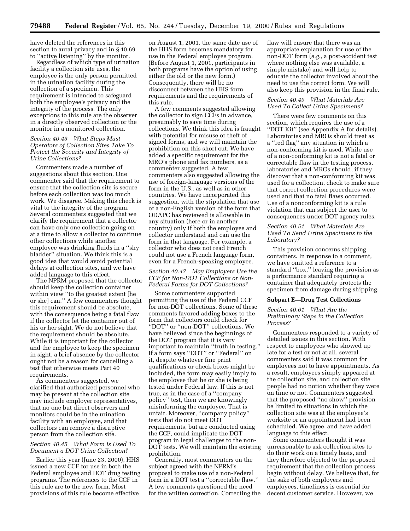have deleted the references in this section to aural privacy and in § 40.69 to ''active listening'' by the monitor.

Regardless of which type of urination facility a collection site uses, the employee is the only person permitted in the urination facility during the collection of a specimen. This requirement is intended to safeguard both the employee's privacy and the integrity of the process. The only exceptions to this rule are the observer in a directly observed collection or the monitor in a monitored collection.

#### *Section 40.43 What Steps Must Operators of Collection Sites Take To Protect the Security and Integrity of Urine Collections?*

Commenters made a number of suggestions about this section. One commenter said that the requirement to ensure that the collection site is secure before each collection was too much work. We disagree. Making this check is vital to the integrity of the program. Several commenters suggested that we clarify the requirement that a collector can have only one collection going on at a time to allow a collector to continue other collections while another employee was drinking fluids in a ''shy bladder'' situation. We think this is a good idea that would avoid potential delays at collection sites, and we have added language to this effect.

The NPRM proposed that the collector should keep the collection container within view ''to the greatest extent [he or she] can.'' A few commenters thought this requirement should be absolute, with the consequence being a fatal flaw if the collector let the container out of his or her sight. We do not believe that the requirement should be absolute. While it is important for the collector and the employee to keep the specimen in sight, a brief absence by the collector ought not be a reason for cancelling a test that otherwise meets Part 40 requirements.

As commenters suggested, we clarified that authorized personnel who may be present at the collection site may include employer representatives, that no one but direct observers and monitors could be in the urination facility with an employee, and that collectors can remove a disruptive person from the collection site.

#### *Section 40.45 What Form Is Used To Document a DOT Urine Collection?*

Earlier this year (June 23, 2000), HHS issued a new CCF for use in both the Federal employee and DOT drug testing programs. The references to the CCF in this rule are to the new form. Most provisions of this rule become effective

on August 1, 2001, the same date use of the HHS form becomes mandatory for use in the Federal employee program. (Before August 1, 2001, participants in both programs have the option of using either the old or the new form.) Consequently, there will be no disconnect between the HHS form requirements and the requirements of this rule.

A few comments suggested allowing the collector to sign CCFs in advance, presumably to save time during collections. We think this idea is fraught with potential for misuse or theft of signed forms, and we will maintain the prohibition on this short cut. We have added a specific requirement for the MRO's phone and fax numbers, as a commenter suggested. A few commenters also suggested allowing the use of foreign-language versions of the form in the U.S., as well as in other countries. We have incorporated this suggestion, with the stipulation that use of a non-English version of the form that ODAPC has reviewed is allowable in any situation (here or in another country) only if both the employee and collector understand and can use the form in that language. For example, a collector who does not read French could not use a French language form, even for a French-speaking employee.

#### *Section 40.47 May Employers Use the CCF for Non-DOT Collections or Non-Federal Forms for DOT Collections?*

Some commenters supported permitting the use of the Federal CCF for non-DOT collections. Some of these comments favored adding boxes to the form that collectors could check for ''DOT'' or ''non-DOT'' collections. We have believed since the beginnings of the DOT program that it is very important to maintain ''truth in testing.'' If a form says ''DOT'' or ''Federal'' on it, despite whatever fine print qualifications or check boxes might be included, the form may easily imply to the employee that he or she is being tested under Federal law. If this is not true, as in the case of a ''company policy'' test, then we are knowingly misinforming the employee. That is unfair. Moreover, ''company policy'' tests that do not meet DOT requirements, but are conducted using the CCF, could implicate the DOT program in legal challenges to the non-DOT tests. We will maintain the existing prohibition.

Generally, most commenters on the subject agreed with the NPRM's proposal to make use of a non-Federal form in a DOT test a ''correctable flaw.'' A few comments questioned the need for the written correction. Correcting the flaw will ensure that there was an appropriate explanation for use of the non-DOT form (*e.g.,* a post-accident test where nothing else was available, a simple mistake) and will help to educate the collector involved about the need to use the correct form. We will also keep this provision in the final rule.

#### *Section 40.49 What Materials Are Used To Collect Urine Specimens?*

There were few comments on this section, which requires the use of a ''DOT Kit'' (see Appendix A for details). Laboratories and MROs should treat as a ''red flag'' any situation in which a non-conforming kit is used. While use of a non-conforming kit is not a fatal or correctable flaw in the testing process, laboratories and MROs should, if they discover that a non-conforming kit was used for a collection, check to make sure that correct collection procedures were used and that no fatal flaws occurred. Use of a nonconforming kit is a rule violation that can subject the user to consequences under DOT agency rules.

#### *Section 40.51 What Materials Are Used To Send Urine Specimens to the Laboratory?*

This provision concerns shipping containers. In response to a comment, we have omitted a reference to a standard ''box,'' leaving the provision as a performance standard requiring a container that adequately protects the specimen from damage during shipping.

#### **Subpart E—Drug Test Collections**

#### *Section 40.61 What Are the Preliminary Steps in the Collection Process?*

Commenters responded to a variety of detailed issues in this section. With respect to employees who showed up late for a test or not at all, several commenters said it was common for employees not to have appointments. As a result, employees simply appeared at the collection site, and collection site people had no notion whether they were on time or not. Commenters suggested that the proposed ''no show'' provision be limited to situations in which the collection site was at the employee's worksite or an appointment had been scheduled. We agree, and have added language to this effect.

Some commenters thought it was unreasonable to ask collection sites to do their work on a timely basis, and they therefore objected to the proposed requirement that the collection process begin without delay. We believe that, for the sake of both employers and employees, timeliness is essential for decent customer service. However, we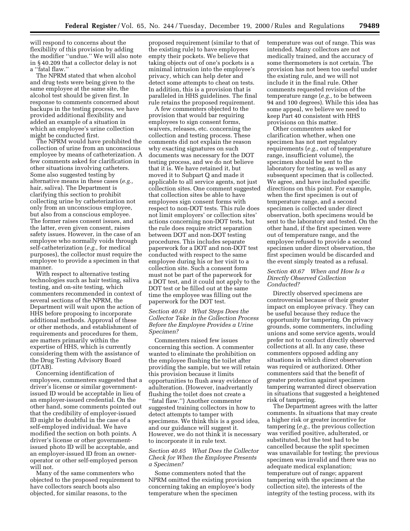will respond to concerns about the flexibility of this provision by adding the modifier ''undue.'' We will also note in § 40.209 that a collector delay is not a ''fatal flaw.''

The NPRM stated that when alcohol and drug tests were being given to the same employee at the same site, the alcohol test should be given first. In response to comments concerned about backups in the testing process, we have provided additional flexibility and added an example of a situation in which an employee's urine collection might be conducted first.

The NPRM would have prohibited the collection of urine from an unconscious employee by means of catheterization. A few comments asked for clarification in other situations involving catheters. Some also suggested testing by alternative means in these cases (*e.g.,* hair, saliva). The Department is clarifying this section to prohibit collecting urine by catheterization not only from an unconscious employee, but also from a conscious employee. The former raises consent issues, and the latter, even given consent, raises safety issues. However, in the case of an employee who normally voids through self-catheterization (*e.g.,* for medical purposes), the collector must require the employee to provide a specimen in that manner.

With respect to alternative testing technologies such as hair testing, saliva testing, and on-site testing, which commenters recommended in context of several sections of the NPRM, the Department will wait upon the action of HHS before proposing to incorporate additional methods. Approval of these or other methods, and establishment of requirements and procedures for them, are matters primarily within the expertise of HHS, which is currently considering them with the assistance of the Drug Testing Advisory Board (DTAB).

Concerning identification of employees, commenters suggested that a driver's license or similar governmentissued ID would be acceptable in lieu of an employer-issued credential. On the other hand, some comments pointed out that the credibility of employer-issued ID might be doubtful in the case of a self-employed individual. We have modified the section on both points. A driver's license or other governmentissued photo ID will be acceptable, and an employer-issued ID from an owneroperator or other self-employed person will not.

Many of the same commenters who objected to the proposed requirement to have collectors search boots also objected, for similar reasons, to the

proposed requirement (similar to that of the existing rule) to have employees empty their pockets. We believe that taking objects out of one's pockets is a minimal intrusion into the employee's privacy, which can help deter and detect some attempts to cheat on tests. In addition, this is a provision that is paralleled in HHS guidelines. The final rule retains the proposed requirement.

A few commenters objected to the provision that would bar requiring employees to sign consent forms, waivers, releases, etc. concerning the collection and testing process. These comments did not explain the reason why exacting signatures on such documents was necessary for the DOT testing process, and we do not believe that it is. We have retained it, but moved it to Subpart Q and made it applicable to all service agents, not just collection sites. One comment suggested that collection sites be able to have employees sign consent forms with respect to non-DOT tests. This rule does not limit employers' or collection sites' actions concerning non-DOT tests, but the rule does require strict separation between DOT and non-DOT testing procedures. This includes separate paperwork for a DOT and non-DOT test conducted with respect to the same employee during his or her visit to a collection site. Such a consent form must not be part of the paperwork for a DOT test, and it could not apply to the DOT test or be filled out at the same time the employee was filling out the paperwork for the DOT test.

#### *Section 40.63 What Steps Does the Collector Take in the Collection Process Before the Employee Provides a Urine Specimen?*

Commenters raised few issues concerning this section. A commenter wanted to eliminate the prohibition on the employee flushing the toilet after providing the sample, but we will retain this provision because it limits opportunities to flush away evidence of adulteration. (However, inadvertantly flushing the toilet does not create a ''fatal flaw.'') Another commenter suggested training collectors in how to detect attempts to tamper with specimens. We think this is a good idea, and our guidance will suggest it. However, we do not think it is necessary to incorporate it in rule text.

#### *Section 40.65 What Does the Collector Check for When the Employee Presents a Specimen?*

Some commenters noted that the NPRM omitted the existing provision concerning taking an employee's body temperature when the specimen

temperature was out of range. This was intended. Many collectors are not medically trained, and the accuracy of some thermometers is not certain. The provision has not been too useful under the existing rule, and we will not include it in the final rule. Other comments requested revision of the temperature range (*e.g.,* to be between 94 and 100 degrees). While this idea has some appeal, we believe we need to keep Part 40 consistent with HHS provisions on this matter.

Other commenters asked for clarification whether, when one specimen has not met regulatory requirements (*e.g.,* out of temperature range, insufficient volume), the specimen should be sent to the laboratory for testing, as well as any subsequent specimen that is collected. We agree, and have included specific directions on this point. For example, when the first specimen is out of temperature range, and a second specimen is collected under direct observation, both specimens would be sent to the laboratory and tested. On the other hand, if the first specimen were out of temperature range, and the employee refused to provide a second specimen under direct observation, the first specimen would be discarded and the event simply treated as a refusal.

#### *Section 40.67 When and How Is a Directly Observed Collection Conducted?*

Directly observed specimens are controversial because of their greater impact on employee privacy. They can be useful because they reduce the opportunity for tampering. On privacy grounds, some commenters, including unions and some service agents, would prefer not to conduct directly observed collections at all. In any case, these commenters opposed adding any situations in which direct observation was required or authorized. Other commenters said that the benefit of greater protection against specimen tampering warranted direct observation in situations that suggested a heightened risk of tampering.

The Department agrees with the latter comments. In situations that may create a higher risk or greater incentive for tampering (*e.g.,* the previous collection was verified positive, adulterated, or substituted, but the test had to be cancelled because the split specimen was unavailable for testing; the previous specimen was invalid and there was no adequate medical explanation; temperature out of range; apparent tampering with the specimen at the collection site), the interests of the integrity of the testing process, with its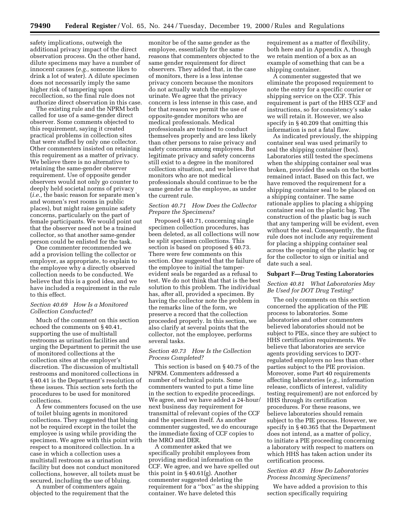safety implications, outweigh the additional privacy impact of the direct observation process. On the other hand, dilute specimens may have a number of innocent causes (*e.g.,* someone likes to drink a lot of water). A dilute specimen does not necessarily imply the same higher risk of tampering upon recollection, so the final rule does not authorize direct observation in this case.

The existing rule and the NPRM both called for use of a same-gender direct observer. Some comments objected to this requirement, saying it created practical problems in collection sites that were staffed by only one collector. Other commenters insisted on retaining this requirement as a matter of privacy. We believe there is no alternative to retaining the same-gender observer requirement. Use of opposite gender observers would not only go counter to deeply held societal norms of privacy (*i.e.,* the basic reason for separate men's and women's rest rooms in public places), but might raise genuine safety concerns, particularly on the part of female participants. We would point out that the observer need not be a trained collector, so that another same-gender person could be enlisted for the task.

One commenter recommended we add a provision telling the collector or employer, as appropriate, to explain to the employee why a directly observed collection needs to be conducted. We believe that this is a good idea, and we have included a requirement in the rule to this effect.

#### *Section 40.69 How Is a Monitored Collection Conducted?*

Much of the comment on this section echoed the comments on § 40.41, supporting the use of multistall restrooms as urination facilities and urging the Department to permit the use of monitored collections at the collection sites at the employer's discretion. The discussion of multistall restrooms and monitored collections in § 40.41 is the Department's resolution of these issues. This section sets forth the procedures to be used for monitored collections.

A few commenters focused on the use of toilet bluing agents in monitored collections. They suggested that bluing not be required except in the toilet the employee is using while providing the specimen. We agree with this point with respect to a monitored collection. In a case in which a collection uses a multistall restroom as a urination facility but does not conduct monitored collections, however, all toilets must be secured, including the use of bluing.

A number of commenters again objected to the requirement that the

monitor be of the same gender as the employee, essentially for the same reasons that commenters objected to the same gender requirement for direct observers. They added that, in the case of monitors, there is a less intense privacy concern because the monitors do not actually watch the employee urinate. We agree that the privacy concern is less intense in this case, and for that reason we permit the use of opposite-gender monitors who are medical professionals. Medical professionals are trained to conduct themselves properly and are less likely than other persons to raise privacy and safety concerns among employees. But legitimate privacy and safety concerns still exist to a degree in the monitored collection situation, and we believe that monitors who are not medical professionals should continue to be the same gender as the employee, as under the current rule.

#### *Section 40.71 How Does the Collector Prepare the Specimens?*

Proposed § 40.71, concerning single specimen collection procedures, has been deleted, as all collections will now be split specimen collections. This section is based on proposed § 40.73. There were few comments on this section. One suggested that the failure of the employee to initial the tamperevident seals be regarded as a refusal to test. We do not think that that is the best solution to this problem. The individual has, after all, provided a specimen. By having the collector note the problem in the remarks line of the form, we preserve a record that the collection proceeded properly. In this section, we also clarify at several points that the collector, not the employee, performs several tasks.

#### *Section 40.73 How Is the Collection Process Completed?*

This section is based on § 40.75 of the NPRM. Commenters addressed a number of technical points. Some commenters wanted to put a time line in the section to expedite proceedings. We agree, and we have added a 24-hour/ next business day requirement for transmittal of relevant copies of the CCF and the specimen itself. As another commenter suggested, we do encourage the immediate faxing of CCF copies to the MRO and DER.

A commenter asked that we specifically prohibit employees from providing medical information on the CCF. We agree, and we have spelled out this point in § 40.61(g). Another commenter suggested deleting the requirement for a ''box'' as the shipping container. We have deleted this

requirement as a matter of flexibility, both here and in Appendix A, though we retain mention of a box as an example of something that can be a shipping container.

A commenter suggested that we eliminate the proposed requirement to note the entry for a specific courier or shipping service on the CCF. This requirement is part of the HHS CCF and instructions, so for consistency's sake we will retain it. However, we also specify in § 40.209 that omitting this information is not a fatal flaw.

As indicated previously, the shipping container seal was used primarily to seal the shipping container (box). Laboratories still tested the specimens when the shipping container seal was broken, provided the seals on the bottles remained intact. Based on this fact, we have removed the requirement for a shipping container seal to be placed on a shipping container. The same rationale applies to placing a shipping container seal on the plastic bag. The construction of the plastic bag is such that any tampering will be evident, even without the seal. Consequently, the final rule does not include any requirement for placing a shipping container seal across the opening of the plastic bag or for the collector to sign or initial and date such a seal.

#### **Subpart F—Drug Testing Laboratories**

*Section 40.81 What Laboratories May Be Used for DOT Drug Testing?*

The only comments on this section concerned the application of the PIE process to laboratories. Some laboratories and other commenters believed laboratories should not be subject to PIEs, since they are subject to HHS certification requirements. We believe that laboratories are service agents providing services to DOTregulated employers no less than other parties subject to the PIE provision. Moreover, some Part 40 requirements affecting laboratories (*e.g.,* information release, conflicts of interest, validity testing requirement) are not enforced by HHS through its certification procedures. For these reasons, we believe laboratories should remain subject to the PIE process. However, we specify in § 40.365 that the Department does not intend, as a matter of policy, to initiate a PIE proceeding concerning a laboratory with respect to matters on which HHS has taken action under its certification process.

#### *Section 40.83 How Do Laboratories Process Incoming Specimens?*

We have added a provision to this section specifically requiring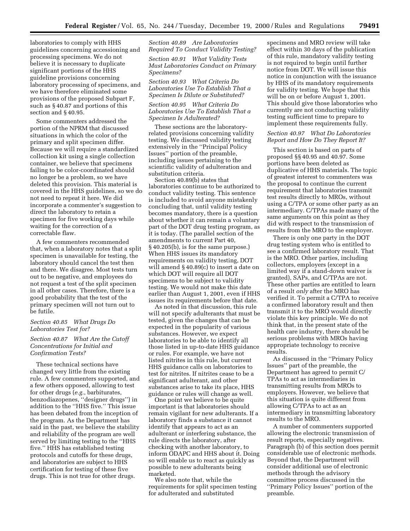laboratories to comply with HHS guidelines concerning accessioning and processing specimens. We do not believe it is necessary to duplicate significant portions of the HHS guideline provisions concerning laboratory processing of specimens, and we have therefore eliminated some provisions of the proposed Subpart F, such as § 40.87 and portions of this section and § 40.95.

Some commenters addressed the portion of the NPRM that discussed situations in which the color of the primary and split specimen differ. Because we will require a standardized collection kit using a single collection container, we believe that specimens failing to be color-coordinated should no longer be a problem, so we have deleted this provision. This material is covered in the HHS guidelines, so we do not need to repeat it here. We did incorporate a commenter's suggestion to direct the laboratory to retain a specimen for five working days while waiting for the correction of a correctable flaw.

A few commenters recommended that, when a laboratory notes that a split specimen is unavailable for testing, the laboratory should cancel the test then and there. We disagree. Most tests turn out to be negative, and employees do not request a test of the split specimen in all other cases. Therefore, there is a good probability that the test of the primary specimen will not turn out to be futile.

#### *Section 40.85 What Drugs Do Laboratories Test for?*

#### *Section 40.87 What Are the Cutoff Concentrations for Initial and Confirmation Tests?*

These technical sections have changed very little from the existing rule. A few commenters supported, and a few others opposed, allowing to test for other drugs (*e.g.*, barbiturates, benzodiazopenes, ''designer drugs'') in addition to the ''HHS five.'' This issue has been debated from the inception of the program. As the Department has said in the past, we believe the stability and reliability of the program are well served by limiting testing to the ''HHS five.'' HHS has established testing protocols and cutoffs for these drugs, and laboratories are subject to HHS certification for testing of these five drugs. This is not true for other drugs.

*Section 40.89 Are Laboratories Required To Conduct Validity Testing? Section 40.91 What Validity Tests Must Laboratories Conduct on Primary Specimens?*

*Section 40.93 What Criteria Do Laboratories Use To Establish That a Specimen Is Dilute or Substituted?*

#### *Section 40.95 What Criteria Do Laboratories Use To Establish That a Specimen Is Adulterated?*

These sections are the laboratoryrelated provisions concerning validity testing. We discussed validity testing extensively in the ''Principal Policy Issues'' portion of the preamble, including issues pertaining to the scientific validity of adulteration and substitution criteria.

Section 40.89(b) states that laboratories continue to be authorized to conduct validity testing. This sentence is included to avoid anyone mistakenly concluding that, until validity testing becomes mandatory, there is a question about whether it can remain a voluntary part of the DOT drug testing program, as it is today. (The parallel section of the amendments to current Part 40, § 40.205(b), is for the same purpose.) When HHS issues its mandatory requirements on validity testing, DOT will amend § 40.89(c) to insert a date on which DOT will require all DOT specimens to be subject to validity testing. We would not make this date earlier than August 1, 2001, even if HHS issues its requirements before that date.

As noted in that discussion, this rule will not specify adulterants that must be tested, given the changes that can be expected in the popularity of various substances. However, we expect laboratories to be able to identify all those listed in up-to-date HHS guidance or rules. For example, we have not listed nitrites in this rule, but current HHS guidance calls on laboratories to test for nitrites. If nitrites cease to be a significant adulterant, and other substances arise to take its place, HHS guidance or rules will change as well.

One point we believe to be quite important is that laboratories should remain vigilant for new adulterants. If a laboratory finds a substance it cannot identify that appears to act as an adulterant or interfering substance, the rule directs the laboratory, after checking with another laboratory, to inform ODAPC and HHS about it. Doing so will enable us to react as quickly as possible to new adulterants being marketed.

We also note that, while the requirements for split specimen testing for adulterated and substituted

specimens and MRO review will take effect within 30 days of the publication of this rule, mandatory validity testing is not required to begin until further notice from DOT. We will issue this notice in conjunction with the issuance by HHS of its mandatory requirements for validity testing. We hope that this will be on or before August 1, 2001. This should give those laboratories who currently are not conducting validity testing sufficient time to prepare to implement these requirements fully.

#### *Section 40.97 What Do Laboratories Report and How Do They Report It?*

This section is based on parts of proposed §§ 40.95 and 40.97. Some portions have been deleted as duplicative of HHS materials. The topic of greatest interest to commenters was the proposal to continue the current requirement that laboratories transmit test results directly to MROs, without using a C/TPA or some other party as an intermediary. C/TPAs made many of the same arguments on this point as they did with respect to the transmission of results from the MRO to the employer.

There is only one party in the DOT drug testing system who is entitled to see a confirmed laboratory result. That is the MRO. Other parties, including collectors, employers (except in a limited way if a stand-down waiver is granted), SAPs, and C/TPAs are not. These other parties are entitled to learn of a result *only* after the MRO has verified it. To permit a C/TPA to receive a confirmed laboratory result and then transmit it to the MRO would directly violate this key principle. We do not think that, in the present state of the health care industry, there should be serious problems with MROs having appropriate technology to receive results.

As discussed in the ''Primary Policy Issues'' part of the preamble, the Department has agreed to permit C/ TPAs to act as intermediaries in transmitting results from MROs to employers. However, we believe that this situation is quite different from allowing C/TPAs to act as an intermediary in transmitting laboratory results to the MRO.

A number of commenters supported allowing the electronic transmission of result reports, especially negatives. Paragraph (b) of this section does permit considerable use of electronic methods. Beyond that, the Department will consider additional use of electronic methods through the advisory committee process discussed in the ''Primary Policy Issues'' portion of the preamble.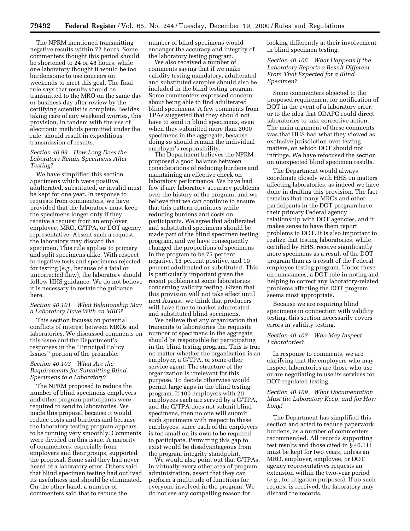The NPRM mentioned transmitting negative results within 72 hours. Some commenters thought this period should be shortened to 24 or 48 hours, while one laboratory thought it would be too burdensome to use couriers on weekends to meet this goal. The final rule says that results should be transmitted to the MRO on the same day or business day after review by the certifying scientist is complete. Besides taking care of any weekend worries, this provision, in tandem with the use of electronic methods permitted under the rule, should result in expeditious transmission of results.

#### *Section 40.99 How Long Does the Laboratory Retain Specimens After Testing?*

We have simplified this section. Specimens which were positive, adulterated, substituted, or invalid must be kept for one year. In response to requests from commenters, we have provided that the laboratory must keep the specimens longer only if they receive a request from an employer, employee, MRO, C/TPA, or DOT agency representative. Absent such a request, the laboratory may discard the specimen. This rule applies to primary and split specimens alike. With respect to negative tests and specimens rejected for testing (*e.g.,* because of a fatal or uncorrected flaw), the laboratory should follow HHS guidance. We do not believe it is necessary to restate the guidance here.

#### *Section 40.101 What Relationship May a Laboratory Have With an MRO?*

This section focuses on potential conflicts of interest between MROs and laboratories. We discussed comments on this issue and the Department's responses in the ''Principal Policy Issues'' portion of the preamble.

#### *Section 40.103 What Are the Requirements for Submitting Blind Specimens to a Laboratory?*

The NPRM proposed to reduce the number of blind specimens employers and other program participants were required to send to laboratories. We made this proposal because it would reduce costs and burdens and because the laboratory testing program appears to be running very smoothly. Comments were divided on this issue. A majority of commenters, especially from employers and their groups, supported the proposal. Some said they had never heard of a laboratory error. Others said that blind specimen testing had outlived its usefulness and should be eliminated. On the other hand, a number of commenters said that to reduce the

number of blind specimens would endanger the accuracy and integrity of the laboratory testing program.

We also received a number of comments saying that if we make validity testing mandatory, adulterated and substituted samples should also be included in the blind testing program. Some commenters expressed concern about being able to find adulterated blind specimens. A few comments from TPAs suggested that they should not have to send in blind specimens, even when they submitted more than 2000 specimens in the aggregate, because doing so should remain the individual employer's responsibility.

The Department believes the NPRM proposed a good balance between considerations of reducing burdens and maintaining an effective check on laboratory performance. We have had few if any laboratory accuracy problems over the history of the program, and we believe that we can continue to ensure that this pattern continues while reducing burdens and costs on participants. We agree that adulterated and substituted specimens should be made part of the blind specimen testing program, and we have consequently changed the proportions of specimens in the program to be 75 percent negative, 15 percent positive, and 10 percent adulterated or substituted. This is particularly important given the recent problems at some laboratories concerning validity testing. Given that this provision will not take effect until next August, we think that producers will have time to market adulterated and substituted blind specimens.

We believe that any organization that transmits to laboratories the requisite number of specimens in the aggregate should be responsible for participating in the blind testing program. This is true no matter whether the organization is an employer, a C/TPA, or some other service agent. The structure of the organization is irrelevant for this purpose. To decide otherwise would permit large gaps in the blind testing program. If 100 employers with 20 employees each are served by a C/TPA, and the C/TPA does not submit blind specimens, then no one will submit such specimens with respect to these employees, since each of the employers is too small on its own to be required to participate. Permitting this gap to exist would be disadvantageous from the program integrity standpoint.

We would also point out that C/TPAs, in virtually every other area of program administration, assert that they can perform a multitude of functions for everyone involved in the program. We do not see any compelling reason for

looking differently at their involvement in blind specimen testing.

*Section 40.105 What Happens if the Laboratory Reports a Result Different From That Expected for a Blind Specimen?*

Some commenters objected to the proposed requirement for notification of DOT in the event of a laboratory error, or to the idea that ODAPC could direct laboratories to take corrective action. The main argument of these comments was that HHS had what they viewed as exclusive jurisdiction over testing matters, on which DOT should not infringe. We have refocused the section on unexpected blind specimen results.

The Department would always coordinate closely with HHS on matters affecting laboratories, as indeed we have done in drafting this provision. The fact remains that many MROs and other participants in the DOT program have their primary Federal agency relationship with DOT agencies, and it makes sense to have them report problems to DOT. It is also important to realize that testing laboratories, while certified by HHS, receive significantly more specimens as a result of the DOT program than as a result of the Federal employee testing program. Under these circumstances, a DOT role in noting and helping to correct any laboratory-related problems affecting the DOT program seems most appropriate.

Because we are requiring blind specimens in connection with validity testing, this section necessarily covers errors in validity testing.

#### *Section 40.107 Who May Inspect Laboratories?*

In response to comments, we are clarifying that the employers who may inspect laboratories are those who use or are negotiating to use its services for DOT-regulated testing.

#### *Section 40.109 What Documentation Must the Laboratory Keep, and for How Long?*

The Department has simplified this section and acted to reduce paperwork burdens, as a number of commenters recommended. All records supporting test results and those cited in § 40.111 must be kept for two years, unless an MRO, employer, employee, or DOT agency representatives requests an extension within the two-year period (*e.g.,* for litigation purposes). If no such request is received, the laboratory may discard the records.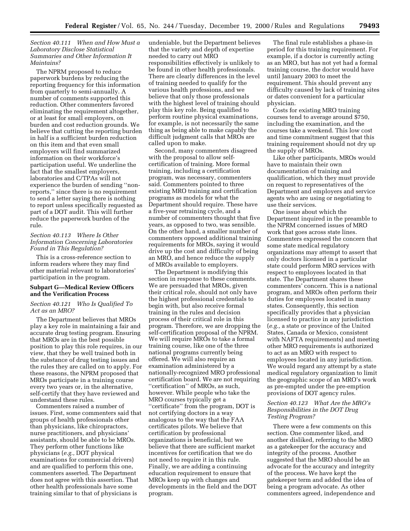#### *Section 40.111 When and How Must a Laboratory Disclose Statistical Summaries and Other Information It Maintains?*

The NPRM proposed to reduce paperwork burdens by reducing the reporting frequency for this information from quarterly to semi-annually. A number of comments supported this reduction. Other commenters favored eliminating the requirement altogether, or at least for small employers, on burden and cost reduction grounds. We believe that cutting the reporting burden in half is a sufficient burden reduction on this item and that even small employers will find summarized information on their workforce's participation useful. We underline the fact that the smallest employers, laboratories and C/TPAs will not experience the burden of sending ''nonreports,'' since there is no requirement to send a letter saying there is nothing to report unless specifically requested as part of a DOT audit. This will further reduce the paperwork burden of the rule.

#### *Section 40.113 Where Is Other Information Concerning Laboratories Found in This Regulation?*

This is a cross-reference section to inform readers where they may find other material relevant to laboratories' participation in the program.

#### **Subpart G—Medical Review Officers and the Verification Process**

#### *Section 40.121 Who Is Qualified To Act as an MRO?*

The Department believes that MROs play a key role in maintaining a fair and accurate drug testing program. Ensuring that MROs are in the best possible position to play this role requires, in our view, that they be well trained both in the substance of drug testing issues and the rules they are called on to apply. For these reasons, the NPRM proposed that MROs participate in a training course every two years or, in the alternative, self-certify that they have reviewed and understand these rules.

Commenters raised a number of issues. First, some commenters said that groups of health professionals other than physicians, like chiropractors, nurse practitioners, and physicians' assistants, should be able to be MROs. They perform other functions like physicians (*e.g.,* DOT physical examinations for commercial drivers) and are qualified to perform this one, commenters asserted. The Department does not agree with this assertion. That other health professionals have some training similar to that of physicians is

undeniable, but the Department believes that the variety and depth of expertise needed to carry out MRO responsibilities effectively is unlikely to be found in other health professionals. There are clearly differences in the level of training needed to qualify for the various health professions, and we believe that only those professionals with the highest level of training should play this key role. Being qualified to perform routine physical examinations, for example, is not necessarily the same thing as being able to make capably the difficult judgment calls that MROs are called upon to make.

Second, many commenters disagreed with the proposal to allow selfcertification of training. More formal training, including a certification program, was necessary, commenters said. Commenters pointed to three existing MRO training and certification programs as models for what the Department should require. These have a five-year retraining cycle, and a number of commenters thought that five years, as opposed to two, was sensible. On the other hand, a smaller number of commenters opposed additional training requirements for MROs, saying it would drive up the cost and difficulty of being an MRO, and hence reduce the supply of MROs available to employers.

The Department is modifying this section in response to these comments. We are persuaded that MROs, given their critical role, should not only have the highest professional credentials to begin with, but also receive formal training in the rules and decision process of their critical role in this program. Therefore, we are dropping the self-certification proposal of the NPRM. We will require MROs to take a formal training course, like one of the three national programs currently being offered. We will also require an examination administered by a nationally-recognized MRO professional certification board. We are not requiring ''certification'' of MROs, as such, however. While people who take the MRO courses typically get a ''certificate'' from the program, DOT is not certifying doctors in a way analogous to the way that the FAA certificates pilots. We believe that certification by professional organizations is beneficial, but we believe that there are sufficient market incentives for certification that we do not need to require it in this rule. Finally, we are adding a continuing education requirement to ensure that MROs keep up with changes and developments in the field and the DOT program.

The final rule establishes a phase-in period for this training requirement. For example, if a doctor is currently acting as an MRO, but has not yet had a formal training course, the doctor would have until January 2003 to meet the requirement. This should prevent any difficulty caused by lack of training sites or dates convenient for a particular physician.

Costs for existing MRO training courses tend to average around \$750, including the examination, and the courses take a weekend. This low cost and time commitment suggest that this training requirement should not dry up the supply of MROs.

Like other participants, MROs would have to maintain their own documentation of training and qualification, which they must provide on request to representatives of the Department and employers and service agents who are using or negotiating to use their services.

One issue about which the Department inquired in the preamble to the NPRM concerned issues of MRO work that goes across state lines. Commenters expressed the concern that some state medical regulatory organizations may attempt to assert that only doctors licensed in a particular state could perform MRO services with respect to employees located in that state. The Department shares these commenters' concern. This is a national program, and MROs often perform their duties for employees located in many states. Consequently, this section specifically provides that a physician licensed to practice in any jurisdiction (*e.g.,* a state or province of the United States, Canada or Mexico, consistent with NAFTA requirements) and meeting other MRO requirements is authorized to act as an MRO with respect to employees located in any jurisdiction. We would regard any attempt by a state medical regulatory organization to limit the geographic scope of an MRO's work as pre-empted under the pre-emption provisions of DOT agency rules.

#### *Section 40.123 What Are the MRO's Responsibilities in the DOT Drug Testing Program?*

There were a few comments on this section. One commenter liked, and another disliked, referring to the MRO as a gatekeeper for the accuracy and integrity of the process. Another suggested that the MRO should be an advocate for the accuracy and integrity of the process. We have kept the gatekeeper term and added the idea of being a program advocate. As other commenters agreed, independence and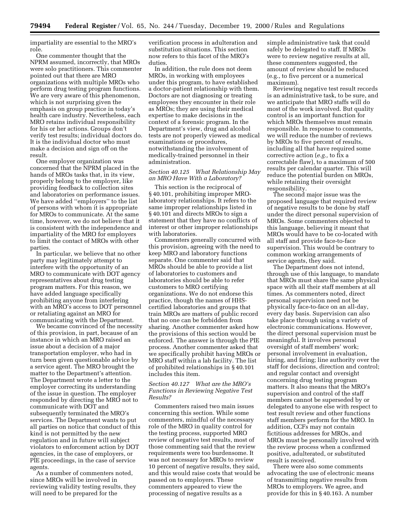impartiality are essential to the MRO's role.

One commenter thought that the NPRM assumed, incorrectly, that MROs were solo practitioners. This commenter pointed out that there are MRO organizations with multiple MROs who perform drug testing program functions. We are very aware of this phenomenon, which is not surprising given the emphasis on group practice in today's health care industry. Nevertheless, each MRO retains individual responsibility for his or her actions. Groups don't verify test results; individual doctors do. It is the individual doctor who must make a decision and sign off on the result.

One employer organization was concerned that the NPRM placed in the hands of MROs tasks that, in its view, properly belong to the employer, like providing feedback to collection sites and laboratories on performance issues. We have added ''employers'' to the list of persons with whom it is appropriate for MROs to communicate. At the same time, however, we do not believe that it is consistent with the independence and impartiality of the MRO for employers to limit the contact of MROs with other parties.

In particular, we believe that no other party may legitimately attempt to interfere with the opportunity of an MRO to communicate with DOT agency representatives about drug testing program matters. For this reason, we have added language specifically prohibiting anyone from interfering with an MRO's access to DOT personnel or retaliating against an MRO for communicating with the Department.

We became convinced of the necessity of this provision, in part, because of an instance in which an MRO raised an issue about a decision of a major transportation employer, who had in turn been given questionable advice by a service agent. The MRO brought the matter to the Department's attention. The Department wrote a letter to the employer correcting its understanding of the issue in question. The employer responded by directing the MRO not to communicate with DOT and subsequently terminated the MRO's services. The Department wants to put all parties on notice that conduct of this kind is not permitted by the new regulation and in future will subject violators to enforcement action by DOT agencies, in the case of employers, or PIE proceedings, in the case of service agents.

As a number of commenters noted, since MROs will be involved in reviewing validity testing results, they will need to be prepared for the

verification process in adulteration and substitution situations. This section now refers to this facet of the MRO's duties.

In addition, the rule does not deem MROs, in working with employees under this program, to have established a doctor-patient relationship with them. Doctors are not diagnosing or treating employees they encounter in their role as MROs; they are using their medical expertise to make decisions in the context of a forensic program. In the Department's view, drug and alcohol tests are not properly viewed as medical examinations or procedures, notwithstanding the involvement of medically-trained personnel in their administration.

#### *Section 40.125 What Relationship May an MRO Have With a Laboratory?*

This section is the reciprocal of § 40.101, prohibiting improper MROlaboratory relationships. It refers to the same improper relationships listed in § 40.101 and directs MROs to sign a statement that they have no conflicts of interest or other improper relationships with laboratories.

Commenters generally concurred with this provision, agreeing with the need to keep MRO and laboratory functions separate. One commenter said that MROs should be able to provide a list of laboratories to customers and laboratories should be able to refer customers to MRO certifying organizations. We do not endorse this practice, though the names of HHScertified laboratories and groups that train MROs are matters of public record that no one can be forbidden from sharing. Another commenter asked how the provisions of this section would be enforced. The answer is through the PIE process. Another commenter asked that we specifically prohibit having MROs or MRO staff within a lab facility. The list of prohibited relationships in § 40.101 includes this item.

#### *Section 40.127 What are the MRO's Functions in Reviewing Negative Test Results?*

Commenters raised two main issues concerning this section. While some commenters, mindful of the necessary role of the MRO in quality control for the testing process, supported MRO review of negative test results, most of those commenting said that the review requirements were too burdensome. It was not necessary for MROs to review 10 percent of negative results, they said, and this would raise costs that would be passed on to employers. These commenters appeared to view the processing of negative results as a

simple administrative task that could safely be delegated to staff. If MROs were to review negative results at all, these commenters suggested, the amount of review should be reduced (e.g., to five percent or a numerical maximum).

Reviewing negative test result records is an administrative task, to be sure, and we anticipate that MRO staffs will do most of the work involved. But quality control is an important function for which MROs themselves must remain responsible. In response to comments, we will reduce the number of reviews by MROs to five percent of results, including all that have required some corrective action (*e.g.,* to fix a correctable flaw), to a maximum of 500 results per calendar quarter. This will reduce the potential burden on MROs, while retaining their oversight responsibility.

The second major issue was the proposed language that required review of negative results to be done by staff under the direct personal supervision of MROs. Some commenters objected to this language, believing it meant that MROs would have to be co-located with all staff and provide face-to-face supervision. This would be contrary to common working arrangements of service agents, they said.

The Department does not intend, through use of this language, to mandate that MROs must share the same physical space with all their staff members at all times. As commenters noted, direct personal supervision need not be physically face-to-face on an all-day, every day basis. Supervision can also take place through using a variety of electronic communications. However, the direct personal supervision must be meaningful. It involves personal oversight of staff members' work; personal involvement in evaluation, hiring, and firing; line authority over the staff for decisions, direction and control; and regular contact and oversight concerning drug testing program matters. It also means that the MRO's supervision and control of the staff members cannot be superseded by or delegated to anyone else with respect to test result review and other functions staff members perform for the MRO. In addition, CCFs may not contain fictitious addresses for MROs, and MROs must be personally involved with the review process when a confirmed positive, adulterated, or substituted result is received.

There were also some comments advocating the use of electronic means of transmitting negative results from MROs to employers. We agree, and provide for this in § 40.163. A number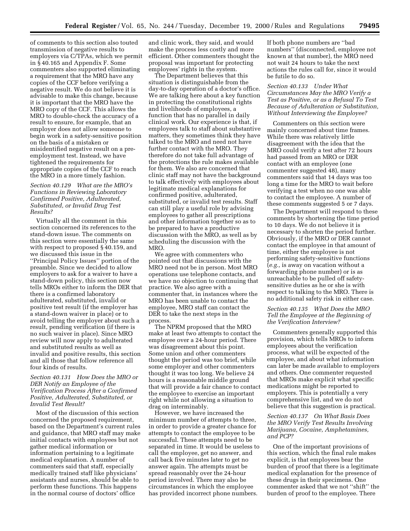of comments to this section also touted transmission of negative results to employers via C/TPAs, which we permit in § 40.165 and Appendix F. Some commenters also supported eliminating a requirement that the MRO have any copies of the CCF before verifying a negative result. We do not believe it is advisable to make this change, because it is important that the MRO have the MRO copy of the CCF. This allows the MRO to double-check the accuracy of a result to ensure, for example, that an employer does not allow someone to begin work in a safety-sensitive position on the basis of a mistaken or misidentified negative result on a preemployment test. Instead, we have tightened the requirements for appropriate copies of the CCF to reach the MRO in a more timely fashion.

#### *Section 40.129 What are the MRO's Functions in Reviewing Laboratory Confirmed Positive, Adulterated, Substituted, or Invalid Drug Test Results?*

Virtually all the comment in this section concerned its references to the stand-down issue. The comments on this section were essentially the same with respect to proposed § 40.159, and we discussed this issue in the ''Principal Policy Issues'' portion of the preamble. Since we decided to allow employers to ask for a waiver to have a stand-down policy, this section now tells MROs either to inform the DER that there is a confirmed laboratory adulterated, substituted, invalid or positive test result (if the employer has a stand-down waiver in place) or to avoid telling the employer about such a result, pending verification (if there is no such waiver in place). Since MRO review will now apply to adulterated and substituted results as well as invalid and positive results, this section and all those that follow reference all four kinds of results.

#### *Section 40.131 How Does the MRO or DER Notify an Employee of the Verification Process After a Confirmed Positive, Adulterated, Substituted, or Invalid Test Result?*

Most of the discussion of this section concerned the proposed requirement, based on the Department's current rules and guidance, that MRO staff may make initial contacts with employees but not gather medical information or information pertaining to a legitimate medical explanation. A number of commenters said that staff, especially medically trained staff like physicians' assistants and nurses, should be able to perform these functions. This happens in the normal course of doctors' office

and clinic work, they said, and would make the process less costly and more efficient. Other commenters thought the proposal was important for protecting employees' rights in the system.

The Department believes that this situation is distinguishable from the day-to-day operation of a doctor's office. We are talking here about a key function in protecting the constitutional rights and livelihoods of employees, a function that has no parallel in daily clinical work. Our experience is that, if employees talk to staff about substantive matters, they sometimes think they have talked to the MRO and need not have further contact with the MRO. They therefore do not take full advantage of the protections the rule makes available for them. We also are concerned that clinic staff may not have the background to talk effectively with employees about legitimate medical explanations for confirmed positive, adulterated, substituted, or invalid test results. Staff can still play a useful role by advising employees to gather all prescriptions and other information together so as to be prepared to have a productive discussion with the MRO, as well as by scheduling the discussion with the MRO.

We agree with commenters who pointed out that discussions with the MRO need not be in person. Most MRO operations use telephone contacts, and we have no objection to continuing that practice. We also agree with a commenter that, in instances where the MRO has been unable to contact the employee, MRO staff can contact the DER to take the next steps in the process.

The NPRM proposed that the MRO make at least two attempts to contact the employee over a 24-hour period. There was disagreement about this point. Some union and other commenters thought the period was too brief, while some employer and other commenters thought it was too long. We believe 24 hours is a reasonable middle ground that will provide a fair chance to contact the employee to exercise an important right while not allowing a situation to drag on interminably.

However, we have increased the minimum number of attempts to three, in order to provide a greater chance for attempts to contact the employee to be successful. These attempts need to be separated in time. It would be useless to call the employee, get no answer, and call back five minutes later to get no answer again. The attempts must be spread reasonably over the 24-hour period involved. There may also be circumstances in which the employee has provided incorrect phone numbers.

If both phone numbers are ''bad numbers'' (disconnected, employee not known at that number), the MRO need not wait 24 hours to take the next actions the rules call for, since it would be futile to do so.

#### *Section 40.133 Under What Circumstances May the MRO Verify a Test as Positive, or as a Refusal To Test Because of Adulteration or Substitution, Without Interviewing the Employee?*

Commenters on this section were mainly concerned about time frames. While there was relatively little disagreement with the idea that the MRO could verify a test after 72 hours had passed from an MRO or DER contact with an employee (one commenter suggested 48), many commenters said that 14 days was too long a time for the MRO to wait before verifying a test when no one was able to contact the employee. A number of these comments suggested 5 or 7 days.

The Department will respond to these comments by shortening the time period to 10 days. We do not believe it is necessary to shorten the period further. Obviously, if the MRO or DER cannot contact the employee in that amount of time, either the employee is not performing safety-sensitive functions (*e.g.,* is away on vacation without a forwarding phone number) or is as unreachable to be pulled off safetysensitive duties as he or she is with respect to talking to the MRO. There is no additional safety risk in either case.

#### *Section 40.135 What Does the MRO Tell the Employee at the Beginning of the Verification Interview?*

Commenters generally supported this provision, which tells MROs to inform employees about the verification process, what will be expected of the employee, and about what information can later be made available to employers and others. One commenter requested that MROs make explicit what specific medications might be reported to employers. This is potentially a very comprehensive list, and we do not believe that this suggestion is practical.

#### *Section 40.137 On What Basis Does the MRO Verify Test Results Involving Marijuana, Cocaine, Amphetamines, and PCP?*

One of the important provisions of this section, which the final rule makes explicit, is that employees bear the burden of proof that there is a legitimate medical explanation for the presence of these drugs in their specimens. One commenter asked that we not ''shift'' the burden of proof to the employee. There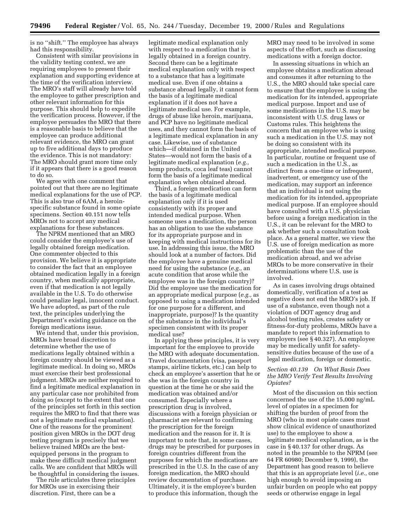is no ''shift.'' The employee has always had this responsibility.

Consistent with similar provisions in the validity testing context, we are requiring employees to present their explanation and supporting evidence at the time of the verification interview. The MRO's staff will already have told the employee to gather prescription and other relevant information for this purpose. This should help to expedite the verification process. However, if the employee persuades the MRO that there is a reasonable basis to believe that the employee can produce additional relevant evidence, the MRO can grant up to five additional days to produce the evidence. This is not mandatory: The MRO should grant more time only if it appears that there is a good reason to do so.

We agree with one comment that pointed out that there are no legitimate medical explanations for the use of PCP. This is also true of 6AM, a heroinspecific substance found in some opiate specimens. Section 40.151 now tells MROs not to accept any medical explanations for these substances.

The NPRM mentioned that an MRO could consider the employee's use of legally obtained foreign medication. One commenter objected to this provision. We believe it is appropriate to consider the fact that an employee obtained medication legally in a foreign country, when medically appropriate, even if that medication is not legally available in the U.S. To do otherwise could penalize legal, innocent conduct. We have adopted, as part of the rule text, the principles underlying the Department's existing guidance on the foreign medications issue.

We intend that, under this provision, MROs have broad discretion to determine whether the use of medications legally obtained within a foreign country should be viewed as a legitimate medical. In doing so, MROs must exercise their best professional judgment. MROs are neither required to find a legitimate medical explanation in any particular case nor prohibited from doing so (except to the extent that one of the principles set forth in this section requires the MRO to find that there was not a legitimate medical explanation). One of the reasons for the prominent position given MROs in the DOT drug testing program is precisely that we believe trained MROs are the bestequipped persons in the program to make these difficult medical judgment calls. We are confident that MROs will be thoughtful in considering the issues.

The rule articulates three principles for MROs use in exercising their discretion. First, there can be a

legitimate medical explanation only with respect to a medication that is legally obtained in a foreign country. Second there can be a legitimate medical explanation only with respect to a substance that has a legitimate medical use. Even if one obtains a substance abroad legally, it cannot form the basis of a legitimate medical explanation if it does not have a legitimate medical use. For example, drugs of abuse like heroin, marijuana, and PCP have no legitimate medical uses, and they cannot form the basis of a legitimate medical explanation in any case. Likewise, use of substance which—if obtained in the United States—would not form the basis of a legitimate medical explanation (*e.g.,* hemp products, coca leaf teas) cannot form the basis of a legitimate medical explanation when obtained abroad.

Third, a foreign medication can form the basis of a legitimate medical explanation only if it is used consistently with its proper and intended medical purpose. When someone uses a medication, the person has an obligation to use the substance for its appropriate purpose and in keeping with medical instructions for its use. In addressing this issue, the MRO should look at a number of factors. Did the employee have a genuine medical need for using the substance (*e.g.,* an acute condition that arose while the employee was in the foreign country)? Did the employee use the medication for an appropriate medical purpose (*e.g.,* as opposed to using a medication intended for one purpose for a different, and inappropriate, purpose)? Is the quantity of the substance in the individual's specimen consistent with its proper medical use?

In applying these principles, it is very important for the employee to provide the MRO with adequate documentation. Travel documentation (visa, passport stamps, airline tickets, etc.) can help to check an employee's assertion that he or she was in the foreign country in question at the time he or she said the medication was obtained and/or consumed. Especially where a prescription drug is involved, discussions with a foreign physician or pharmacist are relevant to confirming the prescription for the foreign medication and the reason for it. It is important to note that, in some cases, drugs may be prescribed for purposes in foreign countries different from the purposes for which the medications are prescribed in the U.S. In the case of any foreign medication, the MRO should review documentation of purchase. Ultimately, it is the employee's burden to produce this information, though the

MRO may need to be involved in some aspects of the effort, such as discussing medications with a foreign doctor.

In assessing situations in which an employee obtains a medication abroad and consumes it after returning to the U.S., the MRO should take special care to ensure that the employee is using the medication for its intended, appropriate medical purpose. Import and use of some medications in the U.S. may be inconsistent with U.S. drug laws or Customs rules. This heightens the concern that an employee who is using such a medication in the U.S. may not be doing so consistent with its appropriate, intended medical purpose. In particular, routine or frequent use of such a medication in the U.S., as distinct from a one-time or infrequent, inadvertent, or emergency use of the medication, may support an inference that an individual is not using the medication for its intended, appropriate medical purpose. If an employee should have consulted with a U.S. physician before using a foreign medication in the U.S., it can be relevant for the MRO to ask whether such a consultation took place. As a general matter, we view the U.S. use of foreign medication as more problematic than the use of the medication abroad, and we advise MROs to be more conservative in their determinations where U.S. use is involved.

As in cases involving drugs obtained domestically, verification of a test as negative does not end the MRO's job. If use of a substance, even though not a violation of DOT agency drug and alcohol testing rules, creates safety or fitness-for-duty problems, MROs have a mandate to report this information to employers (see § 40.327). An employee may be medically unfit for safetysensitive duties because of the use of a legal medication, foreign or domestic.

#### *Section 40.139 On What Basis Does the MRO Verify Test Results Involving Opiates?*

Most of the discussion on this section concerned the use of the 15,000 ng/mL level of opiates in a specimen for shifting the burden of proof from the MRO (who in most opiate cases must show clinical evidence of unauthorized use) to the employee to show a legitimate medical explanation, as is the case in § 40.137 for other drugs. As noted in the preamble to the NPRM (see 64 FR 60980; December 9, 1999), the Department has good reason to believe that this is an appropriate level (*i.e.,* one high enough to avoid imposing an unfair burden on people who eat poppy seeds or otherwise engage in legal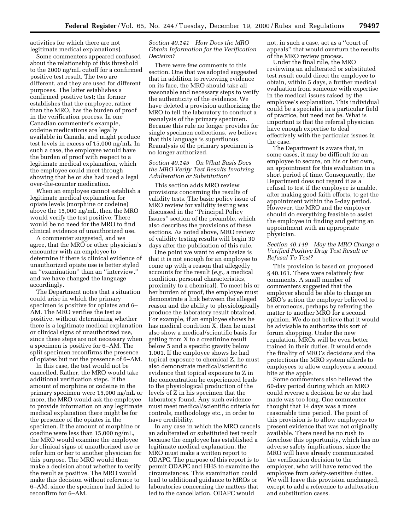activities for which there are not legitimate medical explanations).

Some commenters appeared confused about the relationship of this threshold to the 2000 ng/mL cutoff for a confirmed positive test result. The two are different, and they are used for different purposes. The latter establishes a confirmed positive test; the former establishes that the employee, rather than the MRO, has the burden of proof in the verification process. In one Canadian commenter's example, codeine medications are legally available in Canada, and might produce test levels in excess of 15,000 ng/mL. In such a case, the employee would have the burden of proof with respect to a legitimate medical explanation, which the employee could meet through showing that he or she had used a legal over-the-counter medication.

When an employee cannot establish a legitimate medical explanation for opiate levels (morphine or codeine) above the 15,000 ng/mL, then the MRO would verify the test positive. There would be no need for the MRO to find clinical evidence of unauthorized use.

A commenter suggested, and we agree, that the MRO or other physician's encounter with an employee to determine if there is clinical evidence of unauthorized opiate use is better styled an ''examination'' than an ''interview,'' and we have changed the language accordingly.

The Department notes that a situation could arise in which the primary specimen is positive for opiates and 6– AM. The MRO verifies the test as positive, without determining whether there is a legitimate medical explanation or clinical signs of unauthorized use, since these steps are not necessary when a specimen is positive for 6–AM. The split specimen reconfirms the presence of opiates but not the presence of 6–AM.

In this case, the test would not be cancelled. Rather, the MRO would take additional verification steps. If the amount of morphine or codeine in the primary specimen were 15,000 ng/mL or more, the MRO would ask the employee to provide information on any legitimate medical explanation there might be for the presence of the opiates in the specimen. If the amount of morphine or coedine were less than 15,000 ng/mL, the MRO would examine the employee for clinical signs of unauthorized use or refer him or her to another physician for this purpose. The MRO would then make a decision about whether to verify the result as positive. The MRO would make this decision without reference to 6–AM, since the specimen had failed to reconfirm for 6–AM.

# *Section 40.141 How Does the MRO Obtain Information for the Verification Decision?*

There were few comments to this section. One that we adopted suggested that in addition to reviewing evidence on its face, the MRO should take all reasonable and necessary steps to verify the authenticity of the evidence. We have deleted a provision authorizing the MRO to tell the laboratory to conduct a reanalysis of the primary specimen. Because this rule no longer provides for single specimen collections, we believe that this language is superfluous. Reanalysis of the primary specimen is no longer authorized.

# *Section 40.145 On What Basis Does the MRO Verify Test Results Involving Adulteration or Substitution?*

This section adds MRO review provisions concerning the results of validity tests. The basic policy issue of MRO review for validity testing was discussed in the ''Principal Policy Issues'' section of the preamble, which also describes the provisions of these sections. As noted above, MRO review of validity testing results will begin 30 days after the publication of this rule.

One point we want to emphasize is that it is not enough for an employee to come up with a reason that allegedly accounts for the result (*e.g.,* a medical condition, personal characteristics, proximity to a chemical). To meet his or her burden of proof, the employee must demonstrate a link between the alleged reason and the ability to physiologically produce the laboratory result obtained. For example, if an employee shows he has medical condition X, then he must also show a medical/scientific basis for getting from X to a creatinine result below 5 and a specific gravity below 1.001. If the employee shows he had topical exposure to chemical Z, he must also demonstrate medical/scientific evidence that topical exposure to Z in the concentration he experienced leads to the physiological production of the levels of Z in his specimen that the laboratory found. Any such evidence must meet medical/scientific criteria for controls, methodology etc., in order to have credibility.

In any case in which the MRO cancels an adulterated or substituted test result because the employee has established a legitimate medical explanation, the MRO must make a written report to ODAPC. The purpose of this report is to permit ODAPC and HHS to examine the circumstances. This examination could lead to additional guidance to MROs or laboratories concerning the matters that led to the cancellation. ODAPC would

not, in such a case, act as a ''court of appeals'' that would overturn the results of the MRO review process.

Under the final rule, the MRO reviewing an adulterated or substituted test result could direct the employee to obtain, within 5 days, a further medical evaluation from someone with expertise in the medical issues raised by the employee's explanation. This individual could be a specialist in a particular field of practice, but need not be. What is important is that the referral physician have enough expertise to deal effectively with the particular issues in the case.

The Department is aware that, in some cases, it may be difficult for an employee to secure, on his or her own, an appointment for this evaluation in a short period of time. Consequently, the Department does not regard it as a refusal to test if the employee is unable, after making good faith efforts, to get the appointment within the 5-day period. However, the MRO and the employer should do everything feasible to assist the employee in finding and getting an appointment with an appropriate physician.

## *Section 40.149 May the MRO Change a Verified Positive Drug Test Result or Refusal To Test?*

This provision is based on proposed § 40.161. There were relatively few comments. A small number of commenters suggested that the employer should be able to change an MRO's action the employer believed to be erroneous, perhaps by referring the matter to another MRO for a second opinion. We do not believe that it would be advisable to authorize this sort of forum shopping. Under the new regulation, MROs will be even better trained in their duties. It would erode the finality of MRO's decisions and the protections the MRO system affords to employees to allow employers a second bite at the apple.

Some commenters also believed the 60-day period during which an MRO could reverse a decision he or she had made was too long. One commenter thought that 14 days was a more reasonable time period. The point of this provision is to allow employees to present evidence that was not originally available. There need be no rush to foreclose this opportunity, which has no adverse safety implications, since the MRO will have already communicated the verification decision to the employer, who will have removed the employee from safety-sensitive duties. We will leave this provision unchanged, except to add a reference to adulteration and substitution cases.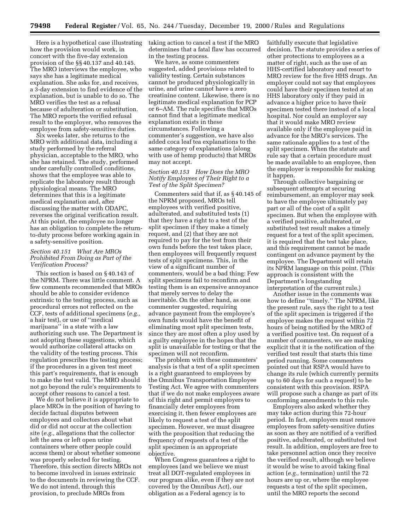Here is a hypothetical case illustrating how the provision would work, in concert with the five-day extension provision of the §§ 40.137 and 40.145. The MRO interviews the employee, who says she has a legitimate medical explanation. She asks for, and receives, a 3-day extension to find evidence of the explanation, but is unable to do so. The MRO verifies the test as a refusal because of adulteration or substitution. The MRO reports the verified refusal result to the employer, who removes the employee from safety-sensitive duties.

Six weeks later, she returns to the MRO with additional data, including a study performed by the referral physician, acceptable to the MRO, who she has retained. The study, performed under carefully controlled conditions, shows that the employee was able to replicate the laboratory result through physiological means. The MRO determines that this is a legitimate medical explanation and, after discussing the matter with ODAPC, reverses the original verification result. At this point, the employee no longer has an obligation to complete the returnto-duty process before working again in a safety-sensitive position.

# *Section 40.151 What Are MROs Prohibited From Doing as Part of the Verification Process?*

This section is based on § 40.143 of the NPRM. There was little comment. A few comments recommended that MROs should be able to consider evidence extrinsic to the testing process, such as procedural errors not reflected on the CCF, tests of additional specimens (*e.g.,* a hair test), or use of ''medical marijuana'' in a state with a law authorizing such use. The Department is not adopting these suggestions, which would authorize collateral attacks on the validity of the testing process. This regulation prescribes the testing process; if the procedures in a given test meet this part's requirements, that is enough to make the test valid. The MRO should not go beyond the rule's requirements to accept other reasons to cancel a test.

We do not believe it is appropriate to place MROs in the position of having to decide factual disputes between employees and collectors about what did or did not occur at the collection site (*e.g.,* allegations that the collector left the area or left open urine containers where other people could access them) or about whether someone was properly selected for testing. Therefore, this section directs MROs not to become involved in issues extrinsic to the documents in reviewing the CCF. We do not intend, through this provision, to preclude MROs from

taking action to cancel a test if the MRO determines that a fatal flaw has occurred in the testing process.

We have, as some commenters suggested, added provisions related to validity testing. Certain substances cannot be produced physiologically in urine, and urine cannot have a zero creatinine content. Likewise, there is no legitimate medical explanation for PCP or 6–AM. The rule specifies that MROs cannot find that a legitimate medical explanation exists in these circumstances. Following a commenter's suggestion, we have also added coca leaf tea explanations to the same category of explanations (along with use of hemp products) that MROs may not accept.

## *Section 40.153 How Does the MRO Notify Employees of Their Right to a Test of the Split Specimen?*

Commenters said that if, as § 40.145 of the NPRM proposed, MROs tell employees with verified positive, adulterated, and substituted tests (1) that they have a right to a test of the split specimen if they make a timely request, and (2) that they are not required to pay for the test from their own funds before the test takes place, then employees will frequently request tests of split specimens. This, in the view of a significant number of commenters, would be a bad thing: Few split specimens fail to reconfirm and testing them is an expensive annoyance that merely serves to delay the inevitable. On the other hand, as one commenter suggested, requiring advance payment from the employee's own funds would have the benefit of eliminating most split specimen tests, since they are most often a ploy used by a guilty employee in the hopes that the split is unavailable for testing or that the specimen will not reconfirm.

The problem with these commenters' analysis is that a test of a split specimen is a right guaranteed to employees by the Omnibus Transportation Employee Testing Act. We agree with commenters that if we do not make employees aware of this right and permit employers to financially deter employees from exercising it, then fewer employees are likely to request a test of the split specimen. However, we must disagree with the proposition that reducing the frequency of requests of a test of the split specimen is an appropriate objective.

When Congress guarantees a right to employees (and we believe we must treat all DOT-regulated employees in our program alike, even if they are not covered by the Omnibus Act), our obligation as a Federal agency is to

faithfully execute that legislative decision. The statute provides a series of other protections to employees as a matter of right, such as the use of an HHS-certified laboratory and resort to MRO review for the five HHS drugs. An employer could not say that employees could have their specimen tested at an HHS laboratory only if they paid in advance a higher price to have their specimen tested there instead of a local hospital. Nor could an employer say that it would make MRO review available only if the employee paid in advance for the MRO's services. The same rationale applies to a test of the split specimen. When the statute and rule say that a certain procedure must be made available to an employee, then the employer is responsible for making it happen.

Through collective bargaining or subsequent attempts at securing reimbursement, an employer may seek to have the employee ultimately pay part or all of the cost of a split specimen. But when the employee with a verified positive, adulterated, or substituted test result makes a timely request for a test of the split specimen, it is required that the test take place, and this requirement cannot be made contingent on advance payment by the employee. The Department will retain its NPRM language on this point. (This approach is consistent with the Department's longstanding interpretation of the current rule.)

Another issue in the comments was how to define ''timely.'' The NPRM, like the present rule, says the right to a test of the split specimen is triggered if the employee makes the request within 72 hours of being notified by the MRO of a verified positive test. On request of a number of commenters, we are making explicit that it is the notification of the verified test result that starts this time period running. Some commenters pointed out that RSPA would have to change its rule (which currently permits up to 60 days for such a request) to be consistent with this provision. RSPA will propose such a change as part of its conforming amendments to this rule.

Employers also asked whether they may take action during this 72-hour period. In fact, employers must remove employees from safety-sensitive duties as soon as they are notified of a verified positive, adulterated, or substituted test result. In addition, employers are free to take personnel action once they receive the verified result, although we believe it would be wise to avoid taking final action (*e.g.,* termination) until the 72 hours are up or, where the employee requests a test of the split specimen, until the MRO reports the second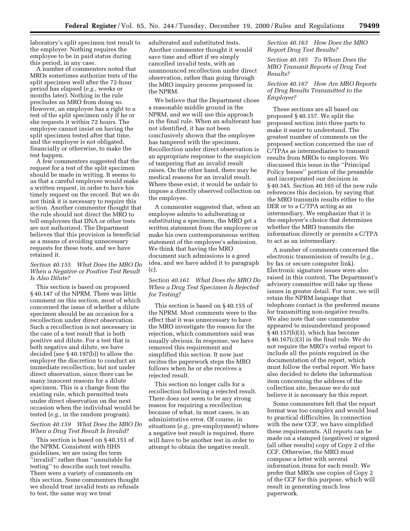laboratory's split specimen test result to the employer. Nothing requires the employee to be in paid status during this period, in any case.

A number of commenters noted that MROs sometimes authorize tests of the split specimen well after the 72-hour period has elapsed (*e.g.,* weeks or months later). Nothing in the rule precludes an MRO from doing so. However, an employee has a right to a test of the split specimen only if he or she requests it within 72 hours. The employee cannot insist on having the split specimen tested after that time, and the employer is not obligated, financially or otherwise, to make the test happen.

A few commenters suggested that the request for a test of the split specimen should be made in writing. It seems to us that a careful employee would make a written request, in order to have his timely request on the record. But we do not think it is necessary to require this action. Another commenter thought that the rule should not direct the MRO to tell employees that DNA or other tests are not authorized. The Department believes that this provision is beneficial as a means of avoiding unnecessary requests for these tests, and we have retained it.

# *Section 40.155 What Does the MRO Do When a Negative or Positive Test Result Is Also Dilute?*

This section is based on proposed § 40.147 of the NPRM. There was little comment on this section, most of which concerned the issue of whether a dilute specimen should be an occasion for a recollection under direct observation. Such a recollection is not necessary in the case of a test result that is both positive and dilute. For a test that is both negative and dilute, we have decided (see § 40.197(b)) to allow the employer the discretion to conduct an immediate recollection, but not under direct observation, since there can be many innocent reasons for a dilute specimen. This is a change from the existing rule, which permitted tests under direct observation on the next occasion when the individual would be tested (*e.g.,* in the random program).

# *Section 40.159 What Does the MRO Do When a Drug Test Result Is Invalid?*

This section is based on § 40.151 of the NPRM. Consistent with HHS guidelines, we are using the term ''invalid'' rather than ''unsuitable for testing'' to describe such test results. There were a variety of comments on this section. Some commenters thought we should treat invalid tests as refusals to test, the same way we treat

adulterated and substituted tests. Another commenter thought it would save time and effort if we simply cancelled invalid tests, with an unannounced recollection under direct observation, rather than going through the MRO inquiry process proposed in the NPRM.

We believe that the Department chose a reasonable middle ground in the NPRM, and we will use this approach in the final rule. When an adulterant has not identified, it has not been conclusively shown that the employee has tampered with the specimen. Recollection under direct observation is an appropriate response to the suspicion of tampering that an invalid result raises. On the other hand, there may be medical reasons for an invalid result. Where these exist, it would be unfair to impose a directly observed collection on the employee.

A commenter suggested that, when an employee admits to adulterating or substituting a specimen, the MRO get a written statement from the employee or make his own contemporaneous written statement of the employee's admission. We think that having the MRO document such admissions is a good idea, and we have added it to paragraph (c).

# *Section 40.161 What Does the MRO Do When a Drug Test Specimen Is Rejected for Testing?*

This section is based on § 40.155 of the NPRM. Most comments were to the effect that it was unnecessary to have the MRO investigate the reason for the rejection, which commenters said was usually obvious. In response, we have removed this requirement and simplified this section. It now just recites the paperwork steps the MRO follows when he or she receives a rejected result.

This section no longer calls for a recollection following a rejected result. There does not seem to be any strong reason for requiring a recollection because of what, in most cases, is an administrative error. Of course, in situations (*e.g.,* pre-employment) where a negative test result is required, there will have to be another test in order to attempt to obtain the negative result.

# *Section 40.163 How Does the MRO Report Drug Test Results?*

# *Section 40.165 To Whom Does the MRO Transmit Reports of Drug Test Results?*

# *Section 40.167 How Are MRO Reports of Drug Results Transmitted to the Employer?*

These sections are all based on proposed § 40.157. We split the proposed section into three parts to make it easier to understand. The greatest number of comments on the proposed section concerned the use of C/TPAs as intermediaries to transmit results from MROs to employers. We discussed this issue in the ''Principal Policy Issues'' portion of the preamble and incorporated our decision in § 40.345. Section 40.165 of the new rule references this decision, by saying that the MRO transmits results either to the DER or to a C/TPA acting as an intermediary. We emphasize that it is the employer's choice that determines whether the MRO transmits the information directly or permits a C/TPA to act as an intermediary.

A number of comments concerned the electronic transmission of results (*e.g.,* by fax or secure computer link). Electronic signature issues were also raised in this context. The Department's advisory committee will take up these issues in greater detail. For now, we will retain the NPRM language that telephone contact is the preferred means for transmitting non-negative results. We also note that one commenter appeared to misunderstand proposed § 40.157(b)(3), which has become § 40.167(c)(3) in the final rule. We do not require the MRO's verbal report to include all the points required in the documentation of the report, which must follow the verbal report. We have also decided to delete the information item concerning the address of the collection site, because we do not believe it is necessary for this report.

Some commenters felt that the report format was too complex and would lead to practical difficulties. In connection with the new CCF, we have simplified these requirements. All reports can be made on a stamped (negatives) or signed (all other results) copy of Copy 2 of the CCF. Otherwise, the MRO must compose a letter with several information items for each result. We prefer that MROs use copies of Copy 2 of the CCF for this purpose, which will result in generating much less paperwork.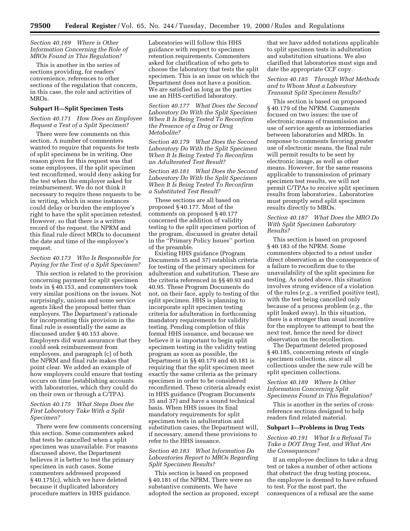*Section 40.169 Where is Other Information Concerning the Role of MROs Found in This Regulation?*

This is another in the series of sections providing, for readers' convenience, references to other sections of the regulation that concern, in this case, the role and activities of MROs.

## **Subpart H—Split Specimen Tests**

# *Section 40.171 How Does an Employee Request a Test of a Split Specimen?*

There were few comments on this section. A number of commenters wanted to require that requests for tests of split specimens be in writing. One reason given for this request was that some employees, if the split specimen test reconfirmed, would deny asking for the test when the employer asked for reimbursement. We do not think it necessary to require these requests to be in writing, which in some instances could delay or burden the employee's right to have the split specimen retested. However, so that there is a written record of the request, the NPRM and this final rule direct MROs to document the date and time of the employee's request.

# *Section 40.173 Who Is Responsible for Paying for the Test of a Split Specimen?*

This section is related to the provision concerning payment for split specimen tests in § 40.153, and commenters took very similar positions on the issues. Not surprisingly, unions and some service agents liked the proposal better than employers. The Department's rationale for incorporating this provision in the final rule is essentially the same as discussed under § 40.153 above. Employers did want assurance that they could seek reimbursement from employees, and paragraph (c) of both the NPRM and final rule makes that point clear. We added an example of how employers could ensure that testing occurs on time (establishing accounts with laboratories, which they could do on their own or through a C/TPA).

# *Section 40.175 What Steps Does the First Laboratory Take With a Split Specimen?*

There were few comments concerning this section. Some commenters asked that tests be cancelled when a split specimen was unavailable. For reasons discussed above, the Department believes it is better to test the primary specimen in such cases. Some commenters addressed proposed § 40.175(c), which we have deleted because it duplicated laboratory procedure matters in HHS guidance.

Laboratories will follow this HHS guidance with respect to specimen retention requirements. Commenters asked for clarification of who gets to choose the laboratory that tests the split specimen. This is an issue on which the Department does not have a position. We are satisfied as long as the parties use an HHS-certified laboratory.

*Section 40.177 What Does the Second Laboratory Do With the Split Specimen When It Is Being Tested To Reconfirm the Presence of a Drug or Drug Metabolite?*

*Section 40.179 What Does the Second Laboratory Do With the Split Specimen When It Is Being Tested To Reconfirm an Adulterated Test Result?*

*Section 40.181 What Does the Second Laboratory Do With the Split Specimen When It Is Being Tested To Reconfirm a Substituted Test Result?*

These sections are all based on proposed § 40.177. Most of the comments on proposed § 40.177 concerned the addition of validity testing to the split specimen portion of the program, discussed in greater detail in the ''Primary Policy Issues'' portion of the preamble.

Existing HHS guidance (Program Documents 35 and 37) establish criteria for testing of the primary specimen for adulteration and substitution. These are the criteria referenced in §§ 40.93 and 40.95. These Program Documents do not, on their face, apply to testing of the split specimen. HHS is planning to incorporate split specimen testing criteria for adulteration in forthcoming mandatory requirements for validity testing. Pending completion of this formal HHS issuance, and because we believe it is important to begin split specimen testing in the validity testing program as soon as possible, the Department in §§ 40.179 and 40.181 is requiring that the split specimen meet exactly the same criteria as the primary specimen in order to be considered reconfirmed. These criteria already exist in HHS guidance (Program Documents 35 and 37) and have a sound technical basis. When HHS issues its final mandatory requirements for split specimen tests in adulteration and substitution cases, the Department will, if necessary, amend these provisions to refer to the HHS issuance.

# *Section 40.183 What Information Do Laboratories Report to MROs Regarding Split Specimen Results?*

This section is based on proposed § 40.181 of the NPRM. There were no substantive comments. We have adopted the section as proposed, except

that we have added notations applicable to split specimen tests in adulteration and substitution situations. We also clarified that laboratories must sign and date the appropriate CCF copy.

## *Section 40.185 Through What Methods and to Whom Must a Laboratory Transmit Split Specimen Results?*

This section is based on proposed § 40.179 of the NPRM. Comments focused on two issues: the use of electronic means of transmission and use of service agents as intermediaries between laboratories and MROs. In response to comments favoring greater use of electronic means, the final rule will permit results to be sent by electronic image, as well as other means. However, for the same reasons applicable to transmission of primary specimen test results, we will not permit C/TPAs to receive split specimen results from laboratories.. Laboratories must promptly send split specimen results directly to MROs.

## *Section 40.187 What Does the MRO Do With Split Specimen Laboratory Results?*

This section is based on proposed § 40.183 of the NPRM. Some commenters objected to a retest under direct observation as the consequence of a failure to reconfirm due to the unavailability of the split specimen for testing. As noted above, this situation involves strong evidence of a violation of the rules (*e.g.,* a verified positive test), with the test being cancelled only because of a process problem (*e.g.,* the split leaked away). In this situation, there is a stronger than usual incentive for the employee to attempt to beat the next test, hence the need for direct observation on the recollection.

The Department deleted proposed § 40.185, concerning retests of single specimen collections, since all collections under the new rule will be split specimen collections.

# *Section 40.189 Where Is Other Information Concerning Split Specimens Found in This Regulation?*

This is another in the series of crossreference sections designed to help readers find related material.

### **Subpart I—Problems in Drug Tests**

*Section 40.191 What Is a Refusal To Take a DOT Drug Test, and What Are the Consequences?*

If an employee declines to take a drug test or takes a number of other actions that obstruct the drug testing process, the employee is deemed to have refused to test. For the most part, the consequences of a refusal are the same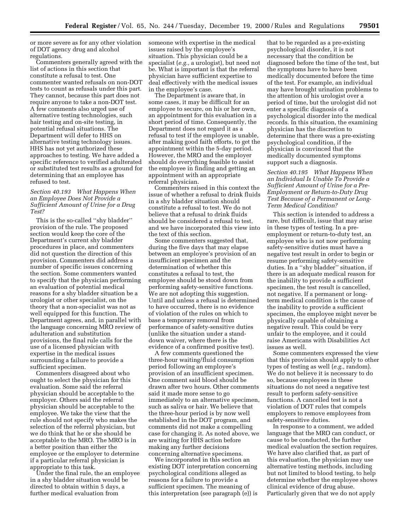or more severe as for any other violation of DOT agency drug and alcohol regulations.

Commenters generally agreed with the list of actions in this section that constitute a refusal to test. One commenter wanted refusals on non-DOT tests to count as refusals under this part. They cannot, because this part does not require anyone to take a non-DOT test. A few comments also urged use of alternative testing technologies, such hair testing and on-site testing, in potential refusal situations. The Department will defer to HHS on alternative testing technology issues. HHS has not yet authorized these approaches to testing. We have added a specific reference to verified adulterated or substituted test results as a ground for determining that an employee has refused to test.

# *Section 40.193 What Happens When an Employee Does Not Provide a Sufficient Amount of Urine for a Drug Test?*

This is the so-called ''shy bladder'' provision of the rule. The proposed section would keep the core of the Department's current shy bladder procedures in place, and commenters did not question the direction of this provision. Commenters did address a number of specific issues concerning the section. Some commenters wanted to specify that the physician performing an evaluation of potential medical reasons for a shy bladder situation be a urologist or other specialist, on the theory that a non-specialist was not as well equipped for this function. The Department agrees, and, in parallel with the language concerning MRO review of adulteration and substitution provisions, the final rule calls for the use of a licensed physician with expertise in the medical issues surrounding a failure to provide a sufficient specimen.

Commenters disagreed about who ought to select the physician for this evaluation. Some said the referral physician should be acceptable to the employer. Others said the referral physician should be acceptable to the employee. We take the view that the rule should not specify who makes the selection of the referral physician, but we do think that he or she should be acceptable to the MRO. The MRO is in a better position than either the employee or the employer to determine if a particular referral physician is appropriate to this task.

Under the final rule, the an employee in a shy bladder situation would be directed to obtain within 5 days, a further medical evaluation from

someone with expertise in the medical issues raised by the employee's situation. This physician could be a specialist (*e.g.,* a urologist), but need not be. What is important is that the referral physician have sufficient expertise to deal effectively with the medical issues in the employee's case.

The Department is aware that, in some cases, it may be difficult for an employee to secure, on his or her own, an appointment for this evaluation in a short period of time. Consequently, the Department does not regard it as a refusal to test if the employee is unable, after making good faith efforts, to get the appointment within the 5-day period. However, the MRO and the employer should do everything feasible to assist the employee in finding and getting an appointment with an appropriate referral physician.

Commenters raised in this context the issue of whether a refusal to drink fluids in a shy bladder situation should constitute a refusal to test. We do not believe that a refusal to drink fluids should be considered a refusal to test, and we have incorporated this view into the text of this section.

Some commenters suggested that, during the five days that may elapse between an employee's provision of an insufficient specimen and the determination of whether this constitutes a refusal to test, the employee should be stood down from performing safety-sensitive functions. We are not adopting this suggestion. Until and unless a refusal is determined to have occurred, there is no evidence of violation of the rules on which to base a temporary removal from performance of safety-sensitive duties (unlike the situation under a standdown waiver, where there is the evidence of a confirmed positive test).

A few comments questioned the three-hour waiting/fluid consumption period following an employee's provision of an insufficient specimen. One comment said blood should be drawn after two hours. Other comments said it made more sense to go immediately to an alternative specimen, such as saliva or hair. We believe that the three-hour period is by now well established in the DOT program, and comments did not make a compelling case for changing it. As noted above, we are waiting for HHS action before making any further decisions concerning alternative specimens.

We incorporated in this section an existing DOT interpretation concerning psychological conditions alleged as reasons for a failure to provide a sufficient specimen. The meaning of this interpretation (see paragraph (e)) is

that to be regarded as a pre-existing psychological disorder, it is not necessary that the condition be diagnosed before the time of the test, but the symptoms have to have been medically documented before the time of the test. For example, an individual may have brought urination problems to the attention of his urologist over a period of time, but the urologist did not enter a specific diagnosis of a psychological disorder into the medical records. In this situation, the examining physician has the discretion to determine that there was a pre-existing psychological condition, if the physician is convinced that the medically documented symptoms support such a diagnosis.

*Section 40.195 What Happens When an Individual Is Unable To Provide a Sufficient Amount of Urine for a Pre-Employment or Return-to-Duty Drug Test Because of a Permanent or Long-Term Medical Condition?*

This section is intended to address a rare, but difficult, issue that may arise in these types of testing. In a preemployment or return-to-duty test, an employee who is not now performing safety-sensitive duties must have a negative test result in order to begin or resume performing safety-sensitive duties. In a ''shy bladder'' situation, if there is an adequate medical reason for the inability to provide a sufficient specimen, the test result is cancelled, not negative. If a permanent or longterm medical condition is the cause of the inability to provide a sufficient specimen, the employee might never be physically capable of obtaining a negative result. This could be very unfair to the employee, and it could raise Americans with Disabilities Act issues as well.

Some commenters expressed the view that this provision should apply to other types of testing as well (*e.g.,* random). We do not believe it is necessary to do so, because employees in these situations do not need a negative test result to perform safety-sensitive functions. A cancelled test is not a violation of DOT rules that compels employers to remove employees from safety-sensitive duties.

In response to a comment, we added language that the MRO can conduct, or cause to be conducted, the further medical evaluation the section requires. We have also clarified that, as part of this evaluation, the physician may use alternative testing methods, including but not limited to blood testing, to help determine whether the employee shows clinical evidence of drug abuse. Particularly given that we do not apply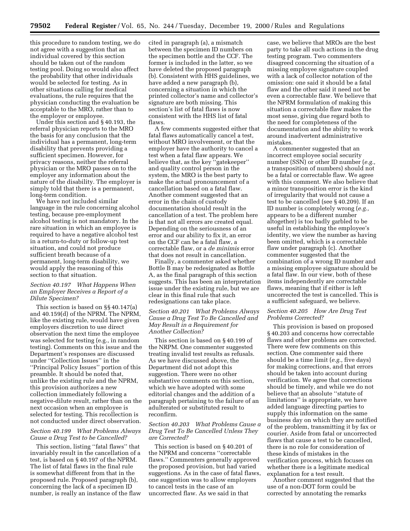this procedure to random testing, we do not agree with a suggestion that an individual covered by this section should be taken out of the random testing pool. Doing so would also affect the probability that other individuals would be selected for testing. As in other situations calling for medical evaluations, the rule requires that the physician conducting the evaluation be acceptable to the MRO, rather than to the employer or employee.

Under this section and § 40.193, the referral physician reports to the MRO the basis for any conclusion that the individual has a permanent, long-term disability that prevents providing a sufficient specimen. However, for privacy reasons, neither the referral physician or the MRO passes on to the employer any information about the nature of the disability. The employer is simply told that there is a permanent, long-term condition.

We have not included similar language in the rule concerning alcohol testing, because pre-employment alcohol testing is not mandatory. In the rare situation in which an employee is required to have a negative alcohol test in a return-to-duty or follow-up test situation, and could not produce sufficient breath because of a permanent, long-term disability, we would apply the reasoning of this section to that situation.

# *Section 40.197 What Happens When an Employer Receives a Report of a Dilute Specimen?*

This section is based on §§ 40.147(a) and 40.159(d) of the NPRM. The NPRM, like the existing rule, would have given employers discretion to use direct observation the next time the employee was selected for testing (e.g., in random testing). Comments on this issue and the Department's responses are discussed under ''Collection Issues'' in the ''Principal Policy Issues'' portion of this preamble. It should be noted that, unlike the existing rule and the NPRM, this provision authorizes a new collection immediately following a negative-dilute result, rather than on the next occasion when an employee is selected for testing. This recollection is not conducted under direct observation.

# *Section 40.199 What Problems Always Cause a Drug Test to be Cancelled?*

This section, listing ''fatal flaws'' that invariably result in the cancellation of a test, is based on § 40.197 of the NPRM. The list of fatal flaws in the final rule is somewhat different from that in the proposed rule. Proposed paragraph (b), concerning the lack of a specimen ID number, is really an instance of the flaw cited in paragraph (a), a mismatch between the specimen ID numbers on the specimen bottle and the CCF. The former is included in the latter, so we have deleted the proposed paragraph (b). Consistent with HHS guidelines, we have added a new paragraph (b), concerning a situation in which the printed collector's name and collector's signature are both missing. This section's list of fatal flaws is now consistent with the HHS list of fatal flaws.

A few comments suggested either that fatal flaws automatically cancel a test, without MRO involvement, or that the employer have the authority to cancel a test when a fatal flaw appears. We believe that, as the key "gatekeeper" and quality control person in the system, the MRO is the best party to make the actual pronouncement of a cancellation based on a fatal flaw. Another comment suggested that an error in the chain of custody documentation should result in the cancellation of a test. The problem here is that not all errors are created equal. Depending on the seriousness of an error and our ability to fix it, an error on the CCF can be a fatal flaw, a correctable flaw, or a *de minimis* error that does not result in cancellation.

Finally, a commenter asked whether Bottle B may be redesignated as Bottle A, as the final paragraph of this section suggests. This has been an interpretation issue under the existing rule, but we are clear in this final rule that such redesignations can take place.

# *Section 40.201 What Problems Always Cause a Drug Test To Be Cancelled and May Result in a Requirement for Another Collection?*

This section is based on § 40.199 of the NRPM. One commenter suggested treating invalid test results as refusals. As we have discussed above, the Department did not adopt this suggestion. There were no other substantive comments on this section, which we have adopted with some editorial changes and the addition of a paragraph pertaining to the failure of an adulterated or substituted result to reconfirm.

## *Section 40.203 What Problems Cause a Drug Test To Be Cancelled Unless They are Corrected?*

This section is based on § 40.201 of the NPRM and concerns ''correctable flaws.'' Commenters generally approved the proposed provision, but had varied suggestions. As in the case of fatal flaws, one suggestion was to allow employers to cancel tests in the case of an uncorrected flaw. As we said in that

case, we believe that MROs are the best party to take all such actions in the drug testing program. Two commenters disagreed concerning the situation of a missing employee signature coupled with a lack of collector notation of the omission: one said it should be a fatal flaw and the other said it need not be even a correctable flaw. We believe that the NPRM formulation of making this situation a correctable flaw makes the most sense, giving due regard both to the need for completeness of the documentation and the ability to work around inadvertent administrative mistakes.

A commenter suggested that an incorrect employee social security number (SSN) or other ID number (*e.g.,* a transposition of numbers) should not be a fatal or correctable flaw. We agree with this comment. We also believe that a minor transposition error is the kind of irregularity that would not cause a test to be cancelled (see § 40.209). If an ID number is completely wrong (*e.g.,* appears to be a different number altogether) is too badly garbled to be useful in establishing the employee's identity, we view the number as having been omitted, which is a correctable flaw under paragraph (c). Another commenter suggested that the combination of a wrong ID number and a missing employee signature should be a fatal flaw. In our view, both of these items independently are correctable flaws, meaning that if either is left uncorrected the test is cancelled. This is a sufficient safeguard, we believe.

# *Section 40.205 How Are Drug Test Problems Corrected?*

This provision is based on proposed § 40.203 and concerns how correctable flaws and other problems are corrected. There were few comments on this section. One commenter said there should be a time limit (*e.g.,* five days) for making corrections, and that errors should be taken into account during verification. We agree that corrections should be timely, and while we do not believe that an absolute ''statute of limitations'' is appropriate, we have added language directing parties to supply this information on the same business day on which they are notified of the problem, transmitting it by fax or courier. Aside from fatal or uncorrected flaws that cause a test to be cancelled, there is no role for consideration of these kinds of mistakes in the verification process, which focuses on whether there is a legitimate medical explanation for a test result.

Another comment suggested that the use of a non-DOT form could be corrected by annotating the remarks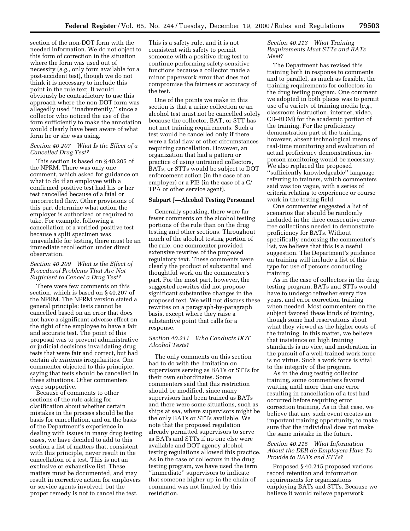section of the non-DOT form with the needed information. We do not object to this form of correction in the situation where the form was used out of necessity (*e.g.,* only form available for a post-accident test), though we do not think it is necessary to include this point in the rule text. It would obviously be contradictory to use this approach where the non-DOT form was allegedly used ''inadvertently,'' since a collector who noticed the use of the form sufficiently to make the annotation would clearly have been aware of what form he or she was using.

## *Section 40.207 What Is the Effect of a Cancelled Drug Test?*

This section is based on § 40.205 of the NPRM. There was only one comment, which asked for guidance on what to do if an employee with a confirmed positive test had his or her test cancelled because of a fatal or uncorrected flaw. Other provisions of this part determine what action the employer is authorized or required to take. For example, following a cancellation of a verified positive test because a split specimen was unavailable for testing, there must be an immediate recollection under direct observation.

# *Section 40.209 What is the Effect of Procedural Problems That Are Not Sufficient to Cancel a Drug Test?*

There were few comments on this section, which is based on § 40.207 of the NPRM. The NPRM version stated a general principle: tests cannot be cancelled based on an error that does not have a significant adverse effect on the right of the employee to have a fair and accurate test. The point of this proposal was to prevent administrative or judicial decisions invalidating drug tests that were fair and correct, but had certain *de minimis* irregularities. One commenter objected to this principle, saying that tests should be cancelled in these situations. Other commenters were supportive.

Because of comments to other sections of the rule asking for clarification about whether certain mistakes in the process should be the basis for cancellation, and on the basis of the Department's experience in dealing with issues in many drug testing cases, we have decided to add to this section a list of matters that, consistent with this principle, never result in the cancellation of a test. This is not an exclusive or exhaustive list. These matters must be documented, and may result in corrective action for employers or service agents involved, but the proper remedy is not to cancel the test.

This is a safety rule, and it is not consistent with safety to permit someone with a positive drug test to continue performing safety-sensitive functions because a collector made a minor paperwork error that does not compromise the fairness or accuracy of the test.

One of the points we make in this section is that a urine collection or an alcohol test must not be cancelled solely because the collector, BAT, or STT has not met training requirements. Such a test would be cancelled only if there were a fatal flaw or other circumstances requiring cancellation. However, an organization that had a pattern or practice of using untrained collectors, BATs, or STTs would be subject to DOT enforcement action (in the case of an employer) or a PIE (in the case of a C/ TPA or other service agent).

# **Subpart J—Alcohol Testing Personnel**

Generally speaking, there were far fewer comments on the alcohol testing portions of the rule than on the drug testing and other sections. Throughout much of the alcohol testing portion of the rule, one commenter provided extensive rewrites of the proposed regulatory text. These comments were clearly the product of substantial and thoughtful work on the commenter's part. For the most part, however, the suggested rewrites did not propose significant substantive changes in the proposed text. We will not discuss these rewrites on a paragraph-by-paragraph basis, except where they raise a substantive point that calls for a response.

# *Section 40.211 Who Conducts DOT Alcohol Tests?*

The only comments on this section had to do with the limitation on supervisors serving as BATs or STTs for their own subordinates. Some commenters said that this restriction should be modified, since many supervisors had been trained as BATs and there were some situations, such as ships at sea, where supervisors might be the only BATs or STTs available. We note that the proposed regulation already permitted supervisors to serve as BATs and STTs if no one else were available and DOT agency alcohol testing regulations allowed this practice. As in the case of collectors in the drug testing program, we have used the term ''immediate'' supervisors to indicate that someone higher up in the chain of command was not limited by this restriction.

# *Section 40.213 What Training Requirements Must STTs and BATs Meet?*

The Department has revised this training both in response to comments and to parallel, as much as feasible, the training requirements for collectors in the drug testing program. One comment we adopted in both places was to permit use of a variety of training media (*e.g.,* classroom instruction, internet, video, CD–ROM) for the academic portion of the training. For the proficiency demonstration part of the training, however, absent technological means of real-time monitoring and evaluation of actual proficiency demonstrations, inperson monitoring would be necessary. We also replaced the proposed ''sufficiently knowledgeable'' language referring to trainers, which commenters said was too vague, with a series of criteria relating to experience or course work in the testing field.

One commenter suggested a list of scenarios that should be randomly included in the three consecutive errorfree collections needed to demonstrate proficiency for BATs. Without specifically endorsing the commenter's list, we believe that this is a useful suggestion. The Department's guidance on training will include a list of this type for use of persons conducting training.

As in the case of collectors in the drug testing program, BATs and STTs would have to undergo refresher every five years, and error correction training when needed. Most commenters on the subject favored these kinds of training, though some had reservations about what they viewed as the higher costs of the training. In this matter, we believe that insistence on high training standards is no vice, and moderation in the pursuit of a well-trained work force is no virtue. Such a work force is vital to the integrity of the program.

As in the drug testing collector training, some commenters favored waiting until more than one error resulting in cancellation of a test had occurred before requiring error correction training. As in that case, we believe that any such event creates an important training opportunity, to make sure that the individual does not make the same mistake in the future.

# *Section 40.215 What Information About the DER do Employers Have To Provide to BATs and STTs?*

Proposed § 40.215 proposed various record retention and information requirements for organizations employing BATs and STTs. Because we believe it would relieve paperwork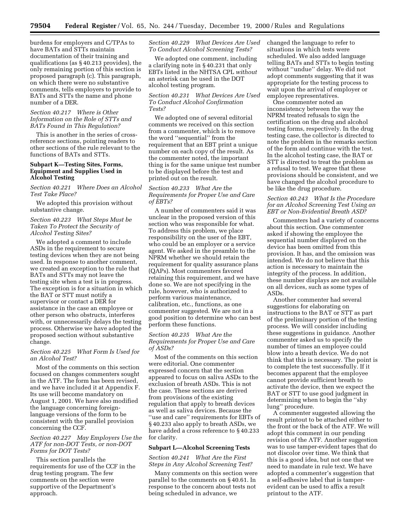burdens for employers and C/TPAs to have BATs and STTs maintain documentation of their training and qualifications (as § 40.213 provides), the only remaining portion of this section is proposed paragraph (c). This paragraph, on which there were no substantive comments, tells employers to provide to BATs and STTs the name and phone number of a DER.

## *Section 40.217 Where is Other Information on the Role of STTs and BATs Found in This Regulation?*

This is another in the series of crossreference sections, pointing readers to other sections of the rule relevant to the functions of BATs and STTs.

# **Subpart K—Testing Sites, Forms, Equipment and Supplies Used in Alcohol Testing**

# *Section 40.221 Where Does an Alcohol Test Take Place?*

We adopted this provision without substantive change.

# *Section 40.223 What Steps Must be Taken To Protect the Security of Alcohol Testing Sites?*

We adopted a comment to include ASDs in the requirement to secure testing devices when they are not being used. In response to another comment, we created an exception to the rule that BATs and STTs may not leave the testing site when a test is in progress. The exception is for a situation in which the BAT or STT must notify a supervisor or contact a DER for assistance in the case an employee or other person who obstructs, interferes with, or unnecessarily delays the testing process. Otherwise we have adopted the proposed section without substantive change.

## *Section 40.225 What Form Is Used for an Alcohol Test?*

Most of the comments on this section focused on changes commenters sought in the ATF. The form has been revised, and we have included it at Appendix F. Its use will become mandatory on August 1, 2001. We have also modified the language concerning foreignlanguage versions of the form to be consistent with the parallel provision concerning the CCF.

# *Section 40.227 May Employers Use the ATF for non-DOT Tests, or non-DOT Forms for DOT Tests?*

This section parallels the requirements for use of the CCF in the drug testing program. The few comments on the section were supportive of the Department's approach.

## *Section 40.229 What Devices Are Used To Conduct Alcohol Screening Tests?*

We adopted one comment, including a clarifying note in § 40.231 that only EBTs listed in the NHTSA CPL *without* an asterisk can be used in the DOT alcohol testing program.

# *Section 40.231 What Devices Are Used To Conduct Alcohol Confirmation Tests?*

We adopted one of several editorial comments we received on this section from a commenter, which is to remove the word ''sequential'' from the requirement that an EBT print a unique number on each copy of the result. As the commenter noted, the important thing is for the same unique test number to be displayed before the test and printed out on the result.

# *Section 40.233 What Are the Requirements for Proper Use and Care of EBTs?*

A number of commenters said it was unclear in the proposed version of this section who was responsible for what. To address this problem, we place responsibility on the user of the EBT, who could be an employer or a service agent. We asked in the preamble to the NPRM whether we should retain the requirement for quality assurance plans (QAPs). Most commenters favored retaining this requirement, and we have done so. We are not specifying in the rule, however, who is authorized to perform various maintenance, calibration, etc., functions, as one commenter suggested. We are not in a good position to determine who can best perform these functions.

# *Section 40.235 What Are the Requirements for Proper Use and Care of ASDs?*

Most of the comments on this section were editorial. One commenter expressed concern that the section appeared to focus on saliva ASDs to the exclusion of breath ASDs. This is not the case. These sections are derived from provisions of the existing regulation that apply to breath devices as well as saliva devices. Because the ''use and care'' requirements for EBTs of § 40.233 also apply to breath ASDs, we have added a cross reference to § 40.233 for clarity.

### **Subpart L—Alcohol Screening Tests**

*Section 40.241 What Are the First Steps in Any Alcohol Screening Test?*

Many comments on this section were parallel to the comments on § 40.61. In response to the concern about tests not being scheduled in advance, we

changed the language to refer to situations in which tests were scheduled. We also added language telling BATs and STTs to begin testing without ''undue'' delay. We did not adopt comments suggesting that it was appropriate for the testing process to wait upon the arrival of employer or employee representatives.

One commenter noted an inconsistency between the way the NPRM treated refusals to sign the certification on the drug and alcohol testing forms, respectively. In the drug testing case, the collector is directed to note the problem in the remarks section of the form and continue with the test. In the alcohol testing case, the BAT or STT is directed to treat the problem as a refusal to test. We agree that these provisions should be consistent, and we have changed the alcohol procedure to be like the drug procedure.

## *Section 40.243 What Is the Procedure for an Alcohol Screening Test Using an EBT or Non-Evidential Breath ASD?*

Commenters had a variety of concerns about this section. One commenter asked if showing the employee the sequential number displayed on the device has been omitted from this provision. It has, and the omission was intended. We do not believe that this action is necessary to maintain the integrity of the process. In addition, these number displays are not available on all devices, such as some types of ASDs.

Another commenter had several suggestions for elaborating on instructions to the BAT or STT as part of the preliminary portion of the testing process. We will consider including these suggestions in guidance. Another commenter asked us to specify the number of times an employee could blow into a breath device. We do not think that this is necessary. The point is to complete the test successfully. If it becomes apparent that the employee cannot provide sufficient breath to activate the device, then we expect the BAT or STT to use good judgment in determining when to begin the ''shy lung'' procedure.

A commenter suggested allowing the result printout to be attached either to the front or the back of the ATF. We will adopt this comment in our pending revision of the ATF. Another suggestion was to use tamper-evident tapes that do not discolor over time. We think that this is a good idea, but not one that we need to mandate in rule text. We have adopted a commenter's suggestion that a self-adhesive label that is tamperevident can be used to affix a result printout to the ATF.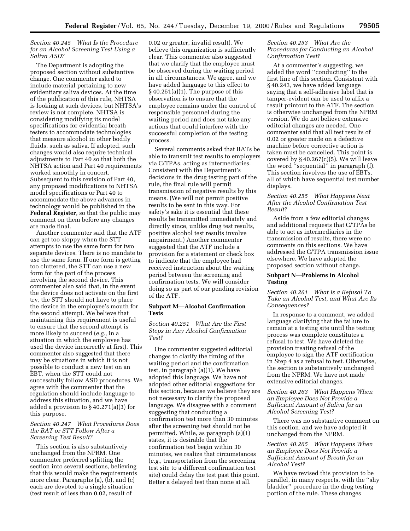# *Section 40.245 What Is the Procedure for an Alcohol Screening Test Using a Saliva ASD?*

The Department is adopting the proposed section without substantive change. One commenter asked to include material pertaining to new evidentiary saliva devices. At the time of the publication of this rule, NHTSA is looking at such devices, but NHTSA's review is not complete. NHTSA is considering modifying its model specifications for evidential breath testers to accommodate technologies that measure alcohol in other bodily fluids, such as saliva. If adopted, such changes would also require technical adjustments to Part 40 so that both the NHTSA action and Part 40 requirements worked smoothly in concert. Subsequent to this revision of Part 40, any proposed modifications to NHTSA model specifications or Part 40 to accommodate the above advances in technology would be published in the **Federal Register**, so that the public may comment on them before any changes are made final.

Another commenter said that the ATF can get too sloppy when the STT attempts to use the same form for two separate devices. There is no mandate to use the same form. If one form is getting too cluttered, the STT can use a new form for the part of the process involving the second device. This commenter also said that, in the event the device does not activate on the first try, the STT should not have to place the device in the employee's mouth for the second attempt. We believe that maintaining this requirement is useful to ensure that the second attempt is more likely to succeed (*e.g.,* in a situation in which the employee has used the device incorrectly at first). This commenter also suggested that there may be situations in which it is not possible to conduct a new test on an EBT, when the STT could not successfully follow ASD procedures. We agree with the commenter that the regulation should include language to address this situation, and we have added a provision to § 40.271(a)(3) for this purpose.

# *Section 40.247 What Procedures Does the BAT or STT Follow After a Screening Test Result?*

This section is also substantively unchanged from the NPRM. One commenter preferred splitting the section into several sections, believing that this would make the requirements more clear. Paragraphs (a), (b), and (c) each are devoted to a single situation (test result of less than 0.02, result of

0.02 or greater, invalid result). We believe this organization is sufficiently clear. This commenter also suggested that we clarify that the employee must be observed during the waiting period in all circumstances. We agree, and we have added language to this effect to  $§40.251(a)(1)$ . The purpose of this observation is to ensure that the employee remains under the control of responsible personnel during the waiting period and does not take any actions that could interfere with the successful completion of the testing process.

Several comments asked that BATs be able to transmit test results to employers via C/TPAs, acting as intermediaries. Consistent with the Department's decisions in the drug testing part of the rule, the final rule will permit transmission of negative results by this means. (We will not permit positive results to be sent in this way. For safety's sake it is essential that these results be transmitted immediately and directly since, unlike drug test results, positive alcohol test results involve impairment.) Another commenter suggested that the ATF include a provision for a statement or check box to indicate that the employee had received instruction about the waiting period between the screening and confirmation tests. We will consider doing so as part of our pending revision of the ATF.

# **Subpart M—Alcohol Confirmation Tests**

*Section 40.251 What Are the First Steps in Any Alcohol Confirmation Test?*

One commenter suggested editorial changes to clarify the timing of the waiting period and the confirmation test, in paragraph (a)(1). We have adopted this language. We have not adopted other editorial suggestions for this section, because we believe they are not necessary to clarify the proposed language. We disagree with a comment suggesting that conducting a confirmation test more than 30 minutes after the screening test should not be permitted. While, as paragraph (a)(1) states, it is desirable that the confirmation test begin within 30 minutes, we realize that circumstances (*e.g.,* transportation from the screening test site to a different confirmation test site) could delay the test past this point. Better a delayed test than none at all.

## *Section 40.253 What Are the Procedures for Conducting an Alcohol Confirmation Test?*

At a commenter's suggesting, we added the word ''conducting'' to the first line of this section. Consistent with § 40.243, we have added language saying that a self-adhesive label that is tamper-evident can be used to affix a result printout to the ATF. The section is otherwise unchanged from the NPRM version. We do not believe extensive editorial changes are needed. One commenter said that all test results of 0.02 or greater made on a defective machine before corrective action is taken must be cancelled. This point is covered by  $\S 40.267(c)(5)$ . We will leave the word ''sequential'' in paragraph (f). This section involves the use of EBTs, all of which have sequential test number displays.

# *Section 40.255 What Happens Next After the Alcohol Confirmation Test Result?*

Aside from a few editorial changes and additional requests that C/TPAs be able to act as intermediaries in the transmission of results, there were no comments on this sections. We have addressed the C/TPA transmission issue elsewhere. We have adopted the proposed section without change.

# **Subpart N—Problems in Alcohol Testing**

*Section 40.261 What Is a Refusal To Take an Alcohol Test, and What Are Its Consequences?*

In response to a comment, we added language clarifying that the failure to remain at a testing site until the testing process was complete constitutes a refusal to test. We have deleted the provision treating refusal of the employee to sign the ATF certification in Step 4 as a refusal to test. Otherwise, the section is substantively unchanged from the NPRM. We have not made extensive editorial changes.

# *Section 40.263 What Happens When an Employee Does Not Provide a Sufficient Amount of Saliva for an Alcohol Screening Test?*

There was no substantive comment on this section, and we have adopted it unchanged from the NPRM.

*Section 40.265 What Happens When an Employee Does Not Provide a Sufficient Amount of Breath for an Alcohol Test?*

We have revised this provision to be parallel, in many respects, with the ''shy bladder'' procedure in the drug testing portion of the rule. These changes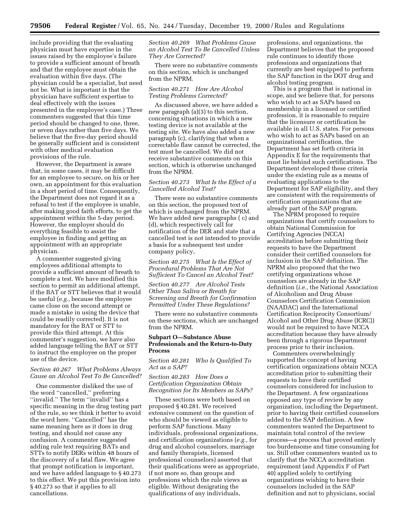include providing that the evaluating physician must have expertise in the issues raised by the employee's failure to provide a sufficient amount of breath and that the employee must obtain the evaluation within five days. (The physician could be a specialist, but need not be. What is important is that the physician have sufficient expertise to deal effectively with the issues presented in the employee's case.) Three commenters suggested that this time period should be changed to one, three, or seven days rather than five days. We believe that the five-day period should be generally sufficient and is consistent with other medical evaluation provisions of the rule.

However, the Department is aware that, in some cases, it may be difficult for an employee to secure, on his or her own, an appointment for this evaluation in a short period of time. Consequently, the Department does not regard it as a refusal to test if the employee is unable, after making good faith efforts, to get the appointment within the 5-day period. However, the employer should do everything feasible to assist the employee in finding and getting an appointment with an appropriate physician.

A commenter suggested giving employees additional attempts to provide a sufficient amount of breath to complete a test. We have modified this section to permit an additional attempt, if the BAT or STT believes that it would be useful (*e.g.,* because the employee came close on the second attempt or made a mistake in using the device that could be readily corrected). It is not mandatory for the BAT or STT to provide this third attempt. At this commenter's suggestion, we have also added language telling the BAT or STT to instruct the employee on the proper use of the device.

## *Section 40.267 What Problems Always Cause an Alcohol Test To Be Cancelled?*

One commenter disliked the use of the word ''cancelled,'' preferring ''invalid.'' The term ''invalid'' has a specific meaning in the drug testing part of the rule, so we think it better to avoid the word here. ''Cancelled'' has the same meaning here as it does in drug testing, and should not cause any confusion. A commenter suggested adding rule text requiring BATs and STTs to notify DERs within 48 hours of the discovery of a fatal flaw. We agree that prompt notification is important, and we have added language to § 40.273 to this effect. We put this provision into § 40.273 so that it applies to all cancellations.

*Section 40.269 What Problems Cause an Alcohol Test To Be Cancelled Unless They Are Corrected?*

There were no substantive comments on this section, which is unchanged from the NPRM.

## *Section 40.271 How Are Alcohol Testing Problems Corrected?*

As discussed above, we have added a new paragraph (a)(3) to this section, concerning situations in which a new testing device is not available at the testing site. We have also added a new paragraph (c), clarifying that when a correctable flaw cannot be corrected, the test must be cancelled. We did not receive substantive comments on this section, which is otherwise unchanged from the NPRM.

# *Section 40.273 What Is the Effect of a Cancelled Alcohol Test?*

There were no substantive comments on this section, the proposed text of which is unchanged from the NPRM. We have added new paragraphs ( c) and (d), which respectively call for notification of the DER and state that a cancelled test is not intended to provide a basis for a subsequent test under company policy,

*Section 40.275 What Is the Effect of Procedural Problems That Are Not Sufficient To Cancel an Alcohol Test?*

*Section 40.277 Are Alcohol Tests Other Than Saliva or Breath for Screening and Breath for Confirmation Permitted Under These Regulations?*

There were no substantive comments on these sections, which are unchanged from the NPRM.

# **Subpart O—Substance Abuse Professionals and the Return-to-Duty Process**

*Section 40.281 Who Is Qualified To Act as a SAP?*

*Section 40.283 How Does a Certification Organization Obtain Recognition for Its Members as SAPs?*

These sections were both based on proposed § 40.281. We received extensive comment on the question of who should be viewed as eligible to perform SAP functions. Many individuals, professional organizations, and certification organizations (*e.g.,* for drug and alcohol counselors, marriage and family therapists, licensed professional counselors) asserted that their qualifications were as appropriate, if not more so, than groups and professions which the rule views as eligible. Without denigrating the qualifications of any individuals,

professions, and organizations, the Department believes that the proposed rule continues to identify those professions and organizations that currently are best equipped to perform the SAP function in the DOT drug and alcohol testing program.

This is a program that is national in scope, and we believe that, for persons who wish to act as SAPs based on membership in a licensed or certified profession, it is reasonable to require that the licensure or certification be available in all U.S. states. For persons who wish to act as SAPs based on an organizational certification, the Department has set forth criteria in Appendix E for the requirements that must lie behind such certifications. The Department developed these criteria under the existing rule as a means of evaluating applications to the Department for SAP eligibility, and they are consistent with the requirements of certification organizations that are already part of the SAP program.

The NPRM proposed to require organizations that certify counselors to obtain National Commission for Certifying Agencies (NCCA) accreditation before submitting their requests to have the Department consider their certified counselors for inclusion in the SAP definition. The NPRM also proposed that the two certifying organizations whose counselors are already in the SAP definition (*i.e.,* the National Association of Alcoholism and Drug Abuse Counselors Certification Commission (NAADAC) and the International Certification Reciprocity Consortium/ Alcohol and Other Drug Abuse (ICRC)) would not be required to have NCCA accreditation because they have already been through a rigorous Department process prior to their inclusion.

Commenters overwhelmingly supported the concept of having certification organizations obtain NCCA accreditation prior to submitting their requests to have their certified counselors considered for inclusion to the Department. A few organizations opposed any type of review by any organization, including the Department, prior to having their certified counselors added to the SAP definition. A few commenters wanted the Department to maintain total control of the review process—a process that proved entirely too burdensome and time consuming for us. Still other commenters wanted us to clarify that the NCCA accreditation requirement (and Appendix F of Part 40) applied solely to certifying organizations wishing to have their counselors included in the SAP definition and not to physicians, social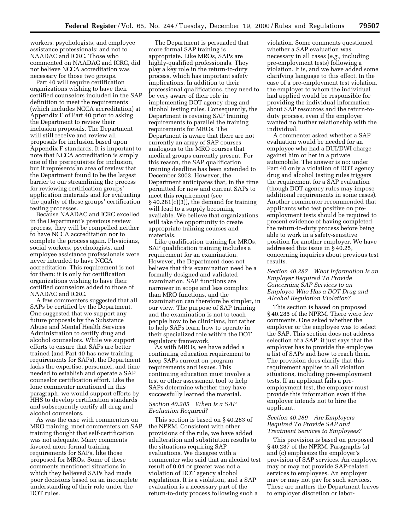workers, psychologists, and employee assistance professionals; and not to NAADAC and ICRC. Those who commented on NAADAC and ICRC, did not believe NCCA accreditation was necessary for those two groups.

Part 40 will require certification organizations wishing to have their certified counselors included in the SAP definition to meet the requirements (which includes NCCA accreditation) at Appendix F of Part 40 prior to asking the Department to review their inclusion proposals. The Department will still receive and review all proposals for inclusion based upon Appendix F standards. It is important to note that NCCA accreditation is simply one of the prerequisites for inclusion, but it represents an area of review that the Department found to be the largest barrier to our streamlining the process for reviewing certification groups' application materials and for evaluating the quality of those groups' certification testing processes.

Because NAADAC and ICRC excelled in the Department's previous review process, they will be compelled neither to have NCCA accreditation nor to complete the process again. Physicians, social workers, psychologists, and employee assistance professionals were never intended to have NCCA accreditation. This requirement is not for them: it is only for certification organizations wishing to have their certified counselors added to those of NAADAC and ICRC.

A few commenters suggested that all SAPs be certified by the Department. One suggested that we support any future proposals by the Substance Abuse and Mental Health Services Administration to certify drug and alcohol counselors. While we support efforts to ensure that SAPs are better trained (and Part 40 has new training requirements for SAPs), the Department lacks the expertise, personnel, and time needed to establish and operate a SAP counselor certification effort. Like the lone commenter mentioned in this paragraph, we would support efforts by HHS to develop certification standards and subsequently certify all drug and alcohol counselors.

As was the case with commenters on MRO training, most commenters on SAP training thought that self-certification was not adequate. Many comments favored more formal training requirements for SAPs, like those proposed for MROs. Some of these comments mentioned situations in which they believed SAPs had made poor decisions based on an incomplete understanding of their role under the DOT rules.

The Department is persuaded that more formal SAP training is appropriate. Like MROs, SAPs are highly-qualified professionals. They play a key role in the return-to-duty process, which has important safety implications. In addition to their professional qualifications, they need to be very aware of their role in implementing DOT agency drug and alcohol testing rules. Consequently, the Department is revising SAP training requirements to parallel the training requirements for MROs. The Department is aware that there are not currently an array of SAP courses analogous to the MRO courses that medical groups currently present. For this reason, the SAP qualification training deadline has been extended to December 2003. However, the Department anticipates that, in the time permitted for new and current SAPs to meet this requirement (see § 40.281(c)(3)), the demand for training will lead to a supply becoming available. We believe that organizations will take the opportunity to create appropriate training courses and materials.

Like qualification training for MROs, SAP qualification training includes a requirement for an examination. However, the Department does not believe that this examination need be a formally designed and validated examination. SAP functions are narrower in scope and less complex than MRO functions, and the examination can therefore be simpler, in our view. The purpose of SAP training and the examination is not to teach people how to be clinicians, but rather to help SAPs learn how to operate in their specialized role within the DOT regulatory framework.

As with MROs, we have added a continuing education requirement to keep SAPs current on program requirements and issues. This continuing education must involve a test or other assessment tool to help SAPs determine whether they have successfully learned the material.

## *Section 40.285 When Is a SAP Evaluation Required?*

This section is based on § 40.283 of the NPRM. Consistent with other provisions of the rule, we have added adulteration and substitution results to the situations requiring SAP evaluations. We disagree with a commenter who said that an alcohol test result of 0.04 or greater was not a violation of DOT agency alcohol regulations. It is a violation, and a SAP evaluation is a necessary part of the return-to-duty process following such a

violation. Some comments questioned whether a SAP evaluation was necessary in all cases (*e.g.,* including pre-employment tests) following a violation. It is, and we have added some clarifying language to this effect. In the case of a pre-employment test violation, the employer to whom the individual had applied would be responsible for providing the individual information about SAP resources and the return-toduty process, even if the employer wanted no further relationship with the individual.

A commenter asked whether a SAP evaluation would be needed for an employee who had a DUI/DWI charge against him or her in a private automobile. The answer is no: under Part 40 only a violation of DOT agency drug and alcohol testing rules triggers the requirement for a SAP evaluation (though DOT agency rules may impose additional requirements in some cases). Another commenter recommended that applicants who test positive on preemployment tests should be required to present evidence of having completed the return-to-duty process before being able to work in a safety-sensitive position for another employer. We have addressed this issue in § 40.25, concerning inquiries about previous test results.

# *Section 40.287 What Information Is an Employer Required To Provide Concerning SAP Services to an Employee Who Has a DOT Drug and Alcohol Regulation Violation?*

This section is based on proposed § 40.285 of the NPRM. There were few comments. One asked whether the employer or the employee was to select the SAP. This section does not address selection of a SAP: it just says that the employer has to provide the employee a list of SAPs and how to reach them. The provision does clarify that this requirement applies to all violation situations, including pre-employment tests. If an applicant fails a preemployment test, the employer must provide this information even if the employer intends not to hire the applicant.

# *Section 40.289 Are Employers Required To Provide SAP and Treatment Services to Employees?*

This provision is based on proposed § 40.287 of the NPRM. Paragraphs (a) and (c) emphasize the employer's provision of SAP services. An employer may or may not provide SAP-related services to employees. An employer may or may not pay for such services. These are matters the Department leaves to employer discretion or labor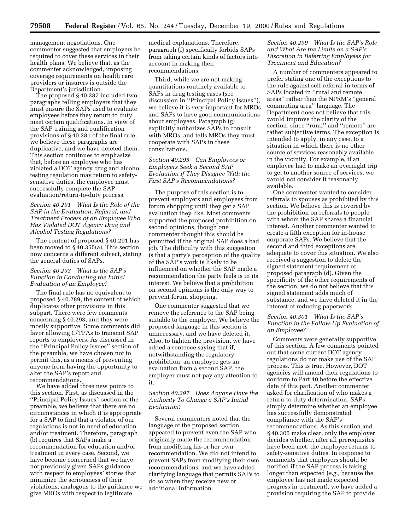management negotiations. One commenter suggested that employers be required to cover these services in their health plans. We believe that, as the commenter acknowledged, imposing coverage requirements on health care providers or insurers is outside the Department's jurisdiction.

The proposed § 40.287 included two paragraphs telling employers that they must ensure the SAPs used to evaluate employees before they return to duty meet certain qualifications. In view of the SAP training and qualification provisions of § 40.281 of the final rule, we believe these paragraphs are duplicative, and we have deleted them. This section continues to emphasize that, before an employee who has violated a DOT agency drug and alcohol testing regulation may return to safetysensitive duties, the employee must successfully complete the SAP evaluation/return-to-duty process.

# *Section 40.291 What Is the Role of the SAP in the Evaluation, Referral, and Treatment Process of an Employee Who Has Violated DOT Agency Drug and Alcohol Testing Regulations?*

The content of proposed § 40.291 has been moved to § 40.355(a). This section now concerns a different subject, stating the general duties of SAPs.

# *Section 40.293 What is the SAP's Function in Conducting the Initial Evaluation of an Employee?*

The final rule has no equivalent to proposed § 40.289, the content of which duplicates other provisions in this subpart. There were few comments concerning § 40.293, and they were mostly supportive. Some comments did favor allowing C/TPAs to transmit SAP reports to employers. As discussed in the ''Principal Policy Issues'' section of the preamble, we have chosen not to permit this, as a means of preventing anyone from having the opportunity to alter the SAP's report and recommendations.

We have added three new points to this section. First, as discussed in the ''Principal Policy Issues'' section of the preamble, we believe that there are no circumstances in which it is appropriate for a SAP to find that a violator of our regulations is not in need of education and/or treatment. Therefore, paragraph (b) requires that SAPs make a recommendation for education and/or treatment in every case. Second, we have become concerned that we have not previously given SAPs guidance with respect to employees' stories that minimize the seriousness of their violations, analogous to the guidance we give MROs with respect to legitimate

medical explanations. Therefore, paragraph (f) specifically forbids SAPs from taking certain kinds of factors into account in making their recommendations.

Third, while we are not making quantitations routinely available to SAPs in drug testing cases (see discussion in ''Principal Policy Issues''), we believe it is very important for MROs and SAPs to have good communications about employees. Paragraph (g) explicitly authorizes SAPs to consult with MROs, and tells MROs they must cooperate with SAPs in these consultations.

*Section 40.295 Can Employees or Employers Seek a Second SAP Evaluation if They Disagree With the First SAP's Recommendations?*

The purpose of this section is to prevent employers and employees from forum shopping until they get a SAP evaluation they like. Most comments supported the proposed prohibition on second opinions, though one commenter thought this should be permitted if the original SAP does a bad job. The difficulty with this suggestion is that a party's perception of the quality of the SAP's work is likely to be influenced on whether the SAP made a recommendation the party feels is in its interest. We believe that a prohibition on second opinions is the only way to prevent forum shopping.

One commenter suggested that we remove the reference to the SAP being suitable to the employer. We believe the proposed language in this section is unnecessary, and we have deleted it. Also, to tighten the provision, we have added a sentence saying that if, notwithstanding the regulatory prohibition, an employee gets an evaluation from a second SAP, the employer must not pay any attention to it.

# *Section 40.297 Does Anyone Have the Authority To Change a SAP's Initial Evaluation?*

Several commenters noted that the language of the proposed section appeared to prevent even the SAP who originally made the recommendation from modifying his or her own recommendation. We did not intend to prevent SAPs from modifying their own recommendations, and we have added clarifying language that permits SAPs to do so when they receive new or additional information.

# *Section 40.299 What Is the SAP's Role and What Are the Limits on a SAP's Discretion in Referring Employees for Treatment and Education?*

A number of commenters appeared to prefer stating one of the exceptions to the rule against self-referral in terms of SAPs located in ''rural and remote areas'' rather than the NPRM's ''general commuting area'' language. The Department does not believe that this would improve the clarity of the section, since "rural" and "remote" are rather subjective terms. The exception is intended to apply, in any case, to a situation in which there is no other source of services reasonably available in the vicinity. For example, if an employee had to make an overnight trip to get to another source of services, we would not consider it reasonably available.

One commenter wanted to consider referrals to spouses as prohibited by this section. We believe this is covered by the prohibition on referrals to people with whom the SAP shares a financial interest. Another commenter wanted to create a fifth exception for in-house corporate SAPs. We believe that the second and third exceptions are adequate to cover this situation. We also received a suggestion to delete the signed statement requirement of proposed paragraph (d). Given the specificity of the other requirements of the section, we do not believe that this signed statement adds much of substance, and we have deleted it in the interest of reducing paperwork.

# *Section 40.301 What Is the SAP's Function in the Follow-Up Evaluation of an Employee?*

Comments were generally supportive of this section. A few comments pointed out that some current DOT agency regulations do not make use of the SAP process. This is true. However, DOT agencies will amend their regulations to conform to Part 40 before the effective date of this part. Another commenter asked for clarification of who makes a return-to-duty determination. SAPs simply determine whether an employee has successfully demonstrated compliance with the SAP's recommendations. As this section and § 40.305 make clear, only the employer decides whether, after all prerequisites have been met, the employee returns to safety-sensitive duties. In response to comments that employers should be notified if the SAP process is taking longer than expected (*e.g.,* because the employee has not made expected progress in treatment), we have added a provision requiring the SAP to provide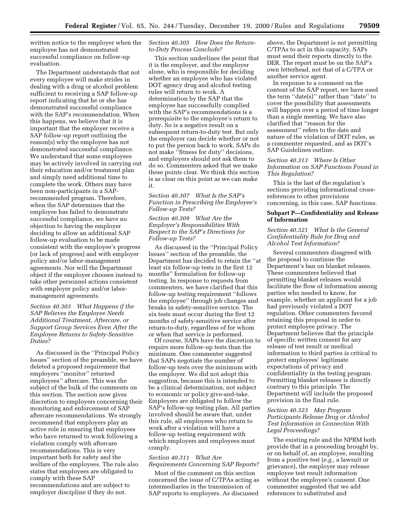written notice to the employer when the employee has not demonstrated successful compliance on follow-up evaluation.

The Department understands that not every employee will make strides in dealing with a drug or alcohol problem sufficient to receiving a SAP follow-up report indicating that he or she has demonstrated successful compliance with the SAP's recommendation. When this happens, we believe that it is important that the employer receive a SAP follow-up report outlining the reason(s) why the employee has not demonstrated successful compliance. We understand that some employees may be actively involved in carrying out their education and/or treatment plan and simply need additional time to complete the work. Others may have been non-participants in a SAPrecommended program. Therefore, when the SAP determines that the employee has failed to demonstrate successful compliance, we have no objection to having the employer deciding to allow an additional SAP follow-up evaluation to be made consistent with the employee's progress (or lack of progress) and with employer policy and/or labor-management agreements. Nor will the Department object if the employer chooses instead to take other personnel actions consistent with employer policy and/or labormanagement agreements.

# *Section 40.303 What Happens if the SAP Believes the Employee Needs Additional Treatment, Aftercare, or Support Group Services Even After the Employee Returns to Safety-Sensitive Duties?*

As discussed in the ''Principal Policy Issues'' section of the preamble, we have deleted a proposed requirement that employers ''monitor'' returned employees'' aftercare. This was the subject of the bulk of the comments on this section. The section now gives discretion to employers concerning their monitoring and enforcement of SAP aftercare recommendations. We strongly recommend that employers play an active role in ensuring that employees who have returned to work following a violation comply with aftercare recommendations. This is very important both for safety and the welfare of the employees. The rule also states that employees are obligated to comply with these SAP recommendations and are subject to employer discipline if they do not.

# *Section 40.305 How Does the Returnto-Duty Process Conclude?*

This section underlines the point that it is the employer, and the employer alone, who is responsible for deciding whether an employee who has violated DOT agency drug and alcohol testing rules will return to work. A determination by the SAP that the employee has successfully complied with the SAP's recommendations is a prerequisite to the employee's return to duty. So is a negative result on a subsequent return-to-duty test. But only the employer can decide whether or not to put the person back to work. SAPs do not make ''fitness for duty'' decisions, and employers should not ask them to do so. Commenters asked that we make these points clear. We think this section is as clear on this point as we can make it.

# *Section 40.307 What Is the SAP's Function in Prescribing the Employee's Follow-up Tests?*

# *Section 40.309 What Are the Employer's Responsibilities With Respect to the SAP's Directions for Follow-up Tests?*

As discussed in the ''Principal Policy Issues'' section of the preamble, the Department has decided to retain the ''at least six follow-up tests in the first 12 months'' formulation for follow-up testing. In response to requests from commenters, we have clarified that this follow-up testing requirement ''follows the employee'' through job changes and breaks in safety-sensitive service. The six tests must occur during the first 12 months of safety-sensitive service after return-to-duty, regardless of for whom or when that service is performed.

Of course, SAPs have the discretion to require more follow-up tests than the minimum. One commenter suggested that SAPs negotiate the number of follow-up tests over the minimum with the employer. We did not adopt this suggestion, because this is intended to be a clinical determination, not subject to economic or policy give-and-take. Employers are obligated to follow the SAP's follow-up testing plan. All parties involved should be aware that, under this rule, all employees who return to work after a violation will have a follow-up testing requirement with which employers and employees must comply.

# *Section 40.311 What Are Requirements Concerning SAP Reports?*

Most of the comment on this section concerned the issue of C/TPAs acting as intermediaries in the transmission of SAP reports to employers. As discussed above, the Department is not permitting C/TPAs to act in this capacity. SAPs must send their reports directly to the DER. The report must be on the SAP's own letterhead, not that of a C/TPA or another service agent.

In response to a comment on the content of the SAP report, we have used the term ''date(s)'' rather than ''date'' to cover the possibility that assessments will happen over a period of time longer than a single meeting. We have also clarified that ''reason for the assessment'' refers to the date and nature of the violation of DOT rules, as a commenter requested, and as DOT's SAP Guidelines outline.

# *Section 40.313 Where Is Other Information on SAP Functions Found in This Regulation?*

This is the last of the regulation's sections providing informational crossreferences to other provisions concerning, in this case, SAP functions.

## **Subpart P—Confidentiality and Release of Information**

# *Section 40.321 What Is the General Confidentiality Rule for Drug and Alcohol Test Information?*

Several commenters disagreed with the proposal to continue the Department's ban on blanket releases. These commenters believed that permitting blanket releases would facilitate the flow of information among parties who needed to know, for example, whether an applicant for a job had previously violated a DOT regulation. Other commenters favored retaining this proposal in order to protect employee privacy. The Department believes that the principle of specific written consent for any release of test result or medical information to third parties is critical to protect employees' legitimate expectations of privacy and confidentiality in the testing program. Permitting blanket releases is directly contrary to this principle. The Department will include the proposed provision in the final rule.

# *Section 40.323 May Program Participants Release Drug or Alcohol Test Information in Connection With Legal Proceedings?*

The existing rule and the NPRM both provide that in a proceeding brought by, or on behalf of, an employee, resulting from a positive test (*e.g.,* a lawsuit or grievance), the employer may release employee test result information without the employee's consent. One commenter suggested that we add references to substituted and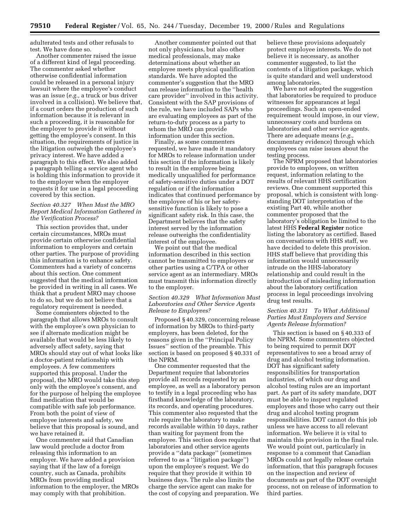adulterated tests and other refusals to test. We have done so.

Another commenter raised the issue of a different kind of legal proceeding. The commenter asked whether otherwise confidential information could be released in a personal injury lawsuit where the employee's conduct was an issue (*e.g.,* a truck or bus driver involved in a collision). We believe that, if a court orders the production of such information because it is relevant in such a proceeding, it is reasonable for the employer to provide it without getting the employee's consent. In this situation, the requirements of justice in the litigation outweigh the employee's privacy interest. We have added a paragraph to this effect. We also added a paragraph telling a service agent who is holding this information to provide it to the employer when the employer requests it for use in a legal proceeding covered by this section.

# *Section 40.327 When Must the MRO Report Medical Information Gathered in the Verification Process?*

This section provides that, under certain circumstances, MROs must provide certain otherwise confidential information to employers and certain other parties. The purpose of providing this information is to enhance safety. Commenters had a variety of concerns about this section. One comment suggested that the medical information be provided in writing in all cases. We think that a prudent MRO may choose to do so, but we do not believe that a regulatory requirement is needed.

Some commenters objected to the paragraph that allows MROs to consult with the employee's own physician to see if alternate medication might be available that would be less likely to adversely affect safety, saying that MROs should stay out of what looks like a doctor-patient relationship with employees. A few commenters supported this proposal. Under the proposal, the MRO would take this step only with the employee's consent, and for the purpose of helping the employee find medication that would be compatible with safe job performance. From both the point of view of employee interests and safety, we believe that this proposal is sound, and we have retained it.

One commenter said that Canadian law would preclude a doctor from releasing this information to an employer. We have added a provision saying that if the law of a foreign country, such as Canada, prohibits MROs from providing medical information to the employer, the MROs may comply with that prohibition.

Another commenter pointed out that not only physicians, but also other medical professionals, may make determinations about whether an employee meets physical qualification standards. We have adopted the commenter's suggestion that the MRO can release information to the ''health care provider'' involved in this activity. Consistent with the SAP provisions of the rule, we have included SAPs who are evaluating employees as part of the return-to-duty process as a party to whom the MRO can provide information under this section.

Finally, as some commenters requested, we have made it mandatory for MROs to release information under this section if the information is likely to result in the employee being medically unqualified for performance of safety-sensitive duties under a DOT regulation or if the information indicates that continued performance by the employee of his or her safetysensitive function is likely to pose a significant safety risk. In this case, the Department believes that the safety interest served by the information release outweighs the confidentiality interest of the employee.

We point out that the medical information described in this section cannot be transmitted to employers or other parties using a C/TPA or other service agent as an intermediary. MROs must transmit this information directly to the employer.

# *Section 40.329 What Information Must Laboratories and Other Service Agents Release to Employees?*

Proposed § 40.329, concerning release of information by MROs to third-party employers, has been deleted, for the reasons given in the ''Principal Policy Issues'' section of the preamble. This section is based on proposed § 40.331 of the NPRM.

One commenter requested that the Department require that laboratories provide all records requested by an employee, as well as a laboratory person to testify in a legal proceeding who has firsthand knowledge of the laboratory, its records, and operating procedures. This commenter also requested that the rule require the laboratory to make records available within 10 days, rather than waiting for payment from the employee. This section does require that laboratories and other service agents provide a ''data package'' (sometimes referred to as a ''litigation package'') upon the employee's request. We do require that they provide it within 10 business days. The rule also limits the charge the service agent can make for the cost of copying and preparation. We

believe these provisions adequately protect employee interests. We do not believe it is necessary, as another commenter suggested, to list the contents of a litigation package, which is quite standard and well understood among laboratories.

We have not adopted the suggestion that laboratories be required to produce witnesses for appearances at legal proceedings. Such an open-ended requirement would impose, in our view, unnecessary costs and burdens on laboratories and other service agents. There are adequate means (*e.g.,* documentary evidence) through which employees can raise issues about the testing process.

The NPRM proposed that laboratories provide to employees, on written request, information relating to the results of relevant HHS certification reviews. One comment supported this proposal, which is consistent with longstanding DOT interpretation of the existing Part 40, while another commenter proposed that the laboratory's obligation be limited to the latest HHS **Federal Register** notice listing the laboratory as certified. Based on conversations with HHS staff, we have decided to delete this provision. HHS staff believe that providing this information would unnecessarily intrude on the HHS-laboratory relationship and could result in the introduction of misleading information about the laboratory certification process in legal proceedings involving drug test results.

# *Section 40.331 To What Additional Parties Must Employers and Service Agents Release Information?*

This section is based on § 40.333 of the NPRM. Some commenters objected to being required to permit DOT representatives to see a broad array of drug and alcohol testing information. DOT has significant safety responsibilities for transportation industries, of which our drug and alcohol testing rules are an important part. As part of its safety mandate, DOT must be able to inspect regulated employers and those who carry out their drug and alcohol testing program responsibilities. DOT cannot do this job unless we have access to all relevant information. We believe it is vital to maintain this provision in the final rule. We would point out, particularly in response to a comment that Canadian MROs could not legally release certain information, that this paragraph focuses on the inspection and review of documents as part of the DOT oversight process, not on release of information to third parties.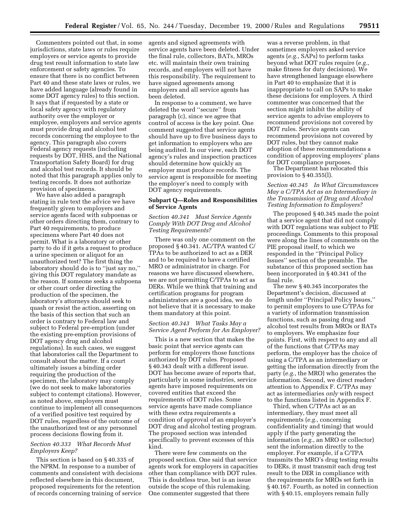Commenters pointed out that, in some jurisdictions, state laws or rules require employers or service agents to provide drug test result information to state law enforcement or safety agencies. To ensure that there is no conflict between Part 40 and these state laws or rules, we have added language (already found in some DOT agency rules) to this section. It says that if requested by a state or local safety agency with regulatory authority over the employer or employee, employers and service agents must provide drug and alcohol test records concerning the employee to the agency. This paragraph also covers Federal agency requests (including requests by DOT, HHS, and the National Transportation Safety Board) for drug and alcohol test records. It should be noted that this paragraph applies only to testing records. It does not authorize provision of specimens.

We have also added a paragraph stating in rule text the advice we have frequently given to employers and service agents faced with subpoenas or other orders directing them, contrary to Part 40 requirements, to produce specimens where Part 40 does not permit. What is a laboratory or other party to do if it gets a request to produce a urine specimen or aliquot for an unauthorized test? The first thing the laboratory should do is to "just say no," giving this DOT regulatory mandate as the reason. If someone seeks a subpoena or other court order directing the production of the specimen, the laboratory's attorneys should seek to quash or resist the action, asserting on the basis of this section that such an order is contrary to Federal law and subject to Federal pre-emption (under the existing pre-emption provisions of DOT agency drug and alcohol regulations). In such cases, we suggest that laboratories call the Department to consult about the matter. If a court ultimately issues a binding order requiring the production of the specimen, the laboratory may comply (we do not seek to make laboratories subject to contempt citations). However, as noted above, employers must continue to implement all consequences of a verified positive test required by DOT rules, regardless of the outcome of the unauthorized test or any personnel process decisions flowing from it.

## *Section 40.333 What Records Must Employers Keep?*

This section is based on § 40.335 of the NPRM. In response to a number of comments and consistent with decisions reflected elsewhere in this document, proposed requirements for the retention of records concerning training of service

agents and signed agreements with service agents have been deleted. Under the final rule, collectors, BATs, MROs etc. will maintain their own training records, and employers will not have this responsibility. The requirement to have signed agreements among employers and all service agents has been deleted.

In response to a comment, we have deleted the word ''secure'' from paragraph (c), since we agree that control of access is the key point. One comment suggested that service agents should have up to five business days to get information to employers who are being audited. In our view, each DOT agency's rules and inspection practices should determine how quickly an employer must produce records. The service agent is responsible for meeting the employer's need to comply with DOT agency requirements.

# **Subpart Q—Roles and Responsibilities of Service Agents**

# *Section 40.341 Must Service Agents Comply With DOT Drug and Alcohol Testing Requirements?*

There was only one comment on the proposed § 40.341. AC/TPA wanted C/ TPAs to be authorized to act as a DER and to be required to have a certified MRO or administrator in charge. For reasons we have discussed elsewhere, we are not permitting C/TPAs to act as DERs. While we think that training and certification programs for program administrators are a good idea, we do not believe that it is necessary to make them mandatory at this point.

# *Section 40.343 What Tasks May a Service Agent Perform for An Employer?*

This is a new section that makes the basic point that service agents can perform for employers those functions authorized by DOT rules. Proposed § 40.343 dealt with a different issue. DOT has become aware of reports that, particularly in some industries, service agents have imposed requirements on covered entities that exceed the requirements of DOT rules. Some service agents have made compliance with these extra requirements a condition of approval of an employer's DOT drug and alcohol testing program. The proposed section was intended specifically to prevent excesses of this kind.

There were few comments on the proposed section. One said that service agents work for employers in capacities other than compliance with DOT rules. This is doubtless true, but is an issue outside the scope of this rulemaking. One commenter suggested that there

was a reverse problem, in that sometimes employers asked service agents (*e.g.*, SAPs) to perform tasks beyond what DOT rules require (*e.g.*, make fitness for duty decisions). We have strengthened language elsewhere in Part 40 to emphasize that it is inappropriate to call on SAPs to make these decisions for employers. A third commenter was concerned that the section might inhibit the ability of service agents to advise employers to recommend provisions not covered by DOT rules. Service agents can recommend provisions not covered by DOT rules, but they cannot make adoption of these recommendations a condition of approving employers' plans for DOT compliance purposes.

The Department has relocated this provision to § 40.355(l).

# *Section 40.345 In What Circumstances May a C/TPA Act as an Intermediary in the Transmission of Drug and Alcohol Testing Information to Employers?*

The proposed § 40.345 made the point that a service agent that did not comply with DOT regulations was subject to PIE proceedings. Comments to this proposal were along the lines of comments on the PIE proposal itself, to which we responded in the ''Principal Policy Issues'' section of the preamble. The substance of this proposed section has been incorporated in § 40.341 of the final rule.

The new § 40.345 incorporates the Department's decision, discussed at length under ''Principal Policy Issues,'' to permit employers to use C/TPAs for a variety of information transmission functions, such as passing drug and alcohol test results from MROs or BATs to employers. We emphasize four points. First, with respect to any and all of the functions that C/TPAs may perform, the employer has the choice of using a C/TPA as an intermediary or getting the information directly from the party (*e.g.*, the MRO) who generates the information. Second, we direct readers' attention to Appendix F. C/TPAs may act as intermediaries *only* with respect to the functions listed in Appendix F.

Third, when C/TPAs act as an intermediary, they must meet all requirements (*e.g.*, concerning confidentiality and timing) that would apply if the party generating the information (*e.g.*, an MRO or collector) sent the information directly to the employer. For example, if a C/TPA transmits the MRO's drug testing results to DERs, it must transmit each drug test result to the DER in compliance with the requirements for MROs set forth in § 40.167. Fourth, as noted in connection with § 40.15, employers remain fully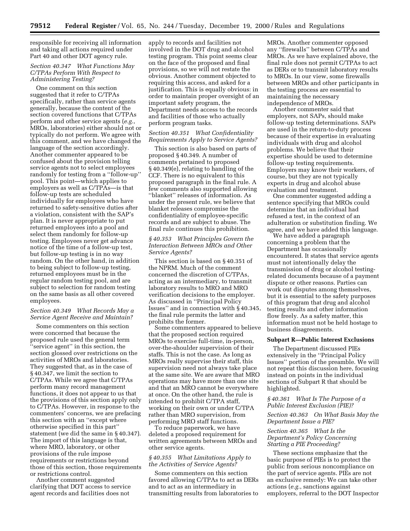responsible for receiving all information and taking all actions required under Part 40 and other DOT agency rule.

# *Section 40.347 What Functions May C/TPAs Perform With Respect to Administering Testing?*

One comment on this section suggested that it refer to C/TPAs specifically, rather than service agents generally, because the content of the section covered functions that C/TPAs perform and other service agents (*e.g.*, MROs, laboratories) either should not or typically do not perform. We agree with this comment, and we have changed the language of the section accordingly. Another commenter appeared to be confused about the provision telling service agents not to select employees randomly for testing from a ''follow-up'' pool. This point—which applies to employers as well as C/TPAs—is that follow-up tests are scheduled individually for employees who have returned to safety-sensitive duties after a violation, consistent with the SAP's plan. It is never appropriate to put returned employees into a pool and select them randomly for follow-up testing. Employees never get advance notice of the time of a follow-up test, but follow-up testing is in no way random. On the other hand, in addition to being subject to follow-up testing, returned employees must be in the regular random testing pool, and are subject to selection for random testing on the same basis as all other covered employees.

## *Section 40.349 What Records May a Service Agent Receive and Maintain?*

Some commenters on this section were concerned that because the proposed rule used the general term 'service agent'' in this section, the section glossed over restrictions on the activities of MROs and laboratories. They suggested that, as in the case of § 40.347, we limit the section to C/TPAs. While we agree that C/TPAs perform many record management functions, it does not appear to us that the provisions of this section apply only to C/TPAs. However, in response to the commenters' concerns, we are prefacing this section with an ''except where otherwise specified in this part'' statement (we did the same in § 40.347). The import of this language is that, where MRO, laboratory, or other provisions of the rule impose requirements or restrictions beyond those of this section, those requirements or restrictions control.

Another comment suggested clarifying that DOT access to service agent records and facilities does not

apply to records and facilities not involved in the DOT drug and alcohol testing program. This point seems clear on the face of the proposed and final provisions, so we will not restate the obvious. Another comment objected to requiring this access, and asked for a justification. This is equally obvious: in order to maintain proper oversight of an important safety program, the Department needs access to the records and facilities of those who actually perform program tasks.

## *Section 40.351 What Confidentiality Requirements Apply to Service Agents?*

This section is also based on parts of proposed § 40.349. A number of comments pertained to proposed § 40.349(e), relating to handling of the CCF. There is no equivalent to this proposed paragraph in the final rule. A few comments also supported allowing ''blanket'' releases of information. As under the present rule, we believe that blanket releases compromise the confidentiality of employee-specific records and are subject to abuse. The final rule continues this prohibition.

# *§ 40.353 What Principles Govern the Interaction Between MROs and Other Service Agents?*

This section is based on § 40.351 of the NPRM. Much of the comment concerned the discretion of C/TPAs, acting as an intermediary, to transmit laboratory results to MRO and MRO verification decisions to the employer. As discussed in ''Principal Policy Issues'' and in connection with § 40.345, the final rule permits the latter and prohibits the former.

Some commenters appeared to believe that the proposed section required MROs to exercise full-time, in-person, over-the-shoulder supervision of their staffs. This is not the case. As long as MROs really supervise their staff, this supervision need not always take place at the same site. We are aware that MRO operations may have more than one site and that an MRO cannot be everywhere at once. On the other hand, the rule is intended to prohibit C/TPA staff, working on their own or under C/TPA rather than MRO supervision, from performing MRO staff functions.

To reduce paperwork, we have deleted a proposed requirement for written agreements between MROs and other service agents.

## *§ 40.355 What Limitations Apply to the Activities of Service Agents?*

Some commenters on this section favored allowing C/TPAs to act as DERs and to act as an intermediary in transmitting results from laboratories to

MROs. Another commenter opposed any ''firewalls'' between C/TPAs and MROs. As we have explained above, the final rule does not permit C/TPAs to act as DERs or to transmit laboratory results to MROs. In our view, some firewalls between MROs and other participants in the testing process are essential to maintaining the necessary independence of MROs.

Another commenter said that employers, not SAPs, should make follow-up testing determinations. SAPs are used in the return-to-duty process because of their expertise in evaluating individuals with drug and alcohol problems. We believe that their expertise should be used to determine follow-up testing requirements. Employers may know their workers, of course, but they are not typically experts in drug and alcohol abuse evaluation and treatment.

One commenter suggested adding a sentence specifying that MROs could determine that an individual had refused a test, in the context of an adulteration or substitution finding. We agree, and we have added this language.

We have added a paragraph concerning a problem that the Department has occasionally encountered. It states that service agents must not intentionally delay the transmission of drug or alcohol testingrelated documents because of a payment dispute or other reasons. Parties can work out disputes among themselves, but it is essential to the safety purposes of this program that drug and alcohol testing results and other information flow freely. As a safety matter, this information must not be held hostage to business disagreements.

### **Subpart R—Public Interest Exclusions**

The Department discussed PIEs extensively in the ''Principal Policy Issues'' portion of the preamble. We will not repeat this discussion here, focusing instead on points in the individual sections of Subpart R that should be highlighted.

## *§ 40.361 What Is The Purpose of a Public Interest Exclusion (PIE)?*

# *Section 40.363 On What Basis May the Department Issue a PIE?*

# *Section 40.365 What Is the Department's Policy Concerning Starting a PIE Proceeding?*

These sections emphasize that the basic purpose of PIEs is to protect the public from serious noncompliance on the part of service agents. PIEs are not an exclusive remedy: We can take other actions (*e.g.*, sanctions against employers, referral to the DOT Inspector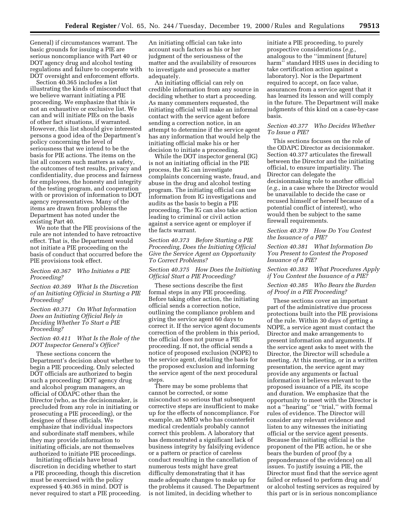General) if circumstances warrant. The basic grounds for issuing a PIE are serious noncompliance with Part 40 or DOT agency drug and alcohol testing regulations and failure to cooperate with DOT oversight and enforcement efforts.

Section 40.365 includes a list illustrating the kinds of misconduct that we believe warrant initiating a PIE proceeding. We emphasize that this is not an exhaustive or exclusive list. We can and will initiate PIEs on the basis of other fact situations, if warranted. However, this list should give interested persons a good idea of the Department's policy concerning the level of seriousness that we intend to be the basis for PIE actions. The items on the list all concern such matters as safety, the outcomes of test results, privacy and confidentiality, due process and fairness for employees, the honesty and integrity of the testing program, and cooperation with or provision of information to DOT agency representatives. Many of the items are drawn from problems the Department has noted under the existing Part 40.

We note that the PIE provisions of the rule are not intended to have retroactive effect. That is, the Department would not initiate a PIE proceeding on the basis of conduct that occurred before the PIE provisions took effect.

## *Section 40.367 Who Initiates a PIE Proceeding?*

*Section 40.369 What Is the Discretion of an Initiating Official in Starting a PIE Proceeding?*

*Section 40.371 On What Information Does an Initiating Official Rely in Deciding Whether To Start a PIE Proceeding?*

# *Section 40.411 What Is the Role of the DOT Inspector General's Office?*

These sections concern the Department's decision about whether to begin a PIE proceeding. Only selected DOT officials are authorized to begin such a proceeding: DOT agency drug and alcohol program managers, an official of ODAPC other than the Director (who, as the decisionmaker, is precluded from any role in initiating or prosecuting a PIE proceeding), or the designee of these officials. We emphasize that individual inspectors and subordinate staff members, while they may provide information to initiating officials, are not themselves authorized to initiate PIE proceedings.

Initiating officials have broad discretion in deciding whether to start a PIE proceeding, though this discretion must be exercised with the policy expressed § 40.365 in mind. DOT is never required to start a PIE proceeding.

An initiating official can take into account such factors as his or her judgment of the seriousness of the matter and the availability of resources to investigate and prosecute a matter adequately.

An initiating official can rely on credible information from any source in deciding whether to start a proceeding. As many commenters requested, the initiating official will make an informal contact with the service agent before sending a correction notice, in an attempt to determine if the service agent has any information that would help the initiating official make his or her decision to initiate a proceeding.

While the DOT inspector general (IG) is not an initiating official in the PIE process, the IG can investigate complaints concerning waste, fraud, and abuse in the drug and alcohol testing program. The initiating official can use information from IG investigations and audits as the basis to begin a PIE proceeding. The IG can also take action leading to criminal or civil action against a service agent or employer if the facts warrant.

*Section 40.373 Before Starting a PIE Proceeding, Does the Initiating Official Give the Service Agent an Opportunity To Correct Problems?*

# *Section 40.375 How Does the Initiating Official Start a PIE Proceeding?*

These sections describe the first formal steps in any PIE proceeding. Before taking other action, the initiating official sends a correction notice, outlining the compliance problem and giving the service agent 60 days to correct it. If the service agent documents correction of the problem in this period, the official does not pursue a PIE proceeding. If not, the official sends a notice of proposed exclusion (NOPE) to the service agent, detailing the basis for the proposed exclusion and informing the service agent of the next procedural steps.

There may be some problems that cannot be corrected, or some misconduct so serious that subsequent corrective steps are insufficient to make up for the effects of noncompliance. For example, an MRO who has counterfeit medical credentials probably cannot correct this problem. A laboratory that has demonstrated a significant lack of business integrity by falsifying evidence or a pattern or practice of careless conduct resulting in the cancellation of numerous tests might have great difficulty demonstrating that it has made adequate changes to make up for the problems it caused. The Department is not limited, in deciding whether to

initiate a PIE proceeding, to purely prospective considerations (*e.g.,* analogous to the ''imminent [future] harm'' standard HHS uses in deciding to take certification action against a laboratory). Nor is the Department required to accept, on face value, assurances from a service agent that it has learned its lesson and will comply in the future. The Department will make judgments of this kind on a case-by-case basis.

## *Section 40.377 Who Decides Whether To Issue a PIE?*

This sections focuses on the role of the ODAPC Director as decisionmaker. Section 40.377 articulates the firewall between the Director and the initiating official, to ensure impartiality. The Director can delegate the decisionmaking role to another official (*e.g.,* in a case where the Director would be unavailable to decide the case or recused himself or herself because of a potential conflict of interest), who would then be subject to the same firewall requirements.

# *Section 40.379 How Do You Contest the Issuance of a PIE?*

## *Section 40.381 What Information Do You Present to Contest the Proposed Issuance of a PIE?*

# *Section 40.383 What Procedures Apply if You Contest the Issuance of a PIE?*

# *Section 40.385 Who Bears the Burden of Proof in a PIE Proceeding?*

These sections cover an important part of the administrative due process protections built into the PIE provisions of the rule. Within 30 days of getting a NOPE, a service agent must contact the Director and make arrangements to present information and arguments. If the service agent asks to meet with the Director, the Director will schedule a meeting. At this meeting, or in a written presentation, the service agent may provide any arguments or factual information it believes relevant to the proposed issuance of a PIE, its scope and duration. We emphasize that the opportunity to meet with the Director is not a ''hearing'' or ''trial,'' with formal rules of evidence. The Director will consider any relevant evidence and listen to any witnesses the initiating official or the service agent presents. Because the initiating official is the proponent of the PIE action, he or she bears the burden of proof (by a preponderance of the evidence) on all issues. To justify issuing a PIE, the Director must find that the service agent failed or refused to perform drug and/ or alcohol testing services as required by this part or is in serious noncompliance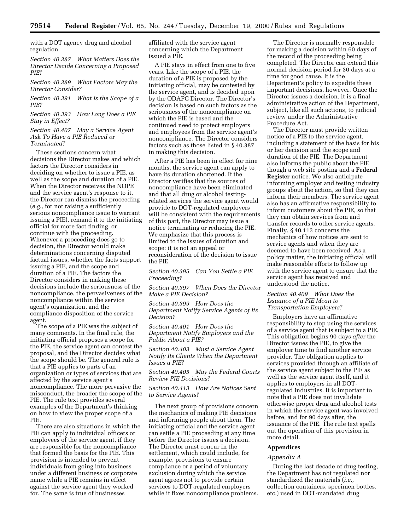with a DOT agency drug and alcohol regulation.

*Section 40.387 What Matters Does the Director Decide Concerning a Proposed PIE?*

*Section 40.389 What Factors May the Director Consider?*

*Section 40.391 What Is the Scope of a PIE?*

*Section 40.393 How Long Does a PIE Stay in Effect?*

*Section 40.407 May a Service Agent Ask To Have a PIE Reduced or Terminated?*

These sections concern what decisions the Director makes and which factors the Director considers in deciding on whether to issue a PIE, as well as the scope and duration of a PIE. When the Director receives the NOPE and the service agent's response to it, the Director can dismiss the proceeding (*e.g.,* for not raising a sufficiently serious noncompliance issue to warrant issuing a PIE), remand it to the initiating official for more fact finding, or continue with the proceeding. Whenever a proceeding does go to decision, the Director would make determinations concerning disputed factual issues, whether the facts support issuing a PIE, and the scope and duration of a PIE. The factors the Director considers in making these decisions include the seriousness of the noncompliance, the pervasiveness of the noncompliance within the service agent's organization, and the compliance disposition of the service agent.

The scope of a PIE was the subject of many comments. In the final rule, the initiating official proposes a scope for the PIE, the service agent can contest the proposal, and the Director decides what the scope should be. The general rule is that a PIE applies to parts of an organization or types of services that are affected by the service agent's noncompliance. The more pervasive the misconduct, the broader the scope of the PIE. The rule text provides several examples of the Department's thinking on how to view the proper scope of a PIE.

There are also situations in which the PIE can apply to individual officers or employees of the service agent, if they are responsible for the noncompliance that formed the basis for the PIE. This provision is intended to prevent individuals from going into business under a different business or corporate name while a PIE remains in effect against the service agent they worked for. The same is true of businesses

affiliated with the service agent concerning which the Department issued a PIE.

A PIE stays in effect from one to five years. Like the scope of a PIE, the duration of a PIE is proposed by the initiating official, may be contested by the service agent, and is decided upon by the ODAPC Director. The Director's decision is based on such factors as the seriousness of the noncompliance on which the PIE is based and the continued need to protect employers and employees from the service agent's noncompliance. The Director considers factors such as those listed in § 40.387 in making this decision.

After a PIE has been in effect for nine months, the service agent can apply to have its duration shortened. If the Director verifies that the sources of noncompliance have been eliminated and that all drug or alcohol testingrelated services the service agent would provide to DOT-regulated employers will be consistent with the requirements of this part, the Director may issue a notice terminating or reducing the PIE. We emphasize that this process is limited to the issues of duration and scope: it is not an appeal or reconsideration of the decision to issue the PIE.

*Section 40.395 Can You Settle a PIE Proceeding?*

*Section 40.397 When Does the Director Make a PIE Decision?*

*Section 40.399 How Does the Department Notify Service Agents of Its Decision?*

*Section 40.401 How Does the Department Notify Employers and the Public About a PIE?*

*Section 40.403 Must a Service Agent Notify Its Clients When the Department Issues a PIE?*

*Section 40.405 May the Federal Courts Review PIE Decisions?*

*Section 40.413 How Are Notices Sent to Service Agents?*

The next group of provisions concern the mechanics of making PIE decisions and informing people about them. The initiating official and the service agent can settle a PIE proceeding at any time before the Director issues a decision. The Director must concur in the settlement, which could include, for example, provisions to ensure compliance or a period of voluntary exclusion during which the service agent agrees not to provide certain services to DOT-regulated employers while it fixes noncompliance problems.

The Director is normally responsible for making a decision within 60 days of the record of the proceeding being completed. The Director can extend this normal decision period for 30 days at a time for good cause. It is the Department's policy to expedite these important decisions, however. Once the Director issues a decision, it is a final administrative action of the Department, subject, like all such actions, to judicial review under the Administrative Procedure Act.

The Director must provide written notice of a PIE to the service agent, including a statement of the basis for his or her decision and the scope and duration of the PIE. The Department also informs the public about the PIE though a web site posting and a **Federal Register** notice. We also anticipate informing employer and testing industry groups about the action, so that they can inform their members. The service agent also has an affirmative responsibility to inform customers about the PIE, so that they can obtain services from and transfer records to other service agents. Finally, § 40.113 concerns the mechanics of how notices are sent to service agents and when they are deemed to have been received. As a policy matter, the initiating official will make reasonable efforts to follow up with the service agent to ensure that the service agent has received and understood the notice.

# *Section 40.409 What Does the Issuance of a PIE Mean to Transportation Employers?*

Employers have an affirmative responsibility to stop using the services of a service agent that is subject to a PIE. This obligation begins 90 days *after* the Director issues the PIE, to give the employer time to find another service provider. The obligation applies to services provided through an affiliate of the service agent subject to the PIE as well as the service agent itself, and it applies to employers in all DOTregulated industries. It is important to note that a PIE does not invalidate otherwise proper drug and alcohol tests in which the service agent was involved before, and for 90 days after, the issuance of the PIE. The rule text spells out the operation of this provision in more detail.

### **Appendices**

### *Appendix A*

During the last decade of drug testing, the Department has not regulated nor standardized the materials (*i.e.,* collection containers, specimen bottles, etc.) used in DOT-mandated drug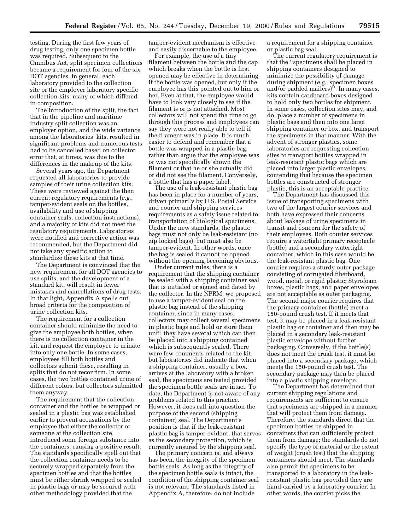testing. During the first few years of drug testing, only one specimen bottle was required. Subsequent to the Omnibus Act, split specimen collections became a requirement for four of the six DOT agencies. In general, each laboratory provided to the collection site or the employer laboratory specific collection kits, many of which differed in composition.

The introduction of the split, the fact that in the pipeline and maritime industry split collection was an employer option, and the wide variance among the laboratories' kits, resulted in significant problems and numerous tests had to be cancelled based on collector error that, at times, was due to the differences in the makeup of the kits.

Several years ago, the Department requested all laboratories to provide samples of their urine collection kits. These were reviewed against the then current regulatory requirements (*e.g.,* tamper-evident seals on the bottles, availability and use of shipping container seals, collection instructions), and a majority of kits did not meet the regulatory requirements. Laboratories were notified and corrective action was recommended, but the Department did not take any specific action to standardize these kits at that time.

The Department is convinced that the new requirement for all DOT agencies to use splits, and the development of a standard kit, will result in fewer mistakes and cancellations of drug tests. In that light, Appendix A spells out broad criteria for the composition of urine collection kits.

The requirement for a collection container should minimize the need to give the employee both bottles, when there is no collection container in the kit, and request the employee to urinate into only one bottle. In some cases, employees fill both bottles and collectors submit these, resulting in splits that do not reconfirm. In some cases, the two bottles contained urine of different colors, but collectors submitted them anyway.

The requirement that the collection container and the bottles be wrapped or sealed in a plastic bag was established earlier to prevent accusations by the employee that either the collector or someone at the collection site introduced some foreign substance into the containers, causing a positive result. The standards specifically spell out that the collection container needs to be securely wrapped separately from the specimen bottles and that the bottles must be either shrink wrapped or sealed in plastic bags or may be secured with other methodology provided that the

tamper-evident mechanism is effective and easily discernable to the employee.

For example, the use of a tiny filament between the bottle and the cap which breaks when the bottle is first opened may be effective in determining if the bottle was opened, but only if the employee has this pointed out to him or her. Even at that, the employee would have to look very closely to see if the filament is or is not attached. Most collectors will not spend the time to go through this process and employees can say they were not really able to tell if the filament was in place. It is much easier to defend and remember that a bottle was wrapped in a plastic bag, rather than argue that the employee was or was not specifically shown the filament or that he or she actually did or did not see the filament. Conversely, a bottle that has a paper label.

The use of a leak-resistant plastic bag has been in place for a number of years, driven primarily by U.S. Postal Service and courier and shipping services requirements as a safety issue related to transportation of biological specimens. Under the new standards, the plastic bags must not only be leak-resistant (no zip locked bags), but must also be tamper-evident. In other words, once the bag is sealed it cannot be opened without the opening becoming obvious.

Under current rules, there is a requirement that the shipping container be sealed with a shipping container seal that is initialed or signed and dated by the collector. In the NPRM, we proposed to use a tamper-evident seal on the plastic bag instead of the shipping container, since in many cases, collectors may collect several specimens in plastic bags and hold or store them until they have several which can then be placed into a shipping contained which is subsequently sealed. There were few comments related to the kit, but laboratories did indicate that when a shipping container, usually a box, arrives at the laboratory with a broken seal, the specimens are tested provided the specimen bottle seals are intact. To date, the Department is not aware of any problems related to this practice. However, it does call into question the purpose of the second (shipping container) seal. The Department's position is that if the leak-resistant plastic bag is tamper-evident, that serves as the secondary protection, which is currently ensured by the shipping seal.

The primary concern is, and always has been, the integrity of the specimen bottle seals. As long as the integrity of the specimen bottle seals is intact, the condition of the shipping container seal is not relevant. The standards listed in Appendix A, therefore, do not include

a requirement for a shipping container or plastic bag seal.

The current regulatory requirement is that the ''specimens shall be placed in shipping containers designed to minimize the possibility of damage during shipment (*e.g.,* specimen boxes and/or padded mailers)''. In many cases, kits contain cardboard boxes designed to hold only two bottles for shipment. In some cases, collection sites may, and do, place a number of specimens in plastic bags and then into one large shipping container or box, and transport the specimens in that manner. With the advent of stronger plastics, some laboratories are requesting collection sites to transport bottles wrapped in leak-resistant plastic bags which are placed into larger plastic envelopes, contending that because the specimen bottles are constructed of stronger plastic, this is an acceptable practice.

The Department has discussed this issue of transporting specimens with two of the largest courier services and both have expressed their concerns about leakage of urine specimens in transit and concern for the safety of their employees. Both courier services require a watertight primary receptacle (bottle) and a secondary watertight container, which in this case would be the leak-resistant plastic bag. One courier requires a sturdy outer package consisting of corrugated fiberboard, wood, metal, or rigid plastic; Styrofoam boxes, plastic bags, and paper envelopes are not acceptable as outer packaging. The second major courier requires that the primary container (bottle) meet a 150-pound crush test. If it meets that test, it may be placed in a leak-resistant plastic bag or container and then may be placed in a secondary leak-resistant plastic envelope without further packaging. Conversely, if the bottle(s) does not meet the crush test, it must be placed into a secondary package, which meets the 150-pound crush test. The secondary package may then be placed into a plastic shipping envelope.

The Department has determined that current shipping regulations and requirements are sufficient to ensure that specimens are shipped in a manner that will protect them from damage. Therefore, the standards direct that the specimen bottles be shipped in containers that can sufficiently protect them from damage; the standards do not specify the type of material or the extent of weight (crush test) that the shipping containers should meet. The standards also permit the specimens to be transported to a laboratory in the leakresistant plastic bag provided they are hand-carried by a laboratory courier. In other words, the courier picks the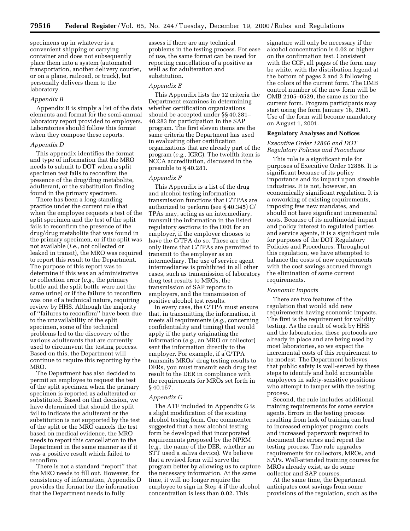specimens up in whatever is a convenient shipping or carrying container and does not subsequently place them into a system (automated transportation, another delivery courier, or on a plane, railroad, or truck), but personally delivers them to the laboratory.

# *Appendix B*

Appendix B is simply a list of the data elements and format for the semi-annual laboratory report provided to employers. Laboratories should follow this format when they compose these reports.

## *Appendix D*

This appendix identifies the format and type of information that the MRO needs to submit to DOT when a split specimen test fails to reconfirm the presence of the drug/drug metabolite, adulterant, or the substitution finding found in the primary specimen.

There has been a long-standing practice under the current rule that when the employee requests a test of the split specimen and the test of the split fails to reconfirm the presence of the drug/drug metabolite that was found in the primary specimen, or if the split was not available (*i.e.,* not collected or leaked in transit), the MRO was required to report this result to the Department. The purpose of this report was to determine if this was an administrative or collection error (*e.g.,* the primary bottle and the split bottle were not the same urine) or if the failure to reconfirm was one of a technical nature, requiring review by HHS. Although the majority of ''failures to reconfirm'' have been due to the unavailability of the split specimen, some of the technical problems led to the discovery of the various adulterants that are currently used to circumvent the testing process. Based on this, the Department will continue to require this reporting by the MRO.

The Department has also decided to permit an employee to request the test of the split specimen when the primary specimen is reported as adulterated or substituted. Based on that decision, we have determined that should the split fail to indicate the adulterant or the substitution is not supported by the test of the split or the MRO cancels the test based on medical evidence, the MRO needs to report this cancellation to the Department in the same manner as if it was a positive result which failed to reconfirm.

There is not a standard ''report'' that the MRO needs to fill out. However, for consistency of information, Appendix D provides the format for the information that the Department needs to fully

assess if there are any technical problems in the testing process. For ease of use, the same format can be used for reporting cancellation of a positive as well as for adulteration and substitution.

### *Appendix E*

This Appendix lists the 12 criteria the Department examines in determining whether certification organizations should be accepted under §§ 40.281– 40.283 for participation in the SAP program. The first eleven items are the same criteria the Department has used in evaluating other certification organizations that are already part of the program (*e.g.,* ICRC). The twelfth item is NCCA accreditation, discussed in the preamble to § 40.281.

#### *Appendix F*

This Appendix is a list of the drug and alcohol testing information transmission functions that C/TPAs are authorized to perform (see § 40.345) C/ TPAs may, acting as an intermediary, transmit the information in the listed regulatory sections to the DER for an employer, if the employer chooses to have the C/TPA do so. These are the only items that C/TPAs are permitted to transmit to the employer as an intermediary. The use of service agent intermediaries is prohibited in all other cases, such as transmission of laboratory drug test results to MROs, the transmission of SAP reports to employers, and the transmission of positive alcohol test results.

In every case, the C/TPA must ensure that, in transmitting the information, it meets all requirements (*e.g.,* concerning confidentiality and timing) that would apply if the party originating the information (*e.g.,* an MRO or collector) sent the information directly to the employer. For example, if a C/TPA transmits MROs' drug testing results to DERs, you must transmit each drug test result to the DER in compliance with the requirements for MROs set forth in § 40.157.

#### *Appendix G*

The ATF included in Appendix G is a slight modification of the existing alcohol testing form. One commenter suggested that a new alcohol testing form be developed that incorporated requirements proposed by the NPRM (*e.g.,* the name of the DER, whether an STT used a saliva device). We believe that a revised form will serve the program better by allowing us to capture the necessary information. At the same time, it will no longer require the employee to sign in Step 4 if the alcohol concentration is less than 0.02. This

signature will only be necessary if the alcohol concentration is 0.02 or higher on the confirmation test. Consistent with the CCF, all pages of the form may be white, with the distribution legend at the bottom of pages 2 and 3 following the colors of the current form. The OMB control number of the new form will be OMB 2105–0529, the same as for the current form. Program participants may start using the form January 18, 2001. Use of the form will become mandatory on August 1, 2001.

# **Regulatory Analyses and Notices**

# *Executive Order 12866 and DOT Regulatory Policies and Procedures*

This rule is a significant rule for purposes of Executive Order 12866. It is significant because of its policy importance and its impact upon sizeable industries. It is not, however, an economically significant regulation. It is a reworking of existing requirements, imposing few new mandates, and should not have significant incremental costs. Because of its multimodal impact and policy interest to regulated parties and service agents, it is a significant rule for purposes of the DOT Regulatory Policies and Procedures. Throughout this regulation, we have attempted to balance the costs of new requirements with the cost savings accrued through the elimination of some current requirements.

### *Economic Impacts*

There are two features of the regulation that would add new requirements having economic impacts. The first is the requirement for validity testing. As the result of work by HHS and the laboratories, these protocols are already in place and are being used by most laboratories, so we expect the incremental costs of this requirement to be modest. The Department believes that public safety is well-served by these steps to identify and hold accountable employees in safety-sensitive positions who attempt to tamper with the testing process.

Second, the rule includes additional training requirements for some service agents. Errors in the testing process resulting from lack of training can lead to increased employer program costs and increased paperwork required to document the errors and repeat the testing process. The rule upgrades requirements for collectors, MROs, and SAPs. Well-attended training courses for MROs already exist, as do some collector and SAP courses.

At the same time, the Department anticipates cost savings from some provisions of the regulation, such as the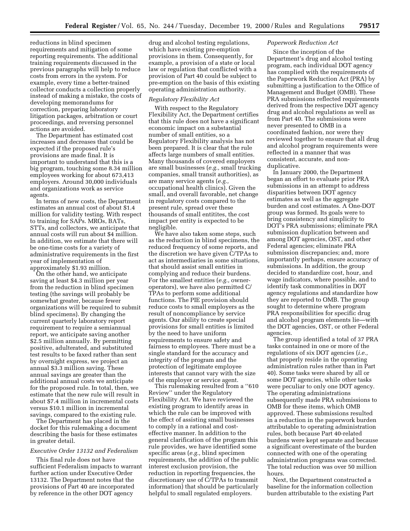reductions in blind specimen requirements and mitigation of some reporting requirements. The additional training requirements discussed in the previous paragraphs will help to reduce costs from errors in the system. For example, every time a better-trained collector conducts a collection properly instead of making a mistake, the costs of developing memorandums for correction, preparing laboratory litigation packages, arbitration or court proceedings, and reversing personnel actions are avoided.

The Department has estimated cost increases and decreases that could be expected if the proposed rule's provisions are made final. It is important to understand that this is a big program, touching some 8.34 million employees working for about 673,413 employers. Around 30,000 individuals and organizations work as service agents.

In terms of new costs, the Department estimates an annual cost of about \$1.4 million for validity testing. With respect to training for SAPs. MROs, BATs, STTs, and collectors, we anticipate that annual costs will run about \$4 million. In addition, we estimate that there will be one-time costs for a variety of administrative requirements in the first year of implementation of approximately \$1.93 million.

On the other hand, we anticipate saving at least \$4.3 million per year from the reduction in blind specimen testing (the savings will probably be somewhat greater, because fewer organizations will be required to submit blind specimens). By changing the current quarterly laboratory report requirement to require a semiannual report, we anticipate saving another \$2.5 million annually. By permitting positive, adulterated, and substituted test results to be faxed rather than sent by overnight express, we project an annual \$3.3 million saving. These annual savings are greater than the additional annual costs we anticipate for the proposed rule. In total, then, we estimate that the new rule will result in about \$7.4 million in incremental costs versus \$10.1 million in incremental savings, compared to the existing rule.

The Department has placed in the docket for this rulemaking a document describing the basis for these estimates in greater detail.

### *Executive Order 13132 and Federalism*

This final rule does not have sufficient Federalism impacts to warrant further action under Executive Order 13132. The Department notes that the provisions of Part 40 are incorporated by reference in the other DOT agency

drug and alcohol testing regulations, which have existing pre-emption provisions in them. Consequently, for example, a provision of a state or local law or regulation that conflicted with a provision of Part 40 could be subject to pre-emption on the basis of this existing operating administration authority.

### *Regulatory Flexibility Act*

With respect to the Regulatory Flexibility Act, the Department certifies that this rule does not have a significant economic impact on a substantial number of small entities, so a Regulatory Flexibility analysis has not been prepared. It is clear that the rule affects large numbers of small entities. Many thousands of covered employers are small businesses (*e.g.,* small trucking companies, small transit authorities), as are many service agents (*e.g.,* occupational health clinics). Given the small, and overall favorable, net change in regulatory costs compared to the present rule, spread over these thousands of small entitites, the cost impact per entity is expected to be negligible.

We have also taken some steps, such as the reduction in blind specimens, the reduced frequency of some reports, and the discretion we have given C/TPAs to act as intermediaries in some situations, that should assist small entities in complying and reduce their burdens. For the smallest entities (*e.g.,* owneroperators), we have also permitted C/ TPAs to perform some additional functions. The PIE provision should reduce costs to small employers as the result of noncompliance by service agents. Our ability to create special provisions for small entities is limited by the need to have uniform requirements to ensure safety and fairness to employees. There must be a single standard for the accuracy and integrity of the program and the protection of legitimate employee interests that cannot vary with the size of the employer or service agent.

This rulemaking resulted from a ''610 Review'' under the Regulatory Flexibility Act. We have reviewed the existing program to identify areas in which the rule can be improved with the effect of assisting small businesses to comply in a rational and costeffective manner. In addition to the general clarification of the program this rule provides, we have identified some specific areas (*e.g.,* blind specimen requirements, the addition of the public interest exclusion provision, the reduction in reporting frequencies, the discretionary use of C/TPAs to transmit information) that should be particularly helpful to small regulated employers.

# *Paperwork Reduction Act*

Since the inception of the Department's drug and alcohol testing program, each individual DOT agency has complied with the requirements of the Paperwork Reduction Act (PRA) by submitting a justification to the Office of Management and Budget (OMB). These PRA submissions reflected requirements derived from the respective DOT agency drug and alcohol regulations as well as from Part 40. The submissions were never presented to OMB in a coordinated fashion, nor were they reviewed together to ensure that all drug and alcohol program requirements were reflected in a manner that was consistent, accurate, and nonduplicative.

In January 2000, the Department began an effort to evaluate prior PRA submissions in an attempt to address disparities between DOT agency estimates as well as the aggregate burden and cost estimates. A One-DOT group was formed. Its goals were to bring consistency and simplicity to DOT's PRA submissions; eliminate PRA submission duplication between and among DOT agencies, OST, and other Federal agencies; eliminate PRA submission discrepancies; and, more importantly perhaps, ensure accuracy of submissions. In addition, the group decided to standardize cost, hour, and wage indicators, where possible, and to identify task commonalities in DOT agency regulations and standardize how they are reported to OMB. The group sought to determine where program PRA responsibilities for specific drug and alcohol program elements lie—with the DOT agencies, OST, or other Federal agencies.

The group identified a total of 37 PRA tasks contained in one or more of the regulations of six DOT agencies (*i.e.,* that properly reside in the operating administration rules rather than in Part 40). Some tasks were shared by all or some DOT agencies, while other tasks were peculiar to only one DOT agency. The operating administrations subsequently made PRA submissions to OMB for these items, which OMB approved. These submissions resulted in a reduction in the paperwork burden attributable to operating administration rules, both because Part 40-related burdens were kept separate and because a significant overestimate of the burden connected with one of the operating administration programs was corrected. The total reduction was over 50 million hours.

Next, the Department constructed a baseline for the information collection burden attributable to the existing Part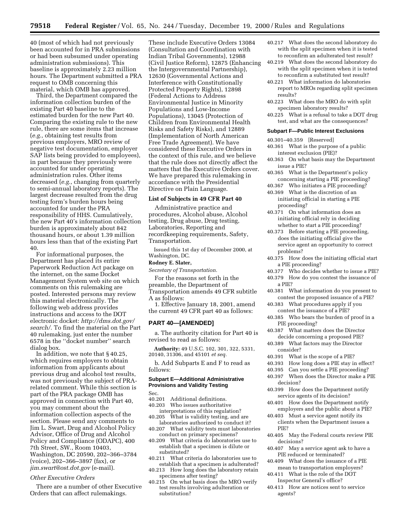40 (most of which had not previously been accounted for in PRA submissions or had been subsumed under operating administration submissions). This baseline is approximately 2.23 million hours. The Department submitted a PRA request to OMB concerning this material, which OMB has approved.

Third, the Department compared the information collection burden of the existing Part 40 baseline to the estimated burden for the new Part 40. Comparing the existing rule to the new rule, there are some items that increase (*e.g.,* obtaining test results from previous employers, MRO review of negative test documentation, employer SAP lists being provided to employees), in part because they previously were accounted for under operating administration rules. Other items decreased (*e.g.,* changing from quarterly to semi-annual laboratory reports). The largest decrease resulted from the drug testing form's burden hours being accounted for under the PRA responsibility of HHS. Cumulatively, the new Part 40's information collection burden is approximately about 842 thousand hours, or about 1.39 million hours less than that of the existing Part 40.

For informational purposes, the Department has placed its entire Paperwork Reduction Act package on the internet, on the same Docket Management System web site on which comments on this rulemaking are posted. Interested persons may review this material electronically. The following web address provides instructions and access to the DOT electronic docket: *http://dms.dot.gov/ search/.* To find the material on the Part 40 rulemaking, just enter the number 6578 in the ''docket number'' search dialog box.

In addition, we note that § 40.25, which requires employers to obtain information from applicants about previous drug and alcohol test results, was not previously the subject of PRArelated comment. While this section is part of the PRA package OMB has approved in connection with Part 40, you may comment about the information collection aspects of the section. Please send any comments to Jim L. Swart, Drug and Alcohol Policy Advisor, Office of Drug and Alcohol Policy and Compliance (ODAPC), 400 7th Street, SW., Room 10403, Washington, DC 20590, 202–366–3784 (voice), 202–366–3897 (fax), or *jim.swart@ost.dot.gov* (e-mail).

# *Other Executive Orders*

There are a number of other Executive Orders that can affect rulemakings.

These include Executive Orders 13084 (Consultation and Coordination with Indian Tribal Governments), 12988 (Civil Justice Reform), 12875 (Enhancing the Intergovernmental Partnership), 12630 (Governmental Actions and Interference with Constitutionally Protected Property Rights), 12898 (Federal Actions to Address Environmental Justice in Minority Populations and Low-Income Populations), 13045 (Protection of Children from Environmental Health Risks and Safety Risks), and 12889 (Implementation of North American Free Trade Agreement). We have considered these Executive Orders in the context of this rule, and we believe that the rule does not directly affect the matters that the Executive Orders cover. We have prepared this rulemaking in accordance with the Presidential Directive on Plain Language.

# **List of Subjects in 49 CFR Part 40**

Administrative practice and procedures, Alcohol abuse, Alcohol testing, Drug abuse, Drug testing, Laboratories, Reporting and recordkeeping requirements, Safety, Transportation.

Issued this 1st day of December 2000, at Washington, DC.

# **Rodney E. Slater,**

*Secretary of Transportation.*

For the reasons set forth in the preamble, the Department of Transportation amends 49 CFR subtitle A as follows:

1. Effective January 18, 2001, amend the current 49 CFR part 40 as follows:

### **PART 40—[AMENDED]**

a. The authority citation for Part 40 is revised to read as follows:

**Authority:** 49 U.S.C. 102, 301, 322, 5331, 20140, 31306, and 45101 *et seq.*

b. Add Subparts E and F to read as follows:

# **Subpart E—Additional Administrative Provisions and Validity Testing**

Sec.

- 40.201 Additional definitions.
- 40.203 Who issues authoritative interpretations of this regulation?
- 40.205 What is validity testing, and are laboratories authorized to conduct it?
- 40.207 What validity tests must laboratories conduct on primary specimens?
- 40.209 What criteria do laboratories use to establish that a specimen is dilute or substituted?
- 40.211 What criteria do laboratories use to establish that a specimen is adulterated?
- 40.213 How long does the laboratory retain specimens after testing?
- 40.215 On what basis does the MRO verify test results involving adulteration or substitution?
- 40.217 What does the second laboratory do with the split specimen when it is tested to reconfirm an adulterated test result?
- 40.219 What does the second laboratory do with the split specimen when it is tested to reconfirm a substituted test result?
- 40.221 What information do laboratories report to MROs regarding split specimen results?
- 40.223 What does the MRO do with split specimen laboratory results?
- 40.225 What is a refusal to take a DOT drug test, and what are the consequences?

#### **Subpart F—Public Interest Exclusions**

- 40.301–40.359 [Reserved]
- 40.361 What is the purpose of a public interest exclusion (PIE)?
- 40.363 On what basis may the Department issue a PIE?
- 40.365 What is the Department's policy concerning starting a PIE proceeding?
- 40.367 Who initiates a PIE proceeding? 40.369 What is the discretion of an initiating official in starting a PIE

proceeding?

- 40.371 On what information does an initiating official rely in deciding whether to start a PIE proceeding?
- 40.373 Before starting a PIE proceeding, does the initiating official give the service agent an opportunity to correct problems?
- 40.375 How does the initiating official start a PIE proceeding?
- 40.377 Who decides whether to issue a PIE?
- 40.379 How do you contest the issuance of a PIE?
- 40.381 What information do you present to contest the proposed issuance of a PIE?
- 40.383 What procedures apply if you contest the issuance of a PIE?
- 40.385 Who bears the burden of proof in a PIE proceeding?
- 40.387 What matters does the Director decide concerning a proposed PIE?
- 40.389 What factors may the Director consider?
- 40.391 What is the scope of a PIE?
- 40.393 How long does a PIE stay in effect?
- 40.395 Can you settle a PIE proceeding?
- 40.397 When does the Director make a PIE decision?
- 40.399 How does the Department notify service agents of its decision?
- 40.401 How does the Department notify employers and the public about a PIE?
- 40.403 Must a service agent notify its clients when the Department issues a PIE?
- 40.405 May the Federal courts review PIE decisions?
- 40.407 May a service agent ask to have a PIE reduced or terminated?
- 40.409 What does the issuance of a PIE mean to transportation employers?
- 40.411 What is the role of the DOT Inspector General's office?
- 40.413 How are notices sent to service agents?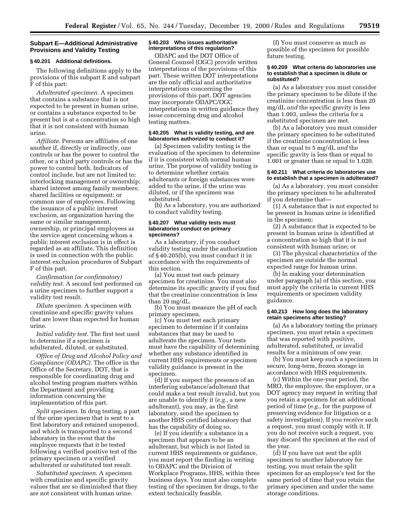## **Subpart E—Additional Administrative Provisions and Validity Testing**

### **§ 40.201 Additional definitions.**

The following definitions apply to the provisions of this subpart E and subpart F of this part:

*Adulterated specimen.* A specimen that contains a substance that is not expected to be present in human urine, or contains a substance expected to be present but is at a concentration so high that it is not consistent with human urine.

*Affiliate.* Persons are affiliates of one another if, directly or indirectly, one controls or has the power to control the other, or a third party controls or has the power to control both. Indicators of control include, but are not limited to: interlocking management or ownership; shared interest among family members; shared facilities or equipment; or common use of employees. Following the issuance of a public interest exclusion, an organization having the same or similar management, ownership, or principal employees as the service agent concerning whom a public interest exclusion is in effect is regarded as an affiliate. This definition is used in connection with the public interest exclusion procedures of Subpart F of this part.

*Confirmation (or confirmatory) validity test.* A second test performed on a urine specimen to further support a validity test result.

*Dilute specimen.* A specimen with creatinine and specific gravity values that are lower than expected for human urine.

*Initial validity test.* The first test used to determine if a specimen is adulterated, diluted, or substituted.

*Office of Drug and Alcohol Policy and Compliance (ODAPC).* The office in the Office of the Secretary, DOT, that is responsible for coordinating drug and alcohol testing program matters within the Department and providing information concerning the implementation of this part.

*Split specimen.* In drug testing, a part of the urine specimen that is sent to a first laboratory and retained unopened, and which is transported to a second laboratory in the event that the employee requests that it be tested following a verified positive test of the primary specimen or a verified adulterated or substituted test result.

*Substituted specimen.* A specimen with creatinine and specific gravity values that are so diminished that they are not consistent with human urine.

# **§ 40.203 Who issues authoritative interpretations of this regulation?**

ODAPC and the DOT Office of General Counsel (OGC) provide written interpretations of the provisions of this part. These written DOT interpretations are the only official and authoritative interpretations concerning the provisions of this part. DOT agencies may incorporate ODAPC/OGC interpretations in written guidance they issue concerning drug and alcohol testing matters.

## **§ 40.205 What is validity testing, and are laboratories authorized to conduct it?**

(a) Specimen validity testing is the evaluation of the specimen to determine if it is consistent with normal human urine. The purpose of validity testing is to determine whether certain adulterants or foreign substances were added to the urine, if the urine was diluted, or if the specimen was substituted.

(b) As a laboratory, you are authorized to conduct validity testing.

### **§ 40.207 What validity tests must laboratories conduct on primary specimens?**

As a laboratory, if you conduct validity testing under the authorization of § 40.205(b), you must conduct it in accordance with the requirements of this section.

(a) You must test each primary specimen for creatinine. You must also determine its specific gravity if you find that the creatinine concentration is less than 20 mg/dL.

(b) You must measure the pH of each primary specimen.

(c) You must test each primary specimen to determine if it contains substances that may be used to adulterate the specimen. Your tests must have the capability of determining whether any substance identified in current HHS requirements or specimen validity guidance is present in the specimen.

(d) If you suspect the presence of an interfering substance/adulterant that could make a test result invalid, but you are unable to identify it (*e.g.,* a new adulterant), you may, as the first laboratory, send the specimen to another HHS certified laboratory that has the capability of doing so.

(e) If you identify a substance in a specimen that appears to be an adulterant, but which is not listed in current HHS requirements or guidance, you must report the finding in writing to ODAPC and the Division of Workplace Programs, HHS, within three business days. You must also complete testing of the specimen for drugs, to the extent technically feasible.

(f) You must conserve as much as possible of the specimen for possible future testing.

### **§ 40.209 What criteria do laboratories use to establish that a specimen is dilute or substituted?**

(a) As a laboratory you must consider the primary specimen to be dilute if the creatinine concentration is less than 20 mg/dL *and* the specific gravity is less than 1.003, unless the criteria for a substituted specimen are met.

(b) As a laboratory you must consider the primary specimen to be substituted if the creatinine concentration is less than or equal to 5 mg/dL *and* the specific gravity is less than or equal to 1.001 or greater than or equal to 1.020.

## **§ 40.211 What criteria do laboratories use to establish that a specimen is adulterated?**

(a) As a laboratory, you must consider the primary specimen to be adulterated if you determine that—

(1) A substance that is not expected to be present in human urine is identified in the specimen;

(2) A substance that is expected to be present in human urine is identified at a concentration so high that it is not consistent with human urine; or

(3) The physical characteristics of the specimen are outside the normal expected range for human urine.

(b) In making your determination under paragraph (a) of this section, you must apply the criteria in current HHS requirements or specimen validity guidance.

## **§ 40.213 How long does the laboratory retain specimens after testing?**

(a) As a laboratory testing the primary specimen, you must retain a specimen that was reported with positive, adulterated, substituted, or invalid results for a minimum of one year.

(b) You must keep such a specimen in secure, long-term, frozen storage in accordance with HHS requirements.

(c) Within the one-year period, the MRO, the employee, the employer, or a DOT agency may request in writing that you retain a specimen for an additional period of time (*e.g.,* for the purpose of preserving evidence for litigation or a safety investigation). If you receive such a request, you must comply with it. If you do not receive such a request, you may discard the specimen at the end of the year.

(d) If you have not sent the split specimen to another laboratory for testing, you must retain the split specimen for an employee's test for the same period of time that you retain the primary specimen and under the same storage conditions.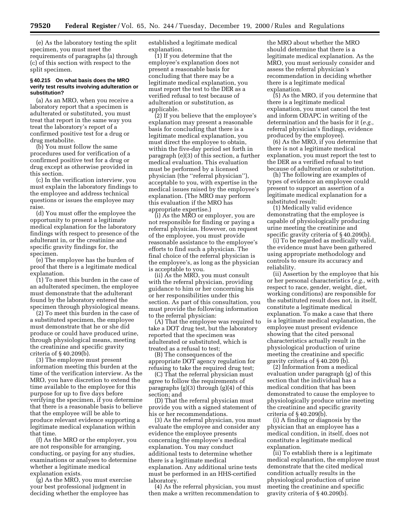(e) As the laboratory testing the split specimen, you must meet the requirements of paragraphs (a) through (c) of this section with respect to the split specimen.

### **§ 40.215 On what basis does the MRO verify test results involving adulteration or substitution?**

(a) As an MRO, when you receive a laboratory report that a specimen is adulterated or substituted, you must treat that report in the same way you treat the laboratory's report of a confirmed positive test for a drug or drug metabolite.

(b) You must follow the same procedures used for verification of a confirmed positive test for a drug or drug except as otherwise provided in this section.

(c) In the verification interview, you must explain the laboratory findings to the employee and address technical questions or issues the employee may raise.

(d) You must offer the employee the opportunity to present a legitimate medical explanation for the laboratory findings with respect to presence of the adulterant in, or the creatinine and specific gravity findings for, the specimen.

(e) The employee has the burden of proof that there is a legitimate medical explanation.

(1) To meet this burden in the case of an adulterated specimen, the employee must demonstrate that the adulterant found by the laboratory entered the specimen through physiological means.

(2) To meet this burden in the case of a substituted specimen, the employee must demonstrate that he or she did produce or could have produced urine, through physiological means, meeting the creatinine and specific gravity criteria of § 40.209(b).

(3) The employee must present information meeting this burden at the time of the verification interview. As the MRO, you have discretion to extend the time available to the employee for this purpose for up to five days before verifying the specimen, if you determine that there is a reasonable basis to believe that the employee will be able to produce relevant evidence supporting a legitimate medical explanation within that time.

(f) As the MRO or the employer, you are not responsible for arranging, conducting, or paying for any studies, examinations or analyses to determine whether a legitimate medical explanation exists.

(g) As the MRO, you must exercise your best professional judgment in deciding whether the employee has

established a legitimate medical explanation.

(1) If you determine that the employee's explanation does not present a reasonable basis for concluding that there may be a legitimate medical explanation, you must report the test to the DER as a verified refusal to test because of adulteration or substitution, as applicable.

(2) If you believe that the employee's explanation may present a reasonable basis for concluding that there is a legitimate medical explanation, you must direct the employee to obtain, within the five-day period set forth in paragraph (e)(3) of this section, a further medical evaluation. This evaluation must be performed by a licensed physician (the ''referral physician''), acceptable to you, with expertise in the medical issues raised by the employee's explanation. (The MRO may perform this evaluation if the MRO has appropriate expertise.)

(i) As the MRO or employer, you are not responsible for finding or paying a referral physician. However, on request of the employee, you must provide reasonable assistance to the employee's efforts to find such a physician. The final choice of the referral physician is the employee's, as long as the physician is acceptable to you.

(ii) As the MRO, you must consult with the referral physician, providing guidance to him or her concerning his or her responsibilities under this section. As part of this consultation, you must provide the following information to the referral physician:

(A) That the employee was required to take a DOT drug test, but the laboratory reported that the specimen was adulterated or substituted, which is treated as a refusal to test;

(B) The consequences of the appropriate DOT agency regulation for refusing to take the required drug test;

(C) That the referral physician must agree to follow the requirements of paragraphs (g)(3) through (g)(4) of this section; and

(D) That the referral physician must provide you with a signed statement of his or her recommendations.

(3) As the referral physician, you must evaluate the employee and consider any evidence the employee presents concerning the employee's medical explanation. You may conduct additional tests to determine whether there is a legitimate medical explanation. Any additional urine tests must be performed in an HHS-certified laboratory.

(4) As the referral physician, you must then make a written recommendation to

the MRO about whether the MRO should determine that there is a legitimate medical explanation. As the MRO, you must seriously consider and assess the referral physician's recommendation in deciding whether there is a legitimate medical explanation.

(5) As the MRO, if you determine that there is a legitimate medical explanation, you must cancel the test and inform ODAPC in writing of the determination and the basis for it (*e.g.,* referral physician's findings, evidence produced by the employee).

(6) As the MRO, if you determine that there is not a legitimate medical explanation, you must report the test to the DER as a verified refusal to test because of adulteration or substitution.

(h) The following are examples of types of evidence an employee could present to support an assertion of a legitimate medical explanation for a substituted result:

(1) Medically valid evidence demonstrating that the employee is capable of physiologically producing urine meeting the creatinine and specific gravity criteria of § 40.209(b).

(i) To be regarded as medically valid, the evidence must have been gathered using appropriate methodology and controls to ensure its accuracy and reliability.

(ii) Assertion by the employee that his or her personal characteristics (*e.g.,* with respect to race, gender, weight, diet, working conditions) are responsible for the substituted result does not, in itself, constitute a legitimate medical explanation. To make a case that there is a legitimate medical explanation, the employee must present evidence showing that the cited personal characteristics actually result in the physiological production of urine meeting the creatinine and specific gravity criteria of § 40.209 (b).

(2) Information from a medical evaluation under paragraph (g) of this section that the individual has a medical condition that has been demonstrated to cause the employee to physiologically produce urine meeting the creatinine and specific gravity criteria of § 40.209(b).

(i) A finding or diagnosis by the physician that an employee has a medical condition, in itself, does not constitute a legitimate medical explanation.

(ii) To establish there is a legitimate medical explanation, the employee must demonstrate that the cited medical condition actually results in the physiological production of urine meeting the creatinine and specific gravity criteria of § 40.209(b).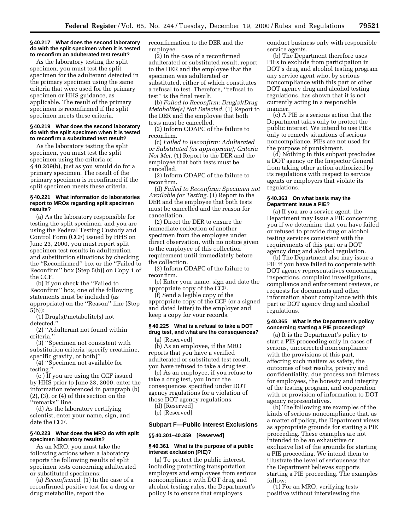### **§ 40.217 What does the second laboratory do with the split specimen when it is tested to reconfirm an adulterated test result?**

As the laboratory testing the split specimen, you must test the split specimen for the adulterant detected in the primary specimen using the same criteria that were used for the primary specimen or HHS guidance, as applicable. The result of the primary specimen is reconfirmed if the split specimen meets these criteria.

## **§ 40.219 What does the second laboratory do with the split specimen when it is tested to reconfirm a substituted test result?**

As the laboratory testing the split specimen, you must test the split specimen using the criteria of § 40.209(b), just as you would do for a primary specimen. The result of the primary specimen is reconfirmed if the split specimen meets these criteria.

### **§ 40.221 What information do laboratories report to MROs regarding split specimen results?**

(a) As the laboratory responsible for testing the split specimen, and you are using the Federal Testing Custody and Control Form (CCF) issued by HHS on June 23, 2000, you must report split specimen test results in adulteration and substitution situations by checking the ''Reconfirmed'' box or the ''Failed to Reconfirm'' box (Step 5(b)) on Copy 1 of the CCF.

(b) If you check the ''Failed to Reconfirm'' box, one of the following statements must be included (as appropriate) on the ''Reason'' line (Step 5(b)):

(1) Drug(s)/metabolite(s) not detected.''

(2) ''Adulterant not found within criteria.''

(3) ''Specimen not consistent with substitution criteria [specify creatinine, specific gravity, or both]''

(4) ''Specimen not available for testing.''

(c ) If you are using the CCF issued by HHS prior to June 23, 2000, enter the information referenced in paragraph (b)  $(2)$ ,  $(3)$ , or  $(4)$  of this section on the "remarks" line.

(d) As the laboratory certifying scientist, enter your name, sign, and date the CCF.

### **§ 40.223 What does the MRO do with split specimen laboratory results?**

As an MRO, you must take the following actions when a laboratory reports the following results of split specimen tests concerning adulterated or substituted specimens:

(a) *Reconfirmed.* (1) In the case of a reconfirmed positive test for a drug or drug metabolite, report the

reconfirmation to the DER and the employee.

(2) In the case of a reconfirmed adulterated or substituted result, report to the DER and the employee that the specimen was adulterated or substituted, either of which constitutes a refusal to test. Therefore, ''refusal to test'' is the final result.

(b) *Failed to Reconfirm: Drug(s)/Drug Metabolite(s) Not Detected.* (1) Report to the DER and the employee that both tests must be cancelled.

(2) Inform ODAPC of the failure to reconfirm.

(c) *Failed to Reconfirm: Adulterated or Substituted (as appropriate); Criteria Not Met.* (1) Report to the DER and the employee that both tests must be cancelled.

(2) Inform ODAPC of the failure to reconfirm.

(d) *Failed to Reconfirm: Specimen not Available for Testing.* (1) Report to the DER and the employee that both tests must be cancelled and the reason for cancellation.

(2) Direct the DER to ensure the immediate collection of another specimen from the employee under direct observation, with no notice given to the employee of this collection requirement until immediately before the collection.

(3) Inform ODAPC of the failure to reconfirm.

(e) Enter your name, sign and date the appropriate copy of the CCF.

(f) Send a legible copy of the appropriate copy of the CCF (or a signed and dated letter) to the employer and keep a copy for your records.

# **§ 40.225 What is a refusal to take a DOT drug test, and what are the consequences?** (a) [Reserved]

(b) As an employee, if the MRO reports that you have a verified adulterated or substituted test result, you have refused to take a drug test.

(c) As an employee, if you refuse to take a drug test, you incur the consequences specified under DOT agency regulations for a violation of those DOT agency regulations.

(d) [Reserved]

(e) [Reserved]

### **Subpart F—Public Interest Exclusions**

# **§§ 40.301–40.359 [Reserved]**

### **§ 40.361 What is the purpose of a public interest exclusion (PIE)?**

(a) To protect the public interest, including protecting transportation employers and employees from serious noncompliance with DOT drug and alcohol testing rules, the Department's policy is to ensure that employers

conduct business only with responsible service agents.

(b) The Department therefore uses PIEs to exclude from participation in DOT's drug and alcohol testing program any service agent who, by serious noncompliance with this part or other DOT agency drug and alcohol testing regulations, has shown that it is not currently acting in a responsible manner.

(c) A PIE is a serious action that the Department takes only to protect the public interest. We intend to use PIEs only to remedy situations of serious noncompliance. PIEs are not used for the purpose of punishment.

(d) Nothing in this subpart precludes a DOT agency or the Inspector General from taking other action authorized by its regulations with respect to service agents or employers that violate its regulations.

### **§ 40.363 On what basis may the Department issue a PIE?**

(a) If you are a service agent, the Department may issue a PIE concerning you if we determine that you have failed or refused to provide drug or alcohol testing services consistent with the requirements of this part or a DOT agency drug and alcohol regulation.

(b) The Department also may issue a PIE if you have failed to cooperate with DOT agency representatives concerning inspections, complaint investigations, compliance and enforcement reviews, or requests for documents and other information about compliance with this part or DOT agency drug and alcohol regulations.

### **§ 40.365 What is the Department's policy concerning starting a PIE proceeding?**

(a) It is the Department's policy to start a PIE proceeding only in cases of serious, uncorrected noncompliance with the provisions of this part, affecting such matters as safety, the outcomes of test results, privacy and confidentiality, due process and fairness for employees, the honesty and integrity of the testing program, and cooperation with or provision of information to DOT agency representatives.

(b) The following are examples of the kinds of serious noncompliance that, as a matter of policy, the Department views as appropriate grounds for starting a PIE proceeding. These examples are not intended to be an exhaustive or exclusive list of the grounds for starting a PIE proceeding. We intend them to illustrate the level of seriousness that the Department believes supports starting a PIE proceeding. The examples follow:

(1) For an MRO, verifying tests positive without interviewing the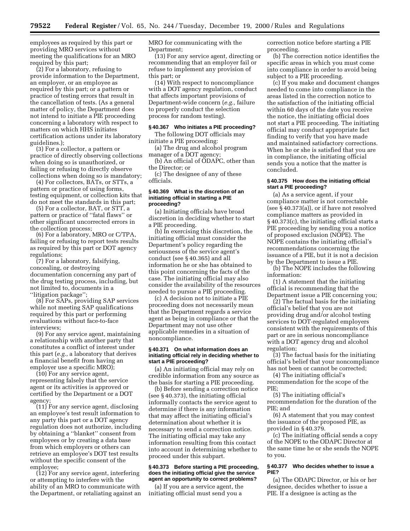employees as required by this part or providing MRO services without meeting the qualifications for an MRO required by this part;

(2) For a laboratory, refusing to provide information to the Department, an employer, or an employee as required by this part; or a pattern or practice of testing errors that result in the cancellation of tests. (As a general matter of policy, the Department does not intend to initiate a PIE proceeding concerning a laboratory with respect to matters on which HHS initiates certification actions under its laboratory guidelines.);

(3) For a collector, a pattern or practice of directly observing collections when doing so is unauthorized, or failing or refusing to directly observe collections when doing so is mandatory;

(4) For collectors, BATs, or STTs, a pattern or practice of using forms, testing equipment, or collection kits that do not meet the standards in this part;

(5) For a collector, BAT, or STT, a pattern or practice of ''fatal flaws'' or other significant uncorrected errors in the collection process;

(6) For a laboratory, MRO or C/TPA, failing or refusing to report tests results as required by this part or DOT agency regulations;

(7) For a laboratory, falsifying, concealing, or destroying documentation concerning any part of the drug testing process, including, but not limited to, documents in a ''litigation package'';

(8) For SAPs, providing SAP services while not meeting SAP qualifications required by this part or performing evaluations without face-to-face interviews;

(9) For any service agent, maintaining a relationship with another party that constitutes a conflict of interest under this part (*e.g.,* a laboratory that derives a financial benefit from having an employer use a specific MRO);

(10) For any service agent, representing falsely that the service agent or its activities is approved or certified by the Department or a DOT agency;

(11) For any service agent, disclosing an employee's test result information to any party this part or a DOT agency regulation does not authorize, including by obtaining a ''blanket'' consent from employees or by creating a data base from which employers or others can retrieve an employee's DOT test results without the specific consent of the employee;

(12) For any service agent, interfering or attempting to interfere with the ability of an MRO to communicate with the Department, or retaliating against an MRO for communicating with the Department;

(13) For any service agent, directing or recommending that an employer fail or refuse to implement any provision of this part; or

(14) With respect to noncompliance with a DOT agency regulation, conduct that affects important provisions of Department-wide concern (*e.g.,* failure to properly conduct the selection process for random testing).

### **§ 40.367 Who initiates a PIE proceeding?**

The following DOT officials may initiate a PIE proceeding:

(a) The drug and alcohol program manager of a DOT agency;

(b) An official of ODAPC, other than the Director; or

(c) The designee of any of these officials.

### **§ 40.369 What is the discretion of an initiating official in starting a PIE proceeding?**

(a) Initiating officials have broad discretion in deciding whether to start a PIE proceeding.

(b) In exercising this discretion, the initiating official must consider the Department's policy regarding the seriousness of the service agent's conduct (see § 40.365) and all information he or she has obtained to this point concerning the facts of the case. The initiating official may also consider the availability of the resources needed to pursue a PIE proceeding.

(c) A decision not to initiate a PIE proceeding does not necessarily mean that the Department regards a service agent as being in compliance or that the Department may not use other applicable remedies in a situation of noncompliance.

## **§ 40.371 On what information does an initiating official rely in deciding whether to start a PIE proceeding?**

(a) An initiating official may rely on credible information from any source as the basis for starting a PIE proceeding.

(b) Before sending a correction notice (see § 40.373), the initiating official informally contacts the service agent to determine if there is any information that may affect the initiating official's determination about whether it is necessary to send a correction notice. The initiating official may take any information resulting from this contact into account in determining whether to proceed under this subpart.

### **§ 40.373 Before starting a PIE proceeding, does the initiating official give the service agent an opportunity to correct problems?**

(a) If you are a service agent, the initiating official must send you a

correction notice before starting a PIE proceeding.

(b) The correction notice identifies the specific areas in which you must come into compliance in order to avoid being subject to a PIE proceeding.

(c) If you make and document changes needed to come into compliance in the areas listed in the correction notice to the satisfaction of the initiating official within 60 days of the date you receive the notice, the initiating official does not start a PIE proceeding. The initiating official may conduct appropriate fact finding to verify that you have made and maintained satisfactory corrections. When he or she is satisfied that you are in compliance, the initiating official sends you a notice that the matter is concluded.

## **§ 40.375 How does the initiating official start a PIE proceeding?**

(a) As a service agent, if your compliance matter is not correctable (see § 40.373(a)), or if have not resolved compliance matters as provided in § 40.373(c), the initiating official starts a PIE proceeding by sending you a notice of proposed exclusion (NOPE). The NOPE contains the initiating official's recommendations concerning the issuance of a PIE, but it is not a decision by the Department to issue a PIE.

(b) The NOPE includes the following information:

(1) A statement that the initiating official is recommending that the Department issue a PIE concerning you;

(2) The factual basis for the initiating official's belief that you are not providing drug and/or alcohol testing services to DOT-regulated employers consistent with the requirements of this part or are in serious noncompliance with a DOT agency drug and alcohol regulation:

(3) The factual basis for the initiating official's belief that your noncompliance has not been or cannot be corrected;

(4) The initiating official's recommendation for the scope of the PIE;

(5) The initiating official's recommendation for the duration of the PIE; and

(6) A statement that you may contest the issuance of the proposed PIE, as provided in § 40.379.

(c) The initiating official sends a copy of the NOPE to the ODAPC Director at the same time he or she sends the NOPE to you.

### **§ 40.377 Who decides whether to issue a PIE?**

(a) The ODAPC Director, or his or her designee, decides whether to issue a PIE. If a designee is acting as the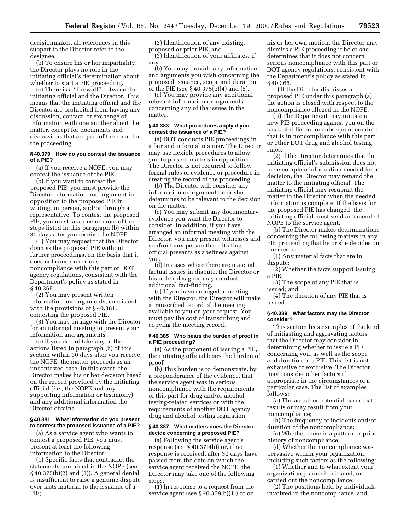decisionmaker, all references in this subpart to the Director refer to the designee.

(b) To ensure his or her impartiality, the Director plays no role in the initiating official's determination about whether to start a PIE proceeding.

(c) There is a ''firewall'' between the initiating official and the Director. This means that the initiating official and the Director are prohibited from having any discussion, contact, or exchange of information with one another about the matter, except for documents and discussions that are part of the record of the proceeding.

## **§ 40.379 How do you contest the issuance of a PIE?**

(a) If you receive a NOPE, you may contest the issuance of the PIE.

(b) If you want to contest the proposed PIE, you must provide the Director information and argument in opposition to the proposed PIE in writing, in person, and/or through a representative. To contest the proposed PIE, you must take one or more of the steps listed in this paragraph (b) within 30 days after you receive the NOPE.

(1) You may request that the Director dismiss the proposed PIE without further proceedings, on the basis that it does not concern serious noncompliance with this part or DOT agency regulations, consistent with the Department's policy as stated in § 40.365.

(2) You may present written information and arguments, consistent with the provisions of § 40.381, contesting the proposed PIE.

(3) You may arrange with the Director for an informal meeting to present your information and arguments.

(c) If you do not take any of the actions listed in paragraph (b) of this section within 30 days after you receive the NOPE, the matter proceeds as an uncontested case. In this event, the Director makes his or her decision based on the record provided by the initiating official (*i.e.,* the NOPE and any supporting information or testimony) and any additional information the Director obtains.

# **§ 40.381 What information do you present to contest the proposed issuance of a PIE?**

(a) As a service agent who wants to contest a proposed PIE, you must present at least the following information to the Director:

(1) Specific facts that contradict the statements contained in the NOPE (see § 40.375(b)(2) and (3)). A general denial is insufficient to raise a genuine dispute over facts material to the issuance of a PIE;

(2) Identification of any existing, proposed or prior PIE; and (3) Identification of your affiliates, if any.

(b) You may provide any information and arguments you wish concerning the proposed issuance, scope and duration of the PIE (see § 40.375(b)(4) and (5).

(c) You may provide any additional relevant information or arguments concerning any of the issues in the matter.

# **§ 40.383 What procedures apply if you contest the issuance of a PIE?**

(a) DOT conducts PIE proceedings in a fair and informal manner. The Director may use flexible procedures to allow you to present matters in opposition. The Director is not required to follow formal rules of evidence or procedure in creating the record of the proceeding.

(b) The Director will consider any information or argument he or she determines to be relevant to the decision on the matter.

(c) You may submit any documentary evidence you want the Director to consider. In addition, if you have arranged an informal meeting with the Director, you may present witnesses and confront any person the initiating official presents as a witness against you.

(d) In cases where there are material factual issues in dispute, the Director or his or her designee may conduct additional fact-finding.

(e) If you have arranged a meeting with the Director, the Director will make a transcribed record of the meeting available to you on your request. You must pay the cost of transcribing and copying the meeting record.

### **§ 40.385 Who bears the burden of proof in a PIE proceeding?**

(a) As the proponent of issuing a PIE, the initiating official bears the burden of proof.

(b) This burden is to demonstrate, by a preponderance of the evidence, that the service agent was in serious noncompliance with the requirements of this part for drug and/or alcohol testing-related services or with the requirements of another DOT agency drug and alcohol testing regulation.

## **§ 40.387 What matters does the Director decide concerning a proposed PIE?**

(a) Following the service agent's response (see § 40.379(b)) or, if no response is received, after 30 days have passed from the date on which the service agent received the NOPE, the Director may take one of the following steps:

(1) In response to a request from the service agent (see  $\S 40.379(b)(1)$ ) or on his or her own motion, the Director may dismiss a PIE proceeding if he or she determines that it does not concern serious noncompliance with this part or DOT agency regulations, consistent with the Department's policy as stated in § 40.365.

(i) If the Director dismisses a proposed PIE under this paragraph (a), the action is closed with respect to the noncompliance alleged in the NOPE.

(ii) The Department may initiate a new PIE proceeding against you on the basis of different or subsequent conduct that is in noncompliance with this part or other DOT drug and alcohol testing rules.

(2) If the Director determines that the initiating official's submission does not have complete information needed for a decision, the Director may remand the matter to the initiating official. The initiating official may resubmit the matter to the Director when the needed information is complete. If the basis for the proposed PIE has changed, the initiating official must send an amended NOPE to the service agent.

(b) The Director makes determinations concerning the following matters in any PIE proceeding that he or she decides on the merits:

(1) Any material facts that are in dispute;

(2) Whether the facts support issuing a PIE;

(3) The scope of any PIE that is issued; and

(4) The duration of any PIE that is issued.

## **§ 40.389 What factors may the Director consider?**

This section lists examples of the kind of mitigating and aggravating factors that the Director may consider in determining whether to issue a PIE concerning you, as well as the scope and duration of a PIE. This list is not exhaustive or exclusive. The Director may consider other factors if appropriate in the circumstances of a particular case. The list of examples follows:

(a) The actual or potential harm that results or may result from your noncompliance;

(b) The frequency of incidents and/or duration of the noncompliance;

(c) Whether there is a pattern or prior history of noncompliance;

(d) Whether the noncompliance was pervasive within your organization, including such factors as the following:

(1) Whether and to what extent your organization planned, initiated, or carried out the noncompliance;

(2) The positions held by individuals involved in the noncompliance, and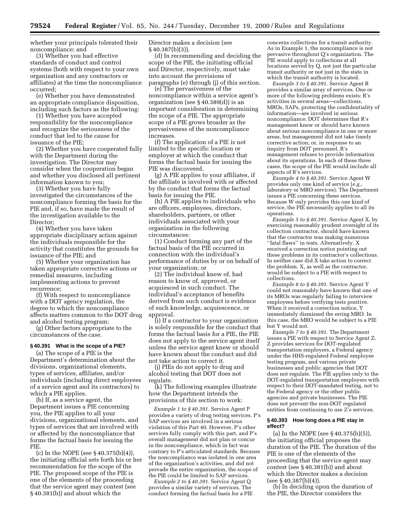whether your principals tolerated their noncompliance; and

(3) Whether you had effective standards of conduct and control systems (both with respect to your own organization and any contractors or affiliates) at the time the noncompliance occurred;

(e) Whether you have demonstrated an appropriate compliance disposition, including such factors as the following:

(1) Whether you have accepted responsibility for the noncompliance and recognize the seriousness of the conduct that led to the cause for issuance of the PIE;

(2) Whether you have cooperated fully with the Department during the investigation. The Director may consider when the cooperation began and whether you disclosed all pertinent information known to you;

(3) Whether you have fully investigated the circumstances of the noncompliance forming the basis for the PIE and, if so, have made the result of the investigation available to the Director;

(4) Whether you have taken appropriate disciplinary action against the individuals responsible for the activity that constitutes the grounds for issuance of the PIE; and

(5) Whether your organization has taken appropriate corrective actions or remedial measures, including implementing actions to prevent recurrence;

(f) With respect to noncompliance with a DOT agency regulation, the degree to which the noncompliance affects matters common to the DOT drug and alcohol testing program;

(g) Other factors appropriate to the circumstances of the case.

## **§ 40.391 What is the scope of a PIE?**

(a) The scope of a PIE is the Department's determination about the divisions, organizational elements, types of services, affiliates, and/or individuals (including direct employees of a service agent and its contractors) to which a PIE applies.

(b) If, as a service agent, the Department issues a PIE concerning you, the PIE applies to all your divisions, organizational elements, and types of services that are involved with or affected by the noncompliance that forms the factual basis for issuing the PIE.

(c) In the NOPE (see § 40.375(b)(4)), the initiating official sets forth his or her recommendation for the scope of the PIE. The proposed scope of the PIE is one of the elements of the proceeding that the service agent may contest (see § 40.381(b)) and about which the

Director makes a decision (see § 40.387(b)(3)).

(d) In recommending and deciding the scope of the PIE, the initiating official and Director, respectively, must take into account the provisions of paragraphs (e) through (j) of this section.

(e) The pervasiveness of the noncompliance within a service agent's organization (see § 40.389(d)) is an important consideration in determining the scope of a PIE. The appropriate scope of a PIE grows broader as the pervasiveness of the noncompliance increases.

(f) The application of a PIE is not limited to the specific location or employer at which the conduct that forms the factual basis for issuing the PIE was discovered.

(g) A PIE applies to your affiliates, if the affiliate is involved with or affected by the conduct that forms the factual basis for issuing the PIE.

(h) A PIE applies to individuals who are officers, employees, directors, shareholders, partners, or other individuals associated with your organization in the following circumstances:

(1) Conduct forming any part of the factual basis of the PIE occurred in connection with the individual's performance of duties by or on behalf of your organization; or

(2) The individual knew of, had reason to know of, approved, or acquiesced in such conduct. The individual's acceptance of benefits derived from such conduct is evidence of such knowledge, acquiescence, or approval.

(i) If a contractor to your organization is solely responsible for the conduct that forms the factual basis for a PIE, the PIE does not apply to the service agent itself unless the service agent knew or should have known about the conduct and did not take action to correct it.

(j) PIEs do not apply to drug and alcohol testing that DOT does not regulate.

(k) The following examples illustrate how the Department intends the provisions of this section to work:

*Example 1 to § 40.391.* Service Agent P provides a variety of drug testing services. P's SAP services are involved in a serious violation of this Part 40. However, P's other services fully comply with this part, and P's overall management did not plan or concur in the noncompliance, which in fact was contrary to P's articulated standards. Because the noncompliance was isolated in one area of the organization's activities, and did not pervade the entire organization, the scope of the PIE could be limited to SAP services.

*Example 2 to § 40.391.* Service Agent Q provides a similar variety of services. The conduct forming the factual basis for a PIE

concerns collections for a transit authority. As in Example 1, the noncompliance is not pervasive throughout Q's organization. The PIE would apply to collections at all locations served by Q, not just the particular transit authority or not just in the state in which the transit authority is located.

*Example 3 to § 40.391.* Service Agent R provides a similar array of services. One or more of the following problems exists: R's activities in several areas—collections, MROs, SAPs, protecting the confidentiality of information—are involved in serious noncompliance; DOT determines that R's management knew or should have known about serious noncompliance in one or more areas, but management did not take timely corrective action; or, in response to an inquiry from DOT personnel, R's management refuses to provide information about its operations. In each of these three cases, the scope of the PIE would include all aspects of R's services.

*Example 4 to § 40.391.* Service Agent W provides only one kind of service (*e.g.,* laboratory or MRO services). The Department issues a PIE concerning these services. Because W only provides this one kind of service, the PIE necessarily applies to all its operations.

*Example 5 to § 40.391.* Service Agent X, by exercising reasonably prudent oversight of its collection contractor, should have known that the contractor was making numerous ''fatal flaws'' in tests. Alternatively, X received a correction notice pointing out these problems in its contractor's collections. In neither case did X take action to correct the problem. X, as well as the contractor, would be subject to a PIE with respect to collections.

*Example 6 to § 40.391.* Service Agent Y could not reasonably have known that one of its MROs was regularly failing to interview employees before verifying tests positive. When it received a correction notice, Y immediately dismissed the erring MRO. In this case, the MRO would be subject to a PIE but Y would not.

*Example 7 to § 40.391.* The Department issues a PIE with respect to Service Agent Z. Z provides services for DOT-regulated transportation employers, a Federal agency under the HHS-regulated Federal employee testing program, and various private businesses and public agencies that DOT does not regulate. The PIE applies only to the DOT-regulated transportation employers with respect to their DOT-mandated testing, not to the Federal agency or the other public agencies and private businesses. The PIE does not prevent the non-DOT regulated entities from continuing to use Z's services.

### **§ 40.393 How long does a PIE stay in effect?**

(a) In the NOPE (see § 40.375(b)(5)), the initiating official proposes the duration of the PIE. The duration of the PIE is one of the elements of the proceeding that the service agent may contest (see § 40.381(b)) and about which the Director makes a decision  $(see § 40.387(b)(4)).$ 

(b) In deciding upon the duration of the PIE, the Director considers the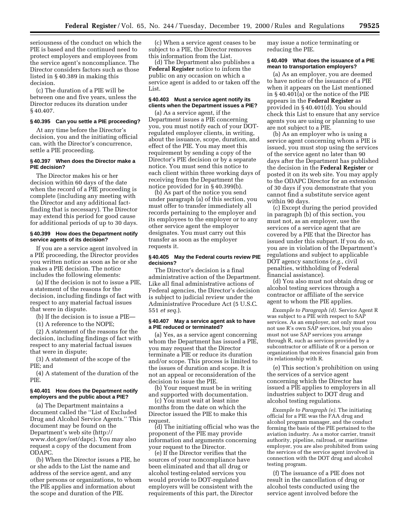seriousness of the conduct on which the PIE is based and the continued need to protect employers and employees from the service agent's noncompliance. The Director considers factors such as those listed in § 40.389 in making this decision.

(c) The duration of a PIE will be between one and five years, unless the Director reduces its duration under § 40.407.

#### **§ 40.395 Can you settle a PIE proceeding?**

At any time before the Director's decision, you and the initiating official can, with the Director's concurrence, settle a PIE proceeding.

## **§ 40.397 When does the Director make a PIE decision?**

The Director makes his or her decision within 60 days of the date when the record of a PIE proceeding is complete (including any meeting with the Director and any additional factfinding that is necessary). The Director may extend this period for good cause for additional periods of up to 30 days.

### **§ 40.399 How does the Department notify service agents of its decision?**

If you are a service agent involved in a PIE proceeding, the Director provides you written notice as soon as he or she makes a PIE decision. The notice includes the following elements:

(a) If the decision is not to issue a PIE, a statement of the reasons for the decision, including findings of fact with respect to any material factual issues that were in dispute.

(b) If the decision is to issue a PIE—

(1) A reference to the NOPE;

(2) A statement of the reasons for the decision, including findings of fact with respect to any material factual issues that were in dispute;

(3) A statement of the scope of the PIE; and

(4) A statement of the duration of the PIE.

### **§ 40.401 How does the Department notify employers and the public about a PIE?**

(a) The Department maintains a document called the ''List of Excluded Drug and Alcohol Service Agents.'' This document may be found on the Department's web site (http:// www.dot.gov/ost/dapc). You may also request a copy of the document from ODAPC.

(b) When the Director issues a PIE, he or she adds to the List the name and address of the service agent, and any other persons or organizations, to whom the PIE applies and information about the scope and duration of the PIE.

(c) When a service agent ceases to be subject to a PIE, the Director removes this information from the List.

(d) The Department also publishes a **Federal Register** notice to inform the public on any occasion on which a service agent is added to or taken off the List.

## **§ 40.403 Must a service agent notify its clients when the Department issues a PIE?**

(a) As a service agent, if the Department issues a PIE concerning you, you must notify each of your DOTregulated employer clients, in writing, about the issuance, scope, duration, and effect of the PIE. You may meet this requirement by sending a copy of the Director's PIE decision or by a separate notice. You must send this notice to each client within three working days of receiving from the Department the notice provided for in § 40.399(b).

(b) As part of the notice you send under paragraph (a) of this section, you must offer to transfer immediately all records pertaining to the employer and its employees to the employer or to any other service agent the employer designates. You must carry out this transfer as soon as the employer requests it.

## **§ 40.405 May the Federal courts review PIE decisions?**

The Director's decision is a final administrative action of the Department. Like all final administrative actions of Federal agencies, the Director's decision is subject to judicial review under the Administrative Procedure Act (5 U.S.C. 551 *et seq.*).

#### **§ 40.407 May a service agent ask to have a PIE reduced or terminated?**

(a) Yes, as a service agent concerning whom the Department has issued a PIE, you may request that the Director terminate a PIE or reduce its duration and/or scope. This process is limited to the issues of duration and scope. It is not an appeal or reconsideration of the decision to issue the PIE.

(b) Your request must be in writing and supported with documentation.

(c) You must wait at least nine months from the date on which the Director issued the PIE to make this request.

(d) The initiating official who was the proponent of the PIE may provide information and arguments concerning your request to the Director.

(e) If the Director verifies that the sources of your noncompliance have been eliminated and that all drug or alcohol testing-related services you would provide to DOT-regulated employers will be consistent with the requirements of this part, the Director may issue a notice terminating or reducing the PIE.

### **§ 40.409 What does the issuance of a PIE mean to transportation employers?**

(a) As an employer, you are deemed to have notice of the issuance of a PIE when it appears on the List mentioned in § 40.401(a) or the notice of the PIE appears in the **Federal Register** as provided in § 40.401(d). You should check this List to ensure that any service agents you are using or planning to use are not subject to a PIE.

(b) As an employer who is using a service agent concerning whom a PIE is issued, you must stop using the services of the service agent no later than 90 days after the Department has published the decision in the **Federal Register** or posted it on its web site. You may apply to the ODAPC Director for an extension of 30 days if you demonstrate that you cannot find a substitute service agent within 90 days.

(c) Except during the period provided in paragraph (b) of this section, you must not, as an employer, use the services of a service agent that are covered by a PIE that the Director has issued under this subpart. If you do so, you are in violation of the Department's regulations and subject to applicable DOT agency sanctions (*e.g.,* civil penalties, withholding of Federal financial assistance).

(d) You also must not obtain drug or alcohol testing services through a contractor or affiliate of the service agent to whom the PIE applies.

*Example to Paragraph (d).* Service Agent R was subject to a PIE with respect to SAP services. As an employer, not only must you not use R's own SAP services, but you also must not use SAP services you arrange through R, such as services provided by a subcontractor or affiliate of R or a person or organization that receives financial gain from its relationship with R.

(e) This section's prohibition on using the services of a service agent concerning which the Director has issued a PIE applies to employers in all industries subject to DOT drug and alcohol testing regulations.

*Example to Paragraph (e).* The initiating official for a PIE was the FAA drug and alcohol program manager, and the conduct forming the basis of the PIE pertained to the aviation industry. As a motor carrier, transit authority, pipeline, railroad, or maritime employer, you are also prohibited from using the services of the service agent involved in connection with the DOT drug and alcohol testing program.

(f) The issuance of a PIE does not result in the cancellation of drug or alcohol tests conducted using the service agent involved before the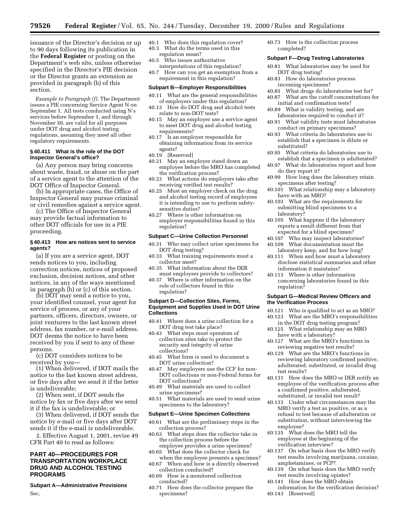issuance of the Director's decision or up to 90 days following its publication in the **Federal Register** or posting on the Department's web site, unless otherwise specified in the Director's PIE decision or the Director grants an extension as provided in paragraph (b) of this section.

*Example to Paragraph (f).* The Department issues a PIE concerning Service Agent N on September 1. All tests conducted using N's services before September 1, and through November 30, are valid for all purposes under DOT drug and alcohol testing regulations, assuming they meet all other regulatory requirements.

# **§ 40.411 What is the role of the DOT Inspector General's office?**

(a) Any person may bring concerns about waste, fraud, or abuse on the part of a service agent to the attention of the DOT Office of Inspector General.

(b) In appropriate cases, the Office of Inspector General may pursue criminal or civil remedies against a service agent.

(c) The Office of Inspector General may provide factual information to other DOT officials for use in a PIE proceeding.

## **§ 40.413 How are notices sent to service agents?**

(a) If you are a service agent, DOT sends notices to you, including correction notices, notices of proposed exclusion, decision notices, and other notices, in any of the ways mentioned in paragraph (b) or (c) of this section.

(b) DOT may send a notice to you, your identified counsel, your agent for service of process, or any of your partners, officers, directors, owners, or joint venturers to the last known street address, fax number, or e-mail address. DOT deems the notice to have been received by you if sent to any of these persons.

(c) DOT considers notices to be received by you—

(1) When delivered, if DOT mails the notice to the last known street address, or five days after we send it if the letter is undeliverable;

- (2) When sent, if DOT sends the notice by fax or five days after we send it if the fax is undeliverable; or
- (3) When delivered, if DOT sends the notice by e-mail or five days after DOT sends it if the e-mail is undeliverable.

2. Effective August 1, 2001, revise 49 CFR Part 40 to read as follows:

# **PART 40—PROCEDURES FOR TRANSPORTATION WORKPLACE DRUG AND ALCOHOL TESTING PROGRAMS**

**Subpart A—Administrative Provisions** Sec.

### 40.1 Who does this regulation cover?<br>40.3 What do the terms used in this What do the terms used in this

- regulation mean?
- 40.5 Who issues authoritative interpretations of this regulation?
- 40.7 How can you get an exemption from a requirement in this regulation?

#### **Subpart B—Employer Responsibilities**

- 40.11 What are the general responsibilities of employers under this regulation?
- 40.13 How do DOT drug and alcohol tests relate to non-DOT tests?
- 40.15 May an employer use a service agent to meet DOT drug and alcohol testing requirements?
- 40.17 Is an employer responsible for obtaining information from its service agents?<br>40.19 [Res
- [Reserved]
- 40.21 May an employer stand down an employee before the MRO has completed the verification process?
- 40.23 What actions do employers take after receiving verified test results?
- 40.25 Must an employer check on the drug and alcohol testing record of employees it is intending to use to perform safetysensitive duties?
- 40.27 Where is other information on employer responsibilities found in this regulation?

# **Subpart C—Urine Collection Personnel**

- 40.31 Who may collect urine specimens for DOT drug testing?
- 40.33 What training requirements must a collector meet?
- 40.35 What information about the DER must employers provide to collectors?
- 40.37 Where is other information on the role of collectors found in this regulation?

## **Subpart D—Collection Sites, Forms, Equipment and Supplies Used in DOT Urine Collections**

- 40.41 Where does a urine collection for a DOT drug test take place?
- 40.43 What steps must operators of collection sites take to protect the security and integrity of urine collections?
- 40.45 What form is used to document a DOT urine collection?
- 40.47 May employers use the CCF for non-DOT collections or non-Federal forms for DOT collections?
- 40.49 What materials are used to collect urine specimens?
- 40.51 What materials are used to send urine specimens to the laboratory?

### **Subpart E—Urine Specimen Collections**

- 40.61 What are the preliminary steps in the collection process?
- 40.63 What steps does the collector take in the collection process before the employee provides a urine specimen?
- 40.65 What does the collector check for when the employee presents a specimen?
- 40.67 When and how is a directly observed
- collection conducted? 40.69 How is a monitored collection conducted?
- 40.71 How does the collector prepare the specimens?

40.73 How is the collection process completed?

# **Subpart F—Drug Testing Laboratories**

- 40.81 What laboratories may be used for DOT drug testing?
- 40.83 How do laboratories process incoming specimens?
- 40.85 What drugs do laboratories test for?
- 40.87 What are the cutoff concentrations for initial and confirmation tests?
- 40.89 What is validity testing, and are laboratories required to conduct it?
- 40.91 What validity tests must laboratories conduct on primary specimens?
- 40.93 What criteria do laboratories use to establish that a specimen is dilute or substituted?
- 40.95 What criteria do laboratories use to establish that a specimen is adulterated?
- 40.97 What do laboratories report and how do they report it?
- 40.99 How long does the laboratory retain specimens after testing?
- 40.101 What relationship may a laboratory have with an MRO?
- 40.103 What are the requirements for submitting blind specimens to a laboratory?
- 40.105 What happens if the laboratory reports a result different from that expected for a blind specimen?<br>40.107 Who may inspect laborator
- Who may inspect laboratories?
- 40.109 What documentation must the laboratory keep, and for how long?
- 40.111 When and how must a laboratory disclose statistical summaries and other information it maintains?
- 40.113 Where is other information concerning laboratories found in this regulation?

### **Subpart G—Medical Review Officers and the Verification Process**

- 40.121 Who is qualified to act as an MRO?
- 40.123 What are the MRO's responsibilities in the DOT drug testing program?
- 40.125 What relationship may an MRO have with a laboratory?
- 40.127 What are the MRO's functions in reviewing negative test results?
- 40.129 What are the MRO's functions in reviewing laboratory confirmed positive, adulterated, substituted, or invalid drug test results?
- 40.131 How does the MRO or DER notify an employee of the verification process after a confirmed positive, adulterated, substituted, or invalid test result?
- 40.133 Under what circumstances may the MRO verify a test as positive, or as a refusal to test because of adulteration or substitution, without interviewing the employee?
- 40.135 What does the MRO tell the employee at the beginning of the verification interview?
- 40.137 On what basis does the MRO verify test results involving marijuana, cocaine, amphetamines, or PCP?
- 40.139 On what basis does the MRO verify test results involving opiates?
- 40.141 How does the MRO obtain
- information for the verification decision? 40.143 [Reserved]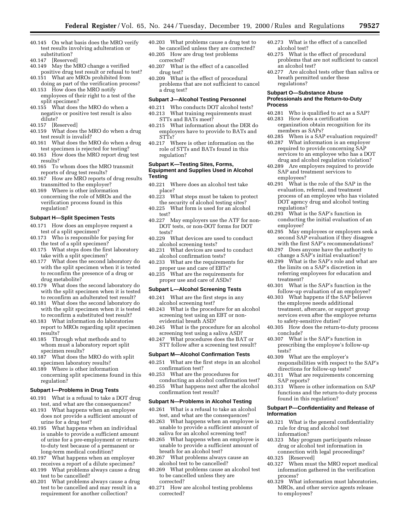- 40.145 On what basis does the MRO verify test results involving adulteration or substitution?<br>40.147 [Reserve
- [Reserved]
- 40.149 May the MRO change a verified positive drug test result or refusal to test?
- 40.151 What are MROs prohibited from doing as part of the verification process?
- 40.153 How does the MRO notify employees of their right to a test of the split specimen?
- 40.155 What does the MRO do when a negative or positive test result is also
- dilute?<br>40.157 Re [Reserved]
- 40.159 What does the MRO do when a drug test result is invalid?
- 40.161 What does the MRO do when a drug test specimen is rejected for testing?
- 40.163 How does the MRO report drug test results?
- 40.165 To whom does the MRO transmit reports of drug test results?
- 40.167 How are MRO reports of drug results transmitted to the employer?
- 40.169 Where is other information concerning the role of MROs and the verification process found in this regulation?

# **Subpart H—Split Specimen Tests**

- 40.171 How does an employee request a test of a split specimen?
- 40.173 Who is responsible for paying for the test of a split specimen?
- 40.175 What steps does the first laboratory take with a split specimen?
- 40.177 What does the second laboratory do with the split specimen when it is tested to reconfirm the presence of a drug or drug metabolite?
- 40.179 What does the second laboratory do with the split specimen when it is tested to reconfirm an adulterated test result?
- 40.181 What does the second laboratory do with the split specimen when it is tested to reconfirm a substituted test result?
- 40.183 What information do laboratories report to MROs regarding split specimen results?
- 40.185 Through what methods and to whom must a laboratory report split specimen results?
- 40.187 What does the MRO do with split specimen laboratory results?
- 40.189 Where is other information concerning split specimens found in this regulation?

### **Subpart I—Problems in Drug Tests**

- 40.191 What is a refusal to take a DOT drug test, and what are the consequences?
- 40.193 What happens when an employee does not provide a sufficient amount of urine for a drug test?
- 40.195 What happens when an individual is unable to provide a sufficient amount of urine for a pre-employment or returnto-duty test because of a permanent or long-term medical condition?
- 40.197 What happens when an employer receives a report of a dilute specimen?
- 40.199 What problems always cause a drug test to be cancelled?
- 40.201 What problems always cause a drug test to be cancelled and may result in a requirement for another collection?
- 40.203 What problems cause a drug test to be cancelled unless they are corrected?
- 40.205 How are drug test problems corrected?
- 40.207 What is the effect of a cancelled drug test?
- 40.209 What is the effect of procedural problems that are not sufficient to cancel a drug test?

### **Subpart J—Alcohol Testing Personnel**

- 40.211 Who conducts DOT alcohol tests? 40.213 What training requirements must STTs and BATs meet?
- 40.215 What information about the DER do employers have to provide to BATs and STTs?
- 40.217 Where is other information on the role of STTs and BATs found in this regulation?

### **Subpart K—Testing Sites, Forms, Equipment and Supplies Used in Alcohol Testing**

- 40.221 Where does an alcohol test take place?
- 40.223 What steps must be taken to protect the security of alcohol testing sites?
- 40.225 What form is used for an alcohol test?
- 40.227 May employers use the ATF for non-DOT tests, or non-DOT forms for DOT tests?
- 40.229 What devices are used to conduct alcohol screening tests?
- 40.231 What devices are used to conduct alcohol confirmation tests?
- 40.233 What are the requirements for proper use and care of EBTs?
- 40.235 What are the requirements for proper use and care of ASDs?

#### **Subpart L—Alcohol Screening Tests**

- 40.241 What are the first steps in any alcohol screening test?
- 40.243 What is the procedure for an alcohol screening test using an EBT or nonevidential breath ASD?
- 40.245 What is the procedure for an alcohol screening test using a saliva ASD?
- 40.247 What procedures does the BAT or STT follow after a screening test result?

### **Subpart M—Alcohol Confirmation Tests**

- 40.251 What are the first steps in an alcohol confirmation test?
- 40.253 What are the procedures for conducting an alcohol confirmation test?
- 40.255 What happens next after the alcohol confirmation test result?

### **Subpart N—Problems in Alcohol Testing**

- 40.261 What is a refusal to take an alcohol test, and what are the consequences?
- 40.263 What happens when an employee is unable to provide a sufficient amount of saliva for an alcohol screening test?
- 40.265 What happens when an employee is unable to provide a sufficient amount of breath for an alcohol test?
- 40.267 What problems always cause an alcohol test to be cancelled?
- 40.269 What problems cause an alcohol test to be cancelled unless they are corrected?
- 40.271 How are alcohol testing problems corrected?
- 40.273 What is the effect of a cancelled alcohol test?
- 40.275 What is the effect of procedural problems that are not sufficient to cancel an alcohol test?
- 40.277 Are alcohol tests other than saliva or breath permitted under these regulations?

### **Subpart O—Substance Abuse Professionals and the Return-to-Duty Process**

- 40.281 Who is qualified to act as a SAP?
- 40.283 How does a certification organization obtain recognition for its members as SAPs?
- 40.285 When is a SAP evaluation required?
- 40.287 What information is an employer required to provide concerning SAP services to an employee who has a DOT drug and alcohol regulation violation?
- 40.289 Are employers required to provide SAP and treatment services to
- employees?<br>40.291 What is What is the role of the SAP in the evaluation, referral, and treatment process of an employee who has violated DOT agency drug and alcohol testing regulations?
- 40.293 What is the SAP's function in conducting the initial evaluation of an employee?
- 40.295 May employees or employers seek a second SAP evaluation if they disagree with the first SAP's recommendations?
- 40.297 Does anyone have the authority to change a SAP's initial evaluation?
- 40.299 What is the SAP's role and what are the limits on a SAP's discretion in referring employees for education and treatment?
- 40.301 What is the SAP's function in the follow-up evaluation of an employee?
- 40.303 What happens if the SAP believes the employee needs additional treatment, aftercare, or support group services even after the employee returns to safety-sensitive duties?
- 40.305 How does the return-to-duty process conclude?
- 40.307 What is the SAP's function in prescribing the employee's follow-up tests?
- 40.309 What are the employer's responsibilities with respect to the SAP's directions for follow-up tests?
- 40.311 What are requirements concerning SAP reports?
- 40.313 Where is other information on SAP functions and the return-to-duty process found in this regulation?

### **Subpart P—Confidentiality and Release of Information**

- 40.321 What is the general confidentiality rule for drug and alcohol test information?
- 40.323 May program participants release drug or alcohol test information in connection with legal proceedings?
- 40.325 [Reserved]
- 40.327 When must the MRO report medical information gathered in the verification process?
- 40.329 What information must laboratories, MROs, and other service agents release to employees?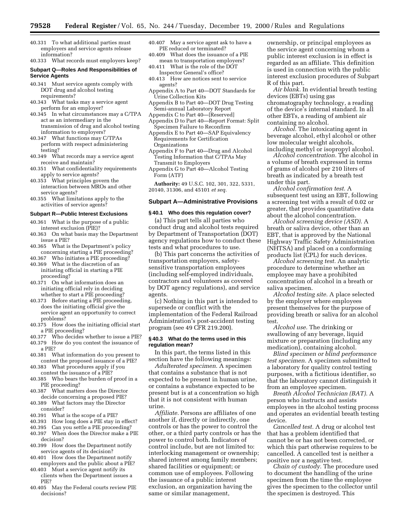- 40.331 To what additional parties must employers and service agents release information?
- 40.333 What records must employers keep?

### **Subpart Q—Roles And Responsibilities of Service Agents**

- 40.341 Must service agents comply with DOT drug and alcohol testing requirements?
- 40.343 What tasks may a service agent perform for an employer?
- 40.345 In what circumstances may a C/TPA act as an intermediary in the transmission of drug and alcohol testing information to employers?
- 40.347 What functions may C/TPAs perform with respect administering testing?
- 40.349 What records may a service agent receive and maintain?
- 40.351 What confidentiality requirements apply to service agents?
- 40.353 What principles govern the interaction between MROs and other service agents?
- 40.355 What limitations apply to the activities of service agents?

### **Subpart R—Public Interest Exclusions**

- 40.361 What is the purpose of a public interest exclusion (PIE)?
- 40.363 On what basis may the Department issue a PIE?
- 40.365 What is the Department's policy concerning starting a PIE proceeding?<br>40.367 Who initiates a PIE proceeding?
- Who initiates a PIE proceeding?
- 40.369 What is the discretion of an initiating official in starting a PIE proceeding?
- 40.371 On what information does an initiating official rely in deciding whether to start a PIE proceeding?
- 40.373 Before starting a PIE proceeding, does the initiating official give the service agent an opportunity to correct problems?
- 40.375 How does the initiating official start a PIE proceeding?
- 40.377 Who decides whether to issue a PIE? 40.379 How do you contest the issuance of
- a PIE? 40.381 What information do you present to
- contest the proposed issuance of a PIE? 40.383 What procedures apply if you
- contest the issuance of a PIE? 40.385 Who bears the burden of proof in a
- PIE proceeding?
- 40.387 What matters does the Director decide concerning a proposed PIE?
- 40.389 What factors may the Director consider?<br>40 391 What
- 40.391 What is the scope of a PIE?<br>40.393 How long does a PIE stay in
- How long does a PIE stay in effect?
- 40.395 Can you settle a PIE proceeding? 40.397 When does the Director make a PIE decision?
- 40.399 How does the Department notify service agents of its decision?
- 40.401 How does the Department notify employers and the public about a PIE?
- 40.403 Must a service agent notify its clients when the Department issues a PIE?
- 40.405 May the Federal courts review PIE decisions?
- 40.407 May a service agent ask to have a PIE reduced or terminated?
- 40.409 What does the issuance of a PIE mean to transportation employers?
- 40.411 What is the role of the DOT Inspector General's office?
- 40.413 How are notices sent to service agents?
- Appendix A to Part 40—DOT Standards for Urine Collection Kits
- Appendix B to Part 40—DOT Drug Testing Semi-annual Laboratory Report
- Appendix C to Part 40—[Reserved]
- Appendix D to Part 40—Report Format: Split Specimen Failure to Reconfirm
- Appendix E to Part 40—SAP Equivalency Requirements for Certification Organizations
- Appendix F to Part 40—Drug and Alcohol Testing Information that C/TPAs May Transmit to Employers
- Appendix G to Part 40—Alcohol Testing Form (ATF)

**Authority:** 49 U.S.C. 102, 301, 322, 5331, 20140, 31306, and 45101 *et seq.*

## **Subpart A—Administrative Provisions**

### **§ 40.1 Who does this regulation cover?**

(a) This part tells all parties who conduct drug and alcohol tests required by Department of Transportation (DOT) agency regulations how to conduct these tests and what procedures to use.

(b) This part concerns the activities of transportation employers, safetysensitive transportation employees (including self-employed individuals, contractors and volunteers as covered by DOT agency regulations), and service agents.

(c) Nothing in this part is intended to supersede or conflict with the implementation of the Federal Railroad Administration's post-accident testing program (see 49 CFR 219.200).

### **§ 40.3 What do the terms used in this regulation mean?**

In this part, the terms listed in this section have the following meanings:

*Adulterated specimen.* A specimen that contains a substance that is not expected to be present in human urine, or contains a substance expected to be present but is at a concentration so high that it is not consistent with human urine.

*Affiliate.* Persons are affiliates of one another if, directly or indirectly, one controls or has the power to control the other, or a third party controls or has the power to control both. Indicators of control include, but are not limited to: interlocking management or ownership; shared interest among family members; shared facilities or equipment; or common use of employees. Following the issuance of a public interest exclusion, an organization having the same or similar management,

ownership, or principal employees as the service agent concerning whom a public interest exclusion is in effect is regarded as an affiliate. This definition is used in connection with the public interest exclusion procedures of Subpart R of this part.

*Air blank.* In evidential breath testing devices (EBTs) using gas chromatography technology, a reading of the device's internal standard. In all other EBTs, a reading of ambient air containing no alcohol.

*Alcohol.* The intoxicating agent in beverage alcohol, ethyl alcohol or other low molecular weight alcohols, including methyl or isopropyl alcohol.

*Alcohol concentration.* The alcohol in a volume of breath expressed in terms of grams of alcohol per 210 liters of breath as indicated by a breath test under this part.

*Alcohol confirmation test.* A subsequent test using an EBT, following a screening test with a result of 0.02 or greater, that provides quantitative data about the alcohol concentration.

*Alcohol screening device (ASD).* A breath or saliva device, other than an EBT, that is approved by the National Highway Traffic Safety Administration (NHTSA) and placed on a conforming products list (CPL) for such devices.

*Alcohol screening test.* An analytic procedure to determine whether an employee may have a prohibited concentration of alcohol in a breath or saliva specimen.

*Alcohol testing site.* A place selected by the employer where employees present themselves for the purpose of providing breath or saliva for an alcohol test.

*Alcohol use.* The drinking or swallowing of any beverage, liquid mixture or preparation (including any medication), containing alcohol.

*Blind specimen or blind performance test specimen.* A specimen submitted to a laboratory for quality control testing purposes, with a fictitious identifier, so that the laboratory cannot distinguish it from an employee specimen.

*Breath Alcohol Technician (BAT).* A person who instructs and assists employees in the alcohol testing process and operates an evidential breath testing device.

*Cancelled test.* A drug or alcohol test that has a problem identified that cannot be or has not been corrected, or which this part otherwise requires to be cancelled. A cancelled test is neither a positive nor a negative test.

*Chain of custody.* The procedure used to document the handling of the urine specimen from the time the employee gives the specimen to the collector until the specimen is destroyed. This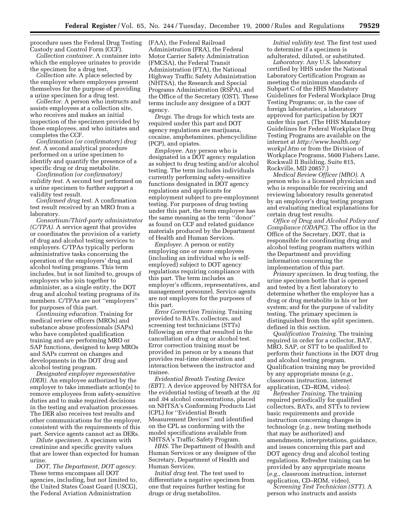procedure uses the Federal Drug Testing Custody and Control Form (CCF).

*Collection container.* A container into which the employee urinates to provide the specimen for a drug test.

*Collection site.* A place selected by the employer where employees present themselves for the purpose of providing a urine specimen for a drug test.

*Collector.* A person who instructs and assists employees at a collection site, who receives and makes an initial inspection of the specimen provided by those employees, and who initiates and completes the CCF.

*Confirmation (or confirmatory) drug test.* A second analytical procedure performed on a urine specimen to identify and quantify the presence of a specific drug or drug metabolite.

*Confirmation (or confirmatory) validity test.* A second test performed on a urine specimen to further support a validity test result.

*Confirmed drug test.* A confirmation test result received by an MRO from a laboratory.

*Consortium/Third-party administrator (C/TPA).* A service agent that provides or coordinates the provision of a variety of drug and alcohol testing services to employers. C/TPAs typically perform administrative tasks concerning the operation of the employers' drug and alcohol testing programs. This term includes, but is not limited to, groups of employers who join together to administer, as a single entity, the DOT drug and alcohol testing programs of its members. C/TPAs are not ''employers'' for purposes of this part.

*Continuing education.* Training for medical review officers (MROs) and substance abuse professionals (SAPs) who have completed qualification training and are performing MRO or SAP functions, designed to keep MROs and SAPs current on changes and developments in the DOT drug and alcohol testing program.

*Designated employer representative (DER).* An employee authorized by the employer to take immediate action(s) to remove employees from safety-sensitive duties and to make required decisions in the testing and evaluation processes. The DER also receives test results and other communications for the employer, consistent with the requirements of this part. Service agents cannot act as DERs.

*Dilute specimen.* A specimen with creatinine and specific gravity values that are lower than expected for human urine.

*DOT, The Department, DOT agency.* These terms encompass all DOT agencies, including, but not limited to, the United States Coast Guard (USCG), the Federal Aviation Administration

(FAA), the Federal Railroad Administration (FRA), the Federal Motor Carrier Safety Administration (FMCSA), the Federal Transit Administration (FTA), the National Highway Traffic Safety Administration (NHTSA), the Research and Special Programs Administration (RSPA), and the Office of the Secretary (OST). These terms include any designee of a DOT agency.

*Drugs.* The drugs for which tests are required under this part and DOT agency regulations are marijuana, cocaine, amphetamines, phencyclidine (PCP), and opiates.

*Employee.* Any person who is designated in a DOT agency regulation as subject to drug testing and/or alcohol testing. The term includes individuals currently performing safety-sensitive functions designated in DOT agency regulations and applicants for employment subject to pre-employment testing. For purposes of drug testing under this part, the term employee has the same meaning as the term ''donor'' as found on CCF and related guidance materials produced by the Department of Health and Human Services.

*Employer*. A person or entity employing one or more employees (including an individual who is selfemployed) subject to DOT agency regulations requiring compliance with this part. The term includes an employer's officers, representatives, and management personnel. Service agents are not employers for the purposes of this part.

*Error Correction Training*. Training provided to BATs, collectors, and screening test technicians (STTs) following an error that resulted in the cancellation of a drug or alcohol test. Error correction training must be provided in person or by a means that provides real-time observation and interaction between the instructor and trainee.

*Evidential Breath Testing Device (EBT)*. A device approved by NHTSA for the evidential testing of breath at the .02 and .04 alcohol concentrations, placed on NHTSA's Conforming Products List (CPL) for ''Evidential Breath Measurement Devices'' and identified on the CPL as conforming with the model specifications available from NHTSA's Traffic Safety Program.

*HHS*. The Department of Health and Human Services or any designee of the Secretary, Department of Health and Human Services.

*Initial drug test*. The test used to differentiate a negative specimen from one that requires further testing for drugs or drug metabolites.

*Initial validity test*. The first test used to determine if a specimen is adulterated, diluted, or substituted.

*Laboratory*. Any U.S. laboratory certified by HHS under the National Laboratory Certification Program as meeting the minimum standards of Subpart C of the HHS Mandatory Guidelines for Federal Workplace Drug Testing Programs; or, in the case of foreign laboratories, a laboratory approved for participation by DOT under this part. (The HHS Mandatory Guidelines for Federal Workplace Drug Testing Programs are available on the internet at *http://www.health.org/ workpl.htm* or from the Division of Workplace Programs, 5600 Fishers Lane, Rockwall II Building, Suite 815, Rockville, MD 20857.)

*Medical Review Officer (MRO)*. A person who is a licensed physician and who is responsible for receiving and reviewing laboratory results generated by an employer's drug testing program and evaluating medical explanations for certain drug test results.

*Office of Drug and Alcohol Policy and Compliance (ODAPC)*. The office in the Office of the Secretary, DOT, that is responsible for coordinating drug and alcohol testing program matters within the Department and providing information concerning the implementation of this part.

*Primary specimen*. In drug testing, the urine specimen bottle that is opened and tested by a first laboratory to determine whether the employee has a drug or drug metabolite in his or her system; and for the purpose of validity testing. The primary specimen is distinguished from the split specimen, defined in this section.

*Qualification Training*. The training required in order for a collector, BAT, MRO, SAP, or STT to be qualified to perform their functions in the DOT drug and alcohol testing program. Qualification training may be provided by any appropriate means (*e.g.,* classroom instruction, internet application, CD–ROM, video).

*Refresher Training*. The training required periodically for qualified collectors, BATs, and STTs to review basic requirements and provide instruction concerning changes in technology (*e.g.,* new testing methods that may be authorized) and amendments, interpretations, guidance, and issues concerning this part and DOT agency drug and alcohol testing regulations. Refresher training can be provided by any appropriate means (*e.g.,* classroom instruction, internet application, CD–ROM, video).

*Screening Test Technician (STT)*. A person who instructs and assists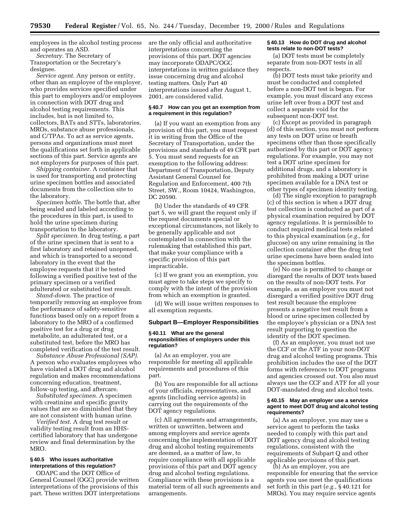employees in the alcohol testing process and operates an ASD.

*Secretary*. The Secretary of Transportation or the Secretary's designee.

*Service agent*. Any person or entity, other than an employee of the employer, who provides services specified under this part to employers and/or employees in connection with DOT drug and alcohol testing requirements. This includes, but is not limited to, collectors, BATs and STTs, laboratories, MROs, substance abuse professionals, and C/TPAs. To act as service agents, persons and organizations must meet the qualifications set forth in applicable sections of this part. Service agents are not employers for purposes of this part.

*Shipping container*. A container that is used for transporting and protecting urine specimen bottles and associated documents from the collection site to the laboratory.

*Specimen bottle*. The bottle that, after being sealed and labeled according to the procedures in this part, is used to hold the urine specimen during transportation to the laboratory.

*Split specimen*. In drug testing, a part of the urine specimen that is sent to a first laboratory and retained unopened, and which is transported to a second laboratory in the event that the employee requests that it be tested following a verified positive test of the primary specimen or a verified adulterated or substituted test result.

*Stand-down*. The practice of temporarily removing an employee from the performance of safety-sensitive functions based only on a report from a laboratory to the MRO of a confirmed positive test for a drug or drug metabolite, an adulterated test, or a substituted test, before the MRO has completed verification of the test result.

*Substance Abuse Professional (SAP)*. A person who evaluates employees who have violated a DOT drug and alcohol regulation and makes recommendations concerning education, treatment, follow-up testing, and aftercare.

*Substituted specimen*. A specimen with creatinine and specific gravity values that are so diminished that they are not consistent with human urine.

*Verified test*. A drug test result or validity testing result from an HHScertified laboratory that has undergone review and final determination by the MRO.

# **§ 40.5 Who issues authoritative interpretations of this regulation?**

ODAPC and the DOT Office of General Counsel (OGC) provide written interpretations of the provisions of this part. These written DOT interpretations are the only official and authoritative interpretations concerning the provisions of this part. DOT agencies may incorporate ODAPC/OGC interpretations in written guidance they issue concerning drug and alcohol testing matters. Only Part 40 interpretations issued after August 1, 2001, are considered valid.

### **§ 40.7 How can you get an exemption from a requirement in this regulation?**

(a) If you want an exemption from any provision of this part, you must request it in writing from the Office of the Secretary of Transportation, under the provisions and standards of 49 CFR part 5. You must send requests for an exemption to the following address: Department of Transportation, Deputy Assistant General Counsel for Regulation and Enforcement, 400 7th Street, SW., Room 10424, Washington, DC 20590.

(b) Under the standards of 49 CFR part 5, we will grant the request only if the request documents special or exceptional circumstances, not likely to be generally applicable and not contemplated in connection with the rulemaking that established this part, that make your compliance with a specific provision of this part impracticable.

(c) If we grant you an exemption, you must agree to take steps we specify to comply with the intent of the provision from which an exemption is granted.

(d) We will issue written responses to all exemption requests.

### **Subpart B—Employer Responsibilities**

### **§ 40.11 What are the general responsibilities of employers under this regulation?**

(a) As an employer, you are responsible for meeting all applicable requirements and procedures of this part.

(b) You are responsible for all actions of your officials, representatives, and agents (including service agents) in carrying out the requirements of the DOT agency regulations.

(c) All agreements and arrangements, written or unwritten, between and among employers and service agents concerning the implementation of DOT drug and alcohol testing requirements are deemed, as a matter of law, to require compliance with all applicable provisions of this part and DOT agency drug and alcohol testing regulations. Compliance with these provisions is a material term of all such agreements and arrangements.

### **§ 40.13 How do DOT drug and alcohol tests relate to non-DOT tests?**

(a) DOT tests must be completely separate from non-DOT tests in all respects.

(b) DOT tests must take priority and must be conducted and completed before a non-DOT test is begun. For example, you must discard any excess urine left over from a DOT test and collect a separate void for the subsequent non-DOT test.

(c) Except as provided in paragraph (d) of this section, you must not perform any tests on DOT urine or breath specimens other than those specifically authorized by this part or DOT agency regulations. For example, you may not test a DOT urine specimen for additional drugs, and a laboratory is prohibited from making a DOT urine specimen available for a DNA test or other types of specimen identity testing.

(d) The single exception to paragraph (c) of this section is when a DOT drug test collection is conducted as part of a physical examination required by DOT agency regulations. It is permissible to conduct required medical tests related to this physical examination (*e.g.,* for glucose) on any urine remaining in the collection container after the drug test urine specimens have been sealed into the specimen bottles.

(e) No one is permitted to change or disregard the results of DOT tests based on the results of non-DOT tests. For example, as an employer you must not disregard a verified positive DOT drug test result because the employee presents a negative test result from a blood or urine specimen collected by the employee's physician or a DNA test result purporting to question the identity of the DOT specimen.

(f) As an employer, you must not use the CCF or the ATF in your non-DOT drug and alcohol testing programs. This prohibition includes the use of the DOT forms with references to DOT programs and agencies crossed out. You also must always use the CCF and ATF for all your DOT-mandated drug and alcohol tests.

### **§ 40.15 May an employer use a service agent to meet DOT drug and alcohol testing requirements?**

(a) As an employer, you may use a service agent to perform the tasks needed to comply with this part and DOT agency drug and alcohol testing regulations, consistent with the requirements of Subpart Q and other applicable provisions of this part.

(b) As an employer, you are responsible for ensuring that the service agents you use meet the qualifications set forth in this part (*e.g.,* § 40.121 for MROs). You may require service agents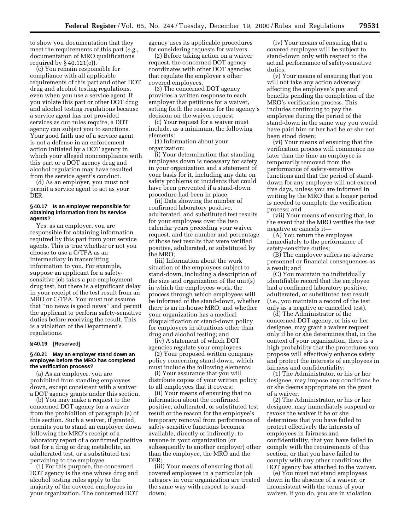to show you documentation that they meet the requirements of this part (*e.g.,* documentation of MRO qualifications required by § 40.121(e)).

(c) You remain responsible for compliance with all applicable requirements of this part and other DOT drug and alcohol testing regulations, even when you use a service agent. If you violate this part or other DOT drug and alcohol testing regulations because a service agent has not provided services as our rules require, a DOT agency can subject you to sanctions. Your good faith use of a service agent is not a defense in an enforcement action initiated by a DOT agency in which your alleged noncompliance with this part or a DOT agency drug and alcohol regulation may have resulted from the service agent's conduct.

(d) As an employer, you must not permit a service agent to act as your DER.

### **§ 40.17 Is an employer responsible for obtaining information from its service agents?**

Yes, as an employer, you are responsible for obtaining information required by this part from your service agents. This is true whether or not you choose to use a C/TPA as an intermediary in transmitting information to you. For example, suppose an applicant for a safetysensitive job takes a pre-employment drug test, but there is a significant delay in your receipt of the test result from an MRO or C/TPA. You must not assume that ''no news is good news'' and permit the applicant to perform safety-sensitive duties before receiving the result. This is a violation of the Department's regulations.

### **§ 40.19 [Reserved]**

### **§ 40.21 May an employer stand down an employee before the MRO has completed the verification process?**

(a) As an employer, you are prohibited from standing employees down, except consistent with a waiver a DOT agency grants under this section.

(b) You may make a request to the concerned DOT agency for a waiver from the prohibition of paragraph (a) of this section. Such a waiver, if granted, permits you to stand an employee down following the MRO's receipt of a laboratory report of a confirmed positive test for a drug or drug metabolite, an adulterated test, or a substituted test pertaining to the employee.

(1) For this purpose, the concerned DOT agency is the one whose drug and alcohol testing rules apply to the majority of the covered employees in your organization. The concerned DOT agency uses its applicable procedures for considering requests for waivers.

(2) Before taking action on a waiver request, the concerned DOT agency coordinates with other DOT agencies that regulate the employer's other covered employees.

(3) The concerned DOT agency provides a written response to each employer that petitions for a waiver, setting forth the reasons for the agency's decision on the waiver request.

(c) Your request for a waiver must include, as a minimum, the following elements:

(1) Information about your organization:

(i) Your determination that standing employees down is necessary for safety in your organization and a statement of your basis for it, including any data on safety problems or incidents that could have been prevented if a stand-down procedure had been in place;

(ii) Data showing the number of confirmed laboratory positive, adulterated, and substituted test results for your employees over the two calendar years preceding your waiver request, and the number and percentage of those test results that were verified positive, adulterated, or substituted by the MRO;

(iii) Information about the work situation of the employees subject to stand-down, including a description of the size and organization of the unit(s) in which the employees work, the process through which employees will be informed of the stand-down, whether there is an in-house MRO, and whether your organization has a medical disqualification or stand-down policy for employees in situations other than drug and alcohol testing; and

(iv) A statement of which DOT agencies regulate your employees.

(2) Your proposed written company policy concerning stand-down, which must include the following elements:

(i) Your assurance that you will distribute copies of your written policy to all employees that it covers;

(ii) Your means of ensuring that no information about the confirmed positive, adulterated, or substituted test result or the reason for the employee's temporary removal from performance of safety-sensitive functions becomes available, directly or indirectly, to anyone in your organization (or subsequently to another employer) other than the employee, the MRO and the DER;

(iii) Your means of ensuring that all covered employees in a particular job category in your organization are treated the same way with respect to standdown;

(iv) Your means of ensuring that a covered employee will be subject to stand-down only with respect to the actual performance of safety-sensitive duties;

(v) Your means of ensuring that you will not take any action adversely affecting the employee's pay and benefits pending the completion of the MRO's verification process. This includes continuing to pay the employee during the period of the stand-down in the same way you would have paid him or her had he or she not been stood down;

(vi) Your means of ensuring that the verification process will commence no later than the time an employee is temporarily removed from the performance of safety-sensitive functions and that the period of standdown for any employee will not exceed five days, unless you are informed in writing by the MRO that a longer period is needed to complete the verification process; and

(vii) Your means of ensuring that, in the event that the MRO verifies the test negative or cancels it—

(A) You return the employee immediately to the performance of safety-sensitive duties;

(B) The employee suffers no adverse personnel or financial consequences as a result; and

(C) You maintain no individually identifiable record that the employee had a confirmed laboratory positive, adulterated, or substituted test result (*i.e.*, you maintain a record of the test only as a negative or cancelled test).

(d) The Administrator of the concerned DOT agency, or his or her designee, may grant a waiver request only if he or she determines that, in the context of your organization, there is a high probability that the procedures you propose will effectively enhance safety and protect the interests of employees in fairness and confidentiality.

(1) The Administrator, or his or her designee, may impose any conditions he or she deems appropriate on the grant of a waiver.

(2) The Administrator, or his or her designee, may immediately suspend or revoke the waiver if he or she determines that you have failed to protect effectively the interests of employees in fairness and confidentiality, that you have failed to comply with the requirements of this section, or that you have failed to comply with any other conditions the DOT agency has attached to the waiver.

(e) You must not stand employees down in the absence of a waiver, or inconsistent with the terms of your waiver. If you do, you are in violation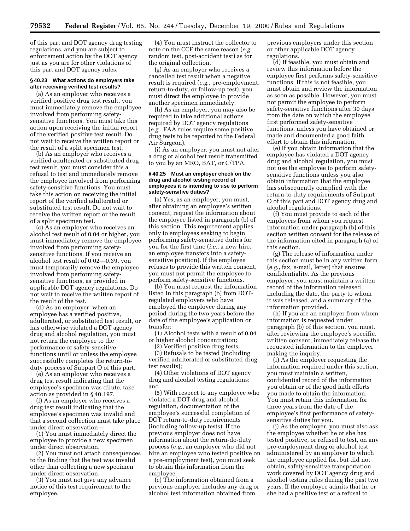of this part and DOT agency drug testing regulations, and you are subject to enforcement action by the DOT agency just as you are for other violations of this part and DOT agency rules.

## **§ 40.23 What actions do employers take after receiving verified test results?**

(a) As an employer who receives a verified positive drug test result, you must immediately remove the employee involved from performing safetysensitive functions. You must take this action upon receiving the initial report of the verified positive test result. Do not wait to receive the written report or the result of a split specimen test.

(b) As an employer who receives a verified adulterated or substituted drug test result, you must consider this a refusal to test and immediately remove the employee involved from performing safety-sensitive functions. You must take this action on receiving the initial report of the verified adulterated or substituted test result. Do not wait to receive the written report or the result of a split specimen test.

(c) As an employer who receives an alcohol test result of 0.04 or higher, you must immediately remove the employee involved from performing safetysensitive functions. If you receive an alcohol test result of 0.02—0.39, you must temporarily remove the employee involved from performing safetysensitive functions, as provided in applicable DOT agency regulations. Do not wait to receive the written report of the result of the test.

(d) As an employer, when an employee has a verified positive, adulterated, or substituted test result, or has otherwise violated a DOT agency drug and alcohol regulation, you must not return the employee to the performance of safety-sensitive functions until or unless the employee successfully completes the return-toduty process of Subpart O of this part.

(e) As an employer who receives a drug test result indicating that the employee's specimen was dilute, take action as provided in § 40.197.

(f) As an employer who receives a drug test result indicating that the employee's specimen was invalid and that a second collection must take place under direct observation—

(1) You must immediately direct the employee to provide a new specimen under direct observation.

(2) You must not attach consequences to the finding that the test was invalid other than collecting a new specimen under direct observation.

(3) You must not give any advance notice of this test requirement to the employee.

(4) You must instruct the collector to note on the CCF the same reason (*e.g.* random test, post-accident test) as for the original collection.

(g) As an employer who receives a cancelled test result when a negative result is required (*e.g.*, pre-employment, return-to-duty, or follow-up test), you must direct the employee to provide another specimen immediately.

(h) As an employer, you may also be required to take additional actions required by DOT agency regulations (*e.g.*, FAA rules require some positive drug tests to be reported to the Federal Air Surgeon).

(i) As an employer, you must not alter a drug or alcohol test result transmitted to you by an MRO, BAT, or C/TPA.

### **§ 40.25 Must an employer check on the drug and alcohol testing record of employees it is intending to use to perform safety-sensitive duties?**

(a) Yes, as an employer, you must, after obtaining an employee's written consent, request the information about the employee listed in paragraph (b) of this section. This requirement applies only to employees seeking to begin performing safety-sensitive duties for you for the first time (*i.e.*, a new hire, an employee transfers into a safetysensitive position). If the employee refuses to provide this written consent, you must not permit the employee to perform safety-sensitive functions.

(b) You must request the information listed in this paragraph (b) from DOTregulated employers who have employed the employee during any period during the two years before the date of the employee's application or transfer:

(1) Alcohol tests with a result of 0.04 or higher alcohol concentration;

(2) Verified positive drug tests;

(3) Refusals to be tested (including verified adulterated or substituted drug test results);

(4) Other violations of DOT agency drug and alcohol testing regulations; and

(5) With respect to any employee who violated a DOT drug and alcohol regulation, documentation of the employee's successful completion of DOT return-to-duty requirements (including follow-up tests). If the previous employer does not have information about the return-do-duty process (*e.g.*, an employer who did not hire an employee who tested positive on a pre-employment test), you must seek to obtain this information from the employee.

(c) The information obtained from a previous employer includes any drug or alcohol test information obtained from

previous employers under this section or other applicable DOT agency regulations.

(d) If feasible, you must obtain and review this information before the employee first performs safety-sensitive functions. If this is not feasible, you must obtain and review the information as soon as possible. However, you must not permit the employee to perform safety-sensitive functions after 30 days from the date on which the employee first performed safety-sensitive functions, unless you have obtained or made and documented a good faith effort to obtain this information.

(e) If you obtain information that the employee has violated a DOT agency drug and alcohol regulation, you must not use the employee to perform safetysensitive functions unless you also obtain information that the employee has subsequently complied with the return-to-duty requirements of Subpart O of this part and DOT agency drug and alcohol regulations.

(f) You must provide to each of the employers from whom you request information under paragraph (b) of this section written consent for the release of the information cited in paragraph (a) of this section.

(g) The release of information under this section must be in any written form (*e.g.*, fax, e-mail, letter) that ensures confidentiality. As the previous employer, you must maintain a written record of the information released, including the date, the party to whom it was released, and a summary of the information provided.

(h) If you are an employer from whom information is requested under paragraph (b) of this section, you must, after reviewing the employee's specific, written consent, immediately release the requested information to the employer making the inquiry.

(i) As the employer requesting the information required under this section, you must maintain a written, confidential record of the information you obtain or of the good faith efforts you made to obtain the information. You must retain this information for three years from the date of the employee's first performance of safetysensitive duties for you.

(j) As the employer, you must also ask the employee whether he or she has tested positive, or refused to test, on any pre-employment drug or alcohol test administered by an employer to which the employee applied for, but did not obtain, safety-sensitive transportation work covered by DOT agency drug and alcohol testing rules during the past two years. If the employee admits that he or she had a positive test or a refusal to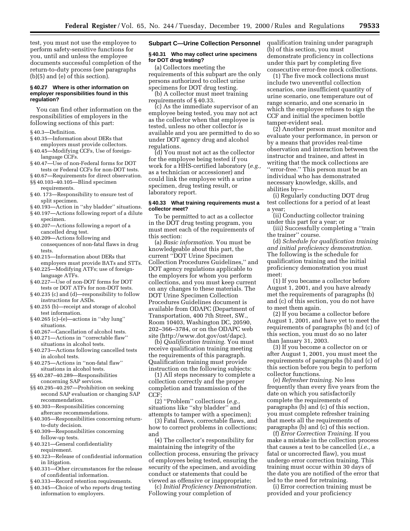test, you must not use the employee to perform safety-sensitive functions for you, until and unless the employee documents successful completion of the return-to-duty process (see paragraphs (b)(5) and (e) of this section).

## **§ 40.27 Where is other information on employer responsibilities found in this regulation?**

You can find other information on the responsibilities of employers in the following sections of this part:

- § 40.3—Definition.
- § 40.35—Information about DERs that employers must provide collectors.
- § 40.45—Modifying CCFs, Use of foreignlanguage CCFs.
- § 40.47—Use of non-Federal forms for DOT tests or Federal CCFs for non-DOT tests.
- § 40.67—Requirements for direct observation.
- §§ 40.103–40.105—Blind specimen requirements.
- § 40. 173—Responsibility to ensure test of split specimen.
- § 40.193-Action in "shy bladder" situations.
- § 40.197—Actions following report of a dilute specimen.
- § 40.207—Actions following a report of a cancelled drug test.
- § 40.209—Actions following and consequences of non-fatal flaws in drug tests.
- § 40.215—Information about DERs that employers must provide BATs and STTs.
- § 40.225—Modifying ATFs; use of foreignlanguage ATFs.
- §40.227—Use of non-DOT forms for DOT tests or DOT ATFs for non-DOT tests.
- § 40.235 (c) and (d)—responsibility to follow instructions for ASDs.
- § 40.255 (b)—receipt and storage of alcohol test information.
- § 40.265 (c)–(e)—actions in ''shy lung'' situations.
- § 40.267—Cancellation of alcohol tests.
- § 40.271—Actions in ''correctable flaw''
- situations in alcohol tests. § 40.273—Actions following cancelled tests
- in alcohol tests. § 40.275—Actions in ''non-fatal flaw'' situations in alcohol tests.
- §§ 40.287–40.289—Responsibilities concerning SAP services.
- §§ 40.295–40.297—Prohibition on seeking second SAP evaluation or changing SAP recommendation.
- § 40.303—Responsibilities concerning aftercare recommendations.
- § 40.305—Responsibilities concerning returnto-duty decision.
- § 40.309—Responsibilities concerning follow-up tests.
- § 40.321—General confidentiality requirement.
- § 40.323—Release of confidential information in litigation.
- § 40.331—Other circumstances for the release of confidential information.
- § 40.333—Record retention requirements.
- § 40.345—Choice of who reports drug testing information to employers.

#### **Subpart C—Urine Collection Personnel**

### **§ 40.31 Who may collect urine specimens for DOT drug testing?**

(a) Collectors meeting the requirements of this subpart are the only persons authorized to collect urine specimens for DOT drug testing.

(b) A collector must meet training requirements of § 40.33.

(c) As the immediate supervisor of an employee being tested, you may not act as the collector when that employee is tested, unless no other collector is available and you are permitted to do so under DOT agency drug and alcohol regulations.

(d) You must not act as the collector for the employee being tested if you work for a HHS-certified laboratory (*e.g.,* as a technician or accessioner) and could link the employee with a urine specimen, drug testing result, or laboratory report.

## **§ 40.33 What training requirements must a collector meet?**

To be permitted to act as a collector in the DOT drug testing program, you must meet each of the requirements of this section:

(a) *Basic information.* You must be knowledgeable about this part, the current ''DOT Urine Specimen Collection Procedures Guidelines,'' and DOT agency regulations applicable to the employers for whom you perform collections, and you must keep current on any changes to these materials. The DOT Urine Specimen Collection Procedures Guidelines document is available from ODAPC (Department of Transportation, 400 7th Street, SW., Room 10403, Washington DC, 20590, 202–366–3784, or on the ODAPC web site (http://www.dot.gov/ost/dapc).

(b) *Qualification training.* You must receive qualification training meeting the requirements of this paragraph. Qualification training must provide instruction on the following subjects:

(1) All steps necessary to complete a collection correctly and the proper completion and transmission of the  $CCF$ 

(2) ''Problem'' collections (*e.g.,* situations like ''shy bladder'' and attempts to tamper with a specimen);

(3) Fatal flaws, correctable flaws, and how to correct problems in collections; and

(4) The collector's responsibility for maintaining the integrity of the collection process, ensuring the privacy of employees being tested, ensuring the security of the specimen, and avoiding conduct or statements that could be viewed as offensive or inappropriate;

(c) *Initial Proficiency Demonstration.* Following your completion of

qualification training under paragraph (b) of this section, you must demonstrate proficiency in collections under this part by completing five consecutive error-free mock collections.

(1) The five mock collections must include two uneventful collection scenarios, one insufficient quantity of urine scenario, one temperature out of range scenario, and one scenario in which the employee refuses to sign the CCF and initial the specimen bottle tamper-evident seal.

(2) Another person must monitor and evaluate your performance, in person or by a means that provides real-time observation and interaction between the instructor and trainee, and attest in writing that the mock collections are ''error-free.'' This person must be an individual who has demonstrated necessary knowledge, skills, and abilities by—

(i) Regularly conducting DOT drug test collections for a period of at least a year;

(ii) Conducting collector training under this part for a year; or

(iii) Successfully completing a ''train the trainer'' course.

(d) *Schedule for qualification training and initial proficiency demonstration.* The following is the schedule for qualification training and the initial proficiency demonstration you must meet:

(1) If you became a collector before August 1, 2001, and you have already met the requirements of paragraphs (b) and (c) of this section, you do not have to meet them again.

(2) If you became a collector before August 1, 2001, and have yet to meet the requirements of paragraphs (b) and (c) of this section, you must do so no later than January 31, 2003.

(3) If you become a collector on or after August 1, 2001, you must meet the requirements of paragraphs (b) and (c) of this section before you begin to perform collector functions.

(e) *Refresher training.* No less frequently than every five years from the date on which you satisfactorily complete the requirements of paragraphs (b) and (c) of this section, you must complete refresher training that meets all the requirements of paragraphs (b) and (c) of this section.

(f) *Error Correction Training.* If you make a mistake in the collection process that causes a test to be cancelled (*i.e.,* a fatal or uncorrected flaw), you must undergo error correction training. This training must occur within 30 days of the date you are notified of the error that led to the need for retraining.

(i) Error correction training must be provided and your proficiency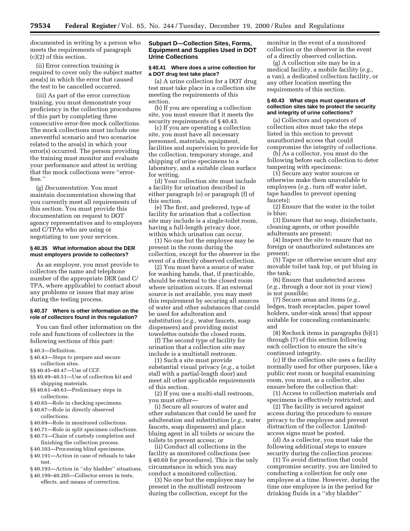documented in writing by a person who meets the requirements of paragraph (c)(2) of this section.

(ii) Error correction training is required to cover only the subject matter area(s) in which the error that caused the test to be cancelled occurred.

(iii) As part of the error correction training, you must demonstrate your proficiency in the collection procedures of this part by completing three consecutive error-free mock collections. The mock collections must include one uneventful scenario and two scenarios related to the area(s) in which your error(s) occurred. The person providing the training must monitor and evaluate your performance and attest in writing that the mock collections were ''errorfree.''

(g) *Documentation.* You must maintain documentation showing that you currently meet all requirements of this section. You must provide this documentation on request to DOT agency representatives and to employers and C/TPAs who are using or negotiating to use your services.

# **§ 40.35 What information about the DER must employers provide to collectors?**

As an employer, you must provide to collectors the name and telephone number of the appropriate DER (and C/ TPA, where applicable) to contact about any problems or issues that may arise during the testing process.

#### **§ 40.37 Where is other information on the role of collectors found in this regulation?**

You can find other information on the role and functions of collectors in the following sections of this part:

- § 40.3—Definition.
- § 40.43—Steps to prepare and secure collection sites.
- §§ 40.45–40.47—Use of CCF.
- §§ 40.49–40.51—Use of collection kit and shipping materials.
- §§ 40.61–40.63—Preliminary steps in collections.
- § 40.65—Role in checking specimens.
- § 40.67—Role in directly observed collections.
- § 40.69—Role in monitored collections.
- § 40.71—Role in split specimen collections. § 40.73—Chain of custody completion and
- finishing the collection process. § 40.103—Processing blind specimens.
- § 40.191—Action in case of refusals to take test.
- § 40.193-Action in "shy bladder" situations.
- § 40.199–40.205—Collector errors in tests, effects, and means of correction.
	-

## **Subpart D—Collection Sites, Forms, Equipment and Supplies Used in DOT Urine Collections**

# **§ 40.41 Where does a urine collection for a DOT drug test take place?**

(a) A urine collection for a DOT drug test must take place in a collection site meeting the requirements of this section.

(b) If you are operating a collection site, you must ensure that it meets the security requirements of § 40.43.

(c) If you are operating a collection site, you must have all necessary personnel, materials, equipment, facilities and supervision to provide for the collection, temporary storage, and shipping of urine specimens to a laboratory, and a suitable clean surface for writing.

(d) Your collection site must include a facility for urination described in either paragraph (e) or paragraph (f) of this section.

(e) The first, and preferred, type of facility for urination that a collection site may include is a single-toilet room, having a full-length privacy door, within which urination can occur.

(1) No one but the employee may be present in the room during the collection, except for the observer in the event of a directly observed collection.

(2) You must have a source of water for washing hands, that, if practicable, should be external to the closed room where urination occurs. If an external source is not available, you may meet this requirement by securing all sources of water and other substances that could be used for adulteration and substitution (*e.g.,* water faucets, soap dispensers) and providing moist towelettes outside the closed room.

(f) The second type of facility for urination that a collection site may include is a multistall restroom.

(1) Such a site must provide substantial visual privacy (*e.g.,* a toilet stall with a partial-length door) and meet all other applicable requirements of this section.

(2) If you use a multi-stall restroom, you must either—

(i) Secure all sources of water and other substances that could be used for adulteration and substitution (*e.g.*, water faucets, soap dispensers) and place bluing agent in all toilets or secure the toilets to prevent access; or

(ii) Conduct all collections in the facility as monitored collections (see § 40.69 for procedures). This is the only circumstance in which you may conduct a monitored collection.

(3) No one but the employee may be present in the multistall restroom during the collection, except for the

monitor in the event of a monitored collection or the observer in the event of a directly observed collection.

(g) A collection site may be in a medical facility, a mobile facility (*e.g.*, a van), a dedicated collection facility, or any other location meeting the requirements of this section.

## **§ 40.43 What steps must operators of collection sites take to protect the security and integrity of urine collections?**

(a) Collectors and operators of collection sites must take the steps listed in this section to prevent unauthorized access that could compromise the integrity of collections.

(b) As a collector, you must do the following before each collection to deter tampering with specimens:

(1) Secure any water sources or otherwise make them unavailable to employees (*e.g.*, turn off water inlet, tape handles to prevent opening faucets);

(2) Ensure that the water in the toilet is blue;

(3) Ensure that no soap, disinfectants, cleaning agents, or other possible adulterants are present;

(4) Inspect the site to ensure that no foreign or unauthorized substances are present;

(5) Tape or otherwise secure shut any movable toilet tank top, or put bluing in the tank;

(6) Ensure that undetected access (*e.g.*, through a door not in your view) is not possible;

(7) Secure areas and items (*e.g.*, ledges, trash receptacles, paper towel holders, under-sink areas) that appear suitable for concealing contaminants; and

(8) Recheck items in paragraphs (b)(1) through (7) of this section following each collection to ensure the site's continued integrity.

(c) If the collection site uses a facility normally used for other purposes, like a public rest room or hospital examining room, you must, as a collector, also ensure before the collection that:

(1) Access to collection materials and specimens is effectively restricted; and

(2) The facility is secured against access during the procedure to ensure privacy to the employee and prevent distraction of the collector. Limitedaccess signs must be posted.

(d) As a collector, you must take the following additional steps to ensure security during the collection process:

(1) To avoid distraction that could compromise security, you are limited to conducting a collection for only one employee at a time. However, during the time one employee is in the period for drinking fluids in a ''shy bladder''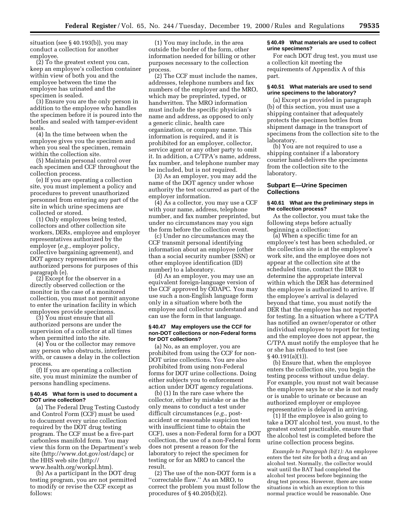situation (see § 40.193(b)), you may conduct a collection for another employee.

(2) To the greatest extent you can, keep an employee's collection container within view of both you and the employee between the time the employee has urinated and the specimen is sealed.

(3) Ensure you are the only person in addition to the employee who handles the specimen before it is poured into the bottles and sealed with tamper-evident seals.

(4) In the time between when the employee gives you the specimen and when you seal the specimen, remain within the collection site.

(5) Maintain personal control over each specimen and CCF throughout the collection process.

(e) If you are operating a collection site, you must implement a policy and procedures to prevent unauthorized personnel from entering any part of the site in which urine specimens are collected or stored.

(1) Only employees being tested, collectors and other collection site workers, DERs, employee and employer representatives authorized by the employer (*e.g.*, employer policy, collective bargaining agreement), and DOT agency representatives are authorized persons for purposes of this paragraph (e).

(2) Except for the observer in a directly observed collection or the monitor in the case of a monitored collection, you must not permit anyone to enter the urination facility in which employees provide specimens.

(3) You must ensure that all authorized persons are under the supervision of a collector at all times when permitted into the site.

(4) You or the collector may remove any person who obstructs, interferes with, or causes a delay in the collection process.

(f) If you are operating a collection site, you must minimize the number of persons handling specimens.

# **§ 40.45 What form is used to document a DOT urine collection?**

(a) The Federal Drug Testing Custody and Control Form (CCF) must be used to document every urine collection required by the DOT drug testing program. The CCF must be a five-part carbonless manifold form. You may view this form on the Department's web site (http://www.dot.gov/ost/dapc) or the HHS web site (http:// www.health.org/workpl.htm).

(b) As a participant in the DOT drug testing program, you are not permitted to modify or revise the CCF except as follows:

(1) You may include, in the area outside the border of the form, other information needed for billing or other purposes necessary to the collection process.

(2) The CCF must include the names, addresses, telephone numbers and fax numbers of the employer and the MRO, which may be preprinted, typed, or handwritten. The MRO information must include the specific physician's name and address, as opposed to only a generic clinic, health care organization, or company name. This information is required, and it is prohibited for an employer, collector, service agent or any other party to omit it. In addition, a C/TPA's name, address, fax number, and telephone number may be included, but is not required.

(3) As an employer, you may add the name of the DOT agency under whose authority the test occurred as part of the employer information.

(4) As a collector, you may use a CCF with your name, address, telephone number, and fax number preprinted, but under no circumstances may you sign the form before the collection event.

(c) Under no circumstances may the CCF transmit personal identifying information about an employee (other than a social security number (SSN) or other employee identification (ID) number) to a laboratory.

(d) As an employer, you may use an equivalent foreign-language version of the CCF approved by ODAPC. You may use such a non-English language form only in a situation where both the employee and collector understand and can use the form in that language.

#### **§ 40.47 May employers use the CCF for non-DOT collections or non-Federal forms for DOT collections?**

(a) No, as an employer, you are prohibited from using the CCF for non-DOT urine collections. You are also prohibited from using non-Federal forms for DOT urine collections. Doing either subjects you to enforcement action under DOT agency regulations.

(b) (1) In the rare case where the collector, either by mistake or as the only means to conduct a test under difficult circumstances (*e.g.*, postaccident or reasonable suspicion test with insufficient time to obtain the CCF), uses a non-Federal form for a DOT collection, the use of a non-Federal form does not present a reason for the laboratory to reject the specimen for testing or for an MRO to cancel the result.

(2) The use of the non-DOT form is a ''correctable flaw.'' As an MRO, to correct the problem you must follow the procedures of § 40.205(b)(2).

### **§ 40.49 What materials are used to collect urine specimens?**

For each DOT drug test, you must use a collection kit meeting the requirements of Appendix A of this part.

# **§ 40.51 What materials are used to send urine specimens to the laboratory?**

(a) Except as provided in paragraph (b) of this section, you must use a shipping container that adequately protects the specimen bottles from shipment damage in the transport of specimens from the collection site to the laboratory.

(b) You are not required to use a shipping container if a laboratory courier hand-delivers the specimens from the collection site to the laboratory.

# **Subpart E—Urine Specimen Collections**

# **§ 40.61 What are the preliminary steps in the collection process?**

As the collector, you must take the following steps before actually beginning a collection:

(a) When a specific time for an employee's test has been scheduled, or the collection site is at the employee's work site, and the employee does not appear at the collection site at the scheduled time, contact the DER to determine the appropriate interval within which the DER has determined the employee is authorized to arrive. If the employee's arrival is delayed beyond that time, you must notify the DER that the employee has not reported for testing. In a situation where a C/TPA has notified an owner/operator or other individual employee to report for testing and the employee does not appear, the C/TPA must notify the employee that he or she has refused to test (see  $§ 40.191(a)(1)$ .

(b) Ensure that, when the employee enters the collection site, you begin the testing process without undue delay. For example, you must not wait because the employee says he or she is not ready or is unable to urinate or because an authorized employer or employee representative is delayed in arriving.

(1) If the employee is also going to take a DOT alcohol test, you must, to the greatest extent practicable, ensure that the alcohol test is completed before the urine collection process begins.

*Example to Paragraph (b)(1):* An employee enters the test site for both a drug and an alcohol test. Normally, the collector would wait until the BAT had completed the alcohol test process before beginning the drug test process. However, there are some situations in which an exception to this normal practice would be reasonable. One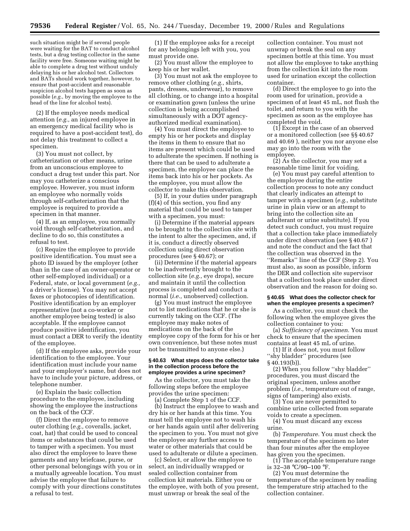such situation might be if several people were waiting for the BAT to conduct alcohol tests, but a drug testing collector in the same facility were free. Someone waiting might be able to complete a drug test without unduly delaying his or her alcohol test. Collectors and BATs should work together, however, to ensure that post-accident and reasonable suspicion alcohol tests happen as soon as possible (*e.g.*, by moving the employee to the head of the line for alcohol tests).

(2) If the employee needs medical attention (*e.g.,* an injured employee in an emergency medical facility who is required to have a post-accident test), do not delay this treatment to collect a specimen.

(3) You must not collect, by catheterization or other means, urine from an unconscious employee to conduct a drug test under this part. Nor may you catheterize a conscious employee. However, you must inform an employee who normally voids through self-catheterization that the employee is required to provide a specimen in that manner.

(4) If, as an employee, you normally void through self-catheterization, and decline to do so, this constitutes a refusal to test.

(c) Require the employee to provide positive identification. You must see a photo ID issued by the employer (other than in the case of an owner-operator or other self-employed individual) or a Federal, state, or local government (*e.g.,* a driver's license). You may not accept faxes or photocopies of identification. Positive identification by an employer representative (not a co-worker or another employee being tested) is also acceptable. If the employee cannot produce positive identification, you must contact a DER to verify the identity of the employee.

(d) If the employee asks, provide your identification to the employee. Your identification must include your name and your employer's name, but does not have to include your picture, address, or telephone number.

(e) Explain the basic collection procedure to the employee, including showing the employee the instructions on the back of the CCF.

(f) Direct the employee to remove outer clothing (*e.g.,* coveralls, jacket, coat, hat) that could be used to conceal items or substances that could be used to tamper with a specimen. You must also direct the employee to leave these garments and any briefcase, purse, or other personal belongings with you or in a mutually agreeable location. You must advise the employee that failure to comply with your directions constitutes a refusal to test.

(1) If the employee asks for a receipt for any belongings left with you, you must provide one.

(2) You must allow the employee to keep his or her wallet.

(3) You must not ask the employee to remove other clothing (*e.g.,* shirts, pants, dresses, underwear), to remove all clothing, or to change into a hospital or examination gown (unless the urine collection is being accomplished simultaneously with a DOT agencyauthorized medical examination).

(4) You must direct the employee to empty his or her pockets and display the items in them to ensure that no items are present which could be used to adulterate the specimen. If nothing is there that can be used to adulterate a specimen, the employee can place the items back into his or her pockets. As the employee, you must allow the collector to make this observation.

(5) If, in your duties under paragraph (f)(4) of this section, you find any material that could be used to tamper with a specimen, you must:

(i) Determine if the material appears to be brought to the collection site with the intent to alter the specimen, and, if it is, conduct a directly observed collection using direct observation procedures (see § 40.67); or

(ii) Determine if the material appears to be inadvertently brought to the collection site (*e.g.,* eye drops), secure and maintain it until the collection process is completed and conduct a normal (*i.e.,* unobserved) collection.

(g) You must instruct the employee not to list medications that he or she is currently taking on the CCF. (The employee may make notes of medications on the back of the employee copy of the form for his or her own convenience, but these notes must not be transmitted to anyone else.)

### **§ 40.63 What steps does the collector take in the collection process before the employee provides a urine specimen?**

As the collector, you must take the following steps before the employee provides the urine specimen:

(a) Complete Step 1 of the CCF.

(b) Instruct the employee to wash and dry his or her hands at this time. You must tell the employee not to wash his or her hands again until after delivering the specimen to you. You must not give the employee any further access to water or other materials that could be used to adulterate or dilute a specimen.

(c) Select, or allow the employee to select, an individually wrapped or sealed collection container from collection kit materials. Either you or the employee, with both of you present, must unwrap or break the seal of the

collection container. You must not unwrap or break the seal on any specimen bottle at this time. You must not allow the employee to take anything from the collection kit into the room used for urination except the collection container.

(d) Direct the employee to go into the room used for urination, provide a specimen of at least 45 mL, not flush the toilet, and return to you with the specimen as soon as the employee has completed the void.

(1) Except in the case of an observed or a monitored collection (see §§ 40.67 and 40.69 ), neither you nor anyone else may go into the room with the employee.

(2) As the collector, you may set a reasonable time limit for voiding.

(e) You must pay careful attention to the employee during the entire collection process to note any conduct that clearly indicates an attempt to tamper with a specimen (*e.g.,* substitute urine in plain view or an attempt to bring into the collection site an adulterant or urine substitute). If you detect such conduct, you must require that a collection take place immediately under direct observation (see § 40.67 ) and note the conduct and the fact that the collection was observed in the ''Remarks'' line of the CCF (Step 2). You must also, as soon as possible, inform the DER and collection site supervisor that a collection took place under direct observation and the reason for doing so.

### **§ 40.65 What does the collector check for when the employee presents a specimen?**

As a collector, you must check the following when the employee gives the collection container to you:

(a) *Sufficiency of specimen.* You must check to ensure that the specimen contains at least 45 mL of urine.

(1) If it does not, you must follow ''shy bladder'' procedures (see

§ 40.193(b)).

(2) When you follow ''shy bladder'' procedures, you must discard the original specimen, unless another problem (*i.e.,* temperature out of range, signs of tampering) also exists.

(3) You are never permitted to combine urine collected from separate voids to create a specimen.

(4) You must discard any excess urine.

(b) *Temperature.* You must check the temperature of the specimen no later than four minutes after the employee has given you the specimen.

(1) The acceptable temperature range is 32–38 °C/90–100 °F.

(2) You must determine the temperature of the specimen by reading the temperature strip attached to the collection container.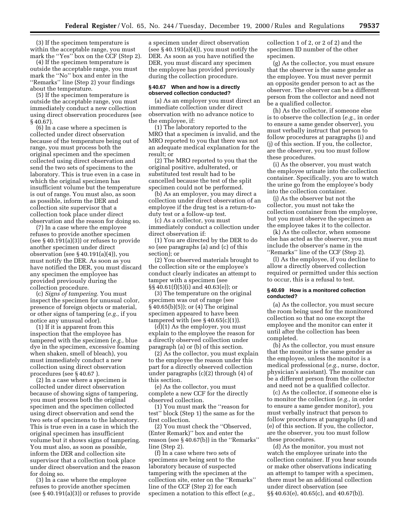(3) If the specimen temperature is within the acceptable range, you must mark the ''Yes'' box on the CCF (Step 2).

(4) If the specimen temperature is outside the acceptable range, you must mark the ''No'' box and enter in the ''Remarks'' line (Step 2) your findings about the temperature.

(5) If the specimen temperature is outside the acceptable range, you must immediately conduct a new collection using direct observation procedures (see § 40.67).

(6) In a case where a specimen is collected under direct observation because of the temperature being out of range, you must process both the original specimen and the specimen collected using direct observation and send the two sets of specimens to the laboratory. This is true even in a case in which the original specimen has insufficient volume but the temperature is out of range. You must also, as soon as possible, inform the DER and collection site supervisor that a collection took place under direct observation and the reason for doing so.

(7) In a case where the employee refuses to provide another specimen (see § 40.191(a)(3)) or refuses to provide another specimen under direct observation (see  $\S 40.191(a)(4)$ ), you must notify the DER. As soon as you have notified the DER, you must discard any specimen the employee has provided previously during the collection procedure.

(c) *Signs of tampering.* You must inspect the specimen for unusual color, presence of foreign objects or material, or other signs of tampering (*e.g.,* if you notice any unusual odor).

(1) If it is apparent from this inspection that the employee has tampered with the specimen (*e.g.,* blue dye in the specimen, excessive foaming when shaken, smell of bleach), you must immediately conduct a new collection using direct observation procedures (see § 40.67 ).

(2) In a case where a specimen is collected under direct observation because of showing signs of tampering, you must process both the original specimen and the specimen collected using direct observation and send the two sets of specimens to the laboratory. This is true even in a case in which the original specimen has insufficient volume but it shows signs of tampering. You must also, as soon as possible, inform the DER and collection site supervisor that a collection took place under direct observation and the reason for doing so.

(3) In a case where the employee refuses to provide another specimen (see § 40.191(a)(3)) or refuses to provide

a specimen under direct observation (see  $\S 40.193(a)(4)$ ), you must notify the DER. As soon as you have notified the DER, you must discard any specimen the employee has provided previously during the collection procedure.

#### **§ 40.67 When and how is a directly observed collection conducted?**

(a) As an employer you must direct an immediate collection under direct observation with no advance notice to the employee, if:

(1) The laboratory reported to the MRO that a specimen is invalid, and the MRO reported to you that there was not an adequate medical explanation for the result; or

(2) The MRO reported to you that the original positive, adulterated, or substituted test result had to be cancelled because the test of the split specimen could not be performed.

(b) As an employer, you may direct a collection under direct observation of an employee if the drug test is a return-toduty test or a follow-up test.

(c) As a collector, you must immediately conduct a collection under direct observation if:

(1) You are directed by the DER to do so (see paragraphs (a) and (c) of this section); or

(2) You observed materials brought to the collection site or the employee's conduct clearly indicates an attempt to tamper with a specimen (see §§ 40.61(f)(5)(i) and 40.63(e)); or

(3) The temperature on the original specimen was out of range (see § 40.65(b)(5)); or (4) The original specimen appeared to have been tampered with (see  $\S 40.65(c)(1)$ ).

(d)(1) As the employer, you must explain to the employee the reason for a directly observed collection under paragraph (a) or (b) of this section.

(2) As the collector, you must explain to the employee the reason under this part for a directly observed collection under paragraphs (c)(2) through (4) of this section.

(e) As the collector, you must complete a new CCF for the directly observed collection.

(1) You must mark the ''reason for test'' block (Step 1) the same as for the first collection.

(2) You must check the ''Observed, (Enter Remark)'' box and enter the reason (see § 40.67(b)) in the ''Remarks'' line (Step 2).

(f) In a case where two sets of specimens are being sent to the laboratory because of suspected tampering with the specimen at the collection site, enter on the ''Remarks'' line of the CCF (Step 2) for each specimen a notation to this effect (*e.g.,*

collection 1 of 2, or 2 of 2) and the specimen ID number of the other specimen.

(g) As the collector, you must ensure that the observer is the same gender as the employee. You must never permit an opposite gender person to act as the observer. The observer can be a different person from the collector and need not be a qualified collector.

(h) As the collector, if someone else is to observe the collection (*e.g.,* in order to ensure a same gender observer), you must verbally instruct that person to follow procedures at paragraphs (i) and (j) of this section. If you, the collector, are the observer, you too must follow these procedures.

(i) As the observer, you must watch the employee urinate into the collection container. Specifically, you are to watch the urine go from the employee's body into the collection container.

(j) As the observer but not the collector, you must not take the collection container from the employee, but you must observe the specimen as the employee takes it to the collector.

(k) As the collector, when someone else has acted as the observer, you must include the observer's name in the ''Remarks'' line of the CCF (Step 2).

(l) As the employee, if you decline to allow a directly observed collection required or permitted under this section to occur, this is a refusal to test.

## **§ 40.69 How is a monitored collection conducted?**

(a) As the collector, you must secure the room being used for the monitored collection so that no one except the employee and the monitor can enter it until after the collection has been completed.

(b) As the collector, you must ensure that the monitor is the same gender as the employee, unless the monitor is a medical professional (*e.g.,* nurse, doctor, physician's assistant). The monitor can be a different person from the collector and need not be a qualified collector.

(c) As the collector, if someone else is to monitor the collection (*e.g.,* in order to ensure a same gender monitor), you must verbally instruct that person to follow procedures at paragraphs (d) and (e) of this section. If you, the collector, are the observer, you too must follow these procedures.

(d) As the monitor, you must not watch the employee urinate into the collection container. If you hear sounds or make other observations indicating an attempt to tamper with a specimen, there must be an additional collection under direct observation (see §§ 40.63(e), 40.65(c), and 40.67(b)).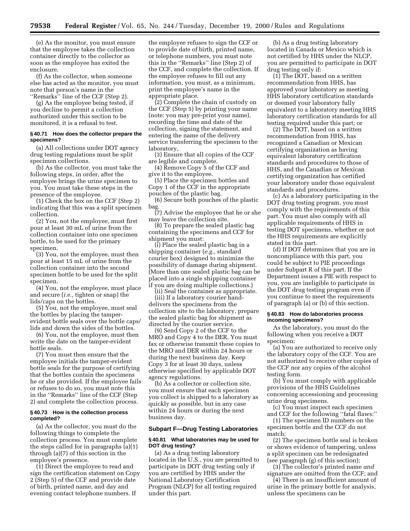(e) As the monitor, you must ensure that the employee takes the collection container directly to the collector as soon as the employee has exited the enclosure.

(f) As the collector, when someone else has acted as the monitor, you must note that person's name in the ''Remarks'' line of the CCF (Step 2).

(g) As the employee being tested, if you decline to permit a collection authorized under this section to be monitored, it is a refusal to test.

#### **§ 40.71 How does the collector prepare the specimens?**

(a) All collections under DOT agency drug testing regulations must be split specimen collections.

(b) As the collector, you must take the following steps, in order, after the employee brings the urine specimen to you. You must take these steps in the presence of the employee.

(1) Check the box on the CCF (Step 2) indicating that this was a split specimen collection.

(2) You, not the employee, must first pour at least 30 mL of urine from the collection container into one specimen bottle, to be used for the primary specimen.

(3) You, not the employee, must then pour at least 15 mL of urine from the collection container into the second specimen bottle to be used for the split specimen.

(4) You, not the employee, must place and secure (*i.e.,* tighten or snap) the lids/caps on the bottles.

(5) You, not the employee, must seal the bottles by placing the tamperevident bottle seals over the bottle caps/ lids and down the sides of the bottles.

(6) You, not the employee, must then write the date on the tamper-evident bottle seals.

(7) You must then ensure that the employee initials the tamper-evident bottle seals for the purpose of certifying that the bottles contain the specimens he or she provided. If the employee fails or refuses to do so, you must note this in the ''Remarks'' line of the CCF (Step 2) and complete the collection process.

## **§ 40.73 How is the collection process completed?**

(a) As the collector, you must do the following things to complete the collection process. You must complete the steps called for in paragraphs (a)(1) through (a)(7) of this section in the employee's presence.

(1) Direct the employee to read and sign the certification statement on Copy 2 (Step 5) of the CCF and provide date of birth, printed name, and day and evening contact telephone numbers. If

the employee refuses to sign the CCF or to provide date of birth, printed name, or telephone numbers, you must note this in the ''Remarks'' line (Step 2) of the CCF, and complete the collection. If the employee refuses to fill out any information, you must, as a minimum, print the employee's name in the appropriate place.

(2) Complete the chain of custody on the CCF (Step 5) by printing your name (note: you may pre-print your name), recording the time and date of the collection, signing the statement, and entering the name of the delivery service transferring the specimen to the laboratory,

(3) Ensure that all copies of the CCF are legible and complete.

(4) Remove Copy 5 of the CCF and give it to the employee.

(5) Place the specimen bottles and Copy 1 of the CCF in the appropriate pouches of the plastic bag.

(6) Secure both pouches of the plastic bag.

(7) Advise the employee that he or she may leave the collection site.

(8) To prepare the sealed plastic bag containing the specimens and CCF for shipment you must:

(i) Place the sealed plastic bag in a shipping container (*e.g.,* standard courier box) designed to minimize the possibility of damage during shipment. (More than one sealed plastic bag can be placed into a single shipping container if you are doing multiple collections.)

(ii) Seal the container as appropriate.

(iii) If a laboratory courier handdelivers the specimens from the collection site to the laboratory, prepare the sealed plastic bag for shipment as directed by the courier service.

(9) Send Copy 2 of the CCF to the MRO and Copy 4 to the DER. You must fax or otherwise transmit these copies to the MRO and DER within 24 hours or during the next business day. Keep Copy 3 for at least 30 days, unless otherwise specified by applicable DOT agency regulations.

(b) As a collector or collection site, you must ensure that each specimen you collect is shipped to a laboratory as quickly as possible, but in any case within 24 hours or during the next business day.

# **Subpart F—Drug Testing Laboratories**

### **§ 40.81 What laboratories may be used for DOT drug testing?**

(a) As a drug testing laboratory located in the U.S., you are permitted to participate in DOT drug testing only if you are certified by HHS under the National Laboratory Certification Program (NLCP) for all testing required under this part.

(b) As a drug testing laboratory located in Canada or Mexico which is not certified by HHS under the NLCP, you are permitted to participate in DOT drug testing only if:

(1) The DOT, based on a written recommendation from HHS, has approved your laboratory as meeting HHS laboratory certification standards or deemed your laboratory fully equivalent to a laboratory meeting HHS laboratory certification standards for all testing required under this part; or

(2) The DOT, based on a written recommendation from HHS, has recognized a Canadian or Mexican certifying organization as having equivalent laboratory certification standards and procedures to those of HHS, and the Canadian or Mexican certifying organization has certified your laboratory under those equivalent standards and procedures.

(c) As a laboratory participating in the DOT drug testing program, you must comply with the requirements of this part. You must also comply with all applicable requirements of HHS in testing DOT specimens, whether or not the HHS requirements are explicitly stated in this part.

(d) If DOT determines that you are in noncompliance with this part, you could be subject to PIE proceedings under Subpart R of this part. If the Department issues a PIE with respect to you, you are ineligible to participate in the DOT drug testing program even if you continue to meet the requirements of paragraph (a) or (b) of this section.

# **§ 40.83 How do laboratories process incoming specimens?**

As the laboratory, you must do the following when you receive a DOT specimen:

(a) You are authorized to receive only the laboratory copy of the CCF. You are not authorized to receive other copies of the CCF nor any copies of the alcohol testing form.

(b) You must comply with applicable provisions of the HHS Guidelines concerning accessioning and processing urine drug specimens.

(c) You must inspect each specimen and CCF for the following ''fatal flaws:''

(1) The specimen ID numbers on the specimen bottle and the CCF do not match;

(2) The specimen bottle seal is broken or shows evidence of tampering, unless a split specimen can be redesignated (see paragraph (g) of this section);

(3) The collector's printed name *and* signature are omitted from the CCF; and

(4) There is an insufficient amount of urine in the primary bottle for analysis, unless the specimens can be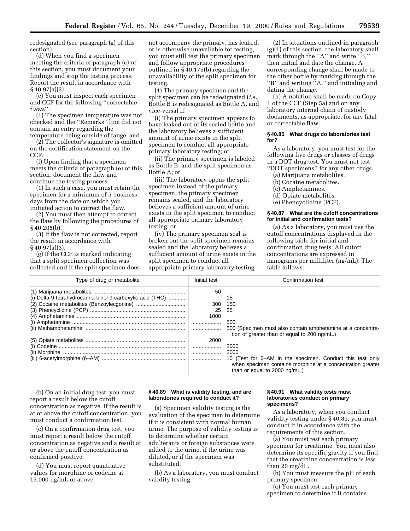redesignated (see paragraph (g) of this section).

(d) When you find a specimen meeting the criteria of paragraph (c) of this section, you must document your findings and stop the testing process. Report the result in accordance with  $§ 40.97(a)(3)$ .

(e) You must inspect each specimen and CCF for the following ''correctable flaws'':

(1) The specimen temperature was not checked and the ''Remarks'' line did not contain an entry regarding the

temperature being outside of range; and (2) The collector's signature is omitted on the certification statement on the CCF.

(f) Upon finding that a specimen meets the criteria of paragraph (e) of this section, document the flaw and continue the testing process.

(1) In such a case, you must retain the specimen for a minimum of 5 business days from the date on which you initiated action to correct the flaw.

(2) You must then attempt to correct the flaw by following the procedures of § 40.205(b).

(3) If the flaw is not corrected, report the result in accordance with § 40.97(a)(3).

(g) If the CCF is marked indicating that a split specimen collection was collected and if the split specimen does not accompany the primary, has leaked, or is otherwise unavailable for testing, you must still test the primary specimen and follow appropriate procedures outlined in § 40.175(b) regarding the unavailability of the split specimen for testing.

(1) The primary specimen and the split specimen can be redesignated (*i.e.,* Bottle B is redesignated as Bottle A, and vice-versa) if:

(i) The primary specimen appears to have leaked out of its sealed bottle and the laboratory believes a sufficient amount of urine exists in the split specimen to conduct all appropriate primary laboratory testing; or

(ii) The primary specimen is labeled as Bottle B, and the split specimen as Bottle A; or

(iii) The laboratory opens the split specimen instead of the primary specimen, the primary specimen remains sealed, and the laboratory believes a sufficient amount of urine exists in the split specimen to conduct all appropriate primary laboratory testing; or

(iv) The primary specimen seal is broken but the split specimen remains sealed and the laboratory believes a sufficient amount of urine exists in the split specimen to conduct all appropriate primary laboratory testing.

(2) In situations outlined in paragraph (g)(1) of this section, the laboratory shall mark through the "A" and write "B," then initial and date the change. A corresponding change shall be made to the other bottle by marking through the ''B'' and writing ''A,'' and initialing and dating the change.

(h) A notation shall be made on Copy 1 of the CCF (Step 5a) and on any laboratory internal chain of custody documents, as appropriate, for any fatal or correctable flaw.

#### **§ 40.85 What drugs do laboratories test for?**

As a laboratory, you must test for the following five drugs or classes of drugs in a DOT drug test. You must not test ''DOT specimens'' for any other drugs.

- (a) Marijuana metabolites.
- (b) Cocaine metabolites.
- (c) Amphetamines.
- (d) Opiate metabolites.
- (e) Phencyclidine (PCP).

# **§ 40.87 What are the cutoff concentrations for initial and confirmation tests?**

(a) As a laboratory, you must use the cutoff concentrations displayed in the following table for initial and confirmation drug tests. All cutoff concentrations are expressed in nanograms per milliliter (ng/mL). The table follows:

| Initial test                                              | Confirmation test                                                                           |
|-----------------------------------------------------------|---------------------------------------------------------------------------------------------|
| 50                                                        |                                                                                             |
| (i) Delta-9-tetrahydrocanna-binol-9-carboxylic acid (THC) | 15                                                                                          |
| 300                                                       | 150                                                                                         |
| 25                                                        | -25                                                                                         |
| 1000                                                      |                                                                                             |
|                                                           | 500                                                                                         |
|                                                           | 500 (Specimen must also contain amphetamine at a concentra-                                 |
|                                                           | tion of greater than or equal to 200 ng/mL.)                                                |
| 2000                                                      |                                                                                             |
|                                                           | 2000                                                                                        |
|                                                           | 2000                                                                                        |
|                                                           | 10 (Test for 6–AM in the specimen. Conduct this test only                                   |
|                                                           | when specimen contains morphine at a concentration greater<br>than or equal to 2000 ng/mL.) |
|                                                           | .                                                                                           |

(b) On an initial drug test, you must report a result below the cutoff concentration as negative. If the result is at or above the cutoff concentration, you must conduct a confirmation test.

(c) On a confirmation drug test, you must report a result below the cutoff concentration as negative and a result at or above the cutoff concentration as confirmed positive.

(d) You must report quantitative values for morphine or codeine at 15,000 ng/mL or above.

## **§ 40.89 What is validity testing, and are laboratories required to conduct it?**

(a) Specimen validity testing is the evaluation of the specimen to determine if it is consistent with normal human urine. The purpose of validity testing is to determine whether certain adulterants or foreign substances were added to the urine, if the urine was diluted, or if the specimen was substituted.

(b) As a laboratory, you must conduct validity testing.

#### **§ 40.91 What validity tests must laboratories conduct on primary specimens?**

As a laboratory, when you conduct validity testing under § 40.89, you must conduct it in accordance with the requirements of this section.

(a) You must test each primary specimen for creatinine. You must also determine its specific gravity if you find that the creatinine concentration is less than 20 mg/dL.

(b) You must measure the pH of each primary specimen.

(c) You must test each primary specimen to determine if it contains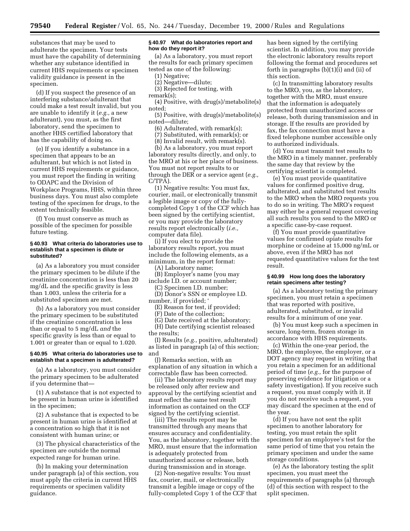substances that may be used to adulterate the specimen. Your tests must have the capability of determining whether any substance identified in current HHS requirements or specimen validity guidance is present in the specimen.

(d) If you suspect the presence of an interfering substance/adulterant that could make a test result invalid, but you are unable to identify it (*e.g.,* a new adulterant), you must, as the first laboratory, send the specimen to another HHS certified laboratory that has the capability of doing so.

(e) If you identify a substance in a specimen that appears to be an adulterant, but which is not listed in current HHS requirements or guidance, you must report the finding in writing to ODAPC and the Division of Workplace Programs, HHS, within three business days. You must also complete testing of the specimen for drugs, to the extent technically feasible.

(f) You must conserve as much as possible of the specimen for possible future testing.

#### **§ 40.93 What criteria do laboratories use to establish that a specimen is dilute or substituted?**

(a) As a laboratory you must consider the primary specimen to be dilute if the creatinine concentration is less than 20 mg/dL and the specific gravity is less than 1.003, unless the criteria for a substituted specimen are met.

(b) As a laboratory you must consider the primary specimen to be substituted if the creatinine concentration is less than or equal to 5 mg/dL *and* the specific gravity is less than or equal to 1.001 or greater than or equal to 1.020.

# **§ 40.95 What criteria do laboratories use to establish that a specimen is adulterated?**

(a) As a laboratory, you must consider the primary specimen to be adulterated if you determine that—

(1) A substance that is not expected to be present in human urine is identified in the specimen;

(2) A substance that is expected to be present in human urine is identified at a concentration so high that it is not consistent with human urine; or

(3) The physical characteristics of the specimen are outside the normal expected range for human urine.

(b) In making your determination under paragraph (a) of this section, you must apply the criteria in current HHS requirements or specimen validity guidance.

# **§ 40.97 What do laboratories report and how do they report it?**

(a) As a laboratory, you must report the results for each primary specimen tested as one of the following:

- (1) Negative;
- (2) Negative—dilute;
- (3) Rejected for testing, with
- remark(s);

(4) Positive, with drug(s)/metabolite(s) noted;

(5) Positive, with drug(s)/metabolite(s) noted—dilute;

(6) Adulterated, with remark(s);

(7) Substituted, with remark(s); or

(8) Invalid result, with remark(s).

(b) As a laboratory, you must report laboratory results directly, and only, to the MRO at his or her place of business. You must not report results to or through the DER or a service agent (*e.g.,* C/TPA).

(1) Negative results: You must fax, courier, mail, or electronically transmit a legible image or copy of the fullycompleted Copy 1 of the CCF which has been signed by the certifying scientist, or you may provide the laboratory results report electronically (*i.e.,* computer data file).

(i) If you elect to provide the laboratory results report, you must include the following elements, as a minimum, in the report format:

(A) Laboratory name;

(B) Employer's name (you may include I.D. or account number;

(C) Specimen I.D. number;

(D) Donor's SSN or employee I.D. number, if provided;

(E) Reason for test, if provided;

(F) Date of the collection;

(G) Date received at the laboratory;

(H) Date certifying scientist released the results;

(I) Results (*e.g.,* positive, adulterated) as listed in paragraph (a) of this section; and

(J) Remarks section, with an explanation of any situation in which a correctable flaw has been corrected.

(ii) The laboratory results report may be released only after review and approval by the certifying scientist and must reflect the same test result information as contained on the CCF signed by the certifying scientist.

(iii) The results report may be transmitted through any means that ensures accuracy and confidentiality. You, as the laboratory, together with the MRO, must ensure that the information is adequately protected from unauthorized access or release, both during transmission and in storage.

(2) Non-negative results: You must fax, courier, mail, or electronically transmit a legible image or copy of the fully-completed Copy 1 of the CCF that has been signed by the certifying scientist. In addition, you may provide the electronic laboratory results report following the format and procedures set forth in paragraphs (b)(1)(i) and (ii) of this section.

(c) In transmitting laboratory results to the MRO, you, as the laboratory, together with the MRO, must ensure that the information is adequately protected from unauthorized access or release, both during transmission and in storage. If the results are provided by fax, the fax connection must have a fixed telephone number accessible only to authorized individuals.

(d) You must transmit test results to the MRO in a timely manner, preferably the same day that review by the certifying scientist is completed.

(e) You must provide quantitative values for confirmed positive drug, adulterated, and substituted test results to the MRO when the MRO requests you to do so in writing. The MRO's request may either be a general request covering all such results you send to the MRO or a specific case-by-case request.

(f) You must provide quantitative values for confirmed opiate results for morphine or codeine at 15,000 ng/mL or above, even if the MRO has not requested quantitative values for the test result.

# **§ 40.99 How long does the laboratory retain specimens after testing?**

(a) As a laboratory testing the primary specimen, you must retain a specimen that was reported with positive, adulterated, substituted, or invalid results for a minimum of one year.

(b) You must keep such a specimen in secure, long-term, frozen storage in accordance with HHS requirements.

(c) Within the one-year period, the MRO, the employee, the employer, or a DOT agency may request in writing that you retain a specimen for an additional period of time (*e.g.,* for the purpose of preserving evidence for litigation or a safety investigation). If you receive such a request, you must comply with it. If you do not receive such a request, you may discard the specimen at the end of the year.

(d) If you have not sent the split specimen to another laboratory for testing, you must retain the split specimen for an employee's test for the same period of time that you retain the primary specimen and under the same storage conditions.

(e) As the laboratory testing the split specimen, you must meet the requirements of paragraphs (a) through (d) of this section with respect to the split specimen.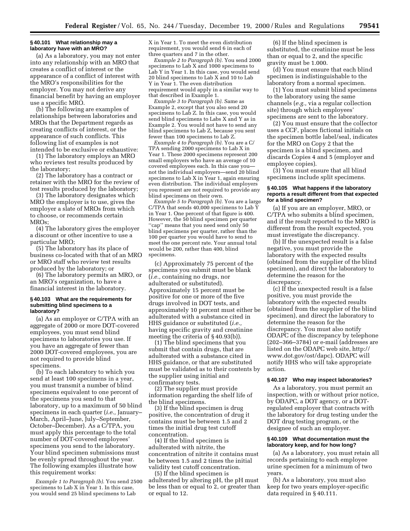# **§ 40.101 What relationship may a laboratory have with an MRO?**

(a) As a laboratory, you may not enter into any relationship with an MRO that creates a conflict of interest or the appearance of a conflict of interest with the MRO's responsibilities for the employer. You may not derive any financial benefit by having an employer use a specific MRO.

(b) The following are examples of relationships between laboratories and MROs that the Department regards as creating conflicts of interest, or the appearance of such conflicts. This following list of examples is not intended to be exclusive or exhaustive:

(1) The laboratory employs an MRO who reviews test results produced by the laboratory;

(2) The laboratory has a contract or retainer with the MRO for the review of test results produced by the laboratory;

(3) The laboratory designates which MRO the employer is to use, gives the employer a slate of MROs from which to choose, or recommends certain MROs;

(4) The laboratory gives the employer a discount or other incentive to use a particular MRO;

(5) The laboratory has its place of business co-located with that of an MRO or MRO staff who review test results produced by the laboratory; or

(6) The laboratory permits an MRO, or an MRO's organization, to have a financial interest in the laboratory.

#### **§ 40.103 What are the requirements for submitting blind specimens to a laboratory?**

(a) As an employer or C/TPA with an aggregate of 2000 or more DOT-covered employees, you must send blind specimens to laboratories you use. If you have an aggregate of fewer than 2000 DOT-covered employees, you are not required to provide blind specimens.

(b) To each laboratory to which you send at least 100 specimens in a year, you must transmit a number of blind specimens equivalent to one percent of the specimens you send to that laboratory, up to a maximum of 50 blind specimens in each quarter (*i.e.,* January– March, April–June, July–September, October–December). As a C/TPA, you must apply this percentage to the total number of DOT-covered employees' specimens you send to the laboratory. Your blind specimen submissions must be evenly spread throughout the year. The following examples illustrate how this requirement works:

*Example 1 to Paragraph (b).* You send 2500 specimens to Lab X in Year 1. In this case, you would send 25 blind specimens to Lab

X in Year 1. To meet the even distribution requirement, you would send 6 in each of three quarters and 7 in the other.

*Example 2 to Paragraph (b).* You send 2000 specimens to Lab X and 1000 specimens to Lab Y in Year 1. In this case, you would send 20 blind specimens to Lab X and 10 to Lab Y in Year 1. The even distribution requirement would apply in a similar way to that described in Example 1.

*Example 3 to Paragraph (b).* Same as Example 2, except that you also send 20 specimens to Lab Z. In this case, you would send blind specimens to Labs X and Y as in Example 2. You would not have to send any blind specimens to Lab Z, because you sent fewer than 100 specimens to Lab Z.

*Example 4 to Paragraph (b).* You are a C/ TPA sending 2000 specimens to Lab X in Year 1. These 2000 specimens represent 200 small employers who have an average of 10 covered employees each. In this case you not the individual employers—send 20 blind specimens to Lab X in Year 1, again ensuring even distribution. The individual employers you represent are not required to provide any blind specimens on their own.

*Example 5 to Paragraph (b).* You are a large C/TPA that sends 40,000 specimens to Lab Y in Year 1. One percent of that figure is 400. However, the 50 blind specimen per quarter ''cap'' means that you need send only 50 blind specimens per quarter, rather than the 100 per quarter you would have to send to meet the one percent rate. Your annual total would be 200, rather than 400, blind specimens.

(c) Approximately 75 percent of the specimens you submit must be blank (*i.e.,* containing no drugs, nor adulterated or substituted). Approximately 15 percent must be positive for one or more of the five drugs involved in DOT tests, and approximately 10 percent must either be adulterated with a substance cited in HHS guidance or substituted (*i.e.,* having specific gravity and creatinine meeting the criteria of § 40.93(b)).

(1) The blind specimens that you submit that contain drugs, that are adulterated with a substance cited in HHS guidance, or that are substituted must be validated as to their contents by the supplier using initial and confirmatory tests.

(2) The supplier must provide information regarding the shelf life of the blind specimens.

(3) If the blind specimen is drug positive, the concentration of drug it contains must be between 1.5 and 2 times the initial drug test cutoff concentration.

(4) If the blind specimen is adulterated with nitrite, the concentration of nitrite it contains must be between 1.5 and 2 times the initial validity test cutoff concentration.

(5) If the blind specimen is adulterated by altering pH, the pH must be less than or equal to 2, or greater than or equal to 12.

(6) If the blind specimen is substituted, the creatinine must be less than or equal to 2, and the specific gravity must be 1.000.

(d) You must ensure that each blind specimen is indistinguishable to the laboratory from a normal specimen.

(1) You must submit blind specimens to the laboratory using the same channels (*e.g.,* via a regular collection site) through which employees' specimens are sent to the laboratory.

(2) You must ensure that the collector uses a CCF, places fictional initials on the specimen bottle label/seal, indicates for the MRO on Copy 2 that the specimen is a blind specimen, and discards Copies 4 and 5 (employer and employee copies).

(3) You must ensure that all blind specimens include split specimens.

#### **§ 40.105 What happens if the laboratory reports a result different from that expected for a blind specimen?**

(a) If you are an employer, MRO, or C/TPA who submits a blind specimen, and if the result reported to the MRO is different from the result expected, you must investigate the discrepancy.

(b) If the unexpected result is a false negative, you must provide the laboratory with the expected results (obtained from the supplier of the blind specimen), and direct the laboratory to determine the reason for the discrepancy.

(c) If the unexpected result is a false positive, you must provide the laboratory with the expected results (obtained from the supplier of the blind specimen), and direct the laboratory to determine the reason for the discrepancy. You must also notify ODAPC of the discrepancy by telephone (202–366–3784) or e-mail (addresses are listed on the ODAPC web site, http:// www.dot.gov/ost/dapc). ODAPC will notify HHS who will take appropriate action.

## **§ 40.107 Who may inspect laboratories?**

As a laboratory, you must permit an inspection, with or without prior notice, by ODAPC, a DOT agency, or a DOTregulated employer that contracts with the laboratory for drug testing under the DOT drug testing program, or the designee of such an employer.

## **§ 40.109 What documentation must the laboratory keep, and for how long?**

(a) As a laboratory, you must retain all records pertaining to each employee urine specimen for a minimum of two years.

(b) As a laboratory, you must also keep for two years employer-specific data required in § 40.111.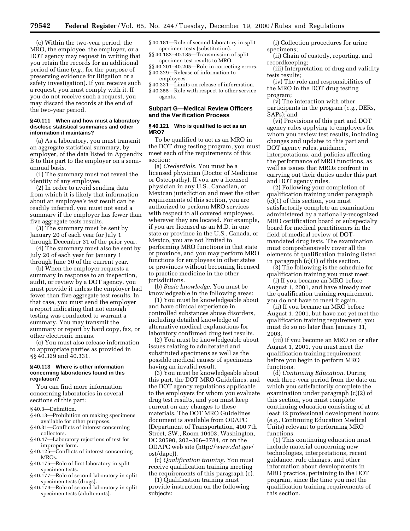(c) Within the two-year period, the MRO, the employee, the employer, or a DOT agency may request in writing that you retain the records for an additional period of time (*e.g.,* for the purpose of preserving evidence for litigation or a safety investigation). If you receive such a request, you must comply with it. If you do not receive such a request, you may discard the records at the end of the two-year period.

## **§ 40.111 When and how must a laboratory disclose statistical summaries and other information it maintains?**

(a) As a laboratory, you must transmit an aggregate statistical summary, by employer, of the data listed in Appendix B to this part to the employer on a semiannual basis.

(1) The summary must not reveal the identity of any employee.

(2) In order to avoid sending data from which it is likely that information about an employee's test result can be readily inferred, you must not send a summary if the employer has fewer than five aggregate tests results.

(3) The summary must be sent by January 20 of each year for July 1 through December 31 of the prior year.

(4) The summary must also be sent by July 20 of each year for January 1 through June 30 of the current year.

(b) When the employer requests a summary in response to an inspection, audit, or review by a DOT agency, you must provide it unless the employer had fewer than five aggregate test results. In that case, you must send the employer a report indicating that not enough testing was conducted to warrant a summary. You may transmit the summary or report by hard copy, fax, or other electronic means.

(c) You must also release information to appropriate parties as provided in §§ 40.329 and 40.331.

#### **§ 40.113 Where is other information concerning laboratories found in this regulation?**

You can find more information concerning laboratories in several sections of this part:

- § 40.3—Definition.
- § 40.13—Prohibition on making specimens available for other purposes.
- § 40.31—Conflicts of interest concerning collectors.
- § 40.47—Laboratory rejections of test for improper form.
- § 40.125—Conflicts of interest concerning MROs.
- § 40.175—Role of first laboratory in split specimen tests.
- § 40.177—Role of second laboratory in split specimen tests (drugs).
- § 40.179—Role of second laboratory in split specimen tests (adulterants).

§ 40.181—Role of second laboratory in split specimen tests (substitution).

§§ 40.183–40.185—Transmission of split specimen test results to MRO.

§§ 40.201–40.205—Role in correcting errors.

§ 40.329—Release of information to employees.

§ 40.331—Limits on release of information. § 40.355—Role with respect to other service agents.

# **Subpart G—Medical Review Officers and the Verification Process**

## **§ 40.121 Who is qualified to act as an MRO?**

To be qualified to act as an MRO in the DOT drug testing program, you must meet each of the requirements of this section:

(a) *Credentials.* You must be a licensed physician (Doctor of Medicine or Osteopathy). If you are a licensed physician in any U.S., Canadian, or Mexican jurisdiction and meet the other requirements of this section, you are authorized to perform MRO services with respect to all covered employees, wherever they are located. For example, if you are licensed as an M.D. in one state or province in the U.S., Canada, or Mexico, you are not limited to performing MRO functions in that state or province, and you may perform MRO functions for employees in other states or provinces without becoming licensed to practice medicine in the other jurisdictions.

(b) *Basic knowledge.* You must be knowledgeable in the following areas:

(1) You must be knowledgeable about and have clinical experience in controlled substances abuse disorders, including detailed knowledge of alternative medical explanations for laboratory confirmed drug test results.

(2) You must be knowledgeable about issues relating to adulterated and substituted specimens as well as the possible medical causes of specimens having an invalid result.

(3) You must be knowledgeable about this part, the DOT MRO Guidelines, and the DOT agency regulations applicable to the employers for whom you evaluate drug test results, and you must keep current on any changes to these materials. The DOT MRO Guidelines document is available from ODAPC (Department of Transportation, 400 7th Street, SW., Room 10403, Washington, DC 20590, 202–366–3784, or on the ODAPC web site (http://*www.dot.gov*/ ost/dapc)).

(c) *Qualification training.* You must receive qualification training meeting the requirements of this paragraph (c).

(1) Qualification training must provide instruction on the following subjects:

(i) Collection procedures for urine specimens;

(ii) Chain of custody, reporting, and recordkeeping;

(iii) Interpretation of drug and validity tests results;

(iv) The role and responsibilities of the MRO in the DOT drug testing program;

(v) The interaction with other participants in the program (*e.g.,* DERs, SAPs); and

(vi) Provisions of this part and DOT agency rules applying to employers for whom you review test results, including changes and updates to this part and DOT agency rules, guidance, interpretations, and policies affecting the performance of MRO functions, as well as issues that MROs confront in carrying out their duties under this part and DOT agency rules.

(2) Following your completion of qualification training under paragraph (c)(1) of this section, you must satisfactorily complete an examination administered by a nationally-recognized MRO certification board or subspecialty board for medical practitioners in the field of medical review of DOTmandated drug tests. The examination must comprehensively cover all the elements of qualification training listed in paragraph (c)(1) of this section.

(3) The following is the schedule for qualification training you must meet:

(i) If you became an MRO before August 1, 2001, and have already met the qualification training requirement, you do not have to meet it again.

(ii) If you became an MRO before August 1, 2001, but have not yet met the qualification training requirement, you must do so no later than January 31, 2003.

(iii) If you become an MRO on or after August 1, 2001, you must meet the qualification training requirement before you begin to perform MRO functions.

(d) *Continuing Education.* During each three-year period from the date on which you satisfactorily complete the examination under paragraph (c)(2) of this section, you must complete continuing education consisting of at least 12 professional development hours (*e.g.,* Continuing Education Medical Units) relevant to performing MRO functions.

(1) This continuing education must include material concerning new technologies, interpretations, recent guidance, rule changes, and other information about developments in MRO practice, pertaining to the DOT program, since the time you met the qualification training requirements of this section.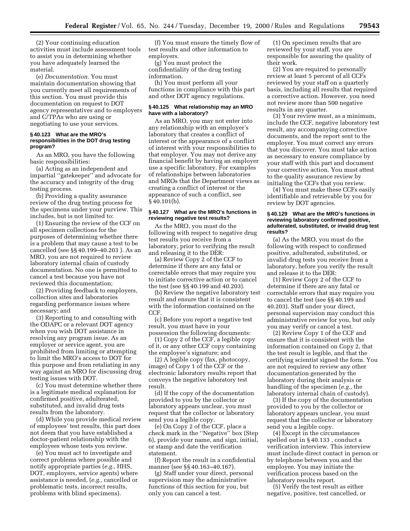(2) Your continuing education activities must include assessment tools to assist you in determining whether you have adequately learned the material.

(e) *Documentation.* You must maintain documentation showing that you currently meet all requirements of this section. You must provide this documentation on request to DOT agency representatives and to employers and C/TPAs who are using or negotiating to use your services.

#### **§ 40.123 What are the MRO's responsibilities in the DOT drug testing program?**

As an MRO, you have the following basic responsibilities:

(a) Acting as an independent and impartial ''gatekeeper'' and advocate for the accuracy and integrity of the drug testing process.

(b) Providing a quality assurance review of the drug testing process for the specimens under your purview. This includes, but is not limited to:

(1) Ensuring the review of the CCF on all specimen collections for the purposes of determining whether there is a problem that may cause a test to be cancelled (see §§ 40.199–40.203 ). As an MRO, you are not required to review laboratory internal chain of custody documentation. No one is permitted to cancel a test because you have not reviewed this documentation;

(2) Providing feedback to employers, collection sites and laboratories regarding performance issues where necessary; and

(3) Reporting to and consulting with the ODAPC or a relevant DOT agency when you wish DOT assistance in resolving any program issue. As an employer or service agent, you are prohibited from limiting or attempting to limit the MRO's access to DOT for this purpose and from retaliating in any way against an MRO for discussing drug testing issues with DOT.

(c) You must determine whether there is a legitimate medical explanation for confirmed positive, adulterated, substituted, and invalid drug tests results from the laboratory.

(d) While you provide medical review of employees' test results, this part does not deem that you have established a doctor-patient relationship with the employees whose tests you review.

(e) You must act to investigate and correct problems where possible and notify appropriate parties (*e.g.,* HHS, DOT, employers, service agents) where assistance is needed, (*e.g.,* cancelled or problematic tests, incorrect results, problems with blind specimens).

(f) You must ensure the timely flow of test results and other information to employers.

(g) You must protect the confidentiality of the drug testing information.

(h) You must perform all your functions in compliance with this part and other DOT agency regulations.

### **§ 40.125 What relationship may an MRO have with a laboratory?**

As an MRO, you may not enter into any relationship with an employer's laboratory that creates a conflict of interest or the appearance of a conflict of interest with your responsibilities to that employer. You may not derive any financial benefit by having an employer use a specific laboratory. For examples of relationships between laboratories and MROs that the Department views as creating a conflict of interest or the appearance of such a conflict, see  $§$  40.101(b).

## **§ 40.127 What are the MRO's functions in reviewing negative test results?**

As the MRO, you must do the following with respect to negative drug test results you receive from a laboratory, prior to verifying the result and releasing it to the DER:

(a) Review Copy 2 of the CCF to determine if there are any fatal or correctable errors that may require you to initiate corrective action or to cancel the test (see §§ 40.199 and 40.203).

(b) Review the negative laboratory test result and ensure that it is consistent with the information contained on the CCF.

(c) Before you report a negative test result, you must have in your possession the following documents:

(1) Copy 2 of the CCF, a legible copy of it, or any other CCF copy containing the employee's signature; and

(2) A legible copy (fax, photocopy, image) of Copy 1 of the CCF or the electronic laboratory results report that conveys the negative laboratory test result.

(d) If the copy of the documentation provided to you by the collector or laboratory appears unclear, you must request that the collector or laboratory send you a legible copy.

(e) On Copy 2 of the CCF, place a check mark in the ''Negative'' box (Step 6), provide your name, and sign, initial, or stamp and date the verification statement.

(f) Report the result in a confidential manner (see §§ 40.163–40.167).

(g) Staff under your direct, personal supervision may the administrative functions of this section for you, but only you can cancel a test.

(1) On specimen results that are reviewed by your staff, you are responsible for assuring the quality of their work.

(2) You are required to personally review at least 5 percent of all CCFs reviewed by your staff on a quarterly basis, including all results that required a corrective action. However, you need not review more than 500 negative results in any quarter.

(3) Your review must, as a minimum, include the CCF, negative laboratory test result, any accompanying corrective documents, and the report sent to the employer. You must correct any errors that you discover. You must take action as necessary to ensure compliance by your staff with this part and document your corrective action. You must attest to the quality assurance review by initialing the CCFs that you review.

(4) You must make these CCFs easily identifiable and retrievable by you for review by DOT agencies.

# **§ 40.129 What are the MRO's functions in reviewing laboratory confirmed positive, adulterated, substituted, or invalid drug test results?**

(a) As the MRO, you must do the following with respect to confirmed positive, adulterated, substituted, or invalid drug tests you receive from a laboratory, before you verify the result and release it to the DER:

(1) Review Copy 2 of the CCF to determine if there are any fatal or correctable errors that may require you to cancel the test (see §§ 40.199 and 40.203). Staff under your direct, personal supervision may conduct this administrative review for you, but only you may verify or cancel a test.

(2) Review Copy 1 of the CCF and ensure that it is consistent with the information contained on Copy 2, that the test result is legible, and that the certifying scientist signed the form. You are not required to review any other documentation generated by the laboratory during their analysis or handling of the specimen (*e.g.,* the laboratory internal chain of custody).

(3) If the copy of the documentation provided to you by the collector or laboratory appears unclear, you must request that the collector or laboratory send you a legible copy.

(4) Except in the circumstances spelled out in § 40.133 , conduct a verification interview. This interview must include direct contact in person or by telephone between you and the employee. You may initiate the verification process based on the laboratory results report.

(5) Verify the test result as either negative, positive, test cancelled, or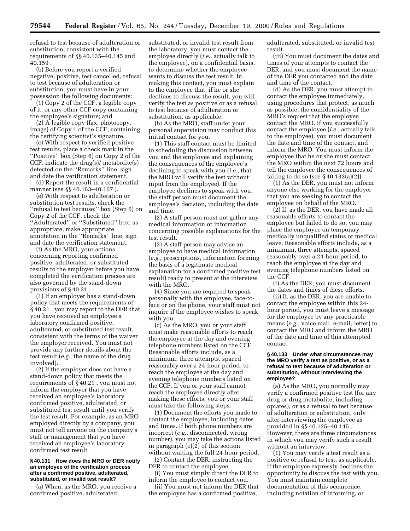refusal to test because of adulteration or substitution, consistent with the requirements of §§ 40.135–40.145 and 40.159 .

(b) Before you report a verified negative, positive, test cancelled, refusal to test because of adulteration or substitution, you must have in your possession the following documents:

(1) Copy 2 of the CCF, a legible copy of it, or any other CCF copy containing the employee's signature; and

(2) A legible copy (fax, photocopy, image) of Copy 1 of the CCF, containing the certifying scientist's signature.

(c) With respect to verified positive test results, place a check mark in the ''Positive'' box (Step 6) on Copy 2 of the CCF, indicate the drug(s)/ metabolite(s) detected on the ''Remarks'' line, sign and date the verification statement.

(d) Report the result in a confidential manner (see §§ 40.163–40.167 ).

(e) With respect to adulteration or substitution test results, check the ''refusal to test because:'' box (Step 6) on Copy 2 of the CCF, check the ''Adulterated'' or ''Substituted'' box, as appropriate, make appropriate annotation in the ''Remarks'' line, sign and date the verification statement.

(f) As the MRO, your actions concerning reporting confirmed positive, adulterated, or substituted results to the employer before you have completed the verification process are also governed by the stand-down provisions of § 40.21 .

(1) If an employer has a stand-down policy that meets the requirements of § 40.21 , you may report to the DER that you have received an employee's laboratory confirmed positive, adulterated, or substituted test result, consistent with the terms of the waiver the employer received. You must not provide any further details about the test result (*e.g.,* the name of the drug involved).

(2) If the employer does not have a stand-down policy that meets the requirements of § 40.21 , you must not inform the employer that you have received an employee's laboratory confirmed positive, adulterated, or substituted test result until you verify the test result. For example, as an MRO employed directly by a company, you must not tell anyone on the company's staff or management that you have received an employee's laboratory confirmed test result.

## **§ 40.131 How does the MRO or DER notify an employee of the verification process after a confirmed positive, adulterated, substituted, or invalid test result?**

(a) When, as the MRO, you receive a confirmed positive, adulterated,

substituted, or invalid test result from the laboratory, you must contact the employee directly (*i.e.,* actually talk to the employee), on a confidential basis, to determine whether the employee wants to discuss the test result. In making this contact, you must explain to the employee that, if he or she declines to discuss the result, you will verify the test as positive or as a refusal to test because of adulteration or substitution, as applicable.

(b) As the MRO, staff under your personal supervision may conduct this initial contact for you.

(1) This staff contact must be limited to scheduling the discussion between you and the employee and explaining the consequences of the employee's declining to speak with you (*i.e.,* that the MRO will verify the test without input from the employee). If the employee declines to speak with you, the staff person must document the employee's decision, including the date and time.

(2) A staff person must not gather any medical information or information concerning possible explanations for the test result.

(3) A staff person may advise an employee to have medical information (*e.g.,* prescriptions, information forming the basis of a legitimate medical explanation for a confirmed positive test result) ready to present at the interview with the MRO.

(4) Since you are required to speak personally with the employee, face-toface or on the phone, your staff must not inquire if the employee wishes to speak with you.

(c) As the MRO, you or your staff must make reasonable efforts to reach the employee at the day and evening telephone numbers listed on the CCF. Reasonable efforts include, as a minimum, three attempts, spaced reasonably over a 24-hour period, to reach the employee at the day and evening telephone numbers listed on the CCF. If you or your staff cannot reach the employee directly after making these efforts, you or your staff must take the following steps:

(1) Document the efforts you made to contact the employee, including dates and times. If both phone numbers are incorrect (*e.g.,* disconnected, wrong number), you may take the actions listed in paragraph (c)(2) of this section without waiting the full 24-hour period.

(2) Contact the DER, instructing the DER to contact the employee.

(i) You must simply direct the DER to inform the employee to contact you.

(ii) You must not inform the DER that the employee has a confirmed positive,

adulterated, substituted, or invalid test result.

(iii) You must document the dates and times of your attempts to contact the DER, and you must document the name of the DER you contacted and the date and time of the contact.

(d) As the DER, you must attempt to contact the employee immediately, using procedures that protect, as much as possible, the confidentiality of the MRO's request that the employee contact the MRO. If you successfully contact the employee (*i.e.,* actually talk to the employee), you must document the date and time of the contact, and inform the MRO. You must inform the employee that he or she must contact the MRO within the next 72 hours and tell the employee the consequences of failing to do so (see  $\S 40.133(a)(2)$ ).

(1) As the DER, you must not inform anyone else working for the employer that you are seeking to contact the employee on behalf of the MRO.

(2) If, as the DER, you have made all reasonable efforts to contact the employee but failed to do so, you may place the employee on temporary medically unqualified status or medical leave. Reasonable efforts include, as a minimum, three attempts, spaced reasonably over a 24-hour period, to reach the employee at the day and evening telephone numbers listed on the CCF.

(i) As the DER, you must document the dates and times of these efforts.

(ii) If, as the DER, you are unable to contact the employee within this 24 hour period, you must leave a message for the employee by any practicable means (*e.g.,* voice mail, e-mail, letter) to contact the MRO and inform the MRO of the date and time of this attempted contact.

### **§ 40.133 Under what circumstances may the MRO verify a test as positive, or as a refusal to test because of adulteration or substitution, without interviewing the employee?**

(a) As the MRO, you normally may verify a confirmed positive test (for any drug or drug metabolite, including opiates), or as a refusal to test because of adulteration or substitution, only after interviewing the employee as provided in §§ 40.135–40.145 . However, there are three circumstances in which you may verify such a result without an interview:

(1) You may verify a test result as a positive or refusal to test, as applicable, if the employee expressly declines the opportunity to discuss the test with you. You must maintain complete documentation of this occurrence, including notation of informing, or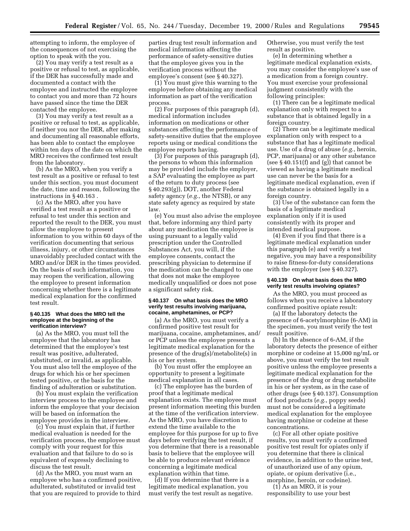attempting to inform, the employee of the consequences of not exercising the option to speak with the you.

(2) You may verify a test result as a positive or refusal to test, as applicable, if the DER has successfully made and documented a contact with the employee and instructed the employee to contact you and more than 72 hours have passed since the time the DER contacted the employee.

(3) You may verify a test result as a positive or refusal to test, as applicable, if neither you nor the DER, after making and documenting all reasonable efforts, has been able to contact the employee within ten days of the date on which the MRO receives the confirmed test result from the laboratory.

(b) As the MRO, when you verify a test result as a positive or refusal to test under this section, you must document the date, time and reason, following the instructions in § 40.163 .

(c) As the MRO, after you have verified a test result as a positive or refusal to test under this section and reported the result to the DER, you must allow the employee to present information to you within 60 days of the verification documenting that serious illness, injury, or other circumstances unavoidably precluded contact with the MRO and/or DER in the times provided. On the basis of such information, you may reopen the verification, allowing the employee to present information concerning whether there is a legitimate medical explanation for the confirmed test result.

#### **§ 40.135 What does the MRO tell the employee at the beginning of the verification interview?**

(a) As the MRO, you must tell the employee that the laboratory has determined that the employee's test result was positive, adulterated, substituted, or invalid, as applicable. You must also tell the employee of the drugs for which his or her specimen tested positive, or the basis for the finding of adulteration or substitution.

(b) You must explain the verification interview process to the employee and inform the employee that your decision will be based on information the employee provides in the interview.

(c) You must explain that, if further medical evaluation is needed for the verification process, the employee must comply with your request for this evaluation and that failure to do so is equivalent of expressly declining to discuss the test result.

(d) As the MRO, you must warn an employee who has a confirmed positive, adulterated, substituted or invalid test that you are required to provide to third

parties drug test result information and medical information affecting the performance of safety-sensitive duties that the employee gives you in the verification process without the employee's consent (see § 40.327).

(1) You must give this warning to the employee before obtaining any medical information as part of the verification process.

(2) For purposes of this paragraph (d), medical information includes information on medications or other substances affecting the performance of safety-sensitive duties that the employee reports using or medical conditions the employee reports having.

(3) For purposes of this paragraph (d), the persons to whom this information may be provided include the employer, a SAP evaluating the employee as part of the return to duty process (see § 40.293(g)), DOT, another Federal safety agency (*e.g.*, the NTSB), or any state safety agency as required by state law.

(e) You must also advise the employee that, before informing any third party about any medication the employee is using pursuant to a legally valid prescription under the Controlled Substances Act, you will, if the employee consents, contact the prescribing physician to determine if the medication can be changed to one that does not make the employee medically unqualified or does not pose a significant safety risk.

#### **§ 40.137 On what basis does the MRO verify test results involving marijuana, cocaine, amphetamines, or PCP?**

(a) As the MRO, you must verify a confirmed positive test result for marijuana, cocaine, amphetamines, and/ or PCP unless the employee presents a legitimate medical explanation for the presence of the drug(s)/metabolite(s) in his or her system.

(b) You must offer the employee an opportunity to present a legitimate medical explanation in all cases.

(c) The employee has the burden of proof that a legitimate medical explanation exists. The employee must present information meeting this burden at the time of the verification interview. As the MRO, you have discretion to extend the time available to the employee for this purpose for up to five days before verifying the test result, if you determine that there is a reasonable basis to believe that the employee will be able to produce relevant evidence concerning a legitimate medical explanation within that time.

(d) If you determine that there is a legitimate medical explanation, you must verify the test result as negative. Otherwise, you must verify the test result as positive.

(e) In determining whether a legitimate medical explanation exists, you may consider the employee's use of a medication from a foreign country. You must exercise your professional judgment consistently with the following principles:

(1) There can be a legitimate medical explanation only with respect to a substance that is obtained legally in a foreign country.

(2) There can be a legitimate medical explanation only with respect to a substance that has a legitimate medical use. Use of a drug of abuse (*e.g.*, heroin, PCP, marijuana) or any other substance (see § 40.151(f) and (g)) that cannot be viewed as having a legitimate medical use can never be the basis for a legitimate medical explanation, even if the substance is obtained legally in a foreign country.

(3) Use of the substance can form the basis of a legitimate medical explanation only if it is used consistently with its proper and intended medical purpose.

(4) Even if you find that there is a legitimate medical explanation under this paragraph (e) and verify a test negative, you may have a responsibility to raise fitness-for-duty considerations with the employer (see § 40.327).

# **§ 40.139 On what basis does the MRO verify test results involving opiates?**

As the MRO, you must proceed as follows when you receive a laboratory confirmed positive opiate result:

(a) If the laboratory detects the presence of 6-acetylmorphine (6-AM) in the specimen, you must verify the test result positive.

(b) In the absence of 6-AM, if the laboratory detects the presence of either morphine or codeine at 15,000 ng/mL or above, you must verify the test result positive unless the employee presents a legitimate medical explanation for the presence of the drug or drug metabolite in his or her system, as in the case of other drugs (see § 40.137). Consumption of food products (*e.g.*, poppy seeds) must not be considered a legitimate medical explanation for the employee having morphine or codeine at these concentrations.

(c) For all other opiate positive results, you must verify a confirmed positive test result for opiates only if you determine that there is clinical evidence, in addition to the urine test, of unauthorized use of any opium, opiate, or opium derivative (i.e., morphine, heroin, or codeine).

(1) As an MRO, it is your responsibility to use your best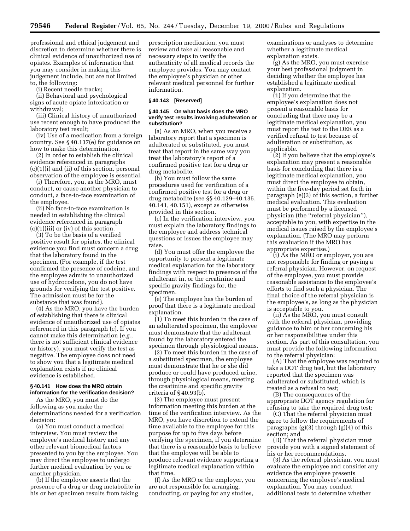professional and ethical judgement and discretion to determine whether there is clinical evidence of unauthorized use of opiates. Examples of information that you may consider in making this judgement include, but are not limited to, the following:

(i) Recent needle tracks;

(ii) Behavioral and psychological signs of acute opiate intoxication or withdrawal;

(iii) Clinical history of unauthorized use recent enough to have produced the laboratory test result;

(iv) Use of a medication from a foreign country. See § 40.137(e) for guidance on how to make this determination.

(2) In order to establish the clinical evidence referenced in paragraphs (c)(1)(i) and (ii) of this section, personal observation of the employee is essential.

(i) Therefore, you, as the MRO, must conduct, or cause another physician to conduct, a face-to-face examination of the employee.

(ii) No face-to-face examination is needed in establishing the clinical evidence referenced in paragraph  $(c)(1)(iii)$  or  $(iv)$  of this section.

(3) To be the basis of a verified positive result for opiates, the clinical evidence you find must concern a drug that the laboratory found in the specimen. (For example, if the test confirmed the presence of codeine, and the employee admits to unauthorized use of hydrocodone, you do not have grounds for verifying the test positive. The admission must be for the substance that was found).

(4) As the MRO, you have the burden of establishing that there is clinical evidence of unauthorized use of opiates referenced in this paragraph (c). If you cannot make this determination (*e.g.*, there is not sufficient clinical evidence or history), you must verify the test as negative. The employee does not need to show you that a legitimate medical explanation exists if no clinical evidence is established.

# **§ 40.141 How does the MRO obtain information for the verification decision?**

As the MRO, you must do the following as you make the determinations needed for a verification decision:

(a) You must conduct a medical interview. You must review the employee's medical history and any other relevant biomedical factors presented to you by the employee. You may direct the employee to undergo further medical evaluation by you or another physician.

(b) If the employee asserts that the presence of a drug or drug metabolite in his or her specimen results from taking

prescription medication, you must review and take all reasonable and necessary steps to verify the authenticity of all medical records the employee provides. You may contact the employee's physician or other relevant medical personnel for further information.

#### **§ 40.143 [Reserved]**

### **§ 40.145 On what basis does the MRO verify test results involving adulteration or substitution?**

(a) As an MRO, when you receive a laboratory report that a specimen is adulterated or substituted, you must treat that report in the same way you treat the laboratory's report of a confirmed positive test for a drug or drug metabolite.

(b) You must follow the same procedures used for verification of a confirmed positive test for a drug or drug metabolite (see §§ 40.129–40.135, 40.141, 40.151), except as otherwise provided in this section.

(c) In the verification interview, you must explain the laboratory findings to the employee and address technical questions or issues the employee may raise.

(d) You must offer the employee the opportunity to present a legitimate medical explanation for the laboratory findings with respect to presence of the adulterant in, or the creatinine and specific gravity findings for, the specimen.

(e) The employee has the burden of proof that there is a legitimate medical explanation.

(1) To meet this burden in the case of an adulterated specimen, the employee must demonstrate that the adulterant found by the laboratory entered the specimen through physiological means.

(2) To meet this burden in the case of a substituted specimen, the employee must demonstrate that he or she did produce or could have produced urine, through physiological means, meeting the creatinine and specific gravity criteria of § 40.93(b).

(3) The employee must present information meeting this burden at the time of the verification interview. As the MRO, you have discretion to extend the time available to the employee for this purpose for up to five days before verifying the specimen, if you determine that there is a reasonable basis to believe that the employee will be able to produce relevant evidence supporting a legitimate medical explanation within that time.

(f) As the MRO or the employer, you are not responsible for arranging, conducting, or paying for any studies,

examinations or analyses to determine whether a legitimate medical explanation exists.

(g) As the MRO, you must exercise your best professional judgment in deciding whether the employee has established a legitimate medical explanation.

(1) If you determine that the employee's explanation does not present a reasonable basis for concluding that there may be a legitimate medical explanation, you must report the test to the DER as a verified refusal to test because of adulteration or substitution, as applicable.

(2) If you believe that the employee's explanation may present a reasonable basis for concluding that there is a legitimate medical explanation, you must direct the employee to obtain, within the five-day period set forth in paragraph (e)(3) of this section, a further medical evaluation. This evaluation must be performed by a licensed physician (the ''referral physician''), acceptable to you, with expertise in the medical issues raised by the employee's explanation. (The MRO may perform this evaluation if the MRO has appropriate expertise.)

(i) As the MRO or employer, you are not responsible for finding or paying a referral physician. However, on request of the employee, you must provide reasonable assistance to the employee's efforts to find such a physician. The final choice of the referral physician is the employee's, as long as the physician is acceptable to you.

(ii) As the MRO, you must consult with the referral physician, providing guidance to him or her concerning his or her responsibilities under this section. As part of this consultation, you must provide the following information to the referral physician:

(A) That the employee was required to take a DOT drug test, but the laboratory reported that the specimen was adulterated or substituted, which is treated as a refusal to test;

(B) The consequences of the appropriate DOT agency regulation for refusing to take the required drug test;

(C) That the referral physician must agree to follow the requirements of paragraphs (g)(3) through (g)(4) of this section; and

(D) That the referral physician must provide you with a signed statement of his or her recommendations.

(3) As the referral physician, you must evaluate the employee and consider any evidence the employee presents concerning the employee's medical explanation. You may conduct additional tests to determine whether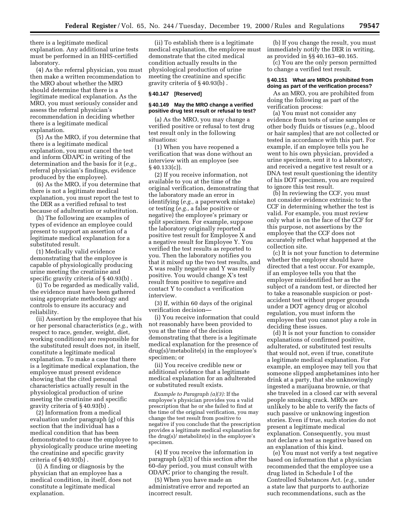there is a legitimate medical explanation. Any additional urine tests must be performed in an HHS-certified laboratory.

(4) As the referral physician, you must then make a written recommendation to the MRO about whether the MRO should determine that there is a legitimate medical explanation. As the MRO, you must seriously consider and assess the referral physician's recommendation in deciding whether there is a legitimate medical explanation.

(5) As the MRO, if you determine that there is a legitimate medical explanation, you must cancel the test and inform ODAPC in writing of the determination and the basis for it (*e.g.*, referral physician's findings, evidence produced by the employee).

(6) As the MRO, if you determine that there is not a legitimate medical explanation, you must report the test to the DER as a verified refusal to test because of adulteration or substitution.

(h) The following are examples of types of evidence an employee could present to support an assertion of a legitimate medical explanation for a substituted result.

(1) Medically valid evidence demonstrating that the employee is capable of physiologically producing urine meeting the creatinine and specific gravity criteria of § 40.93(b) .

(i) To be regarded as medically valid, the evidence must have been gathered using appropriate methodology and controls to ensure its accuracy and reliability.

(ii) Assertion by the employee that his or her personal characteristics (*e.g.*, with respect to race, gender, weight, diet, working conditions) are responsible for the substituted result does not, in itself, constitute a legitimate medical explanation. To make a case that there is a legitimate medical explanation, the employee must present evidence showing that the cited personal characteristics actually result in the physiological production of urine meeting the creatinine and specific gravity criteria of § 40.93(b) .

(2) Information from a medical evaluation under paragraph (g) of this section that the individual has a medical condition that has been demonstrated to cause the employee to physiologically produce urine meeting the creatinine and specific gravity criteria of  $\S 40.93(b)$ .

(i) A finding or diagnosis by the physician that an employee has a medical condition, in itself, does not constitute a legitimate medical explanation.

(ii) To establish there is a legitimate medical explanation, the employee must demonstrate that the cited medical condition actually results in the physiological production of urine meeting the creatinine and specific gravity criteria of § 40.93(b) .

# **§ 40.147 [Reserved]**

## **§ 40.149 May the MRO change a verified positive drug test result or refusal to test?**

(a) As the MRO, you may change a verified positive or refusal to test drug test result only in the following situations:

(1) When you have reopened a verification that was done without an interview with an employee (see  $§ 40.133(c)$ .

(2) If you receive information, not available to you at the time of the original verification, demonstrating that the laboratory made an error in identifying (*e.g.,* a paperwork mistake) or testing (*e.g.,* a false positive or negative) the employee's primary or split specimen. For example, suppose the laboratory originally reported a positive test result for Employee X and a negative result for Employee Y. You verified the test results as reported to you. Then the laboratory notifies you that it mixed up the two test results, and X was really negative and Y was really positive. You would change X's test result from positive to negative and contact Y to conduct a verification interview.

(3) If, within 60 days of the original verification decision—

(i) You receive information that could not reasonably have been provided to you at the time of the decision demonstrating that there is a legitimate medical explanation for the presence of drug(s)/metabolite(s) in the employee's specimen; or

(ii) You receive credible new or additional evidence that a legitimate medical explanation for an adulterated or substituted result exists.

*Example to Paragraph (a)(3):* If the employee's physician provides you a valid prescription that he or she failed to find at the time of the original verification, you may change the test result from positive to negative if you conclude that the prescription provides a legitimate medical explanation for the drug(s)/ metabolite(s) in the employee's specimen.

(4) If you receive the information in paragraph (a)(3) of this section after the 60-day period, you must consult with ODAPC prior to changing the result.

(5) When you have made an administrative error and reported an incorrect result.

(b) If you change the result, you must immediately notify the DER in writing, as provided in §§ 40.163–40.165.

(c) You are the only person permitted to change a verified test result.

# **§ 40.151 What are MROs prohibited from doing as part of the verification process?**

As an MRO, you are prohibited from doing the following as part of the verification process:

(a) You must not consider any evidence from tests of urine samples or other body fluids or tissues (*e.g.,* blood or hair samples) that are not collected or tested in accordance with this part. For example, if an employee tells you he went to his own physician, provided a urine specimen, sent it to a laboratory, and received a negative test result or a DNA test result questioning the identity of his DOT specimen, you are required to ignore this test result.

(b) In reviewing the CCF, you must not consider evidence extrinsic to the CCF in determining whether the test is valid. For example, you must review only what is on the face of the CCF for this purpose, not assertions by the employee that the CCF does not accurately reflect what happened at the collection site.

(c) It is not your function to determine whether the employer should have directed that a test occur. For example, if an employee tells you that the employer misidentified her as the subject of a random test, or directed her to take a reasonable suspicion or postaccident test without proper grounds under a DOT agency drug or alcohol regulation, you must inform the employee that you cannot play a role in deciding these issues.

(d) It is not your function to consider explanations of confirmed positive, adulterated, or substituted test results that would not, even if true, constitute a legitimate medical explanation. For example, an employee may tell you that someone slipped amphetamines into her drink at a party, that she unknowingly ingested a marijuana brownie, or that she traveled in a closed car with several people smoking crack. MROs are unlikely to be able to verify the facts of such passive or unknowing ingestion stories. Even if true, such stories do not present a legitimate medical explanation. Consequently, you must not declare a test as negative based on an explanation of this kind.

(e) You must not verify a test negative based on information that a physician recommended that the employee use a drug listed in Schedule I of the Controlled Substances Act. (*e.g.,* under a state law that purports to authorize such recommendations, such as the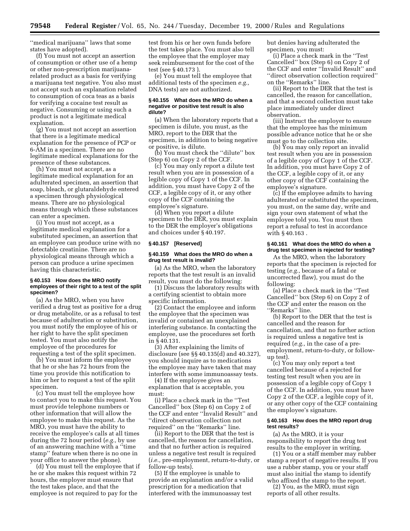''medical marijuana'' laws that some states have adopted).

(f) You must not accept an assertion of consumption or other use of a hemp or other non-prescription marijuanarelated product as a basis for verifying a marijuana test negative. You also must not accept such an explanation related to consumption of coca teas as a basis for verifying a cocaine test result as negative. Consuming or using such a product is not a legitimate medical explanation.

(g) You must not accept an assertion that there is a legitimate medical explanation for the presence of PCP or 6-AM in a specimen. There are no legitimate medical explanations for the presence of these substances.

(h) You must not accept, as a legitimate medical explanation for an adulterated specimen, an assertion that soap, bleach, or glutaraldehyde entered a specimen through physiological means. There are no physiological means through which these substances can enter a specimen.

(i) You must not accept, as a legitimate medical explanation for a substituted specimen, an assertion that an employee can produce urine with no detectable creatinine. There are no physiological means through which a person can produce a urine specimen having this characteristic.

# **§ 40.153 How does the MRO notify employees of their right to a test of the split specimen?**

(a) As the MRO, when you have verified a drug test as positive for a drug or drug metabolite, or as a refusal to test because of adulteration or substitution, you must notify the employee of his or her right to have the split specimen tested. You must also notify the employee of the procedures for requesting a test of the split specimen.

(b) You must inform the employee that he or she has 72 hours from the time you provide this notification to him or her to request a test of the split specimen.

(c) You must tell the employee how to contact you to make this request. You must provide telephone numbers or other information that will allow the employee to make this request. As the MRO, you must have the ability to receive the employee's calls at all times during the 72 hour period (*e.g.,* by use of an answering machine with a ''time stamp'' feature when there is no one in your office to answer the phone).

(d) You must tell the employee that if he or she makes this request within 72 hours, the employer must ensure that the test takes place, and that the employee is not required to pay for the

test from his or her own funds before the test takes place. You must also tell the employee that the employer may seek reimbursement for the cost of the test (see § 40.173 ).

(e) You must tell the employee that additional tests of the specimen *e.g.,* DNA tests) are not authorized.

#### **§ 40.155 What does the MRO do when a negative or positive test result is also dilute?**

(a) When the laboratory reports that a specimen is dilute, you must, as the MRO, report to the DER that the specimen, in addition to being negative or positive, is dilute.

(b) You must check the ''dilute'' box (Step 6) on Copy 2 of the CCF.

(c) You may only report a dilute test result when you are in possession of a legible copy of Copy 1 of the CCF. In addition, you must have Copy 2 of the CCF, a legible copy of it, or any other copy of the CCF containing the employee's signature.

(d) When you report a dilute specimen to the DER, you must explain to the DER the employer's obligations and choices under § 40.197.

#### **§ 40.157 [Reserved]**

#### **§ 40.159 What does the MRO do when a drug test result is invalid?**

(a) As the MRO, when the laboratory reports that the test result is an invalid result, you must do the following:

(1) Discuss the laboratory results with a certifying scientist to obtain more specific information.

(2) Contact the employee and inform the employee that the specimen was invalid or contained an unexplained interfering substance. In contacting the employee, use the procedures set forth in § 40.131.

(3) After explaining the limits of disclosure (see §§ 40.135(d) and 40.327), you should inquire as to medications the employee may have taken that may interfere with some immunoassay tests.

(4) If the employee gives an explanation that is acceptable, you must:

(i) Place a check mark in the ''Test Cancelled'' box (Step 6) on Copy 2 of the CCF and enter ''Invalid Result'' and ''direct observation collection not required'' on the ''Remarks'' line.

(ii) Report to the DER that the test is cancelled, the reason for cancellation, and that no further action is required unless a negative test result is required (*i.e.,* pre-employment, return-to-duty, or follow-up tests).

(5) If the employee is unable to provide an explanation and/or a valid prescription for a medication that interfered with the immunoassay test

but denies having adulterated the specimen, you must:

(i) Place a check mark in the ''Test Cancelled'' box (Step 6) on Copy 2 of the CCF and enter ''Invalid Result'' and ''direct observation collection required'' on the ''Remarks'' line.

(ii) Report to the DER that the test is cancelled, the reason for cancellation, and that a second collection must take place immediately under direct observation.

(iii) Instruct the employer to ensure that the employee has the minimum possible advance notice that he or she must go to the collection site.

(b) You may only report an invalid test result when you are in possession of a legible copy of Copy 1 of the CCF. In addition, you must have Copy 2 of the CCF, a legible copy of it, or any other copy of the CCF containing the employee's signature.

(c) If the employee admits to having adulterated or substituted the specimen, you must, on the same day, write and sign your own statement of what the employee told you. You must then report a refusal to test in accordance with § 40.163 .

# **§ 40.161 What does the MRO do when a drug test specimen is rejected for testing?**

As the MRO, when the laboratory reports that the specimen is rejected for testing (*e.g.,* because of a fatal or uncorrected flaw), you must do the following:

(a) Place a check mark in the ''Test Cancelled'' box (Step 6) on Copy 2 of the CCF and enter the reason on the ''Remarks'' line.

(b) Report to the DER that the test is cancelled and the reason for cancellation, and that no further action is required unless a negative test is required (*e.g.,* in the case of a preemployment, return-to-duty, or followup test).

(c) You may only report a test cancelled because of a rejected for testing test result when you are in possession of a legible copy of Copy 1 of the CCF. In addition, you must have Copy 2 of the CCF, a legible copy of it, or any other copy of the CCF containing the employee's signature.

## **§ 40.163 How does the MRO report drug test results?**

(a) As the MRO, it is your responsibility to report the drug test results to the employer in writing.

(1) You or a staff member may rubber stamp a report of negative results. If you use a rubber stamp, you or your staff must also initial the stamp to identify who affixed the stamp to the report.

(2) You, as the MRO, must sign reports of all other results.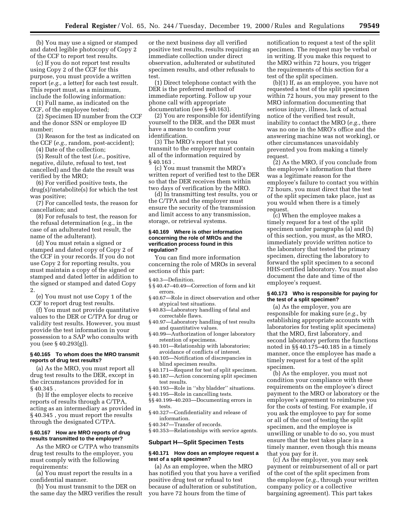(b) You may use a signed or stamped and dated legible photocopy of Copy 2 of the CCF to report test results.

(c) If you do not report test results using Copy 2 of the CCF for this purpose, you must provide a written report (*e.g.,* a letter) for each test result. This report must, as a minimum, include the following information:

(1) Full name, as indicated on the CCF, of the employee tested;

(2) Specimen ID number from the CCF and the donor SSN or employee ID number;

(3) Reason for the test as indicated on the CCF (*e.g.,* random, post-accident);

(4) Date of the collection;

(5) Result of the test (*i.e.,* positive, negative, dilute, refusal to test, test cancelled) and the date the result was verified by the MRO;

(6) For verified positive tests, the drug(s)/metabolite(s) for which the test was positive;

(7) For cancelled tests, the reason for cancellation; and

(8) For refusals to test, the reason for the refusal determination (e.g., in the case of an adulterated test result, the name of the adulterant).

(d) You must retain a signed or stamped and dated copy of Copy 2 of the CCF in your records. If you do not use Copy 2 for reporting results, you must maintain a copy of the signed or stamped and dated letter in addition to the signed or stamped and dated Copy 2.

(e) You must not use Copy 1 of the CCF to report drug test results.

(f) You must not provide quantitative values to the DER or C/TPA for drug or validity test results. However, you must provide the test information in your possession to a SAP who consults with you (see § 40.293(g)).

# **§ 40.165 To whom does the MRO transmit reports of drug test results?**

(a) As the MRO, you must report all drug test results to the DER, except in the circumstances provided for in  $§ 40.345$ .

(b) If the employer elects to receive reports of results through a C/TPA, acting as an intermediary as provided in § 40.345 , you must report the results through the designated C/TPA.

# **§ 40.167 How are MRO reports of drug results transmitted to the employer?**

As the MRO or C/TPA who transmits drug test results to the employer, you must comply with the following requirements:

(a) You must report the results in a confidential manner.

(b) You must transmit to the DER on the same day the MRO verifies the result or the next business day all verified positive test results, results requiring an immediate collection under direct observation, adulterated or substituted specimen results, and other refusals to test.

(1) Direct telephone contact with the DER is the preferred method of immediate reporting. Follow up your phone call with appropriate documentation (see § 40.163).

(2) You are responsible for identifying yourself to the DER, and the DER must have a means to confirm your identification.

(3) The MRO's report that you transmit to the employer must contain all of the information required by § 40.163 .

(c) You must transmit the MRO's written report of verified test to the DER so that the DER receives them within two days of verification by the MRO.

(d) In transmitting test results, you or the C/TPA and the employer must ensure the security of the transmission and limit access to any transmission, storage, or retrieval systems.

#### **§ 40.169 Where is other information concerning the role of MROs and the verification process found in this regulation?**

You can find more information concerning the role of MROs in several sections of this part:

#### § 40.3—Definition.

- § § 40.47–40.49—Correction of form and kit errors.
- § 40.67—Role in direct observation and other atypical test situations.
- § 40.83—Laboratory handling of fatal and correctable flaws.
- § 40.97—Laboratory handling of test results and quantitative values.
- § 40.99—Authorization of longer laboratory retention of specimens.
- § 40.101—Relationship with laboratories; avoidance of conflicts of interest.
- § 40.105—Notification of discrepancies in blind specimen results.

§ 40.171—Request for test of split specimen.

- § 40.187—Action concerning split specimen test results.
- § 40.193—Role in ''shy bladder'' situations.
- § 40.195—Role in cancelling tests.
- §§ 40.199–40.203—Documenting errors in tests.
- § 40.327—Confidentiality and release of information.
- § 40.347—Transfer of records.
- § 40.353—Relationships with service agents.

### **Subpart H—Split Specimen Tests**

### **§ 40.171 How does an employee request a test of a split specimen?**

(a) As an employee, when the MRO has notified you that you have a verified positive drug test or refusal to test because of adulteration or substitution, you have 72 hours from the time of

notification to request a test of the split specimen. The request may be verbal or in writing. If you make this request to the MRO within 72 hours, you trigger the requirements of this section for a test of the split specimen.

(b)(1) If, as an employee, you have not requested a test of the split specimen within 72 hours, you may present to the MRO information documenting that serious injury, illness, lack of actual notice of the verified test result, inability to contact the MRO (*e.g.*, there was no one in the MRO's office and the answering machine was not working), or other circumstances unavoidably prevented you from making a timely request.

(2) As the MRO, if you conclude from the employee's information that there was a legitimate reason for the employee's failure to contact you within 72 hours, you must direct that the test of the split specimen take place, just as you would when there is a timely request.

(c) When the employee makes a timely request for a test of the split specimen under paragraphs (a) and (b) of this section, you must, as the MRO, immediately provide written notice to the laboratory that tested the primary specimen, directing the laboratory to forward the split specimen to a second HHS-certified laboratory. You must also document the date and time of the employee's request.

## **§ 40.173 Who is responsible for paying for the test of a split specimen?**

(a) As the employer, you are responsible for making sure (*e.g.*, by establishing appropriate accounts with laboratories for testing split specimens) that the MRO, first laboratory, and second laboratory perform the functions noted in §§ 40.175–40.185 in a timely manner, once the employee has made a timely request for a test of the split specimen.

(b) As the employer, you must not condition your compliance with these requirements on the employee's direct payment to the MRO or laboratory or the employee's agreement to reimburse you for the costs of testing. For example, if you ask the employee to pay for some or all of the cost of testing the split specimen, and the employee is unwilling or unable to do so, you must ensure that the test takes place in a timely manner, even though this means that you pay for it.

(c) As the employer, you may seek payment or reimbursement of all or part of the cost of the split specimen from the employee (*e.g.*, through your written company policy or a collective bargaining agreement). This part takes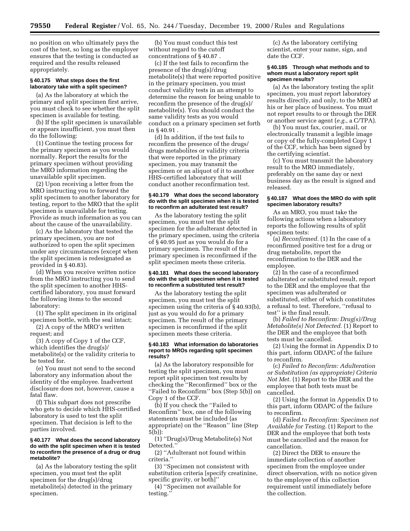no position on who ultimately pays the cost of the test, so long as the employer ensures that the testing is conducted as required and the results released appropriately.

# **§ 40.175 What steps does the first laboratory take with a split specimen?**

(a) As the laboratory at which the primary and split specimen first arrive, you must check to see whether the split specimen is available for testing.

(b) If the split specimen is unavailable or appears insufficient, you must then do the following:

(1) Continue the testing process for the primary specimen as you would normally. Report the results for the primary specimen without providing the MRO information regarding the unavailable split specimen.

(2) Upon receiving a letter from the MRO instructing you to forward the split specimen to another laboratory for testing, report to the MRO that the split specimen is unavailable for testing. Provide as much information as you can about the cause of the unavailability.

(c) As the laboratory that tested the primary specimen, you are not authorized to open the split specimen under any circumstances (except when the split specimen is redesignated as provided in § 40.83).

(d) When you receive written notice from the MRO instructing you to send the split specimen to another HHScertified laboratory, you must forward the following items to the second laboratory:

(1) The split specimen in its original specimen bottle, with the seal intact;

(2) A copy of the MRO's written request; and

(3) A copy of Copy 1 of the CCF, which identifies the drug(s)/ metabolite(s) or the validity criteria to be tested for.

(e) You must not send to the second laboratory any information about the identity of the employee. Inadvertent disclosure does not, however, cause a fatal flaw.

(f) This subpart does not prescribe who gets to decide which HHS-certified laboratory is used to test the split specimen. That decision is left to the parties involved.

#### **§ 40.177 What does the second laboratory do with the split specimen when it is tested to reconfirm the presence of a drug or drug metabolite?**

(a) As the laboratory testing the split specimen, you must test the split specimen for the drug(s)/drug metabolite(s) detected in the primary specimen.

(b) You must conduct this test without regard to the cutoff concentrations of § 40.87 .

(c) If the test fails to reconfirm the presence of the drug(s)/drug metabolite(s) that were reported positive in the primary specimen, you must conduct validity tests in an attempt to determine the reason for being unable to reconfirm the presence of the drug(s)/ metabolite(s). You should conduct the same validity tests as you would conduct on a primary specimen set forth in § 40.91 .

(d) In addition, if the test fails to reconfirm the presence of the drugs/ drugs metabolites or validity criteria that were reported in the primary specimen, you may transmit the specimen or an aliquot of it to another HHS-certified laboratory that will conduct another reconfirmation test.

# **§ 40.179 What does the second laboratory do with the split specimen when it is tested to reconfirm an adulterated test result?**

As the laboratory testing the split specimen, you must test the split specimen for the adulterant detected in the primary specimen, using the criteria of § 40.95 just as you would do for a primary specimen. The result of the primary specimen is reconfirmed if the split specimen meets these criteria.

#### **§ 40.181 What does the second laboratory do with the split specimen when it is tested to reconfirm a substituted test result?**

As the laboratory testing the split specimen, you must test the split specimen using the criteria of § 40.93(b), just as you would do for a primary specimen. The result of the primary specimen is reconfirmed if the split specimen meets these criteria.

#### **§ 40.183 What information do laboratories report to MROs regarding split specimen results?**

(a) As the laboratory responsible for testing the split specimen, you must report split specimen test results by checking the ''Reconfirmed'' box or the ''Failed to Reconfirm'' box (Step 5(b)) on Copy 1 of the CCF.

(b) If you check the ''Failed to Reconfirm'' box, one of the following statements must be included (as appropriate) on the ''Reason'' line (Step 5(b)):

(1) ''Drug(s)/Drug Metabolite(s) Not Detected.''

(2) ''Adulterant not found within criteria.''

(3) ''Specimen not consistent with substitution criteria [specify creatinine, specific gravity, or both]''

(4) ''Specimen not available for testing.''

(c) As the laboratory certifying scientist, enter your name, sign, and date the CCF.

#### **§ 40.185 Through what methods and to whom must a laboratory report split specimen results?**

(a) As the laboratory testing the split specimen, you must report laboratory results directly, and only, to the MRO at his or her place of business. You must not report results to or through the DER or another service agent (*e.g.*, a C/TPA).

(b) You must fax, courier, mail, or electronically transmit a legible image or copy of the fully-completed Copy 1 of the CCF, which has been signed by the certifying scientist.

(c) You must transmit the laboratory result to the MRO immediately, preferably on the same day or next business day as the result is signed and released.

# **§ 40.187 What does the MRO do with split specimen laboratory results?**

As an MRO, you must take the following actions when a laboratory reports the following results of split specimen tests:

(a) *Reconfirmed.* (1) In the case of a reconfirmed positive test for a drug or drug metabolite, report the reconfirmation to the DER and the employee.

(2) In the case of a reconfirmed adulterated or substituted result, report to the DER and the employee that the specimen was adulterated or substituted, either of which constitutes a refusal to test. Therefore, ''refusal to test'' is the final result.

(b) *Failed to Reconfirm: Drug(s)/Drug Metabolite(s) Not Detected.* (1) Report to the DER and the employee that both tests must be cancelled.

(2) Using the format in Appendix D to this part, inform ODAPC of the failure to reconfirm.

(c) *Failed to Reconfirm: Adulteration or Substitution (as appropriate) Criteria Not Met.* (1) Report to the DER and the employee that both tests must be cancelled.

(2) Using the format in Appendix D to this part, inform ODAPC of the failure to reconfirm.

(d) *Failed to Reconfirm: Specimen not Available for Testing.* (1) Report to the DER and the employee that both tests must be cancelled and the reason for cancellation.

(2) Direct the DER to ensure the immediate collection of another specimen from the employee under direct observation, with no notice given to the employee of this collection requirement until immediately before the collection.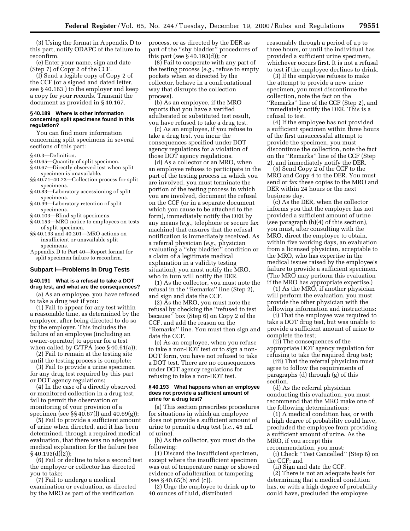(3) Using the format in Appendix D to this part, notify ODAPC of the failure to reconfirm.

(e) Enter your name, sign and date (Step 7) of Copy 2 of the CCF.

(f) Send a legible copy of Copy 2 of the CCF (or a signed and dated letter, see § 40.163 ) to the employer and keep a copy for your records. Transmit the document as provided in § 40.167.

#### **§ 40.189 Where is other information concerning split specimens found in this regulation?**

You can find more information concerning split specimens in several sections of this part:

§ 40.3—Definition.

- § 40.65—Quantity of split specimen.
- § 40.67—Directly observed test when split specimen is unavailable.
- §§ 40.71–40.73—Collection process for split specimens.
- § 40.83—Laboratory accessioning of split specimens.
- § 40.99—Laboratory retention of split specimens.
- § 40.103—Blind split specimens.
- § 40.153—MRO notice to employees on tests of split specimen.
- §§ 40.193 and 40.201—MRO actions on insufficient or unavailable split specimens.
- Appendix D to Part 40—Report format for split specimen failure to reconfirm.

#### **Subpart I—Problems in Drug Tests**

#### **§ 40.191 What is a refusal to take a DOT drug test, and what are the consequences?**

(a) As an employee, you have refused to take a drug test if you:

(1) Fail to appear for any test within a reasonable time, as determined by the employer, after being directed to do so by the employer. This includes the failure of an employee (including an owner-operator) to appear for a test when called by C/TPA (see § 40.61(a));

(2) Fail to remain at the testing site until the testing process is complete;

(3) Fail to provide a urine specimen for any drug test required by this part or DOT agency regulations;

(4) In the case of a directly observed or monitored collection in a drug test, fail to permit the observation or monitoring of your provision of a specimen (see §§ 40.67(l) and 40.69(g));

(5) Fail to provide a sufficient amount of urine when directed, and it has been determined, through a required medical evaluation, that there was no adequate medical explanation for the failure (see  $§$  40.193(d)(2));

(6) Fail or decline to take a second test the employer or collector has directed you to take;

(7) Fail to undergo a medical examination or evaluation, as directed by the MRO as part of the verification

process, or as directed by the DER as part of the ''shy bladder'' procedures of this part (see § 40.193(d)); or

(8) Fail to cooperate with any part of the testing process (*e.g.*, refuse to empty pockets when so directed by the collector, behave in a confrontational way that disrupts the collection process).

(b) As an employee, if the MRO reports that you have a verified adulterated or substituted test result, you have refused to take a drug test.

(c) As an employee, if you refuse to take a drug test, you incur the consequences specified under DOT agency regulations for a violation of those DOT agency regulations.

(d) As a collector or an MRO, when an employee refuses to participate in the part of the testing process in which you are involved, you must terminate the portion of the testing process in which you are involved, document the refusal on the CCF (or in a separate document which you cause to be attached to the form), immediately notify the DER by any means (*e.g.*, telephone or secure fax machine) that ensures that the refusal notification is immediately received. As a referral physician (*e.g.*, physician evaluating a ''shy bladder'' condition or a claim of a legitimate medical explanation in a validity testing situation), you must notify the MRO, who in turn will notify the DER.

(1) As the collector, you must note the refusal in the ''Remarks'' line (Step 2), and sign and date the CCF.

(2) As the MRO, you must note the refusal by checking the ''refused to test because'' box (Step 6) on Copy 2 of the CCF, and add the reason on the ''Remarks'' line. You must then sign and date the CCF.

(e) As an employee, when you refuse to take a non-DOT test or to sign a non-DOT form, you have not refused to take a DOT test. There are no consequences under DOT agency regulations for refusing to take a non-DOT test.

#### **§ 40.193 What happens when an employee does not provide a sufficient amount of urine for a drug test?**

(a) This section prescribes procedures for situations in which an employee does not provide a sufficient amount of urine to permit a drug test (*i.e.,* 45 mL of urine).

(b) As the collector, you must do the following:

(1) Discard the insufficient specimen, except where the insufficient specimen was out of temperature range or showed evidence of adulteration or tampering (see § 40.65(b) and (c)).

(2) Urge the employee to drink up to 40 ounces of fluid, distributed

reasonably through a period of up to three hours, or until the individual has provided a sufficient urine specimen, whichever occurs first. It is not a refusal to test if the employee declines to drink.

(3) If the employee refuses to make the attempt to provide a new urine specimen, you must discontinue the collection, note the fact on the ''Remarks'' line of the CCF (Step 2), and immediately notify the DER. This is a refusal to test.

(4) If the employee has not provided a sufficient specimen within three hours of the first unsuccessful attempt to provide the specimen, you must discontinue the collection, note the fact on the ''Remarks'' line of the CCF (Step 2), and immediately notify the DER.

(5) Send Copy 2 of the CCF to the MRO and Copy 4 to the DER. You must send or fax these copies to the MRO and DER within 24 hours or the next business day.

(c) As the DER, when the collector informs you that the employee has not provided a sufficient amount of urine (see paragraph (b)(4) of this section), you must, after consulting with the MRO, direct the employee to obtain, within five working days, an evaluation from a licensed physician, acceptable to the MRO, who has expertise in the medical issues raised by the employee's failure to provide a sufficient specimen. (The MRO may perform this evaluation if the MRO has appropriate expertise.)

(1) As the MRO, if another physician will perform the evaluation, you must provide the other physician with the following information and instructions:

(i) That the employee was required to take a DOT drug test, but was unable to provide a sufficient amount of urine to complete the test;

(ii) The consequences of the appropriate DOT agency regulation for refusing to take the required drug test;

(iii) That the referral physician must agree to follow the requirements of paragraphs (d) through (g) of this section.

(d) As the referral physician conducting this evaluation, you must recommend that the MRO make one of the following determinations:

(1) A medical condition has, or with a high degree of probability could have, precluded the employee from providing a sufficient amount of urine. As the MRO, if you accept this

recommendation, you must:

(i) Check ''Test Cancelled'' (Step 6) on the CCF; and

(ii) Sign and date the CCF.

(2) There is not an adequate basis for determining that a medical condition has, or with a high degree of probability could have, precluded the employee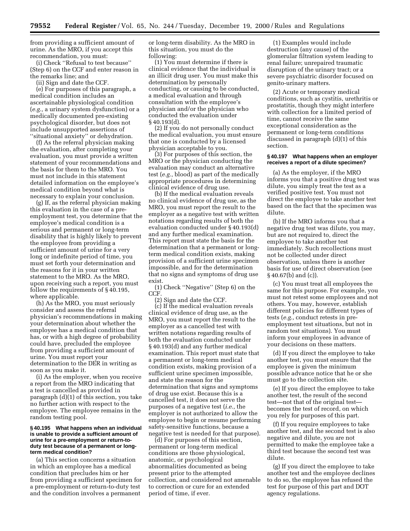from providing a sufficient amount of urine. As the MRO, if you accept this recommendation, you must:

(i) Check ''Refusal to test because'' (Step 6) on the CCF and enter reason in the remarks line; and

(ii) Sign and date the CCF.

(e) For purposes of this paragraph, a medical condition includes an ascertainable physiological condition (*e.g.,* a urinary system dysfunction) or a medically documented pre-existing psychological disorder, but does not include unsupported assertions of ''situational anxiety'' or dehydration.

(f) As the referral physician making the evaluation, after completing your evaluation, you must provide a written statement of your recommendations and the basis for them to the MRO. You must not include in this statement detailed information on the employee's medical condition beyond what is necessary to explain your conclusion.

(g) If, as the referral physician making this evaluation in the case of a preemployment test, you determine that the employee's medical condition is a serious and permanent or long-term disability that is highly likely to prevent the employee from providing a sufficient amount of urine for a very long or indefinite period of time, you must set forth your determination and the reasons for it in your written statement to the MRO. As the MRO, upon receiving such a report, you must follow the requirements of § 40.195, where applicable.

(h) As the MRO, you must seriously consider and assess the referral physician's recommendations in making your determination about whether the employee has a medical condition that has, or with a high degree of probability could have, precluded the employee from providing a sufficient amount of urine. You must report your determination to the DER in writing as soon as you make it.

(i) As the employer, when you receive a report from the MRO indicating that a test is cancelled as provided in paragraph (d)(1) of this section, you take no further action with respect to the employee. The employee remains in the random testing pool.

#### **§ 40.195 What happens when an individual is unable to provide a sufficient amount of urine for a pre-employment or return-toduty test because of a permanent or longterm medical condition?**

(a) This section concerns a situation in which an employee has a medical condition that precludes him or her from providing a sufficient specimen for a pre-employment or return-to-duty test and the condition involves a permanent

or long-term disability. As the MRO in this situation, you must do the following:

(1) You must determine if there is clinical evidence that the individual is an illicit drug user. You must make this determination by personally conducting, or causing to be conducted, a medical evaluation and through consultation with the employee's physician and/or the physician who conducted the evaluation under § 40.193(d).

(2) If you do not personally conduct the medical evaluation, you must ensure that one is conducted by a licensed physician acceptable to you.

(3) For purposes of this section, the MRO or the physician conducting the evaluation may conduct an alternative test (*e.g.,* blood) as part of the medically appropriate procedures in determining clinical evidence of drug use.

(b) If the medical evaluation reveals no clinical evidence of drug use, as the MRO, you must report the result to the employer as a negative test with written notations regarding results of both the evaluation conducted under § 40.193(d) and any further medical examination. This report must state the basis for the determination that a permanent or longterm medical condition exists, making provision of a sufficient urine specimen impossible, and for the determination that no signs and symptoms of drug use exist.

(1) Check ''Negative'' (Step 6) on the CCF.

(2) Sign and date the CCF. (c) If the medical evaluation reveals clinical evidence of drug use, as the MRO, you must report the result to the employer as a cancelled test with written notations regarding results of both the evaluation conducted under § 40.193(d) and any further medical examination. This report must state that a permanent or long-term medical condition exists, making provision of a sufficient urine specimen impossible, and state the reason for the determination that signs and symptoms of drug use exist. Because this is a cancelled test, it does not serve the purposes of a negative test (*i.e.,* the employer is not authorized to allow the employee to begin or resume performing safety-sensitive functions, because a negative test is needed for that purpose).

(d) For purposes of this section, permanent or long-term medical conditions are those physiological, anatomic, or psychological abnormalities documented as being present prior to the attempted collection, and considered not amenable to correction or cure for an extended period of time, if ever.

(1) Examples would include destruction (any cause) of the glomerular filtration system leading to renal failure; unrepaired traumatic disruption of the urinary tract; or a severe psychiatric disorder focused on genito-urinary matters.

(2) Acute or temporary medical conditions, such as cystitis, urethritis or prostatitis, though they might interfere with collection for a limited period of time, cannot receive the same exceptional consideration as the permanent or long-term conditions discussed in paragraph (d)(1) of this section.

# **§ 40.197 What happens when an employer receives a report of a dilute specimen?**

(a) As the employer, if the MRO informs you that a positive drug test was dilute, you simply treat the test as a verified positive test. You must not direct the employee to take another test based on the fact that the specimen was dilute.

(b) If the MRO informs you that a negative drug test was dilute, you may, but are not required to, direct the employee to take another test immediately. Such recollections must not be collected under direct observation, unless there is another basis for use of direct observation (see § 40.67(b) and (c)).

(c) You must treat all employees the same for this purpose. For example, you must not retest some employees and not others. You may, however, establish different policies for different types of tests (*e.g.,* conduct retests in preemployment test situations, but not in random test situations). You must inform your employees in advance of your decisions on these matters.

(d) If you direct the employee to take another test, you must ensure that the employee is given the minimum possible advance notice that he or she must go to the collection site.

(e) If you direct the employee to take another test, the result of the second test—not that of the original test becomes the test of record, on which you rely for purposes of this part.

(f) If you require employees to take another test, and the second test is also negative and dilute, you are not permitted to make the employee take a third test because the second test was dilute.

(g) If you direct the employee to take another test and the employee declines to do so, the employee has refused the test for purpose of this part and DOT agency regulations.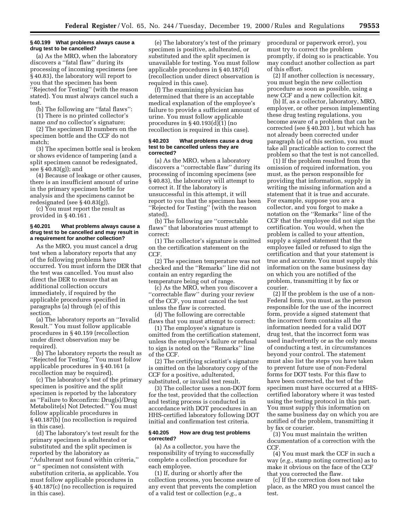### **§ 40.199 What problems always cause a drug test to be cancelled?**

(a) As the MRO, when the laboratory discovers a ''fatal flaw'' during its processing of incoming specimens (see § 40.83), the laboratory will report to you that the specimen has been ''Rejected for Testing'' (with the reason stated). You must always cancel such a test.

(b) The following are ''fatal flaws'':

(1) There is no printed collector's name *and* no collector's signature;

(2) The specimen ID numbers on the specimen bottle and the CCF do not match;

(3) The specimen bottle seal is broken or shows evidence of tampering (and a split specimen cannot be redesignated, see § 40.83(g)); and

(4) Because of leakage or other causes, there is an insufficient amount of urine in the primary specimen bottle for analysis and the specimens cannot be redesignated (see § 40.83(g)).

(c) You must report the result as provided in § 40.161 .

## **§ 40.201 What problems always cause a drug test to be cancelled and may result in a requirement for another collection?**

As the MRO, you must cancel a drug test when a laboratory reports that any of the following problems have occurred. You must inform the DER that the test was cancelled. You must also direct the DER to ensure that an additional collection occurs immediately, if required by the applicable procedures specified in paragraphs (a) through (e) of this section.

(a) The laboratory reports an ''Invalid Result.'' You must follow applicable procedures in § 40.159 (recollection under direct observation may be required).

(b) The laboratory reports the result as ''Rejected for Testing.'' You must follow applicable procedures in § 40.161 (a recollection may be required).

(c) The laboratory's test of the primary specimen is positive and the split specimen is reported by the laboratory as ''Failure to Reconfirm: Drug(s)/Drug Metabolite(s) Not Detected.'' You must follow applicable procedures in § 40.187(b) (no recollection is required in this case).

(d) The laboratory's test result for the primary specimen is adulterated or substituted and the split specimen is reported by the laboratory as ''Adulterant not found within criteria,'' or '' specimen not consistent with substitution criteria, as applicable. You must follow applicable procedures in § 40.187(c) (no recollection is required

in this case).

(e) The laboratory's test of the primary specimen is positive, adulterated, or substituted and the split specimen is unavailable for testing. You must follow applicable procedures in § 40.187(d) (recollection under direct observation is required in this case).

(f) The examining physician has determined that there is an acceptable medical explanation of the employee's failure to provide a sufficient amount of urine. You must follow applicable procedures in § 40.193(d)(1) (no recollection is required in this case).

#### **§ 40.203 What problems cause a drug test to be cancelled unless they are corrected?**

(a) As the MRO, when a laboratory discovers a ''correctable flaw'' during its processing of incoming specimens (see § 40.83), the laboratory will attempt to correct it. If the laboratory is unsuccessful in this attempt, it will report to you that the specimen has been ''Rejected for Testing'' (with the reason stated).

(b) The following are ''correctable flaws'' that laboratories must attempt to correct:

(1) The collector's signature is omitted on the certification statement on the CCF.

(2) The specimen temperature was not checked and the ''Remarks'' line did not contain an entry regarding the temperature being out of range.

(c) As the MRO, when you discover a ''correctable flaw'' during your review of the CCF, you must cancel the test unless the flaw is corrected.

(d) The following are correctable flaws that you must attempt to correct:

(1) The employee's signature is omitted from the certification statement, unless the employee's failure or refusal to sign is noted on the ''Remarks'' line of the CCF.

(2) The certifying scientist's signature is omitted on the laboratory copy of the CCF for a positive, adulterated, substituted, or invalid test result.

(3) The collector uses a non-DOT form for the test, provided that the collection and testing process is conducted in accordance with DOT procedures in an HHS-certified laboratory following DOT initial and confirmation test criteria.

## **§ 40.205 How are drug test problems corrected?**

(a) As a collector, you have the responsibility of trying to successfully complete a collection procedure for each employee.

(1) If, during or shortly after the collection process, you become aware of any event that prevents the completion of a valid test or collection (*e.g.,* a

procedural or paperwork error), you must try to correct the problem promptly, if doing so is practicable. You may conduct another collection as part of this effort.

(2) If another collection is necessary, you must begin the new collection procedure as soon as possible, using a new CCF and a new collection kit.

(b) If, as a collector, laboratory, MRO, employer, or other person implementing these drug testing regulations, you become aware of a problem that can be corrected (see § 40.203 ), but which has not already been corrected under paragraph (a) of this section, you must take all practicable action to correct the problem so that the test is not cancelled.

(1) If the problem resulted from the omission of required information, you must, as the person responsible for providing that information, supply in writing the missing information and a statement that it is true and accurate. For example, suppose you are a collector, and you forgot to make a notation on the ''Remarks'' line of the CCF that the employee did not sign the certification. You would, when the problem is called to your attention, supply a signed statement that the employee failed or refused to sign the certification and that your statement is true and accurate. You must supply this information on the same business day on which you are notified of the problem, transmitting it by fax or courier.

(2) If the problem is the use of a non-Federal form, you must, as the person responsible for the use of the incorrect form, provide a signed statement that the incorrect form contains all the information needed for a valid DOT drug test, that the incorrect form was used inadvertently or as the only means of conducting a test, in circumstances beyond your control. The statement must also list the steps you have taken to prevent future use of non-Federal forms for DOT tests. For this flaw to have been corrected, the test of the specimen must have occurred at a HHScertified laboratory where it was tested using the testing protocol in this part. You must supply this information on the same business day on which you are notified of the problem, transmitting it by fax or courier.

(3) You must maintain the written documentation of a correction with the CCF.

(4) You must mark the CCF in such a way (*e.g.,* stamp noting correction) as to make it obvious on the face of the CCF that you corrected the flaw.

(c) If the correction does not take place, as the MRO you must cancel the test.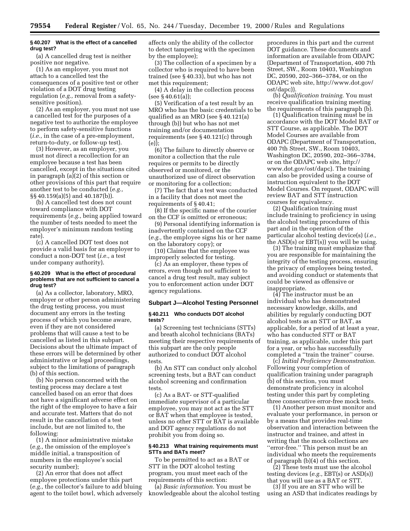# **§ 40.207 What is the effect of a cancelled drug test?**

(a) A cancelled drug test is neither positive nor negative.

(1) As an employer, you must not attach to a cancelled test the consequences of a positive test or other violation of a DOT drug testing regulation (*e.g.,* removal from a safetysensitive position).

(2) As an employer, you must not use a cancelled test for the purposes of a negative test to authorize the employee to perform safety-sensitive functions (*i.e.,* in the case of a pre-employment, return-to-duty, or follow-up test).

(3) However, as an employer, you must not direct a recollection for an employee because a test has been cancelled, except in the situations cited in paragraph (a)(2) of this section or other provisions of this part that require another test to be conducted (*e.g.,* §§ 40.159(a)(5) and 40.187(b)).

(b) A cancelled test does not count toward compliance with DOT requirements (*e.g.,* being applied toward the number of tests needed to meet the employer's minimum random testing rate).

(c) A cancelled DOT test does not provide a valid basis for an employer to conduct a non-DOT test (*i.e.,* a test under company authority).

# **§ 40.209 What is the effect of procedural problems that are not sufficient to cancel a drug test?**

(a) As a collector, laboratory, MRO, employer or other person administering the drug testing process, you must document any errors in the testing process of which you become aware, even if they are not considered problems that will cause a test to be cancelled as listed in this subpart. Decisions about the ultimate impact of these errors will be determined by other administrative or legal proceedings, subject to the limitations of paragraph (b) of this section.

(b) No person concerned with the testing process may declare a test cancelled based on an error that does not have a significant adverse effect on the right of the employee to have a fair and accurate test. Matters that do not result in the cancellation of a test include, but are not limited to, the following:

(1) A minor administrative mistake (*e.g.,* the omission of the employee's middle initial, a transposition of numbers in the employee's social security number);

(2) An error that does not affect employee protections under this part (*e.g.,* the collector's failure to add bluing agent to the toilet bowl, which adversely affects only the ability of the collector to detect tampering with the specimen by the employee);

(3) The collection of a specimen by a collector who is required to have been trained (see § 40.33), but who has not met this requirement;

(4) A delay in the collection process (see § 40.61(a));

(5) Verification of a test result by an MRO who has the basic credentials to be qualified as an MRO (see § 40.121(a) through (b)) but who has not met training and/or documentation requirements (see § 40.121(c) through (e));

(6) The failure to directly observe or monitor a collection that the rule requires or permits to be directly observed or monitored, or the unauthorized use of direct observation or monitoring for a collection;

(7) The fact that a test was conducted in a facility that does not meet the requirements of § 40.41;

(8) If the specific name of the courier on the CCF is omitted or erroneous;

(9) Personal identifying information is inadvertently contained on the CCF (*e.g.,* the employee signs his or her name on the laboratory copy); or

(10) Claims that the employee was improperly selected for testing.

(c) As an employer, these types of errors, even though not sufficient to cancel a drug test result, may subject you to enforcement action under DOT agency regulations.

### **Subpart J—Alcohol Testing Personnel**

#### **§ 40.211 Who conducts DOT alcohol tests?**

(a) Screening test technicians (STTs) and breath alcohol technicians (BATs) meeting their respective requirements of this subpart are the only people authorized to conduct DOT alcohol tests.

(b) An STT can conduct only alcohol screening tests, but a BAT can conduct alcohol screening and confirmation tests.

(c) As a BAT- or STT-qualified immediate supervisor of a particular employee, you may not act as the STT or BAT when that employee is tested, unless no other STT or BAT is available and DOT agency regulations do not prohibit you from doing so.

# **§ 40.213 What training requirements must STTs and BATs meet?**

To be permitted to act as a BAT or STT in the DOT alcohol testing program, you must meet each of the requirements of this section:

(a) *Basic information.* You must be knowledgeable about the alcohol testing

procedures in this part and the current DOT guidance. These documents and information are available from ODAPC (Department of Transportation, 400 7th Street, SW., Room 10403, Washington DC, 20590, 202–366–3784, or on the ODAPC web site, http://www.dot.gov/ ost/dapc)).

(b) *Qualification training.* You must receive qualification training meeting the requirements of this paragraph (b).

(1) Qualification training must be in accordance with the DOT Model BAT or STT Course, as applicable. The DOT Model Courses are available from ODAPC (Department of Transportation, 400 7th Street, SW., Room 10403, Washington DC, 20590, 202–366–3784, or on the ODAPC web site, http:// www.dot.gov/ost/dapc). The training can also be provided using a course of instruction equivalent to the DOT Model Courses. On request, ODAPC will review BAT and STT instruction courses for equivalency.

(2) Qualification training must include training to proficiency in using the alcohol testing procedures of this part and in the operation of the particular alcohol testing device(s) (*i.e.,* the ASD(s) or EBT(s)) you will be using.

(3) The training must emphasize that you are responsible for maintaining the integrity of the testing process, ensuring the privacy of employees being tested, and avoiding conduct or statements that could be viewed as offensive or inappropriate.

(4) The instructor must be an individual who has demonstrated necessary knowledge, skills, and abilities by regularly conducting DOT alcohol tests as an STT or BAT, as applicable, for a period of at least a year, who has conducted STT or BAT training, as applicable, under this part for a year, or who has successfully completed a ''train the trainer'' course.

(c) *Initial Proficiency Demonstration.* Following your completion of qualification training under paragraph (b) of this section, you must demonstrate proficiency in alcohol testing under this part by completing three consecutive error-free mock tests.

(1) Another person must monitor and evaluate your performance, in person or by a means that provides real-time observation and interaction between the instructor and trainee, and attest in writing that the mock collections are ''error-free.'' This person must be an individual who meets the requirements of paragraph (b)(4) of this section.

(2) These tests must use the alcohol testing devices (*e.g.,* EBT(s) or ASD(s)) that you will use as a BAT or STT.

(3) If you are an STT who will be using an ASD that indicates readings by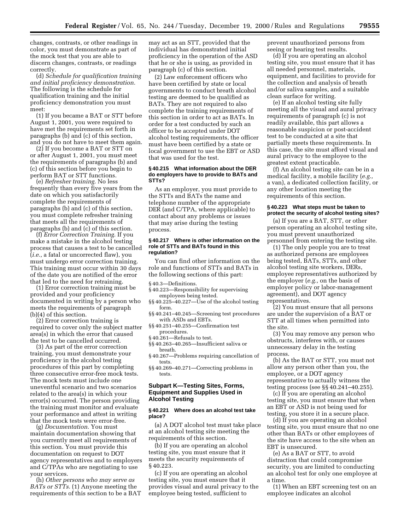changes, contrasts, or other readings in color, you must demonstrate as part of the mock test that you are able to discern changes, contrasts, or readings correctly.

(d) *Schedule for qualification training and initial proficiency demonstration.* The following is the schedule for qualification training and the initial proficiency demonstration you must meet:

(1) If you became a BAT or STT before August 1, 2001, you were required to have met the requirements set forth in paragraphs (b) and (c) of this section, and you do not have to meet them again.

(2) If you become a BAT or STT on or after August 1, 2001, you must meet the requirements of paragraphs (b) and (c) of this section before you begin to perform BAT or STT functions.

(e) *Refresher training.* No less frequently than every five years from the date on which you satisfactorily complete the requirements of paragraphs (b) and (c) of this section, you must complete refresher training that meets all the requirements of paragraphs (b) and (c) of this section.

(f) *Error Correction Training.* If you make a mistake in the alcohol testing process that causes a test to be cancelled (*i.e.,* a fatal or uncorrected flaw), you must undergo error correction training. This training must occur within 30 days of the date you are notified of the error that led to the need for retraining.

(1) Error correction training must be provided and your proficiency documented in writing by a person who meets the requirements of paragraph (b)(4) of this section.

(2) Error correction training is required to cover only the subject matter area(s) in which the error that caused the test to be cancelled occurred.

(3) As part of the error correction training, you must demonstrate your proficiency in the alcohol testing procedures of this part by completing three consecutive error-free mock tests. The mock tests must include one uneventful scenario and two scenarios related to the area(s) in which your error(s) occurred. The person providing the training must monitor and evaluate your performance and attest in writing that the mock tests were error-free.

(g) *Documentation.* You must maintain documentation showing that you currently meet all requirements of this section. You must provide this documentation on request to DOT agency representatives and to employers and C/TPAs who are negotiating to use your services.

(h) *Other persons who may serve as BATs or STTs.* (1) Anyone meeting the requirements of this section to be a BAT may act as an STT, provided that the individual has demonstrated initial proficiency in the operation of the ASD that he or she is using, as provided in paragraph (c) of this section.

(2) Law enforcement officers who have been certified by state or local governments to conduct breath alcohol testing are deemed to be qualified as BATs. They are not required to also complete the training requirements of this section in order to act as BATs. In order for a test conducted by such an officer to be accepted under DOT alcohol testing requirements, the officer must have been certified by a state or local government to use the EBT or ASD that was used for the test.

## **§ 40.215 What information about the DER do employers have to provide to BATs and STTs?**

As an employer, you must provide to the STTs and BATs the name and telephone number of the appropriate DER (and C/TPA, where applicable) to contact about any problems or issues that may arise during the testing process.

## **§ 40.217 Where is other information on the role of STTs and BATs found in this regulation?**

You can find other information on the role and functions of STTs and BATs in the following sections of this part:

- § 40.3—Definitions.
- § 40.223—Responsibility for supervising employees being tested.
- $\S$ §40.225–40.227—Use of the alcohol testing form.
- §§ 40.241–40.245—Screening test procedures with ASDs and EBTs.
- §§ 40.251–40.255—Confirmation test procedures.
- § 40.261—Refusals to test.
- §§ 40.263–40.265—Insufficient saliva or breath.
- § 40.267—Problems requiring cancellation of tests.
- §§ 40.269–40.271—Correcting problems in tests.

# **Subpart K—Testing Sites, Forms, Equipment and Supplies Used in Alcohol Testing**

## **§ 40.221 Where does an alcohol test take place?**

(a) A DOT alcohol test must take place at an alcohol testing site meeting the requirements of this section.

(b) If you are operating an alcohol testing site, you must ensure that it meets the security requirements of § 40.223.

(c) If you are operating an alcohol testing site, you must ensure that it provides visual and aural privacy to the employee being tested, sufficient to

prevent unauthorized persons from seeing or hearing test results.

(d) If you are operating an alcohol testing site, you must ensure that it has all needed personnel, materials, equipment, and facilities to provide for the collection and analysis of breath and/or saliva samples, and a suitable clean surface for writing.

(e) If an alcohol testing site fully meeting all the visual and aural privacy requirements of paragraph (c) is not readily available, this part allows a reasonable suspicion or post-accident test to be conducted at a site that partially meets these requirements. In this case, the site must afford visual and aural privacy to the employee to the greatest extent practicable.

(f) An alcohol testing site can be in a medical facility, a mobile facility (*e.g.,* a van), a dedicated collection facility, or any other location meeting the requirements of this section.

## **§ 40.223 What steps must be taken to protect the security of alcohol testing sites?**

(a) If you are a BAT, STT, or other person operating an alcohol testing site, you must prevent unauthorized personnel from entering the testing site.

(1) The only people you are to treat as authorized persons are employees being tested, BATs, STTs, and other alcohol testing site workers, DERs, employee representatives authorized by the employer (*e.g.,* on the basis of employer policy or labor-management agreement), and DOT agency representatives.

(2) You must ensure that all persons are under the supervision of a BAT or STT at all times when permitted into the site.

(3) You may remove any person who obstructs, interferes with, or causes unnecessary delay in the testing process.

(b) As the BAT or STT, you must not allow any person other than you, the employee, or a DOT agency representative to actually witness the testing process (see §§ 40.241–40.255).

(c) If you are operating an alcohol testing site, you must ensure that when an EBT or ASD is not being used for testing, you store it in a secure place.

(d) If you are operating an alcohol testing site, you must ensure that no one other than BATs or other employees of the site have access to the site when an EBT is unsecured.

(e) As a BAT or STT, to avoid distraction that could compromise security, you are limited to conducting an alcohol test for only one employee at a time.

(1) When an EBT screening test on an employee indicates an alcohol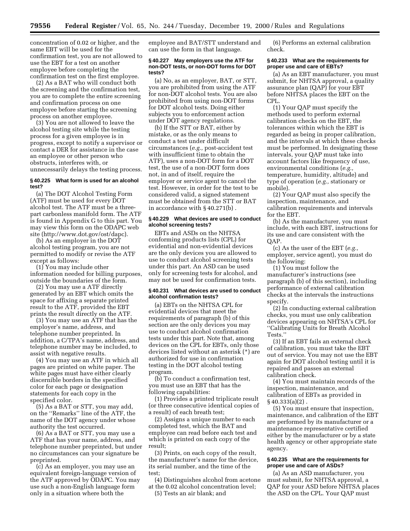concentration of 0.02 or higher, and the same EBT will be used for the confirmation test, you are not allowed to use the EBT for a test on another employee before completing the confirmation test on the first employee.

(2) As a BAT who will conduct both the screening and the confirmation test, you are to complete the entire screening and confirmation process on one employee before starting the screening process on another employee.

(3) You are not allowed to leave the alcohol testing site while the testing process for a given employee is in progress, except to notify a supervisor or contact a DER for assistance in the case an employee or other person who obstructs, interferes with, or unnecessarily delays the testing process.

## **§ 40.225 What form is used for an alcohol test?**

(a) The DOT Alcohol Testing Form (ATF) must be used for every DOT alcohol test. The ATF must be a threepart carbonless manifold form. The ATF is found in Appendix G to this part. You may view this form on the ODAPC web site (http://www.dot.gov/ost/dapc).

(b) As an employer in the DOT alcohol testing program, you are not permitted to modify or revise the ATF except as follows:

(1) You may include other information needed for billing purposes, outside the boundaries of the form.

(2) You may use a ATF directly generated by an EBT which omits the space for affixing a separate printed result to the ATF, provided the EBT prints the result directly on the ATF.

(3) You may use an ATF that has the employer's name, address, and telephone number preprinted. In addition, a C/TPA's name, address, and telephone number may be included, to assist with negative results.

(4) You may use an ATF in which all pages are printed on white paper. The white pages must have either clearly discernible borders in the specified color for each page or designation statements for each copy in the specified color.

(5) As a BAT or STT, you may add, on the ''Remarks'' line of the ATF, the name of the DOT agency under whose authority the test occurred.

(6) As a BAT or STT, you may use a ATF that has your name, address, and telephone number preprinted, but under no circumstances can your signature be preprinted.

(c) As an employer, you may use an equivalent foreign-language version of the ATF approved by ODAPC. You may use such a non-English language form only in a situation where both the

employee and BAT/STT understand and can use the form in that language.

## **§ 40.227 May employers use the ATF for non-DOT tests, or non-DOT forms for DOT tests?**

(a) No, as an employer, BAT, or STT, you are prohibited from using the ATF for non-DOT alcohol tests. You are also prohibited from using non-DOT forms for DOT alcohol tests. Doing either subjects you to enforcement action under DOT agency regulations.

(b) If the STT or BAT, either by mistake, or as the only means to conduct a test under difficult circumstances (*e.g.,* post-accident test with insufficient time to obtain the ATF), uses a non-DOT form for a DOT test, the use of a non-DOT form does not, in and of itself, require the employer or service agent to cancel the test. However, in order for the test to be considered valid, a signed statement must be obtained from the STT or BAT in accordance with § 40.271(b) .

## **§ 40.229 What devices are used to conduct alcohol screening tests?**

EBTs and ASDs on the NHTSA conforming products lists (CPL) for evidential and non-evidential devices are the only devices you are allowed to use to conduct alcohol screening tests under this part. An ASD can be used only for screening tests for alcohol, and may not be used for confirmation tests.

## **§ 40.231 What devices are used to conduct alcohol confirmation tests?**

(a) EBTs on the NHTSA CPL for evidential devices that meet the requirements of paragraph (b) of this section are the only devices you may use to conduct alcohol confirmation tests under this part. Note that, among devices on the CPL for EBTs, only those devices listed without an asterisk (\*) are authorized for use in confirmation testing in the DOT alcohol testing program.

(b) To conduct a confirmation test, you must use an EBT that has the following capabilities:

(1) Provides a printed triplicate result (or three consecutive identical copies of a result) of each breath test;

(2) Assigns a unique number to each completed test, which the BAT and employee can read before each test and which is printed on each copy of the result;

(3) Prints, on each copy of the result, the manufacturer's name for the device, its serial number, and the time of the test;

(4) Distinguishes alcohol from acetone at the 0.02 alcohol concentration level; (5) Tests an air blank; and

(6) Performs an external calibration check.

## **§ 40.233 What are the requirements for proper use and care of EBTs?**

(a) As an EBT manufacturer, you must submit, for NHTSA approval, a quality assurance plan (QAP) for your EBT before NHTSA places the EBT on the CPL.

(1) Your QAP must specify the methods used to perform external calibration checks on the EBT, the tolerances within which the EBT is regarded as being in proper calibration, and the intervals at which these checks must be performed. In designating these intervals, your QAP must take into account factors like frequency of use, environmental conditions (*e.g.,* temperature, humidity, altitude) and type of operation (*e.g.,* stationary or mobile).

(2) Your QAP must also specify the inspection, maintenance, and calibration requirements and intervals for the EBT.

(b) As the manufacturer, you must include, with each EBT, instructions for its use and care consistent with the QAP.

(c) As the user of the EBT (*e.g.,* employer, service agent), you must do the following:

(1) You must follow the manufacturer's instructions (see paragraph (b) of this section), including performance of external calibration checks at the intervals the instructions specify.

(2) In conducting external calibration checks, you must use only calibration devices appearing on NHTSA's CPL for ''Calibrating Units for Breath Alcohol Tests.''

(3) If an EBT fails an external check of calibration, you must take the EBT out of service. You may not use the EBT again for DOT alcohol testing until it is repaired and passes an external calibration check.

(4) You must maintain records of the inspection, maintenance, and calibration of EBTs as provided in  $§$ 40.333(a)(2).

(5) You must ensure that inspection, maintenance, and calibration of the EBT are performed by its manufacturer or a maintenance representative certified either by the manufacturer or by a state health agency or other appropriate state agency.

# **§ 40.235 What are the requirements for proper use and care of ASDs?**

(a) As an ASD manufacturer, you must submit, for NHTSA approval, a QAP for your ASD before NHTSA places the ASD on the CPL. Your QAP must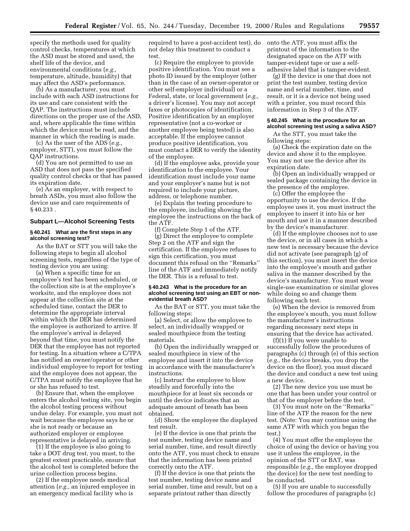specify the methods used for quality control checks, temperatures at which the ASD must be stored and used, the shelf life of the device, and environmental conditions (*e.g.,* temperature, altitude, humidity) that may affect the ASD's performance.

(b) As a manufacturer, you must include with each ASD instructions for its use and care consistent with the QAP. The instructions must include directions on the proper use of the ASD, and, where applicable the time within which the device must be read, and the manner in which the reading is made.

(c) As the user of the ADS (*e.g.,* employer, STT), you must follow the QAP instructions.

(d) You are not permitted to use an ASD that does not pass the specified quality control checks or that has passed its expiration date.

(e) As an employer, with respect to breath ASDs, you must also follow the device use and care requirements of § 40.233 .

### **Subpart L—Alcohol Screening Tests**

## **§ 40.241 What are the first steps in any alcohol screening test?**

As the BAT or STT you will take the following steps to begin all alcohol screening tests, regardless of the type of testing device you are using:

(a) When a specific time for an employee's test has been scheduled, or the collection site is at the employee's worksite, and the employee does not appear at the collection site at the scheduled time, contact the DER to determine the appropriate interval within which the DER has determined the employee is authorized to arrive. If the employee's arrival is delayed beyond that time, you must notify the DER that the employee has not reported for testing. In a situation where a C/TPA has notified an owner/operator or other individual employee to report for testing and the employee does not appear, the C/TPA must notify the employee that he or she has refused to test.

(b) Ensure that, when the employee enters the alcohol testing site, you begin the alcohol testing process without undue delay. For example, you must not wait because the employee says he or she is not ready or because an authorized employer or employee representative is delayed in arriving.

(1) If the employee is also going to take a DOT drug test, you must, to the greatest extent practicable, ensure that the alcohol test is completed before the urine collection process begins.

(2) If the employee needs medical attention (*e.g.,* an injured employee in an emergency medical facility who is

required to have a post-accident test), do not delay this treatment to conduct a test.

(c) Require the employee to provide positive identification. You must see a photo ID issued by the employer (other than in the case of an owner-operator or other self-employer individual) or a Federal, state, or local government (*e.g.,* a driver's license). You may not accept faxes or photocopies of identification. Positive identification by an employer representative (not a co-worker or another employee being tested) is also acceptable. If the employee cannot produce positive identification, you must contact a DER to verify the identity of the employee.

(d) If the employee asks, provide your identification to the employee. Your identification must include your name and your employer's name but is not required to include your picture, address, or telephone number.

(e) Explain the testing procedure to the employee, including showing the employee the instructions on the back of the ATF.

(f) Complete Step 1 of the ATF. (g) Direct the employee to complete Step 2 on the ATF and sign the certification. If the employee refuses to sign this certification, you must document this refusal on the ''Remarks'' line of the ATF and immediately notify the DER. This is a refusal to test.

#### **§ 40.243 What is the procedure for an alcohol screening test using an EBT or nonevidential breath ASD?**

As the BAT or STT, you must take the following steps:

(a) Select, or allow the employee to select, an individually wrapped or sealed mouthpiece from the testing materials.

(b) Open the individually wrapped or sealed mouthpiece in view of the employee and insert it into the device in accordance with the manufacturer's instructions.

(c) Instruct the employee to blow steadily and forcefully into the mouthpiece for at least six seconds or until the device indicates that an adequate amount of breath has been obtained.

(d) Show the employee the displayed test result.

(e) If the device is one that prints the test number, testing device name and serial number, time, and result directly onto the ATF, you must check to ensure that the information has been printed correctly onto the ATF.

(f) If the device is one that prints the test number, testing device name and serial number, time and result, but on a separate printout rather than directly

onto the ATF, you must affix the printout of the information to the designated space on the ATF with tamper-evident tape or use a selfadhesive label that is tamper-evident.

(g) If the device is one that does not print the test number, testing device name and serial number, time, and result, or it is a device not being used with a printer, you must record this information in Step 3 of the ATF.

# **§ 40.245 What is the procedure for an alcohol screening test using a saliva ASD?**

As the STT, you must take the following steps:

(a) Check the expiration date on the device and show it to the employee. You may not use the device after its expiration date.

(b) Open an individually wrapped or sealed package containing the device in the presence of the employee.

(c) Offer the employee the opportunity to use the device. If the employee uses it, you must instruct the employee to insert it into his or her mouth and use it in a manner described by the device's manufacturer.

(d) If the employee chooses not to use the device, or in all cases in which a new test is necessary because the device did not activate (see paragraph (g) of this section), you must insert the device into the employee's mouth and gather saliva in the manner described by the device's manufacturer. You must wear single-use examination or similar gloves while doing so and change them following each test.

(e) When the device is removed from the employee's mouth, you must follow the manufacturer's instructions regarding necessary next steps in ensuring that the device has activated.

(f)(1) If you were unable to successfully follow the procedures of paragraphs (c) through (e) of this section (*e.g.,* the device breaks, you drop the device on the floor), you must discard the device and conduct a new test using a new device.

(2) The new device you use must be one that has been under your control or that of the employer before the test.

(3) You must note on the ''Remarks'' line of the ATF the reason for the new test. (Note: You may continue using the same ATF with which you began the test.)

(4) You must offer the employee the choice of using the device or having you use it unless the employee, in the opinion of the STT or BAT, was responsible (*e.g.,* the employee dropped the device) for the new test needing to be conducted.

(5) If you are unable to successfully follow the procedures of paragraphs (c)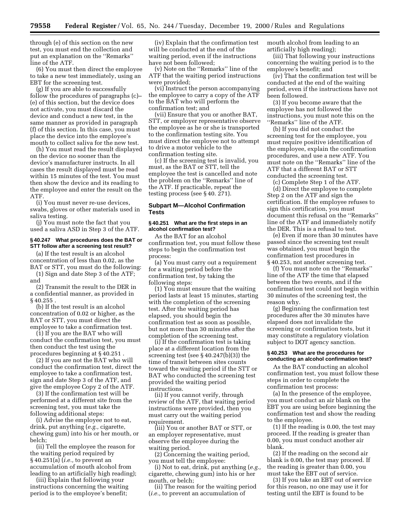through (e) of this section on the new test, you must end the collection and put an explanation on the ''Remarks'' line of the ATF.

(6) You must then direct the employee to take a new test immediately, using an EBT for the screening test.

(g) If you are able to successfully follow the procedures of paragraphs (c)– (e) of this section, but the device does not activate, you must discard the device and conduct a new test, in the same manner as provided in paragraph (f) of this section. In this case, you must place the device into the employee's mouth to collect saliva for the new test.

(h) You must read the result displayed on the device no sooner than the device's manufacturer instructs. In all cases the result displayed must be read within 15 minutes of the test. You must then show the device and its reading to the employee and enter the result on the ATF.

(i) You must never re-use devices, swabs, gloves or other materials used in saliva testing.

(j) You must note the fact that you used a saliva ASD in Step 3 of the ATF.

# **§ 40.247 What procedures does the BAT or STT follow after a screening test result?**

(a) If the test result is an alcohol concentration of less than 0.02, as the BAT or STT, you must do the following:

(1) Sign and date Step 3 of the ATF; and

(2) Transmit the result to the DER in a confidential manner, as provided in § 40.255 .

(b) If the test result is an alcohol concentration of 0.02 or higher, as the BAT or STT, you must direct the employee to take a confirmation test.

(1) If you are the BAT who will conduct the confirmation test, you must then conduct the test using the procedures beginning at § 40.251 .

(2) If you are not the BAT who will conduct the confirmation test, direct the employee to take a confirmation test, sign and date Step 3 of the ATF, and give the employee Copy 2 of the ATF.

(3) If the confirmation test will be performed at a different site from the screening test, you must take the following additional steps:

(i) Advise the employee not to eat, drink, put anything (*e.g.,* cigarette, chewing gum) into his or her mouth, or belch;

(ii) Tell the employee the reason for the waiting period required by § 40.251(a) (*i.e.,* to prevent an accumulation of mouth alcohol from leading to an artificially high reading);

(iii) Explain that following your instructions concerning the waiting period is to the employee's benefit;

(iv) Explain that the confirmation test will be conducted at the end of the waiting period, even if the instructions have not been followed;

(v) Note on the ''Remarks'' line of the ATF that the waiting period instructions were provided;

(vi) Instruct the person accompanying the employee to carry a copy of the ATF to the BAT who will perform the confirmation test; and

(vii) Ensure that you or another BAT, STT, or employer representative observe the employee as he or she is transported to the confirmation testing site. You must direct the employee not to attempt to drive a motor vehicle to the confirmation testing site.

(c) If the screening test is invalid, you must, as the BAT or STT, tell the employee the test is cancelled and note the problem on the ''Remarks'' line of the ATF. If practicable, repeat the testing process (see § 40. 271).

# **Subpart M—Alcohol Confirmation Tests**

# **§ 40.251 What are the first steps in an alcohol confirmation test?**

As the BAT for an alcohol confirmation test, you must follow these steps to begin the confirmation test process:

(a) You must carry out a requirement for a waiting period before the confirmation test, by taking the following steps:

(1) You must ensure that the waiting period lasts at least 15 minutes, starting with the completion of the screening test. After the waiting period has elapsed, you should begin the confirmation test as soon as possible, but not more than 30 minutes after the completion of the screening test.

(i) If the confirmation test is taking place at a different location from the screening test (see § 40.247(b)(3)) the time of transit between sites counts toward the waiting period if the STT or BAT who conducted the screening test provided the waiting period instructions.

(ii) If you cannot verify, through review of the ATF, that waiting period instructions were provided, then you must carry out the waiting period requirement.

(iii) You or another BAT or STT, or an employer representative, must observe the employee during the waiting period.

(2) Concerning the waiting period, you must tell the employee:

(i) Not to eat, drink, put anything (*e.g.,* cigarette, chewing gum) into his or her mouth, or belch;

(ii) The reason for the waiting period (*i.e.,* to prevent an accumulation of

mouth alcohol from leading to an artificially high reading);

(iii) That following your instructions concerning the waiting period is to the employee's benefit; and

(iv) That the confirmation test will be conducted at the end of the waiting period, even if the instructions have not been followed.

(3) If you become aware that the employee has not followed the instructions, you must note this on the ''Remarks'' line of the ATF.

(b) If you did not conduct the screening test for the employee, you must require positive identification of the employee, explain the confirmation procedures, and use a new ATF. You must note on the ''Remarks'' line of the ATF that a different BAT or STT conducted the screening test.

(c) Complete Step 1 of the ATF. (d) Direct the employee to complete Step 2 on the ATF and sign the certification. If the employee refuses to sign this certification, you must document this refusal on the ''Remarks'' line of the ATF and immediately notify the DER. This is a refusal to test.

(e) Even if more than 30 minutes have passed since the screening test result was obtained, you must begin the confirmation test procedures in § 40.253, not another screening test.

(f) You must note on the ''Remarks'' line of the ATF the time that elapsed between the two events, and if the confirmation test could not begin within 30 minutes of the screening test, the reason why.

(g) Beginning the confirmation test procedures after the 30 minutes have elapsed does not invalidate the screening or confirmation tests, but it may constitute a regulatory violation subject to DOT agency sanction.

# **§ 40.253 What are the procedures for conducting an alcohol confirmation test?**

As the BAT conducting an alcohol confirmation test, you must follow these steps in order to complete the confirmation test process:

(a) In the presence of the employee, you must conduct an air blank on the EBT you are using before beginning the confirmation test and show the reading to the employee.

(1) If the reading is 0.00, the test may proceed. If the reading is greater than 0.00, you must conduct another air blank.

(2) If the reading on the second air blank is 0.00, the test may proceed. If the reading is greater than 0.00, you must take the EBT out of service.

(3) If you take an EBT out of service for this reason, no one may use it for testing until the EBT is found to be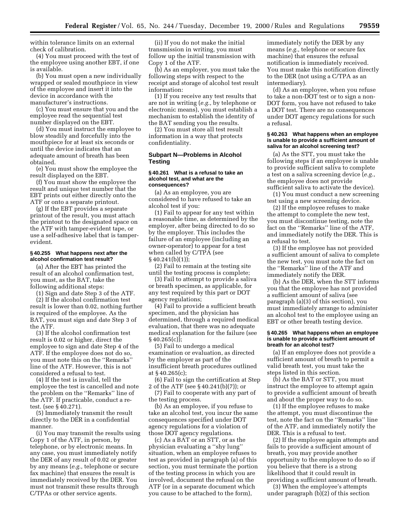within tolerance limits on an external check of calibration.

(4) You must proceed with the test of the employee using another EBT, if one is available.

(b) You must open a new individually wrapped or sealed mouthpiece in view of the employee and insert it into the device in accordance with the manufacturer's instructions.

(c) You must ensure that you and the employee read the sequential test number displayed on the EBT.

(d) You must instruct the employee to blow steadily and forcefully into the mouthpiece for at least six seconds or until the device indicates that an adequate amount of breath has been obtained.

(e) You must show the employee the result displayed on the EBT.

(f) You must show the employee the result and unique test number that the EBT prints out either directly onto the ATF or onto a separate printout.

(g) If the EBT provides a separate printout of the result, you must attach the printout to the designated space on the ATF with tamper-evident tape, or use a self-adhesive label that is tamperevident.

## **§ 40.255 What happens next after the alcohol confirmation test result?**

(a) After the EBT has printed the result of an alcohol confirmation test, you must, as the BAT, take the following additional steps:

(1) Sign and date Step 3 of the ATF.

(2) If the alcohol confirmation test result is lower than 0.02, nothing further is required of the employee. As the BAT, you must sign and date Step 3 of the ATF.

(3) If the alcohol confirmation test result is 0.02 or higher, direct the employee to sign and date Step 4 of the ATF. If the employee does not do so, you must note this on the ''Remarks'' line of the ATF. However, this is not considered a refusal to test.

(4) If the test is invalid, tell the employee the test is cancelled and note the problem on the ''Remarks'' line of the ATF. If practicable, conduct a retest. (see § 40.271).

(5) Immediately transmit the result directly to the DER in a confidential manner.

(i) You may transmit the results using Copy 1 of the ATF, in person, by telephone, or by electronic means. In any case, you must immediately notify the DER of any result of 0.02 or greater by any means (*e.g.,* telephone or secure fax machine) that ensures the result is immediately received by the DER. You must not transmit these results through C/TPAs or other service agents.

(ii) If you do not make the initial transmission in writing, you must follow up the initial transmission with Copy 1 of the ATF.

(b) As an employer, you must take the following steps with respect to the receipt and storage of alcohol test result information:

(1) If you receive any test results that are not in writing (*e.g.,* by telephone or electronic means), you must establish a mechanism to establish the identity of the BAT sending you the results.

(2) You must store all test result information in a way that protects confidentiality.

# **Subpart N—Problems in Alcohol Testing**

#### **§ 40.261 What is a refusal to take an alcohol test, and what are the consequences?**

(a) As an employee, you are considered to have refused to take an alcohol test if you:

(1) Fail to appear for any test within a reasonable time, as determined by the employer, after being directed to do so by the employer. This includes the failure of an employee (including an owner-operator) to appear for a test when called by C/TPA (see  $§ 40.241(b)(1);$ 

(2) Fail to remain at the testing site until the testing process is complete;

(3) Fail to attempt to provide a saliva or breath specimen, as applicable, for any test required by this part or DOT agency regulations;

(4) Fail to provide a sufficient breath specimen, and the physician has determined, through a required medical evaluation, that there was no adequate medical explanation for the failure (see  $§$  40.265(c));

(5) Fail to undergo a medical examination or evaluation, as directed by the employer as part of the insufficient breath procedures outlined at § 40.265(c);

(6) Fail to sign the certification at Step 2 of the ATF (see § 40.241(b)(7)); or

(7) Fail to cooperate with any part of the testing process.

(b) As an employee, if you refuse to take an alcohol test, you incur the same consequences specified under DOT agency regulations for a violation of those DOT agency regulations.

(c) As a BAT or an STT, or as the physician evaluating a ''shy lung'' situation, when an employee refuses to test as provided in paragraph (a) of this section, you must terminate the portion of the testing process in which you are involved, document the refusal on the ATF (or in a separate document which you cause to be attached to the form),

immediately notify the DER by any means (*e.g.,* telephone or secure fax machine) that ensures the refusal notification is immediately received. You must make this notification directly to the DER (not using a C/TPA as an intermediary).

(d) As an employee, when you refuse to take a non-DOT test or to sign a non-DOT form, you have not refused to take a DOT test. There are no consequences under DOT agency regulations for such a refusal.

### **§ 40.263 What happens when an employee is unable to provide a sufficient amount of saliva for an alcohol screening test?**

(a) As the STT, you must take the following steps if an employee is unable to provide sufficient saliva to complete a test on a saliva screening device (*e.g.*, the employee does not provide sufficient saliva to activate the device).

(1) You must conduct a new screening test using a new screening device.

(2) If the employee refuses to make the attempt to complete the new test, you must discontinue testing, note the fact on the ''Remarks'' line of the ATF, and immediately notify the DER. This is a refusal to test.

(3) If the employee has not provided a sufficient amount of saliva to complete the new test, you must note the fact on the ''Remarks'' line of the ATF and immediately notify the DER.

(b) As the DER, when the STT informs you that the employee has not provided a sufficient amount of saliva (see paragraph (a)(3) of this section), you must immediately arrange to administer an alcohol test to the employee using an EBT or other breath testing device.

#### **§ 40.265 What happens when an employee is unable to provide a sufficient amount of breath for an alcohol test?**

(a) If an employee does not provide a sufficient amount of breath to permit a valid breath test, you must take the steps listed in this section.

(b) As the BAT or STT, you must instruct the employee to attempt again to provide a sufficient amount of breath and about the proper way to do so.

(1) If the employee refuses to make the attempt, you must discontinue the test, note the fact on the ''Remarks'' line of the ATF, and immediately notify the DER. This is a refusal to test.

(2) If the employee again attempts and fails to provide a sufficient amount of breath, you may provide another opportunity to the employee to do so if you believe that there is a strong likelihood that it could result in providing a sufficient amount of breath.

(3) When the employee's attempts under paragraph (b)(2) of this section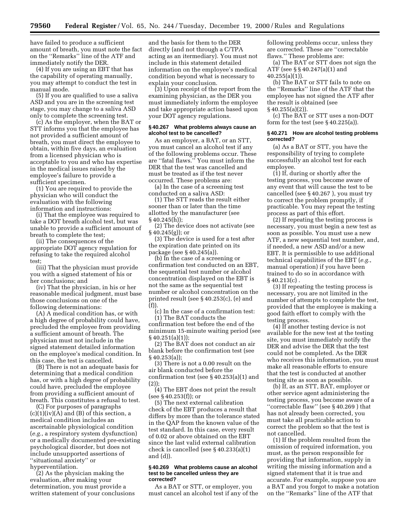have failed to produce a sufficient amount of breath, you must note the fact on the ''Remarks'' line of the ATF and immediately notify the DER.

(4) If you are using an EBT that has the capability of operating manually, you may attempt to conduct the test in manual mode.

(5) If you are qualified to use a saliva ASD and you are in the screening test stage, you may change to a saliva ASD only to complete the screening test.

(c) As the employer, when the BAT or STT informs you that the employee has not provided a sufficient amount of breath, you must direct the employee to obtain, within five days, an evaluation from a licensed physician who is acceptable to you and who has expertise in the medical issues raised by the employee's failure to provide a sufficient specimen.

(1) You are required to provide the physician who will conduct the evaluation with the following information and instructions:

(i) That the employee was required to take a DOT breath alcohol test, but was unable to provide a sufficient amount of breath to complete the test;

(ii) The consequences of the appropriate DOT agency regulation for refusing to take the required alcohol test;

(iii) That the physician must provide you with a signed statement of his or her conclusions; and

(iv) That the physician, in his or her reasonable medical judgment, must base those conclusions on one of the following determinations:

(A) A medical condition has, or with a high degree of probability could have, precluded the employee from providing a sufficient amount of breath. The physician must not include in the signed statement detailed information on the employee's medical condition. In this case, the test is cancelled.

(B) There is not an adequate basis for determining that a medical condition has, or with a high degree of probability could have, precluded the employee from providing a sufficient amount of breath. This constitutes a refusal to test.

(C) For purposes of paragraphs  $(c)(1)(iv)(A)$  and  $(B)$  of this section, a medical condition includes an ascertainable physiological condition (*e.g.*, a respiratory system dysfunction) or a medically documented pre-existing psychological disorder, but does not include unsupported assertions of ''situational anxiety'' or hyperventilation.

(2) As the physician making the evaluation, after making your determination, you must provide a written statement of your conclusions and the basis for them to the DER directly (and not through a C/TPA acting as an itermediary). You must not include in this statement detailed information on the employee's medical condition beyond what is necessary to explain your conclusion.

(3) Upon receipt of the report from the examining physician, as the DER you must immediately inform the employee and take appropriate action based upon your DOT agency regulations.

### **§ 40.267 What problems always cause an alcohol test to be cancelled?**

As an employer, a BAT, or an STT, you must cancel an alcohol test if any of the following problems occur. These are ''fatal flaws.'' You must inform the DER that the test was cancelled and must be treated as if the test never occurred. These problems are:

(a) In the case of a screening test conducted on a saliva ASD:

(1) The STT reads the result either sooner than or later than the time allotted by the manufacturer (see  $§ 40.245(h)$ :

(2) The device does not activate (see § 40.245(g)); or

(3) The device is used for a test after the expiration date printed on its package (see § 40.245(a)).

(b) In the case of a screening or confirmation test conducted on an EBT, the sequential test number or alcohol concentration displayed on the EBT is not the same as the sequential test number or alcohol concentration on the printed result (see § 40.253(c), (e) and (f)).

(c) In the case of a confirmation test: (1) The BAT conducts the

confirmation test before the end of the minimum 15-minute waiting period (see  $§ 40.251(a)(1));$ 

(2) The BAT does not conduct an air blank before the confirmation test (see  $§$  40.253(a));

(3) There is not a 0.00 result on the air blank conducted before the confirmation test (see § 40.253(a)(1) and (2));

(4) The EBT does not print the result (see § 40.253(f)); or

(5) The next external calibration check of the EBT produces a result that differs by more than the tolerance stated in the QAP from the known value of the test standard. In this case, every result of 0.02 or above obtained on the EBT since the last valid external calibration check is cancelled (see § 40.233(a)(1) and (d)).

#### **§ 40.269 What problems cause an alcohol test to be cancelled unless they are corrected?**

As a BAT or STT, or employer, you must cancel an alcohol test if any of the following problems occur, unless they are corrected. These are ''correctable flaws.'' These problems are:

(a) The BAT or STT does not sign the ATF (see § § 40.247(a)(1) and 40.255(a)(1)).

(b) The BAT or STT fails to note on the ''Remarks'' line of the ATF that the employee has not signed the ATF after the result is obtained (see

§ 40.255(a)(2)).

(c) The BAT or STT uses a non-DOT form for the test (see § 40.225(a)).

## **§ 40.271 How are alcohol testing problems corrected?**

(a) As a BAT or STT, you have the responsibility of trying to complete successfully an alcohol test for each employee.

(1) If, during or shortly after the testing process, you become aware of any event that will cause the test to be cancelled (see § 40.267 ), you must try to correct the problem promptly, if practicable. You may repeat the testing process as part of this effort.

(2) If repeating the testing process is necessary, you must begin a new test as soon as possible. You must use a new ATF, a new sequential test number, and, if needed, a new ASD and/or a new EBT. It is permissible to use additional technical capabilities of the EBT (*e.g.*, manual operation) if you have been trained to do so in accordance with  $§$ 40.213(c).

(3) If repeating the testing process is necessary, you are not limited in the number of attempts to complete the test, provided that the employee is making a good faith effort to comply with the testing process.

(4) If another testing device is not available for the new test at the testing site, you must immediately notify the DER and advise the DER that the test could not be completed. As the DER who receives this information, you must make all reasonable efforts to ensure that the test is conducted at another testing site as soon as possible.

(b) If, as an STT, BAT, employer or other service agent administering the testing process, you become aware of a ''correctable flaw'' (see § 40.269 ) that has not already been corrected, you must take all practicable action to correct the problem so that the test is not cancelled.

(1) If the problem resulted from the omission of required information, you must, as the person responsible for providing that information, supply in writing the missing information and a signed statement that it is true and accurate. For example, suppose you are a BAT and you forgot to make a notation on the ''Remarks'' line of the ATF that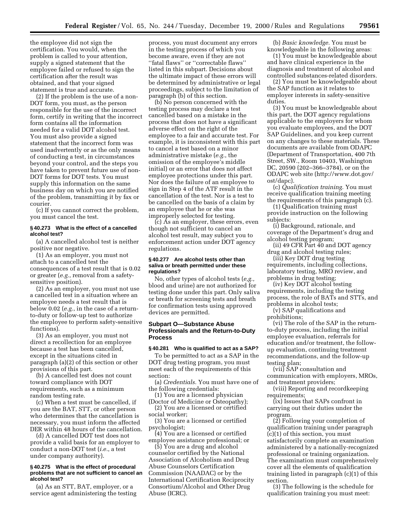the employee did not sign the certification. You would, when the problem is called to your attention, supply a signed statement that the employee failed or refused to sign the certification after the result was obtained, and that your signed statement is true and accurate.

(2) If the problem is the use of a non-DOT form, you must, as the person responsible for the use of the incorrect form, certify in writing that the incorrect form contains all the information needed for a valid DOT alcohol test. You must also provide a signed statement that the incorrect form was used inadvertently or as the only means of conducting a test, in circumstances beyond your control, and the steps you have taken to prevent future use of non-DOT forms for DOT tests. You must supply this information on the same business day on which you are notified of the problem, transmitting it by fax or courier.

(c) If you cannot correct the problem, you must cancel the test.

#### **§ 40.273 What is the effect of a cancelled alcohol test?**

(a) A cancelled alcohol test is neither positive nor negative.

(1) As an employer, you must not attach to a cancelled test the consequences of a test result that is 0.02 or greater (*e.g.*, removal from a safetysensitive position).

(2) As an employer, you must not use a cancelled test in a situation where an employee needs a test result that is below 0.02 (*e.g.*, in the case of a returnto-duty or follow-up test to authorize the employee to perform safety-sensitive functions).

(3) As an employer, you must not direct a recollection for an employee because a test has been cancelled, except in the situations cited in paragraph (a)(2) of this section or other provisions of this part.

(b) A cancelled test does not count toward compliance with DOT requirements, such as a minimum random testing rate.

(c) When a test must be cancelled, if you are the BAT, STT, or other person who determines that the cancellation is necessary, you must inform the affected DER within 48 hours of the cancellation.

(d) A cancelled DOT test does not provide a valid basis for an employer to conduct a non-DOT test (*i.e.*, a test under company authority).

### **§ 40.275 What is the effect of procedural problems that are not sufficient to cancel an alcohol test?**

(a) As an STT, BAT, employer, or a service agent administering the testing process, you must document any errors in the testing process of which you become aware, even if they are not ''fatal flaws'' or ''correctable flaws'' listed in this subpart. Decisions about the ultimate impact of these errors will be determined by administrative or legal proceedings, subject to the limitation of paragraph (b) of this section.

(b) No person concerned with the testing process may declare a test cancelled based on a mistake in the process that does not have a significant adverse effect on the right of the employee to a fair and accurate test. For example, it is inconsistent with this part to cancel a test based on a minor administrative mistake (*e.g.*, the omission of the employee's middle initial) or an error that does not affect employee protections under this part. Nor does the failure of an employee to sign in Step 4 of the ATF result in the cancellation of the test. Nor is a test to be cancelled on the basis of a claim by an employee that he or she was improperly selected for testing.

(c) As an employer, these errors, even though not sufficient to cancel an alcohol test result, may subject you to enforcement action under DOT agency regulations.

#### **§ 40.277 Are alcohol tests other than saliva or breath permitted under these regulations?**

No, other types of alcohol tests (*e,g.,* blood and urine) are not authorized for testing done under this part. Only saliva or breath for screening tests and breath for confirmation tests using approved devices are permitted.

# **Subpart O—Substance Abuse Professionals and the Return-to-Duty Process**

## **§ 40.281 Who is qualified to act as a SAP?**

To be permitted to act as a SAP in the DOT drug testing program, you must meet each of the requirements of this section:

(a) *Credentials.* You must have one of the following credentials:

(1) You are a licensed physician (Doctor of Medicine or Osteopathy); (2) You are a licensed or certified

social worker;

(3) You are a licensed or certified psychologist;

(4) You are a licensed or certified employee assistance professional; or

(5) You are a drug and alcohol counselor certified by the National Association of Alcoholism and Drug Abuse Counselors Certification Commission (NAADAC) or by the International Certification Reciprocity Consortium/Alcohol and Other Drug Abuse (ICRC).

(b) *Basic knowledge.* You must be knowledgeable in the following areas:

(1) You must be knowledgeable about and have clinical experience in the diagnosis and treatment of alcohol and controlled substances-related disorders.

(2) You must be knowledgeable about the SAP function as it relates to employer interests in safety-sensitive duties.

(3) You must be knowledgeable about this part, the DOT agency regulations applicable to the employers for whom you evaluate employees, and the DOT SAP Guidelines, and you keep current on any changes to these materials. These documents are available from ODAPC (Department of Transportation, 400 7th Street, SW., Room 10403, Washington DC, 20590 (202–366–3784), or on the ODAPC web site (http://www.dot.gov/ ost/dapc).

(c) *Qualification training.* You must receive qualification training meeting the requirements of this paragraph (c).

(1) Qualification training must provide instruction on the following subjects:

(i) Background, rationale, and coverage of the Department's drug and alcohol testing program;

(ii) 49 CFR Part 40 and DOT agency drug and alcohol testing rules;

(iii) Key DOT drug testing requirements, including collections, laboratory testing, MRO review, and problems in drug testing;

(iv) Key DOT alcohol testing requirements, including the testing process, the role of BATs and STTs, and problems in alcohol tests;

(v) SAP qualifications and prohibitions;

(vi) The role of the SAP in the returnto-duty process, including the initial employee evaluation, referrals for education and/or treatment, the followup evaluation, continuing treatment recommendations, and the follow-up testing plan;

(vii) SAP consultation and communication with employers, MROs, and treatment providers;

(viii) Reporting and recordkeeping requirements;

(ix) Issues that SAPs confront in carrying out their duties under the program.

(2) Following your completion of qualification training under paragraph (c)(1) of this section, you must satisfactorily complete an examination administered by a nationally-recognized professional or training organization. The examination must comprehensively cover all the elements of qualification training listed in paragraph (c)(1) of this section.

(3) The following is the schedule for qualification training you must meet: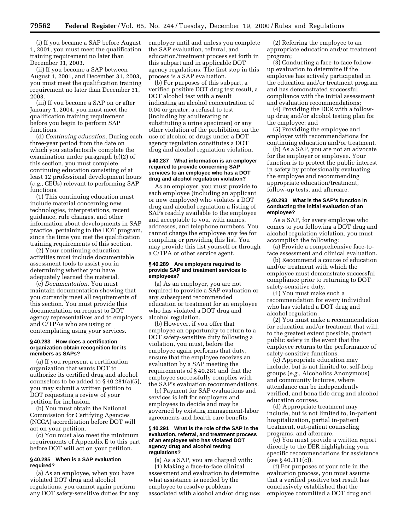(i) If you became a SAP before August 1, 2001, you must meet the qualification training requirement no later than December 31, 2003.

(ii) If you become a SAP between August 1, 2001, and December 31, 2003, you must meet the qualification training requirement no later than December 31, 2003.

(iii) If you become a SAP on or after January 1, 2004, you must meet the qualification training requirement before you begin to perform SAP functions.

(d) *Continuing education.* During each three-year period from the date on which you satisfactorily complete the examination under paragraph (c)(2) of this section, you must complete continuing education consisting of at least 12 professional development hours (*e.g.*, CEUs) relevant to performing SAP functions.

(1) This continuing education must include material concerning new technologies, interpretations, recent guidance, rule changes, and other information about developments in SAP practice, pertaining to the DOT program, since the time you met the qualification training requirements of this section.

(2) Your continuing education activities must include documentable assessment tools to assist you in determining whether you have adequately learned the material.

(e) *Documentation.* You must maintain documentation showing that you currently meet all requirements of this section. You must provide this documentation on request to DOT agency representatives and to employers and C/TPAs who are using or contemplating using your services.

#### **§ 40.283 How does a certification organization obtain recognition for its members as SAPs?**

(a) If you represent a certification organization that wants DOT to authorize its certified drug and alcohol counselors to be added to § 40.281(a)(5), you may submit a written petition to DOT requesting a review of your petition for inclusion.

(b) You must obtain the National Commission for Certifying Agencies (NCCA) accreditation before DOT will act on your petition.

(c) You must also meet the minimum requirements of Appendix E to this part before DOT will act on your petition.

# **§ 40.285 When is a SAP evaluation required?**

(a) As an employee, when you have violated DOT drug and alcohol regulations, you cannot again perform any DOT safety-sensitive duties for any employer until and unless you complete the SAP evaluation, referral, and education/treatment process set forth in this subpart and in applicable DOT agency regulations. The first step in this process is a SAP evaluation.

(b) For purposes of this subpart, a verified positive DOT drug test result, a DOT alcohol test with a result indicating an alcohol concentration of 0.04 or greater, a refusal to test (including by adulterating or substituting a urine specimen) or any other violation of the prohibition on the use of alcohol or drugs under a DOT agency regulation constitutes a DOT drug and alcohol regulation violation.

#### **§ 40.287 What information is an employer required to provide concerning SAP services to an employee who has a DOT drug and alcohol regulation violation?**

As an employer, you must provide to each employee (including an applicant or new employee) who violates a DOT drug and alcohol regulation a listing of SAPs readily available to the employee and acceptable to you, with names, addresses, and telephone numbers. You cannot charge the employee any fee for compiling or providing this list. You may provide this list yourself or through a C/TPA or other service agent.

## **§ 40.289 Are employers required to provide SAP and treatment services to employees?**

(a) As an employer, you are not required to provide a SAP evaluation or any subsequent recommended education or treatment for an employee who has violated a DOT drug and alcohol regulation.

(b) However, if you offer that employee an opportunity to return to a DOT safety-sensitive duty following a violation, you must, before the employee again performs that duty, ensure that the employee receives an evaluation by a SAP meeting the requirements of § 40.281 and that the employee successfully complies with the SAP's evaluation recommendations.

(c) Payment for SAP evaluations and services is left for employers and employees to decide and may be governed by existing management-labor agreements and health care benefits.

### **§ 40.291 What is the role of the SAP in the evaluation, referral, and treatment process of an employee who has violated DOT agency drug and alcohol testing regulations?**

(a) As a SAP, you are charged with: (1) Making a face-to-face clinical assessment and evaluation to determine what assistance is needed by the employee to resolve problems associated with alcohol and/or drug use;

(2) Referring the employee to an appropriate education and/or treatment program;

(3) Conducting a face-to-face followup evaluation to determine if the employee has actively participated in the education and/or treatment program and has demonstrated successful compliance with the initial assessment and evaluation recommendations;

(4) Providing the DER with a followup drug and/or alcohol testing plan for the employee; and

(5) Providing the employee and employer with recommendations for continuing education and/or treatment.

(b) As a SAP, you are not an advocate for the employer or employee. Your function is to protect the public interest in safety by professionally evaluating the employee and recommending appropriate education/treatment, follow-up tests, and aftercare.

## **§ 40.293 What is the SAP's function in conducting the initial evaluation of an employee?**

As a SAP, for every employee who comes to you following a DOT drug and alcohol regulation violation, you must accomplish the following:

(a) Provide a comprehensive face-toface assessment and clinical evaluation.

(b) Recommend a course of education and/or treatment with which the employee must demonstrate successful compliance prior to returning to DOT safety-sensitive duty.

(1) You must make such a recommendation for every individual who has violated a DOT drug and alcohol regulation.

(2) You must make a recommendation for education and/or treatment that will, to the greatest extent possible, protect public safety in the event that the employee returns to the performance of safety-sensitive functions.

(c) Appropriate education may include, but is not limited to, self-help groups (*e.g.,* Alcoholics Anonymous) and community lectures, where attendance can be independently verified, and bona fide drug and alcohol education courses.

(d) Appropriate treatment may include, but is not limited to, in-patient hospitalization, partial in-patient treatment, out-patient counseling programs, and aftercare.

(e) You must provide a written report directly to the DER highlighting your specific recommendations for assistance  $(see § 40.311(c)).$ 

(f) For purposes of your role in the evaluation process, you must assume that a verified positive test result has conclusively established that the employee committed a DOT drug and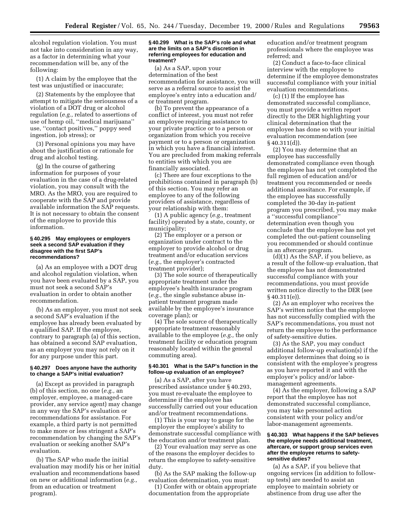alcohol regulation violation. You must not take into consideration in any way, as a factor in determining what your recommendation will be, any of the following:

(1) A claim by the employee that the test was unjustified or inaccurate;

(2) Statements by the employee that attempt to mitigate the seriousness of a violation of a DOT drug or alcohol regulation (*e.g.,* related to assertions of use of hemp oil, ''medical marijuana'' use, ''contact positives,'' poppy seed ingestion, job stress); or

(3) Personal opinions you may have about the justification or rationale for drug and alcohol testing.

(g) In the course of gathering information for purposes of your evaluation in the case of a drug-related violation, you may consult with the MRO. As the MRO, you are required to cooperate with the SAP and provide available information the SAP requests. It is not necessary to obtain the consent of the employee to provide this information.

## **§ 40.295 May employees or employers seek a second SAP evaluation if they disagree with the first SAP's recommendations?**

(a) As an employee with a DOT drug and alcohol regulation violation, when you have been evaluated by a SAP, you must not seek a second SAP's evaluation in order to obtain another recommendation.

(b) As an employer, you must not seek a second SAP's evaluation if the employee has already been evaluated by a qualified SAP. If the employee, contrary to paragraph (a) of this section, has obtained a second SAP evaluation, as an employer you may not rely on it for any purpose under this part.

#### **§ 40.297 Does anyone have the authority to change a SAP's initial evaluation?**

(a) Except as provided in paragraph (b) of this section, no one (*e.g.,* an employer, employee, a managed-care provider, any service agent) may change in any way the SAP's evaluation or recommendations for assistance. For example, a third party is not permitted to make more or less stringent a SAP's recommendation by changing the SAP's evaluation or seeking another SAP's evaluation.

(b) The SAP who made the initial evaluation may modify his or her initial evaluation and recommendations based on new or additional information (*e.g.,* from an education or treatment program).

## **§ 40.299 What is the SAP's role and what are the limits on a SAP's discretion in referring employees for education and treatment?**

(a) As a SAP, upon your determination of the best recommendation for assistance, you will serve as a referral source to assist the employee's entry into a education and/ or treatment program.

(b) To prevent the appearance of a conflict of interest, you must not refer an employee requiring assistance to your private practice or to a person or organization from which you receive payment or to a person or organization in which you have a financial interest. You are precluded from making referrals to entities with which you are financially associated.

(c) There are four exceptions to the prohibitions contained in paragraph (b) of this section. You may refer an employee to any of the following providers of assistance, regardless of your relationship with them:

(1) A public agency (*e.g.,* treatment facility) operated by a state, county, or municipality;

(2) The employer or a person or organization under contract to the employer to provide alcohol or drug treatment and/or education services (*e.g.,* the employer's contracted treatment provider);

(3) The sole source of therapeutically appropriate treatment under the employee's health insurance program (*e.g.,* the single substance abuse inpatient treatment program made available by the employee's insurance coverage plan); or

(4) The sole source of therapeutically appropriate treatment reasonably available to the employee (*e.g.,* the only treatment facility or education program reasonably located within the general commuting area).

## **§ 40.301 What is the SAP's function in the follow-up evaluation of an employee?**

(a) As a SAP, after you have prescribed assistance under § 40.293, you must re-evaluate the employee to determine if the employee has successfully carried out your education and/or treatment recommendations.

(1) This is your way to gauge for the employer the employee's ability to demonstrate successful compliance with the education and/or treatment plan.

(2) Your evaluation may serve as one of the reasons the employer decides to return the employee to safety-sensitive duty.

(b) As the SAP making the follow-up evaluation determination, you must:

(1) Confer with or obtain appropriate documentation from the appropriate

education and/or treatment program professionals where the employee was referred; and

(2) Conduct a face-to-face clinical interview with the employee to determine if the employee demonstrates successful compliance with your initial evaluation recommendations.

(c) (1) If the employee has demonstrated successful compliance, you must provide a written report directly to the DER highlighting your clinical determination that the employee has done so with your initial evaluation recommendation (see  $§$  40.311(d)).

(2) You may determine that an employee has successfully demonstrated compliance even though the employee has not yet completed the full regimen of education and/or treatment you recommended or needs additional asssitance. For example, if the employee has successfully completed the 30-day in-patient program you prescribed, you may make a ''successful compliance'' determination even though you conclude that the employee has not yet completed the out-patient counseling you recommended or should continue in an aftercare program.

(d)(1) As the SAP, if you believe, as a result of the follow-up evaluation, that the employee has not demonstrated successful compliance with your recommendations, you must provide written notice directly to the DER (see § 40.311(e)).

(2) As an employer who receives the SAP's written notice that the employee has not successfully complied with the SAP's recommendations, you must not return the employee to the performance of safety-sensitive duties.

(3) As the SAP, you may conduct additional follow-up evaluation(s) if the employer determines that doing so is consistent with the employee's progress as you have reported it and with the employer's policy and/or labormanagement agreements.

(4) As the employer, following a SAP report that the employee has not demonstrated successful compliance, you may take personnel action consistent with your policy and/or labor-management agreements.

## **§ 40.303 What happens if the SAP believes the employee needs additional treatment, aftercare, or support group services even after the employee returns to safetysensitive duties?**

(a) As a SAP, if you believe that ongoing services (in addition to followup tests) are needed to assist an employee to maintain sobriety or abstinence from drug use after the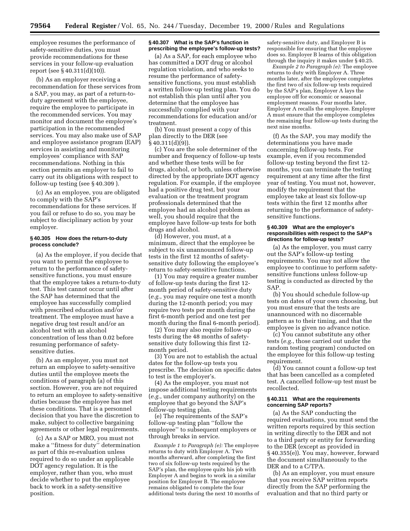employee resumes the performance of safety-sensitive duties, you must provide recommendations for these services in your follow-up evaluation report (see § 40.311(d)(10)).

(b) As an employer receiving a recommendation for these services from a SAP, you may, as part of a return-toduty agreement with the employee, require the employee to participate in the recommended services. You may monitor and document the employee's participation in the recommended services. You may also make use of SAP and employee assistance program (EAP) services in assisting and monitoring employees' compliance with SAP recommendations. Nothing in this section permits an employer to fail to carry out its obligations with respect to follow-up testing (see § 40.309 ).

(c) As an employee, you are obligated to comply with the SAP's recommendations for these services. If you fail or refuse to do so, you may be subject to disciplinary action by your employer.

## **§ 40.305 How does the return-to-duty process conclude?**

(a) As the employer, if you decide that you want to permit the employee to return to the performance of safetysensitive functions, you must ensure that the employee takes a return-to-duty test. This test cannot occur until after the SAP has determined that the employee has successfully complied with prescribed education and/or treatment. The employee must have a negative drug test result and/or an alcohol test with an alcohol concentration of less than 0.02 before resuming performance of safetysensitive duties.

(b) As an employer, you must not return an employee to safety-sensitive duties until the employee meets the conditions of paragraph (a) of this section. However, you are not required to return an employee to safety-sensitive duties because the employee has met these conditions. That is a personnel decision that you have the discretion to make, subject to collective bargaining agreements or other legal requirements.

(c) As a SAP or MRO, you must not make a ''fitness for duty'' determination as part of this re-evaluation unless required to do so under an applicable DOT agency regulation. It is the employer, rather than you, who must decide whether to put the employee back to work in a safety-sensitive position.

# **§ 40.307 What is the SAP's function in prescribing the employee's follow-up tests?**

(a) As a SAP, for each employee who has committed a DOT drug or alcohol regulation violation, and who seeks to resume the performance of safetysensitive functions, you must establish a written follow-up testing plan. You do not establish this plan until after you determine that the employee has successfully complied with your recommendations for education and/or treatment.

(b) You must present a copy of this plan directly to the DER (see § 40.311(d)(9)).

(c) You are the sole determiner of the number and frequency of follow-up tests and whether these tests will be for drugs, alcohol, or both, unless otherwise directed by the appropriate DOT agency regulation. For example, if the employee had a positive drug test, but your evaluation or the treatment program professionals determined that the employee had an alcohol problem as well, you should require that the employee have follow-up tests for both drugs and alcohol.

(d) However, you must, at a minimum, direct that the employee be subject to six unannounced follow-up tests in the first 12 months of safetysensitive duty following the employee's return to safety-sensitive functions.

(1) You may require a greater number of follow-up tests during the first 12 month period of safety-sensitive duty (*e.g.*, you may require one test a month during the 12-month period; you may require two tests per month during the first 6-month period and one test per month during the final 6-month period).

(2) You may also require follow-up tests during the 48 months of safetysensitive duty following this first 12 month period.

(3) You are not to establish the actual dates for the follow-up tests you prescribe. The decision on specific dates to test is the employer's.

(4) As the employer, you must not impose additional testing requirements (*e.g.*, under company authority) on the employee that go beyond the SAP's follow-up testing plan.

(e) The requirements of the SAP's follow-up testing plan ''follow the employee'' to subsequent employers or through breaks in service.

*Example 1 to Paragraph (e):* The employee returns to duty with Employer A. Two months afterward, after completing the first two of six follow-up tests required by the SAP's plan, the employee quits his job with Employer A and begins to work in a similar position for Employer B. The employee remains obligated to complete the four additional tests during the next 10 months of

safety-sensitive duty, and Employer B is responsible for ensuring that the employee does so. Employer B learns of this obligation through the inquiry it makes under § 40.25.

*Example 2 to Paragraph (e):* The employee returns to duty with Employer A. Three months later, after the employee completes the first two of six follow-up tests required by the SAP's plan, Employer A lays the employee off for economic or seasonal employment reasons. Four months later, Employer A recalls the employee. Employer A must ensure that the employee completes the remaining four follow-up tests during the next nine months.

(f) As the SAP, you may modify the determinations you have made concerning follow-up tests. For example, even if you recommended follow-up testing beyond the first 12 months, you can terminate the testing requirement at any time after the first year of testing. You must not, however, modify the requirement that the employee take at least six follow-up tests within the first 12 months after returning to the performance of safetysensitive functions.

### **§ 40.309 What are the employer's responsibilities with respect to the SAP's directions for follow-up tests?**

(a) As the employer, you must carry out the SAP's follow-up testing requirements. You may not allow the employee to continue to perform safetysensitive functions unless follow-up testing is conducted as directed by the SAP.

(b) You should schedule follow-up tests on dates of your own choosing, but you must ensure that the tests are unannounced with no discernable pattern as to their timing, and that the employee is given no advance notice.

(c) You cannot substitute any other tests (*e.g.*, those carried out under the random testing program) conducted on the employee for this follow-up testing requirement.

(d) You cannot count a follow-up test that has been cancelled as a completed test. A cancelled follow-up test must be recollected.

# **§ 40.311 What are the requirements concerning SAP reports?**

(a) As the SAP conducting the required evaluations, you must send the written reports required by this section in writing directly to the DER and not to a third party or entity for forwarding to the DER (except as provided in § 40.355(e)). You may, however, forward the document simultaneously to the DER and to a C/TPA.

(b) As an employer, you must ensure that you receive SAP written reports directly from the SAP performing the evaluation and that no third party or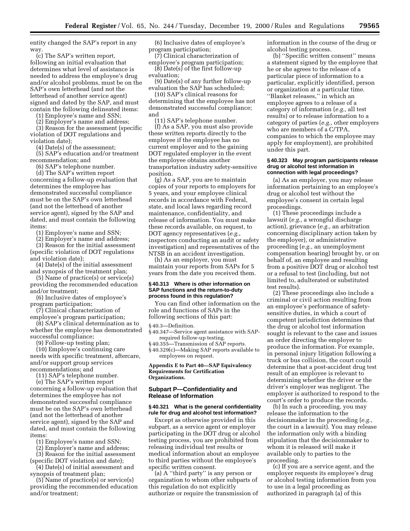entity changed the SAP's report in any way

(c) The SAP's written report, following an initial evaluation that determines what level of assistance is needed to address the employee's drug and/or alcohol problems, must be on the SAP's own letterhead (and not the letterhead of another service agent) signed and dated by the SAP, and must contain the following delineated items:

(1) Employee's name and SSN;

(2) Employer's name and address;

(3) Reason for the assessment (specific violation of DOT regulations and violation date);

(4) Date(s) of the assessment;

(5) SAP's education and/or treatment recommendation; and

(6) SAP's telephone number.

(d) The SAP's written report concerning a follow-up evaluation that determines the employee has demonstrated successful compliance must be on the SAP's own letterhead (and not the letterhead of another service agent), signed by the SAP and dated, and must contain the following items:

(1) Employee's name and SSN;

(2) Employer's name and address;

(3) Reason for the initial assessment (specific violation of DOT regulations and violation date);

(4) Date(s) of the initial assessment and synopsis of the treatment plan;

(5) Name of practice(s) or service(s) providing the recommended education and/or treatment;

(6) Inclusive dates of employee's program participation;

(7) Clinical characterization of

employee's program participation; (8) SAP's clinical determination as to whether the employee has demonstrated

successful compliance; (9) Follow-up testing plan;

(10) Employee's continuing care needs with specific treatment, aftercare, and/or support group services recommendations; and

(11) SAP's telephone number.

(e) The SAP's written report concerning a follow-up evaluation that

determines the employee has not demonstrated successful compliance must be on the SAP's own letterhead (and not the letterhead of another service agent), signed by the SAP and dated, and must contain the following items:

(1) Employee's name and SSN;

(2) Employer's name and address; (3) Reason for the initial assessment

(specific DOT violation and date);

(4) Date(s) of initial assessment and synopsis of treatment plan;

(5) Name of practice(s) or service(s) providing the recommended education and/or treatment;

(6) Inclusive dates of employee's program participation;

(7) Clinical characterization of

employee's program participation; (8) Date(s) of the first follow-up evaluation;

(9) Date(s) of any further follow-up evaluation the SAP has scheduled;

(10) SAP's clinical reasons for determining that the employee has not demonstrated successful compliance; and

(11) SAP's telephone number. (f) As a SAP, you must also provide these written reports directly to the employee if the employee has no current employer and to the gaining DOT regulated employer in the event the employee obtains another transportation industry safety-sensitive position.

(g) As a SAP, you are to maintain copies of your reports to employers for 5 years, and your employee clinical records in accordance with Federal, state, and local laws regarding record maintenance, confidentiality, and release of information. You must make these records available, on request, to DOT agency representatives (*e.g.*, inspectors conducting an audit or safety investigation) and representatives of the NTSB in an accident investigation.

(h) As an employer, you must maintain your reports from SAPs for 5 years from the date you received them.

## **§ 40.313 Where is other information on SAP functions and the return-to-duty process found in this regulation?**

You can find other information on the role and functions of SAPs in the following sections of this part:

§ 40.3—Definition.

§ 40.347—Service agent assistance with SAPrequired follow-up testing.

§ 40.355—Transmission of SAP reports.

§ 40.329(c)—Making SAP reports available to employees on request.

**Appendix E to Part 40—SAP Equivalency Requirements for Certification Organizations.**

# **Subpart P—Confidentiality and Release of Information**

### **§ 40.321 What is the general confidentiality rule for drug and alcohol test information?**

Except as otherwise provided in this subpart, as a service agent or employer participating in the DOT drug or alcohol testing process, you are prohibited from releasing individual test results or medical information about an employee to third parties without the employee's specific written consent.

(a) A ''third party'' is any person or organization to whom other subparts of this regulation do not explicitly authorize or require the transmission of information in the course of the drug or alcohol testing process.

(b) ''Specific written consent'' means a statement signed by the employee that he or she agrees to the release of a particular piece of information to a particular, explicitly identified, person or organization at a particular time. ''Blanket releases,'' in which an employee agrees to a release of a category of information (*e.g.,* all test results) or to release information to a category of parties (*e.g.,* other employers who are members of a C/TPA, companies to which the employee may apply for employment), are prohibited under this part.

#### **§ 40.323 May program participants release drug or alcohol test information in connection with legal proceedings?**

(a) As an employer, you may release information pertaining to an employee's drug or alcohol test without the employee's consent in certain legal proceedings.

(1) These proceedings include a lawsuit (*e.g.,* a wrongful discharge action), grievance (*e.g.,* an arbitration concerning disciplinary action taken by the employer), or administrative proceeding (*e.g.,* an unemployment compensation hearing) brought by, or on behalf of, an employee and resulting from a positive DOT drug or alcohol test or a refusal to test (including, but not limited to, adulterated or substituted test results).

(2) These proceedings also include a criminal or civil action resulting from an employee's performance of safetysensitive duties, in which a court of competent jurisdiction determines that the drug or alcohol test information sought is relevant to the case and issues an order directing the employer to produce the information. For example, in personal injury litigation following a truck or bus collision, the court could determine that a post-accident drug test result of an employee is relevant to determining whether the driver or the driver's employer was negligent. The employer is authorized to respond to the court's order to produce the records.

(b) In such a proceeding, you may release the information to the decisionmaker in the proceeding (*e.g.,* the court in a lawsuit). You may release the information only with a binding stipulation that the decisionmaker to whom it is released will make it available only to parties to the proceeding.

(c) If you are a service agent, and the employer requests its employee's drug or alcohol testing information from you to use in a legal proceeding as authorized in paragraph (a) of this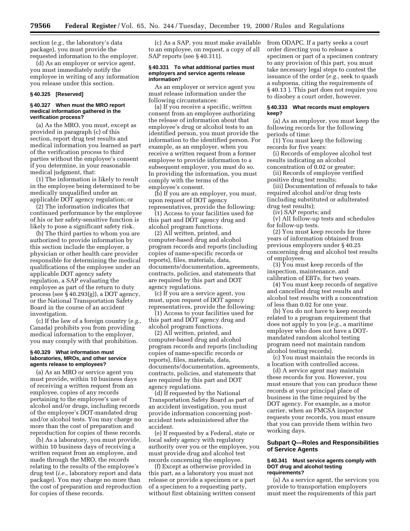section (*e.g.,* the laboratory's data package), you must provide the requested information to the employer.

(d) As an employer or service agent, you must immediately notify the employee in writing of any information you release under this section.

#### **§ 40.325 [Reserved]**

### **§ 40.327 When must the MRO report medical information gathered in the verification process?**

(a) As the MRO, you must, except as provided in paragraph (c) of this section, report drug test results and medical information you learned as part of the verification process to third parties without the employee's consent if you determine, in your reasonable medical judgment, that:

(1) The information is likely to result in the employee being determined to be medically unqualified under an applicable DOT agency regulation; or

(2) The information indicates that continued performance by the employee of his or her safety-sensitive function is likely to pose a significant safety risk.

(b) The third parties to whom you are authorized to provide information by this section include the employer, a physician or other health care provider responsible for determining the medical qualifications of the employee under an applicable DOT agency safety regulation, a SAP evaluating the employee as part of the return to duty process (see  $\S$  40.293(g)), a DOT agency, or the National Transportation Safety Board in the course of an accident investigation.

(c) If the law of a foreign country (*e.g.,* Canada) prohibits you from providing medical information to the employer, you may comply with that prohibition.

## **§ 40.329 What information must laboratories, MROs, and other service agents release to employees?**

(a) As an MRO or service agent you must provide, within 10 business days of receiving a written request from an employee, copies of any records pertaining to the employee's use of alcohol and/or drugs, including records of the employee's DOT-mandated drug and/or alcohol tests. You may charge no more than the cost of preparation and reproduction for copies of these records.

(b) As a laboratory, you must provide, within 10 business days of receiving a written request from an employee, and made through the MRO, the records relating to the results of the employee's drug test (*i.e.,* laboratory report and data package). You may charge no more than the cost of preparation and reproduction for copies of these records.

(c) As a SAP, you must make available to an employee, on request, a copy of all SAP reports (see § 40.311).

#### **§ 40.331 To what additional parties must employers and service agents release information?**

As an employer or service agent you must release information under the following circumstances:

(a) If you receive a specific, written consent from an employee authorizing the release of information about that employee's drug or alcohol tests to an identified person, you must provide the information to the identified person. For example, as an employer, when you receive a written request from a former employee to provide information to a subsequent employer, you must do so. In providing the information, you must comply with the terms of the employee's consent.

(b) If you are an employer, you must, upon request of DOT agency representatives, provide the following:

(1) Access to your facilities used for this part and DOT agency drug and alcohol program functions.

(2) All written, printed, and computer-based drug and alcohol program records and reports (including copies of name-specific records or reports), files, materials, data, documents/documentation, agreements, contracts, policies, and statements that are required by this part and DOT agency regulations.

(c) If you are a service agent, you must, upon request of DOT agency representatives, provide the following:

(1) Access to your facilities used for this part and DOT agency drug and alcohol program functions.

(2) All written, printed, and computer-based drug and alcohol program records and reports (including copies of name-specific records or reports), files, materials, data, documents/documentation, agreements, contracts, policies, and statements that are required by this part and DOT agency regulations.

(d) If requested by the National Transportation Safety Board as part of an accident investigation, you must provide information concerning postaccident tests administered after the accident.

(e) If requested by a Federal, state or local safety agency with regulatory authority over you or the employee, you must provide drug and alcohol test records concerning the employee.

(f) Except as otherwise provided in this part, as a laboratory you must not release or provide a specimen or a part of a specimen to a requesting party, without first obtaining written consent

from ODAPC. If a party seeks a court order directing you to release a specimen or part of a specimen contrary to any provision of this part, you must take necessary legal steps to contest the issuance of the order (*e.g.,* seek to quash a subpoena, citing the requirements of § 40.13 ). This part does not require you to disobey a court order, however.

### **§ 40.333 What records must employers keep?**

(a) As an employer, you must keep the following records for the following periods of time:

(1) You must keep the following records for five years:

(i) Records of employee alcohol test results indicating an alcohol

concentration of 0.02 or greater; (ii) Records of employee verified

positive drug test results; (iii) Documentation of refusals to take required alcohol and/or drug tests (including substituted or adulterated drug test results);

(iv) SAP reports; and

(v) All follow-up tests and schedules for follow-up tests.

(2) You must keep records for three years of information obtained from previous employers under § 40.25 concerning drug and alcohol test results of employees.

(3) You must keep records of the inspection, maintenance, and calibration of EBTs, for two years.

(4) You must keep records of negative and cancelled drug test results and alcohol test results with a concentration of less than 0.02 for one year.

(b) You do not have to keep records related to a program requirement that does not apply to you (*e.g.*, a maritime employer who does not have a DOTmandated random alcohol testing program need not maintain random alcohol testing records).

(c) You must maintain the records in a location with controlled access.

(d) A service agent may maintain these records for you. However, you must ensure that you can produce these records at your principal place of business in the time required by the DOT agency. For example, as a motor carrier, when an FMCSA inspector requests your records, you must ensure that you can provide them within two working days.

# **Subpart Q—Roles and Responsibilities of Service Agents**

### **§ 40.341 Must service agents comply with DOT drug and alcohol testing requirements?**

(a) As a service agent, the services you provide to transportation employers must meet the requirements of this part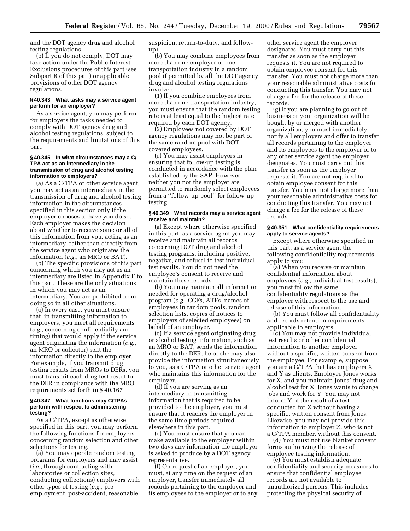and the DOT agency drug and alcohol testing regulations.

(b) If you do not comply, DOT may take action under the Public Interest Exclusions procedures of this part (see Subpart R of this part) or applicable provisions of other DOT agency regulations.

## **§ 40.343 What tasks may a service agent perform for an employer?**

As a service agent, you may perform for employers the tasks needed to comply with DOT agency drug and alcohol testing regulations, subject to the requirements and limitations of this part.

### **§ 40.345 In what circumstances may a C/ TPA act as an intermediary in the transmission of drug and alcohol testing information to employers?**

(a) As a C/TPA or other service agent, you may act as an intermediary in the transmission of drug and alcohol testing information in the circumstances specified in this section only if the employer chooses to have you do so. Each employer makes the decision about whether to receive some or all of this information from you, acting as an intermediary, rather than directly from the service agent who originates the information (*e.g.*, an MRO or BAT).

(b) The specific provisions of this part concerning which you may act as an intermediary are listed in Appendix F to this part. These are the only situations in which you may act as an intermediary. You are prohibited from doing so in all other situations.

(c) In every case, you must ensure that, in transmitting information to employers, you meet all requirements (*e.g.*, concerning confidentiality and timing) that would apply if the service agent originating the information (*e.g.*, an MRO or collector) sent the information directly to the employer. For example, if you transmit drug testing results from MROs to DERs, you must transmit each drug test result to the DER in compliance with the MRO requirements set forth in § 40.167 .

#### **§ 40.347 What functions may C/TPAs perform with respect to administering testing?**

As a C/TPA, except as otherwise specified in this part, you may perform the following functions for employers concerning random selection and other selections for testing.

(a) You may operate random testing programs for employers and may assist (*i.e.*, through contracting with laboratories or collection sites, conducting collections) employers with other types of testing (*e.g.*, preemployment, post-accident, reasonable

suspicion, return-to-duty, and followup).

(b) You may combine employees from more than one employer or one transportation industry in a random pool if permitted by all the DOT agency drug and alcohol testing regulations involved.

(1) If you combine employees from more than one transportation industry, you must ensure that the random testing rate is at least equal to the highest rate required by each DOT agency.

(2) Employees not covered by DOT agency regulations may not be part of the same random pool with DOT covered employees.

(c) You may assist employers in ensuring that follow-up testing is conducted in accordance with the plan established by the SAP. However, neither you nor the employer are permitted to randomly select employees from a ''follow-up pool'' for follow-up testing.

## **§ 40.349 What records may a service agent receive and maintain?**

(a) Except where otherwise specified in this part, as a service agent you may receive and maintain all records concerning DOT drug and alcohol testing programs, including positive, negative, and refusal to test individual test results. You do not need the employee's consent to receive and maintain these records.

(b) You may maintain all information needed for operating a drug/alcohol program (*e.g.*, CCFs, ATFs, names of employees in random pools, random selection lists, copies of notices to employers of selected employees) on behalf of an employer.

(c) If a service agent originating drug or alcohol testing information, such as an MRO or BAT, sends the information directly to the DER, he or she may also provide the information simultaneously to you, as a C/TPA or other service agent who maintains this information for the employer.

(d) If you are serving as an intermediary in transmitting information that is required to be provided to the employer, you must ensure that it reaches the employer in the same time periods required elsewhere in this part.

(e) You must ensure that you can make available to the employer within two days any information the employer is asked to produce by a DOT agency representative.

(f) On request of an employer, you must, at any time on the request of an employer, transfer immediately all records pertaining to the employer and its employees to the employer or to any other service agent the employer designates. You must carry out this transfer as soon as the employer requests it. You are not required to obtain employee consent for this transfer. You must not charge more than your reasonable administrative costs for conducting this transfer. You may not charge a fee for the release of these records.

(g) If you are planning to go out of business or your organization will be bought by or merged with another organization, you must immediately notify all employers and offer to transfer all records pertaining to the employer and its employees to the employer or to any other service agent the employer designates. You must carry out this transfer as soon as the employer requests it. You are not required to obtain employee consent for this transfer. You must not charge more than your reasonable administrative costs for conducting this transfer. You may not charge a fee for the release of these records.

# **§ 40.351 What confidentiality requirements apply to service agents?**

Except where otherwise specified in this part, as a service agent the following confidentiality requirements apply to you:

(a) When you receive or maintain confidential information about employees (*e.g.*, individual test results), you must follow the same confidentiality regulations as the employer with respect to the use and release of this information.

(b) You must follow all confidentiality and records retention requirements applicable to employers.

(c) You may not provide individual test results or other confidential information to another employer without a specific, written consent from the employee. For example, suppose you are a C/TPA that has employers X and Y as clients. Employee Jones works for X, and you maintain Jones' drug and alcohol test for X. Jones wants to change jobs and work for Y. You may not inform Y of the result of a test conducted for X without having a specific, written consent from Jones. Likewise, you may not provide this information to employer Z, who is not a C/TPA member, without this consent.

(d) You must not use blanket consent forms authorizing the release of employee testing information.

(e) You must establish adequate confidentiality and security measures to ensure that confidential employee records are not available to unauthorized persons. This includes protecting the physical security of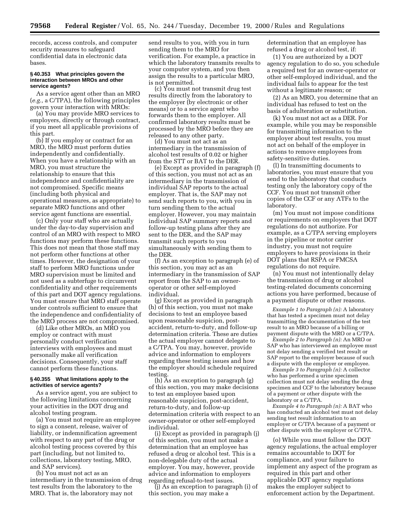records, access controls, and computer security measures to safeguard confidential data in electronic data bases.

#### **§ 40.353 What principles govern the interaction between MROs and other service agents?**

As a service agent other than an MRO (*e.g.,* a C/TPA), the following principles govern your interaction with MROs:

(a) You may provide MRO services to employers, directly or through contract, if you meet all applicable provisions of this part.

(b) If you employ or contract for an MRO, the MRO must perform duties independently and confidentially. When you have a relationship with an MRO, you must structure the relationship to ensure that this independence and confidentiality are not compromised. Specific means (including both physical and operational measures, as appropriate) to separate MRO functions and other service agent functions are essential.

(c) Only your staff who are actually under the day-to-day supervision and control of an MRO with respect to MRO functions may perform these functions. This does not mean that those staff may not perform other functions at other times. However, the designation of your staff to perform MRO functions under MRO supervision must be limited and not used as a subterfuge to circumvent confidentiality and other requirements of this part and DOT agency regulations. You must ensure that MRO staff operate under controls sufficient to ensure that the independence and confidentiality of the MRO process are not compromised.

(d) Like other MROs, an MRO you employ or contract with must personally conduct verification interviews with employees and must personally make all verification decisions. Consequently, your staff cannot perform these functions.

# **§ 40.355 What limitations apply to the activities of service agents?**

As a service agent, you are subject to the following limitations concerning your activities in the DOT drug and alcohol testing program.

(a) You must not require an employee to sign a consent, release, waiver of liability, or indemnification agreement with respect to any part of the drug or alcohol testing process covered by this part (including, but not limited to, collections, laboratory testing, MRO, and SAP services).

(b) You must not act as an intermediary in the transmission of drug test results from the laboratory to the MRO. That is, the laboratory may not

send results to you, with you in turn sending them to the MRO for verification. For example, a practice in which the laboratory transmits results to your computer system, and you then assign the results to a particular MRO, is not permitted.

(c) You must not transmit drug test results directly from the laboratory to the employer (by electronic or other means) or to a service agent who forwards them to the employer. All confirmed laboratory results must be processed by the MRO before they are released to any other party.

(d) You must not act as an intermediary in the transmission of alcohol test results of 0.02 or higher from the STT or BAT to the DER.

(e) Except as provided in paragraph (f) of this section, you must not act as an intermediary in the transmission of individual SAP reports to the actual employer. That is, the SAP may not send such reports to you, with you in turn sending them to the actual employer. However, you may maintain individual SAP summary reports and follow-up testing plans after they are sent to the DER, and the SAP may transmit such reports to you simultaneously with sending them to the DER.

(f) As an exception to paragraph (e) of this section, you may act as an intermediary in the transmission of SAP report from the SAP to an owneroperator or other self-employed individual.

(g) Except as provided in paragraph (h) of this section, you must not make decisions to test an employee based upon reasonable suspicion, postaccident, return-to-duty, and follow-up determination criteria. These are duties the actual employer cannot delegate to a C/TPA. You may, however, provide advice and information to employers regarding these testing issues and how the employer should schedule required testing.

(h) As an exception to paragraph (g) of this section, you may make decisions to test an employee based upon reasonable suspicion, post-accident, return-to-duty, and follow-up determination criteria with respect to an owner-operator or other self-employed individual.

(i) Except as provided in paragraph (j) of this section, you must not make a determination that an employee has refused a drug or alcohol test. This is a non-delegable duty of the actual employer. You may, however, provide advice and information to employers regarding refusal-to-test issues.

(j) As an exception to paragraph (i) of this section, you may make a

determination that an employee has refused a drug or alcohol test, if:

(1) You are authorized by a DOT agency regulation to do so, you schedule a required test for an owner-operator or other self-employed individual, and the individual fails to appear for the test without a legitimate reason; or

(2) As an MRO, you determine that an individual has refused to test on the basis of adulteration or substitution.

(k) You must not act as a DER. For example, while you may be responsible for transmitting information to the employer about test results, you must not act on behalf of the employer in actions to remove employees from safety-sensitive duties.

(l) In transmitting documents to laboratories, you must ensure that you send to the laboratory that conducts testing only the laboratory copy of the CCF. You must not transmit other copies of the CCF or any ATFs to the laboratory.

(m) You must not impose conditions or requirements on employers that DOT regulations do not authorize. For example, as a C/TPA serving employers in the pipeline or motor carrier industry, you must not require employers to have provisions in their DOT plans that RSPA or FMCSA regulations do not require.

(n) You must not intentionally delay the transmission of drug or alcohol testing-related documents concerning actions you have performed, because of a payment dispute or other reasons.

*Example 1 to Paragraph (n):* A laboratory that has tested a specimen must not delay transmitting the documentation of the test result to an MRO because of a billing or payment dispute with the MRO or a C/TPA.

*Example 2 to Paragraph (n):* An MRO or SAP who has interviewed an employee must not delay sending a verified test result or SAP report to the employer because of such a dispute with the employer or employee.

*Example 3 to Paragraph (n):* A collector who has performed a urine specimen collection must not delay sending the drug specimen and CCF to the laboratory because of a payment or other dispute with the laboratory or a C/TPA.

*Example 4 to Paragraph (n):* A BAT who has conducted an alcohol test must not delay sending test result information to an employer or C/TPA because of a payment or other dispute with the employer or C/TPA.

(o) While you must follow the DOT agency regulations, the actual employer remains accountable to DOT for compliance, and your failure to implement any aspect of the program as required in this part and other applicable DOT agency regulations makes the employer subject to enforcement action by the Department.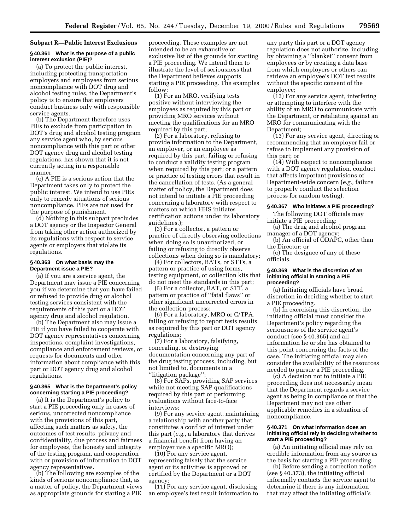# **Subpart R—Public Interest Exclusions**

### **§ 40.361 What is the purpose of a public interest exclusion (PIE)?**

(a) To protect the public interest, including protecting transportation employers and employees from serious noncompliance with DOT drug and alcohol testing rules, the Department's policy is to ensure that employers conduct business only with responsible service agents.

(b) The Department therefore uses PIEs to exclude from participation in DOT's drug and alcohol testing program any service agent who, by serious noncompliance with this part or other DOT agency drug and alcohol testing regulations, has shown that it is not currently acting in a responsible manner.

(c) A PIE is a serious action that the Department takes only to protect the public interest. We intend to use PIEs only to remedy situations of serious noncompliance. PIEs are not used for the purpose of punishment.

(d) Nothing in this subpart precludes a DOT agency or the Inspector General from taking other action authorized by its regulations with respect to service agents or employers that violate its regulations.

#### **§ 40.363 On what basis may the Department issue a PIE?**

(a) If you are a service agent, the Department may issue a PIE concerning you if we determine that you have failed or refused to provide drug or alcohol testing services consistent with the requirements of this part or a DOT agency drug and alcohol regulation.

(b) The Department also may issue a PIE if you have failed to cooperate with DOT agency representatives concerning inspections, complaint investigations, compliance and enforcement reviews, or requests for documents and other information about compliance with this part or DOT agency drug and alcohol regulations.

# **§ 40.365 What is the Department's policy concerning starting a PIE proceeding?**

(a) It is the Department's policy to start a PIE proceeding only in cases of serious, uncorrected noncompliance with the provisions of this part, affecting such matters as safety, the outcomes of test results, privacy and confidentiality, due process and fairness for employees, the honesty and integrity of the testing program, and cooperation with or provision of information to DOT agency representatives.

(b) The following are examples of the kinds of serious noncompliance that, as a matter of policy, the Department views as appropriate grounds for starting a PIE

proceeding. These examples are not intended to be an exhaustive or exclusive list of the grounds for starting a PIE proceeding. We intend them to illustrate the level of seriousness that the Department believes supports starting a PIE proceeding. The examples follow:

(1) For an MRO, verifying tests positive without interviewing the employees as required by this part or providing MRO services without meeting the qualifications for an MRO required by this part;

(2) For a laboratory, refusing to provide information to the Department, an employer, or an employee as required by this part; failing or refusing to conduct a validity testing program when required by this part; or a pattern or practice of testing errors that result in the cancellation of tests. (As a general matter of policy, the Department does not intend to initiate a PIE proceeding concerning a laboratory with respect to matters on which HHS initiates certification actions under its laboratory guidelines.);

(3) For a collector, a pattern or practice of directly observing collections when doing so is unauthorized, or failing or refusing to directly observe collections when doing so is mandatory;

(4) For collectors, BATs, or STTs, a pattern or practice of using forms, testing equipment, or collection kits that do not meet the standards in this part;

(5) For a collector, BAT, or STT, a pattern or practice of ''fatal flaws'' or other significant uncorrected errors in the collection process;

(6) For a laboratory, MRO or C/TPA, failing or refusing to report tests results as required by this part or DOT agency regulations;

(7) For a laboratory, falsifying, concealing, or destroying documentation concerning any part of the drug testing process, including, but not limited to, documents in a ''litigation package'';

(8) For SAPs, providing SAP services while not meeting SAP qualifications required by this part or performing evaluations without face-to-face interviews;

(9) For any service agent, maintaining a relationship with another party that constitutes a conflict of interest under this part (*e.g.,* a laboratory that derives a financial benefit from having an employer use a specific MRO);

(10) For any service agent, representing falsely that the service agent or its activities is approved or certified by the Department or a DOT agency;

(11) For any service agent, disclosing an employee's test result information to any party this part or a DOT agency regulation does not authorize, including by obtaining a ''blanket'' consent from employees or by creating a data base from which employers or others can retrieve an employee's DOT test results without the specific consent of the employee;

(12) For any service agent, interfering or attempting to interfere with the ability of an MRO to communicate with the Department, or retaliating against an MRO for communicating with the Department;

(13) For any service agent, directing or recommending that an employer fail or refuse to implement any provision of this part; or

(14) With respect to noncompliance with a DOT agency regulation, conduct that affects important provisions of Department-wide concern (*e.g.,* failure to properly conduct the selection process for random testing).

# **§ 40.367 Who initiates a PIE proceeding?**

The following DOT officials may initiate a PIE proceeding:

(a) The drug and alcohol program manager of a DOT agency;

(b) An official of ODAPC, other than the Director; or

(c) The designee of any of these officials.

#### **§ 40.369 What is the discretion of an initiating official in starting a PIE proceeding?**

(a) Initiating officials have broad discretion in deciding whether to start a PIE proceeding.

(b) In exercising this discretion, the initiating official must consider the Department's policy regarding the seriousness of the service agent's conduct (see § 40.365) and all information he or she has obtained to this point concerning the facts of the case. The initiating official may also consider the availability of the resources needed to pursue a PIE proceeding.

(c) A decision not to initiate a PIE proceeding does not necessarily mean that the Department regards a service agent as being in compliance or that the Department may not use other applicable remedies in a situation of noncompliance.

# **§ 40.371 On what information does an initiating official rely in deciding whether to start a PIE proceeding?**

(a) An initiating official may rely on credible information from any source as the basis for starting a PIE proceeding.

(b) Before sending a correction notice (see § 40.373), the initiating official informally contacts the service agent to determine if there is any information that may affect the initiating official's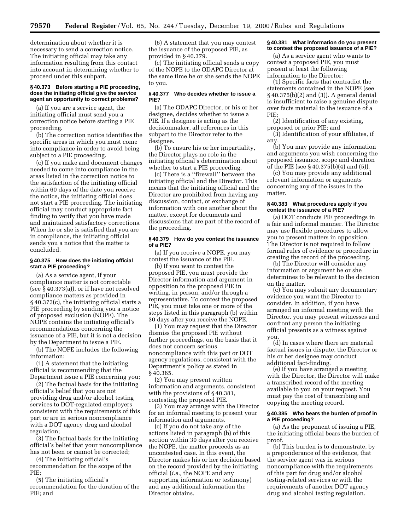determination about whether it is necessary to send a correction notice. The initiating official may take any information resulting from this contact into account in determining whether to proceed under this subpart.

#### **§ 40.373 Before starting a PIE proceeding, does the initiating official give the service agent an opportunity to correct problems?**

(a) If you are a service agent, the initiating official must send you a correction notice before starting a PIE proceeding.

(b) The correction notice identifies the specific areas in which you must come into compliance in order to avoid being subject to a PIE proceeding.

(c) If you make and document changes needed to come into compliance in the areas listed in the correction notice to the satisfaction of the initiating official within 60 days of the date you receive the notice, the initiating official does not start a PIE proceeding. The initiating official may conduct appropriate fact finding to verify that you have made and maintained satisfactory corrections. When he or she is satisfied that you are in compliance, the initiating official sends you a notice that the matter is concluded.

# **§ 40.375 How does the initiating official start a PIE proceeding?**

(a) As a service agent, if your compliance matter is not correctable (see § 40.373(a)), or if have not resolved compliance matters as provided in § 40.373(c), the initiating official starts a PIE proceeding by sending you a notice of proposed exclusion (NOPE). The NOPE contains the initiating official's recommendations concerning the issuance of a PIE, but it is not a decision by the Department to issue a PIE.

(b) The NOPE includes the following information:

(1) A statement that the initiating official is recommending that the Department issue a PIE concerning you;

(2) The factual basis for the initiating official's belief that you are not providing drug and/or alcohol testing services to DOT-regulated employers consistent with the requirements of this part or are in serious noncompliance with a DOT agency drug and alcohol regulation;

(3) The factual basis for the initiating official's belief that your noncompliance has not been or cannot be corrected;

(4) The initiating official's recommendation for the scope of the PIE;

(5) The initiating official's recommendation for the duration of the PIE; and

(6) A statement that you may contest the issuance of the proposed PIE, as provided in § 40.379.

(c) The initiating official sends a copy of the NOPE to the ODAPC Director at the same time he or she sends the NOPE to you.

#### **§ 40.377 Who decides whether to issue a PIE?**

(a) The ODAPC Director, or his or her designee, decides whether to issue a PIE. If a designee is acting as the decisionmaker, all references in this subpart to the Director refer to the designee.

(b) To ensure his or her impartiality, the Director plays no role in the initiating official's determination about whether to start a PIE proceeding.

(c) There is a ''firewall'' between the initiating official and the Director. This means that the initiating official and the Director are prohibited from having any discussion, contact, or exchange of information with one another about the matter, except for documents and discussions that are part of the record of the proceeding.

# **§ 40.379 How do you contest the issuance of a PIE?**

(a) If you receive a NOPE, you may contest the issuance of the PIE.

(b) If you want to contest the proposed PIE, you must provide the Director information and argument in opposition to the proposed PIE in writing, in person, and/or through a representative. To contest the proposed PIE, you must take one or more of the steps listed in this paragraph (b) within 30 days after you receive the NOPE.

(1) You may request that the Director dismiss the proposed PIE without further proceedings, on the basis that it does not concern serious noncompliance with this part or DOT agency regulations, consistent with the Department's policy as stated in § 40.365.

(2) You may present written information and arguments, consistent with the provisions of § 40.381, contesting the proposed PIE.

(3) You may arrange with the Director for an informal meeting to present your information and arguments.

(c) If you do not take any of the actions listed in paragraph (b) of this section within 30 days after you receive the NOPE, the matter proceeds as an uncontested case. In this event, the Director makes his or her decision based on the record provided by the initiating official (*i.e.,* the NOPE and any supporting information or testimony) and any additional information the Director obtains.

#### **§ 40.381 What information do you present to contest the proposed issuance of a PIE?**

(a) As a service agent who wants to contest a proposed PIE, you must present at least the following information to the Director:

(1) Specific facts that contradict the statements contained in the NOPE (see § 40.375(b)(2) and (3)). A general denial is insufficient to raise a genuine dispute over facts material to the issuance of a PIE;

(2) Identification of any existing, proposed or prior PIE; and

(3) Identification of your affiliates, if any.

(b) You may provide any information and arguments you wish concerning the proposed issuance, scope and duration of the PIE (see  $\S 40.375(b)(4)$  and (5)).

(c) You may provide any additional relevant information or arguments concerning any of the issues in the matter.

# **§ 40.383 What procedures apply if you contest the issuance of a PIE?**

(a) DOT conducts PIE proceedings in a fair and informal manner. The Director may use flexible procedures to allow you to present matters in opposition. The Director is not required to follow formal rules of evidence or procedure in creating the record of the proceeding.

(b) The Director will consider any information or argument he or she determines to be relevant to the decision on the matter.

(c) You may submit any documentary evidence you want the Director to consider. In addition, if you have arranged an informal meeting with the Director, you may present witnesses and confront any person the initiating official presents as a witness against you.

(d) In cases where there are material factual issues in dispute, the Director or his or her designee may conduct additional fact-finding.

(e) If you have arranged a meeting with the Director, the Director will make a transcribed record of the meeting available to you on your request. You must pay the cost of transcribing and copying the meeting record.

# **§ 40.385 Who bears the burden of proof in a PIE proceeding?**

(a) As the proponent of issuing a PIE, the initiating official bears the burden of proof.

(b) This burden is to demonstrate, by a preponderance of the evidence, that the service agent was in serious noncompliance with the requirements of this part for drug and/or alcohol testing-related services or with the requirements of another DOT agency drug and alcohol testing regulation.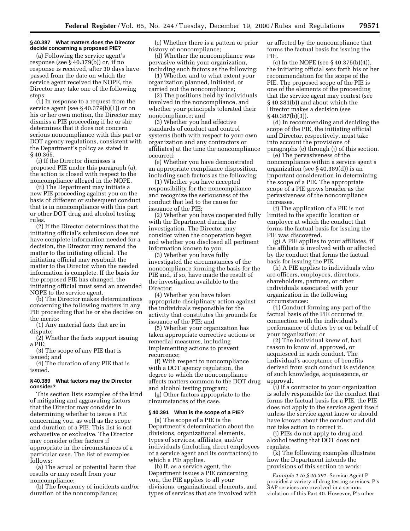# **§ 40.387 What matters does the Director decide concerning a proposed PIE?**

(a) Following the service agent's response (see  $\S 40.379(b)$ ) or, if no response is received, after 30 days have passed from the date on which the service agent received the NOPE, the Director may take one of the following steps:

(1) In response to a request from the service agent (see § 40.379(b)(1)) or on his or her own motion, the Director may dismiss a PIE proceeding if he or she determines that it does not concern serious noncompliance with this part or DOT agency regulations, consistent with the Department's policy as stated in § 40.365.

(i) If the Director dismisses a proposed PIE under this paragraph (a), the action is closed with respect to the noncompliance alleged in the NOPE.

(ii) The Department may initiate a new PIE proceeding against you on the basis of different or subsequent conduct that is in noncompliance with this part or other DOT drug and alcohol testing rules.

(2) If the Director determines that the initiating official's submission does not have complete information needed for a decision, the Director may remand the matter to the initiating official. The initiating official may resubmit the matter to the Director when the needed information is complete. If the basis for the proposed PIE has changed, the initiating official must send an amended NOPE to the service agent.

(b) The Director makes determinations concerning the following matters in any PIE proceeding that he or she decides on the merits:

(1) Any material facts that are in dispute;

(2) Whether the facts support issuing a PIE;

(3) The scope of any PIE that is issued; and

(4) The duration of any PIE that is issued.

#### **§ 40.389 What factors may the Director consider?**

This section lists examples of the kind of mitigating and aggravating factors that the Director may consider in determining whether to issue a PIE concerning you, as well as the scope and duration of a PIE. This list is not exhaustive or exclusive. The Director may consider other factors if appropriate in the circumstances of a particular case. The list of examples follows:

(a) The actual or potential harm that results or may result from your noncompliance;

(b) The frequency of incidents and/or duration of the noncompliance;

(c) Whether there is a pattern or prior history of noncompliance;

(d) Whether the noncompliance was pervasive within your organization, including such factors as the following:

(1) Whether and to what extent your organization planned, initiated, or carried out the noncompliance;

(2) The positions held by individuals involved in the noncompliance, and whether your principals tolerated their noncompliance; and

(3) Whether you had effective standards of conduct and control systems (both with respect to your own organization and any contractors or affiliates) at the time the noncompliance occurred;

(e) Whether you have demonstrated an appropriate compliance disposition, including such factors as the following:

(1) Whether you have accepted responsibility for the noncompliance and recognize the seriousness of the conduct that led to the cause for issuance of the PIE;

(2) Whether you have cooperated fully with the Department during the investigation. The Director may consider when the cooperation began and whether you disclosed all pertinent information known to you;

(3) Whether you have fully investigated the circumstances of the noncompliance forming the basis for the PIE and, if so, have made the result of the investigation available to the Director;

(4) Whether you have taken appropriate disciplinary action against the individuals responsible for the activity that constitutes the grounds for issuance of the PIE; and

(5) Whether your organization has taken appropriate corrective actions or remedial measures, including implementing actions to prevent recurrence;

(f) With respect to noncompliance with a DOT agency regulation, the degree to which the noncompliance affects matters common to the DOT drug and alcohol testing program;

(g) Other factors appropriate to the circumstances of the case.

#### **§ 40.391 What is the scope of a PIE?**

(a) The scope of a PIE is the Department's determination about the divisions, organizational elements, types of services, affiliates, and/or individuals (including direct employees of a service agent and its contractors) to which a PIE applies.

(b) If, as a service agent, the Department issues a PIE concerning you, the PIE applies to all your divisions, organizational elements, and types of services that are involved with or affected by the noncompliance that forms the factual basis for issuing the PIE.

(c) In the NOPE (see § 40.375(b)(4)), the initiating official sets forth his or her recommendation for the scope of the PIE. The proposed scope of the PIE is one of the elements of the proceeding that the service agent may contest (see § 40.381(b)) and about which the Director makes a decision (see § 40.387(b)(3)).

(d) In recommending and deciding the scope of the PIE, the initiating official and Director, respectively, must take into account the provisions of paragraphs (e) through (j) of this section.

(e) The pervasiveness of the noncompliance within a service agent's organization (see § 40.389(d)) is an important consideration in determining the scope of a PIE. The appropriate scope of a PIE grows broader as the pervasiveness of the noncompliance increases.

(f) The application of a PIE is not limited to the specific location or employer at which the conduct that forms the factual basis for issuing the PIE was discovered.

(g) A PIE applies to your affiliates, if the affiliate is involved with or affected by the conduct that forms the factual basis for issuing the PIE.

(h) A PIE applies to individuals who are officers, employees, directors, shareholders, partners, or other individuals associated with your organization in the following circumstances:

(1) Conduct forming any part of the factual basis of the PIE occurred in connection with the individual's performance of duties by or on behalf of your organization; or

(2) The individual knew of, had reason to know of, approved, or acquiesced in such conduct. The individual's acceptance of benefits derived from such conduct is evidence of such knowledge, acquiescence, or approval.

(i) If a contractor to your organization is solely responsible for the conduct that forms the factual basis for a PIE, the PIE does not apply to the service agent itself unless the service agent knew or should have known about the conduct and did not take action to correct it.

(j) PIEs do not apply to drug and alcohol testing that DOT does not regulate.

(k) The following examples illustrate how the Department intends the provisions of this section to work:

*Example 1 to § 40.391.* Service Agent P provides a variety of drug testing services. P's SAP services are involved in a serious violation of this Part 40. However, P's other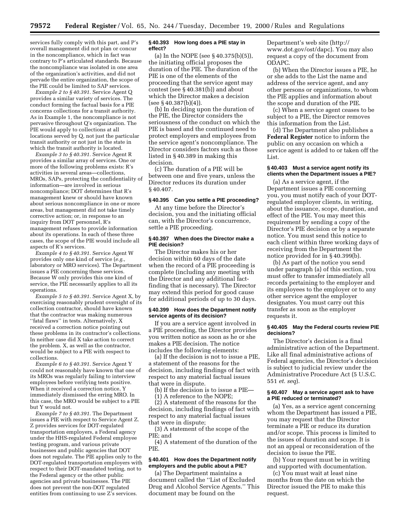services fully comply with this part, and P's overall management did not plan or concur in the noncompliance, which in fact was contrary to P's articulated standards. Because the noncompliance was isolated in one area of the organization's activities, and did not pervade the entire organization, the scope of the PIE could be limited to SAP services.

*Example 2 to § 40.391.* Service Agent Q provides a similar variety of services. The conduct forming the factual basis for a PIE concerns collections for a transit authority. As in Example 1, the noncompliance is not pervasive throughout Q's organization. The PIE would apply to collections at all locations served by Q, not just the particular transit authority or not just in the state in which the transit authority is located.

*Example 3 to § 40.391.* Service Agent R provides a similar array of services. One or more of the following problems exists: R's activities in several areas—collections, MROs, SAPs, protecting the confidentiality of information—are involved in serious noncompliance; DOT determines that R's management knew or should have known about serious noncompliance in one or more areas, but management did not take timely corrective action; or, in response to an inquiry from DOT personnel, R's management refuses to provide information about its operations. In each of these three cases, the scope of the PIE would include all aspects of R's services.

*Example 4 to § 40.391.* Service Agent W provides only one kind of service (*e.g.,* laboratory or MRO services). The Department issues a PIE concerning these services. Because W only provides this one kind of service, the PIE necessarily applies to all its operations.

*Example 5 to § 40.391.* Service Agent X, by exercising reasonably prudent oversight of its collection contractor, should have known that the contractor was making numerous ''fatal flaws'' in tests. Alternatively, X received a correction notice pointing out these problems in its contractor's collections. In neither case did X take action to correct the problem. X, as well as the contractor, would be subject to a PIE with respect to collections.

*Example 6 to § 40.391.* Service Agent Y could not reasonably have known that one of its MROs was regularly failing to interview employees before verifying tests positive. When it received a correction notice, Y immediately dismissed the erring MRO. In this case, the MRO would be subject to a PIE but Y would not.

*Example 7 to § 40.391.* The Department issues a PIE with respect to Service Agent Z. Z provides services for DOT-regulated transportation employers, a Federal agency under the HHS-regulated Federal employee testing program, and various private businesses and public agencies that DOT does not regulate. The PIE applies only to the DOT-regulated transportation employers with respect to their DOT-mandated testing, not to the Federal agency or the other public agencies and private businesses. The PIE does not prevent the non-DOT regulated entities from continuing to use Z's services.

#### **§ 40.393 How long does a PIE stay in effect?**

(a) In the NOPE (see § 40.375(b)(5)), the initiating official proposes the duration of the PIE. The duration of the PIE is one of the elements of the proceeding that the service agent may contest (see § 40.381(b)) and about which the Director makes a decision (see § 40.387(b)(4)).

(b) In deciding upon the duration of the PIE, the Director considers the seriousness of the conduct on which the PIE is based and the continued need to protect employers and employees from the service agent's noncompliance. The Director considers factors such as those listed in § 40.389 in making this decision.

(c) The duration of a PIE will be between one and five years, unless the Director reduces its duration under § 40.407.

# **§ 40.395 Can you settle a PIE proceeding?**

At any time before the Director's decision, you and the initiating official can, with the Director's concurrence, settle a PIE proceeding.

### **§ 40.397 When does the Director make a PIE decision?**

The Director makes his or her decision within 60 days of the date when the record of a PIE proceeding is complete (including any meeting with the Director and any additional factfinding that is necessary). The Director may extend this period for good cause for additional periods of up to 30 days.

#### **§ 40.399 How does the Department notify service agents of its decision?**

If you are a service agent involved in a PIE proceeding, the Director provides you written notice as soon as he or she makes a PIE decision. The notice includes the following elements:

(a) If the decision is not to issue a PIE, a statement of the reasons for the decision, including findings of fact with respect to any material factual issues that were in dispute.

(b) If the decision is to issue a PIE—

(1) A reference to the NOPE;

(2) A statement of the reasons for the decision, including findings of fact with respect to any material factual issues that were in dispute;

(3) A statement of the scope of the PIE; and

(4) A statement of the duration of the PIE.

# **§ 40.401 How does the Department notify employers and the public about a PIE?**

(a) The Department maintains a document called the ''List of Excluded Drug and Alcohol Service Agents.'' This document may be found on the

Department's web site (http:// www.dot.gov/ost/dapc). You may also request a copy of the document from ODAPC.

(b) When the Director issues a PIE, he or she adds to the List the name and address of the service agent, and any other persons or organizations, to whom the PIE applies and information about the scope and duration of the PIE.

(c) When a service agent ceases to be subject to a PIE, the Director removes this information from the List.

(d) The Department also publishes a **Federal Register** notice to inform the public on any occasion on which a service agent is added to or taken off the List.

#### **§ 40.403 Must a service agent notify its clients when the Department issues a PIE?**

(a) As a service agent, if the Department issues a PIE concerning you, you must notify each of your DOTregulated employer clients, in writing, about the issuance, scope, duration, and effect of the PIE. You may meet this requirement by sending a copy of the Director's PIE decision or by a separate notice. You must send this notice to each client within three working days of receiving from the Department the notice provided for in § 40.399(b).

(b) As part of the notice you send under paragraph (a) of this section, you must offer to transfer immediately all records pertaining to the employer and its employees to the employer or to any other service agent the employer designates. You must carry out this transfer as soon as the employer requests it.

# **§ 40.405 May the Federal courts review PIE decisions?**

The Director's decision is a final administrative action of the Department. Like all final administrative actions of Federal agencies, the Director's decision is subject to judicial review under the Administrative Procedure Act (5 U.S.C. 551 *et. seq*).

#### **§ 40.407 May a service agent ask to have a PIE reduced or terminated?**

(a) Yes, as a service agent concerning whom the Department has issued a PIE, you may request that the Director terminate a PIE or reduce its duration and/or scope. This process is limited to the issues of duration and scope. It is not an appeal or reconsideration of the decision to issue the PIE.

(b) Your request must be in writing and supported with documentation.

(c) You must wait at least nine months from the date on which the Director issued the PIE to make this request.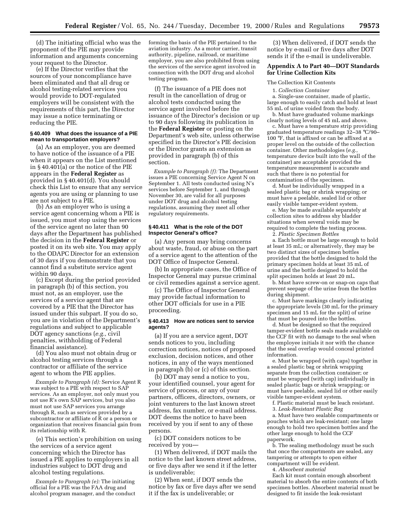(d) The initiating official who was the proponent of the PIE may provide information and arguments concerning your request to the Director.

(e) If the Director verifies that the sources of your noncompliance have been eliminated and that all drug or alcohol testing-related services you would provide to DOT-regulated employers will be consistent with the requirements of this part, the Director may issue a notice terminating or reducing the PIE.

#### **§ 40.409 What does the issuance of a PIE mean to transportation employers?**

(a) As an employer, you are deemed to have notice of the issuance of a PIE when it appears on the List mentioned in § 40.401(a) or the notice of the PIE appears in the **Federal Register** as provided in § 40.401(d). You should check this List to ensure that any service agents you are using or planning to use are not subject to a PIE.

(b) As an employer who is using a service agent concerning whom a PIE is issued, you must stop using the services of the service agent no later than 90 days after the Department has published the decision in the **Federal Register** or posted it on its web site. You may apply to the ODAPC Director for an extension of 30 days if you demonstrate that you cannot find a substitute service agent within 90 days.

(c) Except during the period provided in paragraph (b) of this section, you must not, as an employer, use the services of a service agent that are covered by a PIE that the Director has issued under this subpart. If you do so, you are in violation of the Department's regulations and subject to applicable DOT agency sanctions (*e.g.,* civil penalties, withholding of Federal financial assistance).

(d) You also must not obtain drug or alcohol testing services through a contractor or affiliate of the service agent to whom the PIE applies.

*Example to Paragraph (d):* Service Agent R was subject to a PIE with respect to SAP services. As an employer, not only must you not use R's own SAP services, but you also must not use SAP services you arrange through R, such as services provided by a subcontractor or affiliate of R or a person or organization that receives financial gain from its relationship with R.

(e) This section's prohibition on using the services of a service agent concerning which the Director has issued a PIE applies to employers in all industries subject to DOT drug and alcohol testing regulations.

*Example to Paragraph (e):* The initiating official for a PIE was the FAA drug and alcohol program manager, and the conduct

forming the basis of the PIE pertained to the aviation industry. As a motor carrier, transit authority, pipeline, railroad, or maritime employer, you are also prohibited from using the services of the service agent involved in connection with the DOT drug and alcohol testing program.

(f) The issuance of a PIE does not result in the cancellation of drug or alcohol tests conducted using the service agent involved before the issuance of the Director's decision or up to 90 days following its publication in the **Federal Register** or posting on the Department's web site, unless otherwise specified in the Director's PIE decision or the Director grants an extension as provided in paragraph (b) of this section.

*Example to Paragraph (f):* The Department issues a PIE concerning Service Agent N on September 1. All tests conducted using N's services before September 1, and through November 30, are valid for all purposes under DOT drug and alcohol testing regulations, assuming they meet all other regulatory requirements.

#### **§ 40.411 What is the role of the DOT Inspector General's office?**

(a) Any person may bring concerns about waste, fraud, or abuse on the part of a service agent to the attention of the DOT Office of Inspector General.

(b) In appropriate cases, the Office of Inspector General may pursue criminal or civil remedies against a service agent.

(c) The Office of Inspector General may provide factual information to other DOT officials for use in a PIE proceeding.

#### **§ 40.413 How are notices sent to service agents?**

(a) If you are a service agent, DOT sends notices to you, including correction notices, notices of proposed exclusion, decision notices, and other notices, in any of the ways mentioned in paragraph (b) or (c) of this section.

(b) DOT may send a notice to you, your identified counsel, your agent for service of process, or any of your partners, officers, directors, owners, or joint venturers to the last known street address, fax number, or e-mail address. DOT deems the notice to have been received by you if sent to any of these persons.

(c) DOT considers notices to be received by you—

(1) When delivered, if DOT mails the notice to the last known street address, or five days after we send it if the letter is undeliverable;

(2) When sent, if DOT sends the notice by fax or five days after we send it if the fax is undeliverable; or

(3) When delivered, if DOT sends the notice by e-mail or five days after DOT sends it if the e-mail is undeliverable.

# **Appendix A to Part 40—DOT Standards for Urine Collection Kits**

The Collection Kit Contents

1. *Collection Container*

a. Single-use container, made of plastic, large enough to easily catch and hold at least 55 mL of urine voided from the body.

b. Must have graduated volume markings clearly noting levels of 45 mL and above.

c. Must have a temperature strip providing graduated temperature readings 32–38 °C/90– 100 °F, that is affixed or can be affixed at a proper level on the outside of the collection container. Other methodologies (*e.g.,* temperature device built into the wall of the container) are acceptable provided the temperature measurement is accurate and such that there is no potential for contamination of the specimen.

d. Must be individually wrapped in a sealed plastic bag or shrink wrapping; or must have a peelable, sealed lid or other easily visible tamper-evident system.

e. May be made available separately at collection sites to address shy bladder situations when several voids may be required to complete the testing process.

2. *Plastic Specimen Bottles*

a. Each bottle must be large enough to hold at least 35 mL; or alternatively, they may be two distinct sizes of specimen bottles provided that the bottle designed to hold the primary specimen holds at least 35 mL of urine and the bottle designed to hold the split specimen holds at least 20 mL.

b. Must have screw-on or snap-on caps that prevent seepage of the urine from the bottles during shipment.

c. Must have markings clearly indicating the appropriate levels (30 mL for the primary specimen and 15 mL for the split) of urine that must be poured into the bottles.

d. Must be designed so that the required tamper-evident bottle seals made available on the CCF fit with no damage to the seal when the employee initials it nor with the chance that the seal overlap would conceal printed information.

e. Must be wrapped (with caps) together in a sealed plastic bag or shrink wrapping separate from the collection container; or must be wrapped (with cap) individually in sealed plastic bags or shrink wrapping; or must have peelable, sealed lid or other easily visible tamper-evident system.

f. Plastic material must be leach resistant.

3. *Leak-Resistant Plastic Bag*

a. Must have two sealable compartments or pouches which are leak-resistant; one large enough to hold two specimen bottles and the other large enough to hold the CCF paperwork.

b. The sealing methodology must be such that once the compartments are sealed, any tampering or attempts to open either compartment will be evident.

4. *Absorbent material*

Each kit must contain enough absorbent material to absorb the entire contents of both specimen bottles. Absorbent material must be designed to fit inside the leak-resistant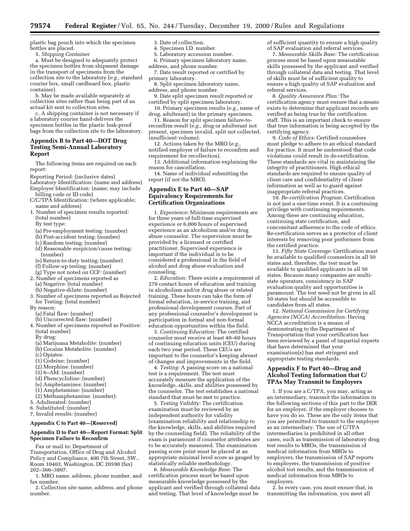plastic bag pouch into which the specimen bottles are placed.

5. *Shipping Container*

a. Must be designed to adequately protect the specimen bottles from shipment damage in the transport of specimens from the collection site to the laboratory (*e.g.,* standard courier box, small cardboard box, plastic container).

b. May be made available separately at collection sites rather than being part of an actual kit sent to collection sites.

c. A shipping container is not necessary if a laboratory courier hand-delivers the specimen bottles in the plastic leak-proof bags from the collection site to the laboratory.

# **Appendix B to Part 40—DOT Drug Testing Semi-Annual Laboratory Report**

The following items are required on each report:

Reporting Period: (inclusive dates)

- Laboratory Identification: (name and address) Employer Identification: (name; may include billing code or ID code)
- C/C/TPA Identification: (where applicable; name and address)
- 1. Number of specimen results reported: (total number)
	- By test type:
	- (a) Pre-employment testing: (number)
	- (b) Post-accident testing: (number)
	- (c) Random testing: (number)
	- (d) Reasonable suspicion/cause testing: (number)
	- (e) Return-to-duty testing: (number)
	- (f) Follow-up testing: (number)
	- (g) Type not noted on CCF: (number)
- 2. Number of specimens reported as (a) Negative: (total number)
- (b) Negative-dilute: (number)
- 3. Number of specimens reported as Rejected for Testing: (total number)
- By reason:
	- (a) Fatal flaw: (number)
- (b) Uncorrected flaw: (number)
- 4. Number of specimens reported as Positive: (total number)
	- By drug:
	- (a) Marijuana Metabolite: (number)
	- (b) Cocaine Metabolite: (number)
	- (c) Opiates:
	- (1) Codeine: (number)
	- (2) Morphine: (number)
	- (3) 6–AM: (number)
	- (d) Phencyclidine: (number)
	- (e) Amphetamines: (number)
	- (1) Amphetamine: (number)
	-
	- (2) Methamphetamine: (number):
- 5. Adulterated: (number)
- 6. Substituted: (number)
- 7. Invalid results: (number)

# **Appendix C to Part 40—[Reserved]**

#### **Appendix D to Part 40—Report Format: Split Specimen Failure to Reconfirm**

Fax or mail to: Department of Transportation, Office of Drug and Alcohol Policy and Compliance, 400 7th Street, SW., Room 10403, Washington, DC 20590 (fax) 202–366–3897.

1. MRO name, address, phone number, and fax number.

2. Collection site name, address, and phone number.

3. Date of collection.

- 4. Specimen I.D. number.
- 5. Laboratory accession number.
- 6. Primary specimen laboratory name, address, and phone number.
- 7. Date result reported or certified by primary laboratory.
- 8. Split specimen laboratory name, address, and phone number.
- 9. Date split specimen result reported or
- certified by split specimen laboratory. 10. Primary specimen results (*e.g.,* name of
- drug, adulterant) in the primary specimen. 11. Reason for split specimen failure-to-
- reconfirm result (*e.g.,* drug or adulterant not present, specimen invalid, split not collected, insufficient volume).

12. Actions taken by the MRO (*e.g.,* notified employer of failure to reconfirm and requirement for recollection).

13. Additional information explaining the reason for cancellation.

14. Name of individual submitting the report (if not the MRO).

# **Appendix E to Part 40—SAP Equivalency Requirements for Certification Organizations**

1. *Experience:* Minimum requirements are for three years of full-time supervised experience or 6,000 hours of supervised experience as an alcoholism and/or drug abuse counselor. The supervision must be provided by a licensed or certified practitioner. Supervised experience is important if the individual is to be considered a professional in the field of alcohol and drug abuse evaluation and counseling.

2. *Education:* There exists a requirement of 270 contact hours of education and training in alcoholism and/or drug abuse or related training. These hours can take the form of formal education, in-service training, and professional development courses. Part of any professional counselor's development is participation in formal and non-formal education opportunities within the field.

3. *Continuing Education:* The certified counselor must receive at least 40–60 hours of continuing education units (CEU) during each two year period. These CEUs are important to the counselor's keeping abreast of changes and improvements in the field.

4. *Testing:* A passing score on a national test is a requirement. The test must accurately measure the application of the knowledge, skills, and abilities possessed by the counselor. The test establishes a national standard that must be met to practice.

5. *Testing Validity:* The certification examination must be reviewed by an independent authority for validity (examination reliability and relationship to the knowledge, skills, and abilities required by the counseling field). The reliability of the exam is paramount if counselor attributes are to be accurately measured. The examination passing score point must be placed at an appropriate minimal level score as gauged by statistically reliable methodology.

6. *Measurable Knowledge Base:* The certification process must be based upon measurable knowledge possessed by the applicant and verified through collateral data and testing. That level of knowledge must be

of sufficient quantity to ensure a high quality of SAP evaluation and referral services.

7. *Measurable Skills Base:* The certification process must be based upon measurable skills possessed by the applicant and verified through collateral data and testing. That level of skills must be of sufficient quality to ensure a high quality of SAP evaluation and referral services.

8. *Quality Assurance Plan:* The certification agency must ensure that a means exists to determine that applicant records are verified as being true by the certification staff. This is an important check to ensure that true information is being accepted by the certifying agency.

9. *Code of Ethics:* Certified counselors must pledge to adhere to an ethical standard for practice. It must be understood that code violations could result in de-certification. These standards are vital in maintaining the integrity of practitioners. High ethical standards are required to ensure quality of client care and confidentiality of client information as well as to guard against inappropriate referral practices.

10. *Re-certification Program:* Certification is not just a one-time event. It is a continuing privilege with continuing requirements. Among these are continuing education, continuing state certification, and concomitant adherence to the code of ethics. Re-certification serves as a protector of client interests by removing poor performers from the certified practice.

11. *Fifty State Coverage:* Certification must be available to qualified counselors in all 50 states and, therefore, the test must be available to qualified applicants in all 50 states. Because many companies are multistate operators, consistency in SAP evaluation quality and opportunities is paramount. The test need not be given in all 50 states but should be accessible to candidates from all states.

12. *National Commission for Certifying Agencies (NCCA) Accreditation:* Having NCCA accreditation is a means of demonstrating to the Department of Transportation that your certification has been reviewed by a panel of impartial experts that have determined that your examination(s) has met stringent and appropriate testing standards.

# **Appendix F to Part 40—Drug and Alcohol Testing Information that C/ TPAs May Transmit to Employers**

1. If you are a C/TPA, you may, acting as an intermediary, transmit the information in the following sections of this part to the DER for an employer, if the employer chooses to have you do so. These are the only items that you are permitted to transmit to the employer as an intermediary. The use of C/TPA intermediaries is prohibited in all other cases, such as transmission of laboratory drug test results to MROs, the transmission of medical information from MROs to employers, the transmission of SAP reports to employers, the transmission of positive alcohol test results, and the transmission of medical information from MROs to employers.

2. In every case, you must ensure that, in transmitting the information, you meet all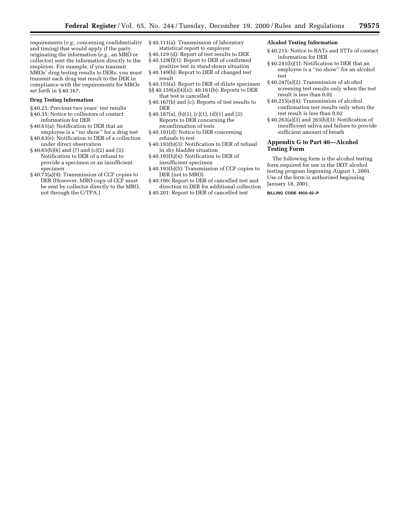requirements (*e.g.,* concerning confidentiality and timing) that would apply if the party originating the information (*e.g.,* an MRO or collector) sent the information directly to the employer. For example, if you transmit MROs' drug testing results to DERs, you must transmit each drug test result to the DER in compliance with the requirements for MROs set forth in § 40.167.

#### **Drug Testing Information**

- § 40.25: Previous two years' test results § 40.35: Notice to collectors of contact
- information for DER § 40.61(a): Notification to DER that an
- employee is a ''no show'' for a drug test § 40.63(e): Notification to DER of a collection under direct observation
- § 40.65(b)(6) and (7) and (c)(2) and (3): Notification to DER of a refusal to provide a specimen or an insufficient specimen
- § 40.73(a)(9): Transmission of CCF copies to DER (However, MRO copy of CCF must be sent by collector directly to the MRO, not through the C/TPA.)
- § 40.111(a): Transmission of laboratory statistical report to employer
- § 40.129 (d): Report of test results to DER § 40.129(f)(1): Report to DER of confirmed
- positive test in stand-down situation
- § 40.149(b): Report to DER of changed test result
- § 40.155(a): Report to DER of dilute specimen
- §§ 40.159(a)(4)(ii); 40.161(b): Reports to DER that test is cancelled
- § 40.167(b) and (c): Reports of test results to DER
- § 40.187(a), (b)(1), (c)(1), (d)(1) and (2): Reports to DER concerning the reconfirmation of tests
- § 40.191(d): Notice to DER concerning refusals to test
- § 40.193(b)(3): Notification to DER of refusal in shy bladder situation
- § 40.193(b)(4): Notification to DER of insufficient specimen
- § 40.193(b)(5): Transmission of CCF copies to DER (not to MRO)
- § 40.199: Report to DER of cancelled test and direction to DER for additional collection
- § 40.201: Report to DER of cancelled test

#### **Alcohol Testing Information**

- § 40.215: Notice to BATs and STTs of contact information for DER
- § 40.241(b)(1): Notification to DER that an employee is a ''no show'' for an alcohol test
- § 40.247(a)(2): Transmission of alcohol screening test results only when the test result is less than 0.02
- § 40.255(a)(4): Transmission of alcohol confirmation test results only when the test result is less than 0.02
- § 40.263(a)(3) and 263(b)(3): Notification of insufficient saliva and failure to provide sufficient amount of breath

# **Appendix G to Part 40—Alcohol Testing Form**

The following form is the alcohol testing form required for use in the DOT alcohol testing program beginning August 1, 2001. Use of the form is authorized beginning January 18, 2001.

# **BILLING CODE 4910–62–P**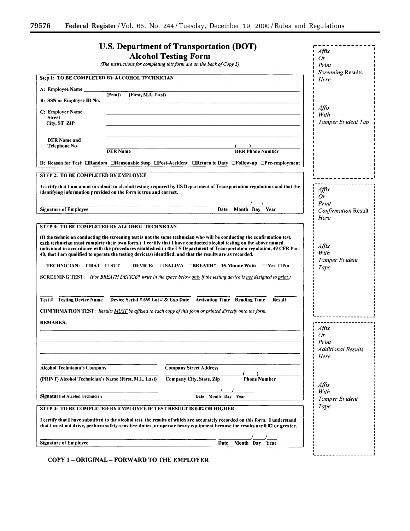÷.

 $\equiv$ 

|                                                       | U.S. Department of Transportation (DOT)                                                                                                                                                                                                                     |                                    |
|-------------------------------------------------------|-------------------------------------------------------------------------------------------------------------------------------------------------------------------------------------------------------------------------------------------------------------|------------------------------------|
|                                                       | <b>Alcohol Testing Form</b>                                                                                                                                                                                                                                 | Affix<br>0r                        |
|                                                       | (The instructions for completing this form are on the back of Copy 3)                                                                                                                                                                                       | Print                              |
|                                                       |                                                                                                                                                                                                                                                             | <b>Screening Results</b>           |
|                                                       | Step 1: TO BE COMPLETED BY ALCOHOL TECHNICIAN                                                                                                                                                                                                               | Here                               |
| A: Employee Name                                      | (Print)<br>(First, M.I., Last)                                                                                                                                                                                                                              |                                    |
| B: SSN or Employee ID No.                             |                                                                                                                                                                                                                                                             |                                    |
| C: Employer Name                                      |                                                                                                                                                                                                                                                             | Affix                              |
| <b>Street</b>                                         |                                                                                                                                                                                                                                                             | With                               |
| City, ST ZIP                                          |                                                                                                                                                                                                                                                             | Tamper Evident Tap                 |
|                                                       |                                                                                                                                                                                                                                                             |                                    |
| <b>DER Name and</b><br>Telephone No.                  |                                                                                                                                                                                                                                                             |                                    |
|                                                       | <b>DER</b> Name<br><b>DER Phone Number</b>                                                                                                                                                                                                                  |                                    |
|                                                       | D: Reason for Test: □Random □Reasonable Susp □Post-Accident □Return to Duty □Follow-up □Pre-employment                                                                                                                                                      |                                    |
|                                                       |                                                                                                                                                                                                                                                             |                                    |
| <b>STEP 2: TO BE COMPLETED BY EMPLOYEE</b>            |                                                                                                                                                                                                                                                             |                                    |
|                                                       | I certify that I am about to submit to alcohol testing required by US Department of Transportation regulations and that the                                                                                                                                 | Affix                              |
|                                                       | identifying information provided on the form is true and correct.                                                                                                                                                                                           | Or                                 |
| <b>Signature of Employee</b>                          | Month Day Year<br>Date                                                                                                                                                                                                                                      | Print                              |
|                                                       |                                                                                                                                                                                                                                                             | <b>Confirmation Result</b><br>Here |
|                                                       | <b>STEP 3: TO BE COMPLETED BY ALCOHOL TECHNICIAN</b>                                                                                                                                                                                                        |                                    |
|                                                       | (If the technician conducting the screening test is not the same technician who will be conducting the confirmation test,<br>each technician must complete their own form.) I certify that I have conducted alcohol testing on the above named              |                                    |
|                                                       | individual in accordance with the procedures established in the US Department of Transportation regulation, 49 CFR Part<br>40, that I am qualified to operate the testing device(s) identified, and that the results are as recorded.                       | Affix<br>With<br>Tamper Evident    |
| TECHNICIAN: <b>CBAT CSTT</b>                          | <b>DEVICE:</b> $\Box$ SALIVA $\Box$ BREATH* 15-Minute Wait: $\Box$ Yes $\Box$ No                                                                                                                                                                            | Tape                               |
|                                                       | <b>SCREENING TEST:</b> (For BREATH DEVICE <sup>*</sup> write in the space below only if the testing device is not designed to print.)                                                                                                                       |                                    |
| <b>Testing Device Name</b><br>Test#                   | Device Serial # OR Lot # & Exp Date Activation Time Reading Time<br>Result                                                                                                                                                                                  |                                    |
|                                                       | <b>CONFIRMATION TEST:</b> Results MUST be affixed to each copy of this form or printed directly onto the form.                                                                                                                                              |                                    |
| <b>REMARKS:</b>                                       |                                                                                                                                                                                                                                                             |                                    |
|                                                       |                                                                                                                                                                                                                                                             | Affix                              |
|                                                       |                                                                                                                                                                                                                                                             | 0r                                 |
|                                                       |                                                                                                                                                                                                                                                             | Print<br><b>Additional Results</b> |
|                                                       |                                                                                                                                                                                                                                                             | Here                               |
| <b>Alcohol Technician's Company</b>                   | <b>Company Street Address</b>                                                                                                                                                                                                                               |                                    |
| (PRINT) Alcohol Technician's Name (First, M.I., Last) | Company City, State, Zip<br><b>Phone Number</b>                                                                                                                                                                                                             | Affix                              |
| <b>Signature of Alcohol Technician</b>                | Date Month Day Year                                                                                                                                                                                                                                         | With<br>Tamper Evident             |
|                                                       | STEP 4: TO BE COMPLETED BY EMPLOYEE IF TEST RESULT IS 0.02 OR HIGHER                                                                                                                                                                                        | Tape                               |
|                                                       |                                                                                                                                                                                                                                                             |                                    |
|                                                       | I certify that I have submitted to the alcohol test, the results of which are accurately recorded on this form. I understand<br>that I must not drive, perform safety-sensitive duties, or operate heavy equipment because the results are 0.02 or greater. |                                    |
| <b>Signature of Employee</b>                          | Date<br>Month Day<br>Year                                                                                                                                                                                                                                   |                                    |
|                                                       |                                                                                                                                                                                                                                                             |                                    |

**COPY 1-ORIGINAL-FORWARD TO THE EMPLOYER**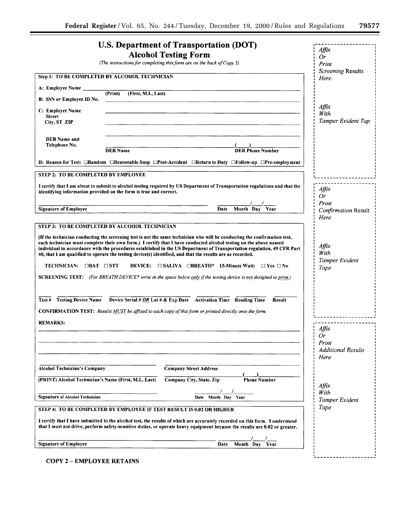| <b>U.S. Department of Transportation (DOT)</b>                                                                                                                                                                                                                                                                                                                                                                                                                                                                                                                                                                    |                                         |  |  |
|-------------------------------------------------------------------------------------------------------------------------------------------------------------------------------------------------------------------------------------------------------------------------------------------------------------------------------------------------------------------------------------------------------------------------------------------------------------------------------------------------------------------------------------------------------------------------------------------------------------------|-----------------------------------------|--|--|
| <b>Alcohol Testing Form</b>                                                                                                                                                                                                                                                                                                                                                                                                                                                                                                                                                                                       | Affix<br>0r                             |  |  |
| (The instructions for completing this form are on the back of Copy 3)                                                                                                                                                                                                                                                                                                                                                                                                                                                                                                                                             | Print                                   |  |  |
| Step 1: TO BE COMPLETED BY ALCOHOL TECHNICIAN                                                                                                                                                                                                                                                                                                                                                                                                                                                                                                                                                                     | Screening Results                       |  |  |
| A: Employee Name                                                                                                                                                                                                                                                                                                                                                                                                                                                                                                                                                                                                  | Here                                    |  |  |
| (First, M.I., Last)<br>(Print)                                                                                                                                                                                                                                                                                                                                                                                                                                                                                                                                                                                    |                                         |  |  |
| <b>B:</b> SSN or Employee ID No.                                                                                                                                                                                                                                                                                                                                                                                                                                                                                                                                                                                  | Affix                                   |  |  |
| C: Employer Name<br><b>Street</b>                                                                                                                                                                                                                                                                                                                                                                                                                                                                                                                                                                                 | With                                    |  |  |
| City, ST ZIP                                                                                                                                                                                                                                                                                                                                                                                                                                                                                                                                                                                                      | Tamper Evident Tap                      |  |  |
|                                                                                                                                                                                                                                                                                                                                                                                                                                                                                                                                                                                                                   |                                         |  |  |
| <b>DER Name and</b><br>Telephone No.                                                                                                                                                                                                                                                                                                                                                                                                                                                                                                                                                                              |                                         |  |  |
| <b>DER</b> Name<br><b>DER Phone Number</b>                                                                                                                                                                                                                                                                                                                                                                                                                                                                                                                                                                        |                                         |  |  |
| D: Reason for Test: andom and all essonable Susp are asset-Accident and Deturn to Duty and Development                                                                                                                                                                                                                                                                                                                                                                                                                                                                                                            |                                         |  |  |
| <b>STEP 2: TO BE COMPLETED BY EMPLOYEE</b>                                                                                                                                                                                                                                                                                                                                                                                                                                                                                                                                                                        |                                         |  |  |
| I certify that I am about to submit to alcohol testing required by US Department of Transportation regulations and that the<br>identifying information provided on the form is true and correct.                                                                                                                                                                                                                                                                                                                                                                                                                  | Affix<br>Or                             |  |  |
|                                                                                                                                                                                                                                                                                                                                                                                                                                                                                                                                                                                                                   | Print                                   |  |  |
| Month Day Year<br><b>Signature of Employee</b><br>Date                                                                                                                                                                                                                                                                                                                                                                                                                                                                                                                                                            | <b>Confirmation Result</b>              |  |  |
|                                                                                                                                                                                                                                                                                                                                                                                                                                                                                                                                                                                                                   | Here                                    |  |  |
| STEP 3: TO BE COMPLETED BY ALCOHOL TECHNICIAN                                                                                                                                                                                                                                                                                                                                                                                                                                                                                                                                                                     |                                         |  |  |
| each technician must complete their own form.) I certify that I have conducted alcohol testing on the above named<br>individual in accordance with the procedures established in the US Department of Transportation regulation, 49 CFR Part<br>40, that I am qualified to operate the testing device(s) identified, and that the results are as recorded.<br>TECHNICIAN: □BAT □ STT<br><b>DEVICE:</b> $\Box$ SALIVA $\Box$ BREATH* 15-Minute Wait: $\Box$ Yes $\Box$ No<br><b>SCREENING TEST:</b> (For BREATH DEVICE <sup>*</sup> write in the space below only if the testing device is not designed to print.) | Affix<br>With<br>Tamper Evident<br>Tape |  |  |
| Test # Testing Device Name<br>Device Serial # OR Lot # & Exp Date Activation Time Reading Time<br><b>Result</b>                                                                                                                                                                                                                                                                                                                                                                                                                                                                                                   |                                         |  |  |
| <b>CONFIRMATION TEST:</b> Results MUST be affixed to each copy of this form or printed directly onto the form.                                                                                                                                                                                                                                                                                                                                                                                                                                                                                                    |                                         |  |  |
| <b>REMARKS:</b>                                                                                                                                                                                                                                                                                                                                                                                                                                                                                                                                                                                                   |                                         |  |  |
|                                                                                                                                                                                                                                                                                                                                                                                                                                                                                                                                                                                                                   | Affix<br>0r                             |  |  |
|                                                                                                                                                                                                                                                                                                                                                                                                                                                                                                                                                                                                                   | Print                                   |  |  |
|                                                                                                                                                                                                                                                                                                                                                                                                                                                                                                                                                                                                                   | Additional Results<br>Here              |  |  |
| <b>Alcohol Technician's Company</b><br><b>Company Street Address</b>                                                                                                                                                                                                                                                                                                                                                                                                                                                                                                                                              |                                         |  |  |
| Company City, State, Zip<br>(PRINT) Alcohol Technician's Name (First, M.I., Last)<br>Phone Number                                                                                                                                                                                                                                                                                                                                                                                                                                                                                                                 |                                         |  |  |
|                                                                                                                                                                                                                                                                                                                                                                                                                                                                                                                                                                                                                   | Affix<br>With                           |  |  |
| <b>Signature of Alcohol Technician</b><br>Date Month Day Year                                                                                                                                                                                                                                                                                                                                                                                                                                                                                                                                                     | Tamper Evident                          |  |  |
| Tape<br>STEP 4: TO BE COMPLETED BY EMPLOYEE IF TEST RESULT IS 0.02 OR HIGHER                                                                                                                                                                                                                                                                                                                                                                                                                                                                                                                                      |                                         |  |  |
| I certify that I have submitted to the alcohol test, the results of which are accurately recorded on this form. I understand<br>that I must not drive, perform safety-sensitive duties, or operate heavy equipment because the results are 0.02 or greater.                                                                                                                                                                                                                                                                                                                                                       |                                         |  |  |
| <b>Signature of Employee</b><br>Month Day Year<br>Date                                                                                                                                                                                                                                                                                                                                                                                                                                                                                                                                                            |                                         |  |  |
| <b>DAIDLOVER DETAING</b><br>$\alpha$ num                                                                                                                                                                                                                                                                                                                                                                                                                                                                                                                                                                          |                                         |  |  |

**COPY 2 - EMPLOYEE RETAINS**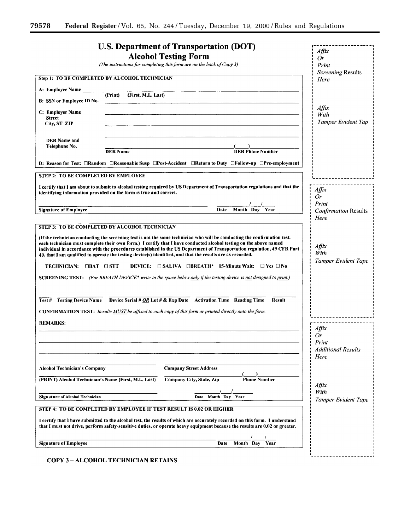٠

 $\equiv$ 

|                                                                                                                                                                                                                                                                                                                                                                                                                                                                                                                                                                                                                                                                  | U.S. Department of Transportation (DOT)                                                                                                                                                                                                                     |                             |  |
|------------------------------------------------------------------------------------------------------------------------------------------------------------------------------------------------------------------------------------------------------------------------------------------------------------------------------------------------------------------------------------------------------------------------------------------------------------------------------------------------------------------------------------------------------------------------------------------------------------------------------------------------------------------|-------------------------------------------------------------------------------------------------------------------------------------------------------------------------------------------------------------------------------------------------------------|-----------------------------|--|
|                                                                                                                                                                                                                                                                                                                                                                                                                                                                                                                                                                                                                                                                  | <b>Alcohol Testing Form</b>                                                                                                                                                                                                                                 | Affix<br>Or                 |  |
|                                                                                                                                                                                                                                                                                                                                                                                                                                                                                                                                                                                                                                                                  | (The instructions for completing this form are on the back of Copy 3)                                                                                                                                                                                       | Print                       |  |
|                                                                                                                                                                                                                                                                                                                                                                                                                                                                                                                                                                                                                                                                  |                                                                                                                                                                                                                                                             | Screening Results           |  |
|                                                                                                                                                                                                                                                                                                                                                                                                                                                                                                                                                                                                                                                                  | Step 1: TO BE COMPLETED BY ALCOHOL TECHNICIAN                                                                                                                                                                                                               | <b>Here</b>                 |  |
| A: Employee Name                                                                                                                                                                                                                                                                                                                                                                                                                                                                                                                                                                                                                                                 |                                                                                                                                                                                                                                                             |                             |  |
| <b>B:</b> SSN or Employee ID No.                                                                                                                                                                                                                                                                                                                                                                                                                                                                                                                                                                                                                                 | (First, M.I., Last)<br>(Print)                                                                                                                                                                                                                              |                             |  |
|                                                                                                                                                                                                                                                                                                                                                                                                                                                                                                                                                                                                                                                                  |                                                                                                                                                                                                                                                             | Affix                       |  |
| C: Employer Name<br><b>Street</b>                                                                                                                                                                                                                                                                                                                                                                                                                                                                                                                                                                                                                                |                                                                                                                                                                                                                                                             | With                        |  |
| City, ST ZIP                                                                                                                                                                                                                                                                                                                                                                                                                                                                                                                                                                                                                                                     |                                                                                                                                                                                                                                                             | Tamper Evident Tap          |  |
|                                                                                                                                                                                                                                                                                                                                                                                                                                                                                                                                                                                                                                                                  |                                                                                                                                                                                                                                                             |                             |  |
| <b>DER Name and</b>                                                                                                                                                                                                                                                                                                                                                                                                                                                                                                                                                                                                                                              |                                                                                                                                                                                                                                                             |                             |  |
| Telephone No.                                                                                                                                                                                                                                                                                                                                                                                                                                                                                                                                                                                                                                                    | <b>DER Phone Number</b><br><b>DER</b> Name                                                                                                                                                                                                                  |                             |  |
|                                                                                                                                                                                                                                                                                                                                                                                                                                                                                                                                                                                                                                                                  |                                                                                                                                                                                                                                                             |                             |  |
|                                                                                                                                                                                                                                                                                                                                                                                                                                                                                                                                                                                                                                                                  | D: Reason for Test: CRandom CReasonable Susp CPost-Accident CReturn to Duty CFollow-up CPre-employment                                                                                                                                                      |                             |  |
| <b>STEP 2: TO BE COMPLETED BY EMPLOYEE</b>                                                                                                                                                                                                                                                                                                                                                                                                                                                                                                                                                                                                                       |                                                                                                                                                                                                                                                             |                             |  |
|                                                                                                                                                                                                                                                                                                                                                                                                                                                                                                                                                                                                                                                                  | I certify that I am about to submit to alcohol testing required by US Department of Transportation regulations and that the                                                                                                                                 |                             |  |
|                                                                                                                                                                                                                                                                                                                                                                                                                                                                                                                                                                                                                                                                  | identifying information provided on the form is true and correct.                                                                                                                                                                                           | Affix<br><b>Or</b>          |  |
|                                                                                                                                                                                                                                                                                                                                                                                                                                                                                                                                                                                                                                                                  |                                                                                                                                                                                                                                                             | Print                       |  |
| <b>Signature of Employee</b>                                                                                                                                                                                                                                                                                                                                                                                                                                                                                                                                                                                                                                     | Month Day Year<br>Date                                                                                                                                                                                                                                      | <b>Confirmation Results</b> |  |
|                                                                                                                                                                                                                                                                                                                                                                                                                                                                                                                                                                                                                                                                  |                                                                                                                                                                                                                                                             | Here                        |  |
|                                                                                                                                                                                                                                                                                                                                                                                                                                                                                                                                                                                                                                                                  | STEP 3: TO BE COMPLETED BY ALCOHOL TECHNICIAN                                                                                                                                                                                                               |                             |  |
| (If the technician conducting the screening test is not the same technician who will be conducting the confirmation test,<br>each technician must complete their own form.) I certify that I have conducted alcohol testing on the above named<br>individual in accordance with the procedures established in the US Department of Transportation regulation, 49 CFR Part<br>40, that I am qualified to operate the testing device(s) identified, and that the results are as recorded.<br>TECHNICIAN: <b>OBAT OSTT</b><br><b>SCREENING TEST:</b> (For BREATH DEVICE <sup>*</sup> write in the space below only if the testing device is not designed to print.) | Affix<br>With<br>Tamper Evident Tape                                                                                                                                                                                                                        |                             |  |
| <b>Testing Device Name</b><br>Test#                                                                                                                                                                                                                                                                                                                                                                                                                                                                                                                                                                                                                              | Device Serial # OR Lot # & Exp Date Activation Time Reading Time<br><b>Result</b><br><b>CONFIRMATION TEST:</b> Results MUST be affixed to each copy of this form or printed directly onto the form.                                                         |                             |  |
| <b>REMARKS:</b>                                                                                                                                                                                                                                                                                                                                                                                                                                                                                                                                                                                                                                                  |                                                                                                                                                                                                                                                             |                             |  |
|                                                                                                                                                                                                                                                                                                                                                                                                                                                                                                                                                                                                                                                                  |                                                                                                                                                                                                                                                             | Affix                       |  |
|                                                                                                                                                                                                                                                                                                                                                                                                                                                                                                                                                                                                                                                                  |                                                                                                                                                                                                                                                             | 0r<br>Print                 |  |
|                                                                                                                                                                                                                                                                                                                                                                                                                                                                                                                                                                                                                                                                  |                                                                                                                                                                                                                                                             | <b>Additional Results</b>   |  |
|                                                                                                                                                                                                                                                                                                                                                                                                                                                                                                                                                                                                                                                                  |                                                                                                                                                                                                                                                             | Here                        |  |
| Alcohol Technician's Company                                                                                                                                                                                                                                                                                                                                                                                                                                                                                                                                                                                                                                     | <b>Company Street Address</b>                                                                                                                                                                                                                               |                             |  |
|                                                                                                                                                                                                                                                                                                                                                                                                                                                                                                                                                                                                                                                                  | Company City, State, Zip<br><b>Phone Number</b>                                                                                                                                                                                                             |                             |  |
| (PRINT) Alcohol Technician's Name (First, M.I., Last)                                                                                                                                                                                                                                                                                                                                                                                                                                                                                                                                                                                                            |                                                                                                                                                                                                                                                             | Affix                       |  |
|                                                                                                                                                                                                                                                                                                                                                                                                                                                                                                                                                                                                                                                                  | Date Month Day Year                                                                                                                                                                                                                                         | With                        |  |
| <b>Signature of Alcohol Technician</b>                                                                                                                                                                                                                                                                                                                                                                                                                                                                                                                                                                                                                           |                                                                                                                                                                                                                                                             | Tamper Evident Tape         |  |
| STEP 4: TO BE COMPLETED BY EMPLOYEE IF TEST RESULT IS 0.02 OR HIGHER                                                                                                                                                                                                                                                                                                                                                                                                                                                                                                                                                                                             |                                                                                                                                                                                                                                                             |                             |  |
|                                                                                                                                                                                                                                                                                                                                                                                                                                                                                                                                                                                                                                                                  | I certify that I have submitted to the alcohol test, the results of which are accurately recorded on this form. I understand<br>that I must not drive, perform safety-sensitive duties, or operate heavy equipment because the results are 0.02 or greater. |                             |  |
| <b>Signature of Employee</b>                                                                                                                                                                                                                                                                                                                                                                                                                                                                                                                                                                                                                                     | Date<br>Month Day<br>Year                                                                                                                                                                                                                                   |                             |  |
|                                                                                                                                                                                                                                                                                                                                                                                                                                                                                                                                                                                                                                                                  |                                                                                                                                                                                                                                                             |                             |  |

COPY 3 - ALCOHOL TECHNICIAN RETAINS